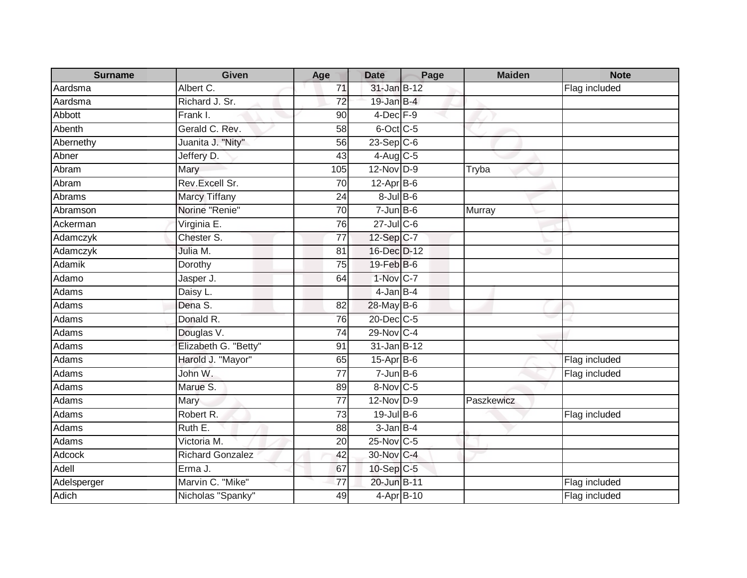| <b>Surname</b> | <b>Given</b>            | Age             | <b>Date</b>      | Page | <b>Maiden</b> | <b>Note</b>   |
|----------------|-------------------------|-----------------|------------------|------|---------------|---------------|
| Aardsma        | Albert C.               | 71              | 31-Jan B-12      |      |               | Flag included |
| Aardsma        | Richard J. Sr.          | 72              | $19$ -Jan B-4    |      |               |               |
| Abbott         | Frank I.                | 90              | $4$ -Dec $F-9$   |      |               |               |
| Abenth         | Gerald C. Rev.          | $\overline{58}$ | 6-Oct C-5        |      |               |               |
| Abernethy      | Juanita J. "Nity"       | 56              | $23-Sep$ C-6     |      |               |               |
| Abner          | Jeffery D.              | 43              | $4$ -Aug $C$ -5  |      |               |               |
| Abram          | Mary                    | 105             | $12-Nov$ D-9     |      | Tryba         |               |
| Abram          | Rev.Excell Sr.          | 70              | $12-Apr$ B-6     |      |               |               |
| Abrams         | <b>Marcy Tiffany</b>    | 24              | $8$ -Jul $B$ -6  |      |               |               |
| Abramson       | Norine "Renie"          | 70              | $7 - Jun$ B-6    |      | Murray        |               |
| Ackerman       | Virginia E.             | 76              | $27$ -Jul C-6    |      |               |               |
| Adamczyk       | Chester <sub>S.</sub>   | 77              | 12-Sep C-7       |      |               |               |
| Adamczyk       | Julia M.                | 81              | 16-Dec D-12      |      |               |               |
| Adamik         | Dorothy                 | $\overline{75}$ | 19-Feb B-6       |      |               |               |
| Adamo          | Jasper J.               | 64              | $1-Nov$ C-7      |      |               |               |
| <b>Adams</b>   | Daisy L.                |                 | $4$ -Jan $B-4$   |      |               |               |
| Adams          | Dena S.                 | 82              | 28-May B-6       |      |               |               |
| Adams          | Donald R.               | 76              | 20-Dec C-5       |      |               |               |
| Adams          | Douglas V.              | $\overline{74}$ | 29-Nov C-4       |      |               |               |
| Adams          | Elizabeth G. "Betty"    | 91              | $31$ -Jan $B-12$ |      |               |               |
| Adams          | Harold J. "Mayor"       | 65              | 15-Apr B-6       |      |               | Flag included |
| Adams          | John W.                 | 77              | $7 - Jun$ B-6    |      |               | Flag included |
| Adams          | Marue S.                | 89              | 8-Nov C-5        |      |               |               |
| Adams          | Mary                    | 77              | $12-Nov$ D-9     |      | Paszkewicz    |               |
| Adams          | Robert R.               | 73              | 19-Jul B-6       |      |               | Flag included |
| Adams          | Ruth E.                 | 88              | $3$ -Jan B-4     |      |               |               |
| Adams          | Victoria M.             | 20              | 25-Nov C-5       |      |               |               |
| Adcock         | <b>Richard Gonzalez</b> | 42              | 30-Nov C-4       |      |               |               |
| Adell          | Erma J.                 | 67              | $10-SepC-5$      |      |               |               |
| Adelsperger    | Marvin C. "Mike"        | 77              | 20-Jun B-11      |      |               | Flag included |
| <b>Adich</b>   | Nicholas "Spanky"       | 49              | 4-Apr B-10       |      |               | Flag included |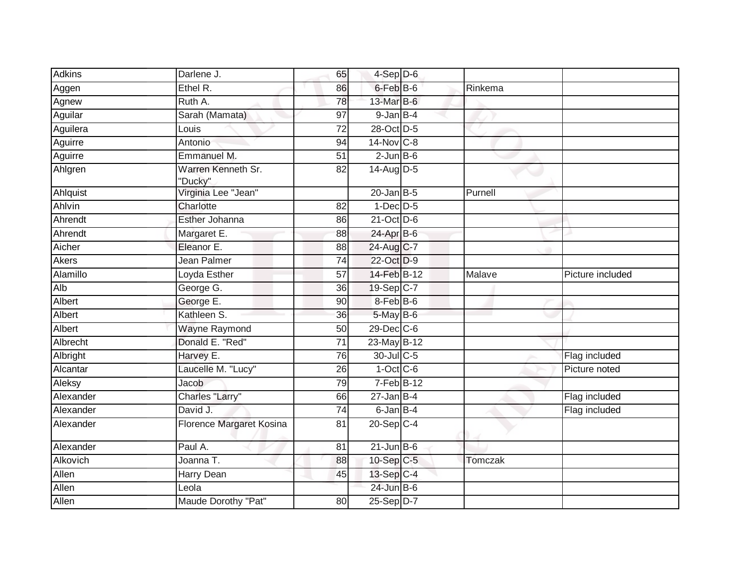| <b>Adkins</b> | Darlene J.                    | 65              | $4-Sep$ D-6             |         |                  |
|---------------|-------------------------------|-----------------|-------------------------|---------|------------------|
| Aggen         | Ethel R.                      | 86              | 6-Feb B-6               | Rinkema |                  |
| Agnew         | Ruth A.                       | 78              | 13-Mar B-6              |         |                  |
| Aguilar       | Sarah (Mamata)                | 97              | $9$ -Jan $B$ -4         |         |                  |
| Aguilera      | Louis                         | $\overline{72}$ | 28-Oct D-5              |         |                  |
| Aguirre       | Antonio                       | 94              | 14-Nov C-8              |         |                  |
| Aguirre       | Emmanuel M.                   | 51              | $2$ -Jun $B$ -6         |         |                  |
| Ahlgren       | Warren Kenneth Sr.<br>"Ducky" | 82              | 14-Aug D-5              |         |                  |
| Ahlquist      | Virginia Lee "Jean"           |                 | $20$ -Jan B-5           | Purnell |                  |
| Ahlvin        | Charlotte                     | 82              | $1-Dec$ $D-5$           |         |                  |
| Ahrendt       | Esther Johanna                | 86              | $21$ -Oct D-6           |         |                  |
| Ahrendt       | Margaret E.                   | 88              | 24-Apr B-6              |         |                  |
| Aicher        | Eleanor E.                    | 88              | 24-Aug C-7              |         |                  |
| <b>Akers</b>  | Jean Palmer                   | $\overline{74}$ | 22-Oct D-9              |         |                  |
| Alamillo      | Loyda Esther                  | 57              | 14-Feb B-12             | Malave  | Picture included |
| Alb           | George G.                     | 36              | 19-Sep C-7              |         |                  |
| Albert        | George E.                     | 90              | 8-Feb B-6               |         |                  |
| Albert        | Kathleen S.                   | 36              | 5-May B-6               |         |                  |
| Albert        | <b>Wayne Raymond</b>          | 50              | $29$ -Dec $C$ -6        |         |                  |
| Albrecht      | Donald E. "Red"               | 71              | 23-May B-12             |         |                  |
| Albright      | Harvey E.                     | 76              | 30-Jul C-5              |         | Flag included    |
| Alcantar      | Laucelle M. "Lucy"            | 26              | $1-Oct$ $C-6$           |         | Picture noted    |
| Aleksy        | Jacob                         | 79              | $7-Feb$ B-12            |         |                  |
| Alexander     | Charles "Larry"               | 66              | $27$ -Jan B-4           |         | Flag included    |
| Alexander     | David J.                      | 74              | 6-Jan B-4               |         | Flag included    |
| Alexander     | Florence Margaret Kosina      | 81              | $20-Sep$ <sub>C-4</sub> |         |                  |
| Alexander     | Paul A.                       | 81              | $21$ -Jun B-6           |         |                  |
| Alkovich      | Joanna T.                     | 88              | 10-Sep C-5              | Tomczak |                  |
| Allen         | Harry Dean                    | 45              | 13-Sep C-4              |         |                  |
| Allen         | Leola                         |                 | 24-Jun B-6              |         |                  |
| Allen         | Maude Dorothy "Pat"           | 80              | $25-Sep D-7$            |         |                  |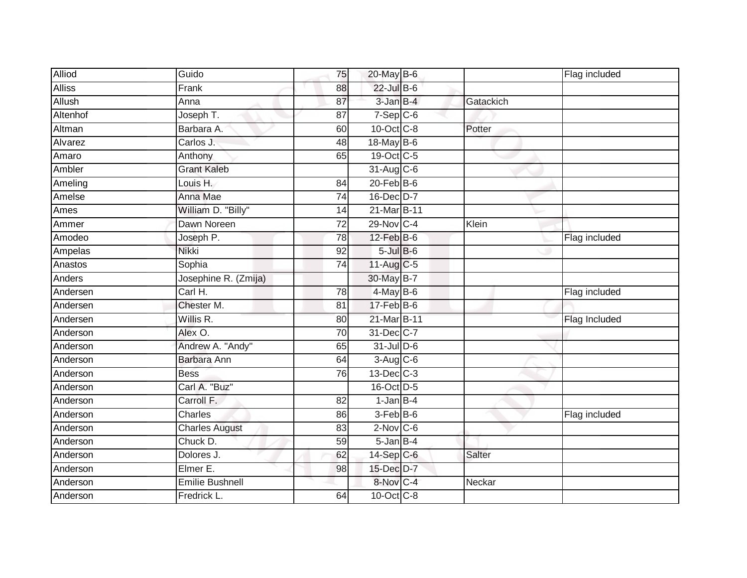| <b>Alliod</b> | Guido                  | 75              | 20-May B-6       |           | Flag included |
|---------------|------------------------|-----------------|------------------|-----------|---------------|
| <b>Alliss</b> | Frank                  | 88              | 22-Jul B-6       |           |               |
| Allush        | Anna                   | 87              | 3-Jan B-4        | Gatackich |               |
| Altenhof      | Joseph T.              | 87              | $7-Sep$ $C-6$    |           |               |
| Altman        | Barbara A.             | 60              | 10-Oct C-8       | Potter    |               |
| Alvarez       | Carlos J.              | 48              | 18-May B-6       |           |               |
| Amaro         | Anthony                | 65              | 19-Oct C-5       |           |               |
| Ambler        | <b>Grant Kaleb</b>     |                 | 31-Aug C-6       |           |               |
| Ameling       | Louis H.               | 84              | $20$ -Feb $B$ -6 |           |               |
| Amelse        | Anna Mae               | 74              | 16-Dec D-7       |           |               |
| Ames          | William D. "Billy"     | 14              | 21-Mar B-11      |           |               |
| Ammer         | Dawn Noreen            | $\overline{72}$ | 29-Nov C-4       | Klein     |               |
| Amodeo        | Joseph P.              | 78              | $12$ -Feb $B$ -6 |           | Flag included |
| Ampelas       | <b>Nikki</b>           | 92              | $5$ -Jul $B$ -6  |           |               |
| Anastos       | Sophia                 | $\overline{74}$ | 11-Aug $C-5$     |           |               |
| Anders        | Josephine R. (Zmija)   |                 | 30-May B-7       |           |               |
| Andersen      | Carl H.                | 78              | 4-May B-6        |           | Flag included |
| Andersen      | Chester M.             | 81              | $17-FebB-6$      |           |               |
| Andersen      | Willis R.              | 80              | 21-Mar B-11      |           | Flag Included |
| Anderson      | Alex O.                | 70              | 31-Dec C-7       |           |               |
| Anderson      | Andrew A. "Andy"       | 65              | $31$ -Jul D-6    |           |               |
| Anderson      | Barbara Ann            | 64              | 3-Aug C-6        |           |               |
| Anderson      | <b>Bess</b>            | 76              | 13-Dec C-3       |           |               |
| Anderson      | Carl A. "Buz"          |                 | 16-Oct D-5       |           |               |
| Anderson      | Carroll F.             | 82              | $1$ -Jan $B-4$   |           |               |
| Anderson      | Charles                | 86              | 3-Feb B-6        |           | Flag included |
| Anderson      | <b>Charles August</b>  | 83              | $2$ -Nov $C$ -6  |           |               |
| Anderson      | Chuck D.               | 59              | $5$ -Jan $B-4$   |           |               |
| Anderson      | Dolores J.             | 62              | 14-Sep C-6       | Salter    |               |
| Anderson      | Elmer E.               | 98              | 15-Dec D-7       |           |               |
| Anderson      | <b>Emilie Bushnell</b> |                 | 8-Nov C-4        | Neckar    |               |
| Anderson      | Fredrick L.            | 64              | 10-Oct C-8       |           |               |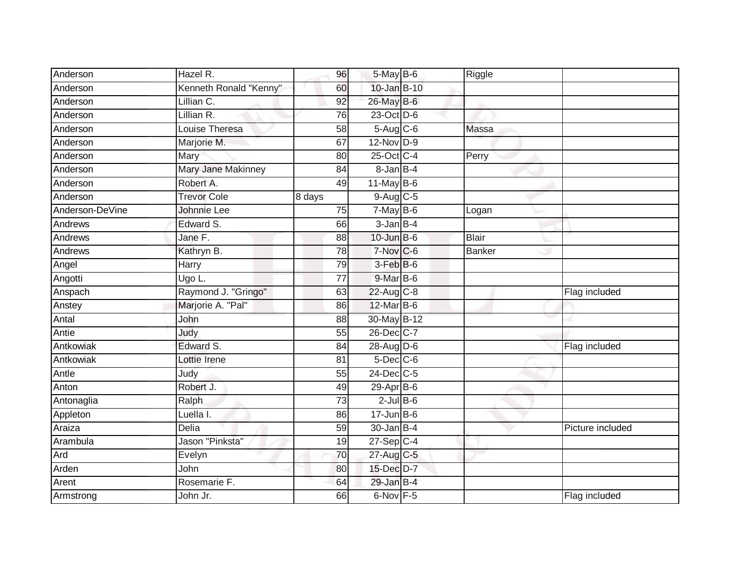| Anderson        | Hazel R.                 | 96              | 5-May B-6              | Riggle        |                  |
|-----------------|--------------------------|-----------------|------------------------|---------------|------------------|
| Anderson        | Kenneth Ronald "Kenny"   | 60              | $10$ -Jan B-10         |               |                  |
| Anderson        | Lillian $\overline{C}$ . | 92              | 26-May B-6             |               |                  |
| Anderson        | Lillian R.               | 76              | 23-Oct D-6             |               |                  |
| Anderson        | Louise Theresa           | 58              | $5-Aug$ $C-6$          | Massa         |                  |
| Anderson        | Marjorie M.              | 67              | 12-Nov D-9             |               |                  |
| Anderson        | Mary                     | 80              | 25-Oct C-4             | Perry         |                  |
| Anderson        | Mary Jane Makinney       | 84              | 8-Jan B-4              |               |                  |
| Anderson        | Robert A.                | 49              | $11$ -May B-6          |               |                  |
| Anderson        | <b>Trevor Cole</b>       | 8 days          | $9-Aug$ <sub>C-5</sub> |               |                  |
| Anderson-DeVine | Johnnie Lee              | 75              | $7-May$ B-6            | Logan         |                  |
| Andrews         | Edward S.                | 66              | 3-Jan B-4              |               |                  |
| Andrews         | Jane F.                  | 88              | $10$ -Jun $B$ -6       | <b>Blair</b>  |                  |
| Andrews         | Kathryn B.               | 78              | $7-Nov$ <sub>C-6</sub> | <b>Banker</b> |                  |
| Angel           | Harry                    | 79              | 3-Feb B-6              |               |                  |
| Angotti         | Ugo L.                   | 77              | $9$ -Mar $B$ -6        |               |                  |
| Anspach         | Raymond J. "Gringo"      | 63              | 22-Aug C-8             |               | Flag included    |
| Anstey          | Marjorie A. "Pal"        | 86              | 12-Mar B-6             |               |                  |
| Antal           | John                     | 88              | 30-May B-12            |               |                  |
| Antie           | Judy                     | 55              | 26-Dec C-7             |               |                  |
| Antkowiak       | Edward S.                | 84              | 28-Aug D-6             |               | Flag included    |
| Antkowiak       | Lottie Irene             | 81              | $5$ -Dec $C$ -6        |               |                  |
| Antle           | Judy                     | 55              | $24$ -Dec $C-5$        |               |                  |
| Anton           | Robert J.                | 49              | $29-Apr$ B-6           |               |                  |
| Antonaglia      | Ralph                    | $\overline{73}$ | $2$ -Jul B-6           |               |                  |
| Appleton        | Luella I.                | 86              | $17 - Jun$ B-6         |               |                  |
| Araiza          | Delia                    | 59              | $30 - Jan$ B-4         |               | Picture included |
| Arambula        | Jason "Pinksta"          | 19              | $27-Sep$ C-4           |               |                  |
| Ard             | Evelyn                   | 70              | 27-Aug C-5             |               |                  |
| Arden           | John                     | 80              | 15-Dec D-7             |               |                  |
| Arent           | Rosemarie F.             | 64              | $29$ -Jan B-4          |               |                  |
| Armstrong       | John Jr.                 | 66              | 6-Nov F-5              |               | Flag included    |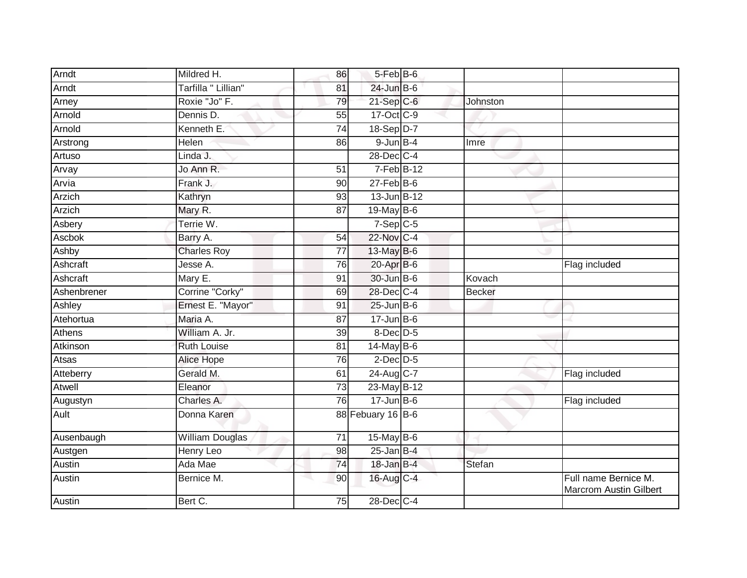| Arndt        | Mildred H.             | 86              | 5-Feb B-6         |          |                                                |
|--------------|------------------------|-----------------|-------------------|----------|------------------------------------------------|
| Arndt        | Tarfilla " Lillian"    | 81              | $24$ -Jun $B$ -6  |          |                                                |
| Arney        | Roxie "Jo" F.          | 79              | $21-SepC-6$       | Johnston |                                                |
| Arnold       | Dennis D.              | 55              | 17-Oct C-9        |          |                                                |
| Arnold       | Kenneth E.             | $\overline{74}$ | 18-Sep D-7        |          |                                                |
| Arstrong     | Helen                  | 86              | $9$ -Jun $B-4$    | Imre     |                                                |
| Artuso       | Linda J.               |                 | 28-Dec C-4        |          |                                                |
| Arvay        | Jo Ann R.              | 51              | $7-Feb$ B-12      |          |                                                |
| Arvia        | Frank J.               | 90              | $27 - Feb$ B-6    |          |                                                |
| Arzich       | Kathryn                | 93              | 13-Jun B-12       |          |                                                |
| Arzich       | Mary R.                | 87              | 19-May $B-6$      |          |                                                |
| Asbery       | Terrie W.              |                 | $7-Sep$ C-5       |          |                                                |
| Ascbok       | Barry A.               | 54              | 22-Nov C-4        |          |                                                |
| Ashby        | <b>Charles Roy</b>     | $\overline{77}$ | 13-May B-6        |          |                                                |
| Ashcraft     | Jesse A.               | 76              | $20$ -Apr $B$ -6  |          | Flag included                                  |
| Ashcraft     | Mary E.                | 91              | 30-Jun B-6        | Kovach   |                                                |
| Ashenbrener  | Corrine "Corky"        | 69              | 28-Dec C-4        | Becker   |                                                |
| Ashley       | Ernest E. "Mayor"      | 91              | $25$ -Jun $B$ -6  |          |                                                |
| Atehortua    | Maria A.               | 87              | $17$ -Jun B-6     |          |                                                |
| Athens       | William A. Jr.         | 39              | $8$ -Dec $D-5$    |          |                                                |
| Atkinson     | <b>Ruth Louise</b>     | 81              | $14$ -May B-6     |          |                                                |
| <b>Atsas</b> | <b>Alice Hope</b>      | 76              | $2$ -Dec $D-5$    |          |                                                |
| Atteberry    | Gerald M.              | 61              | 24-Aug C-7        |          | Flag included                                  |
| Atwell       | Eleanor                | 73              | 23-May B-12       |          |                                                |
| Augustyn     | Charles A.             | $\overline{76}$ | $17 - Jun$ B-6    |          | Flag included                                  |
| Ault         | Donna Karen            |                 | 88 Febuary 16 B-6 |          |                                                |
| Ausenbaugh   | <b>William Douglas</b> | $\overline{71}$ | $15$ -May B-6     |          |                                                |
| Austgen      | Henry Leo              | 98              | $25$ -Jan B-4     |          |                                                |
| Austin       | Ada Mae                | 74              | $18$ -Jan B-4     | Stefan   |                                                |
| Austin       | Bernice M.             | 90              | 16-Aug C-4        |          | Full name Bernice M.<br>Marcrom Austin Gilbert |
| Austin       | Bert C.                | 75              | 28-Dec C-4        |          |                                                |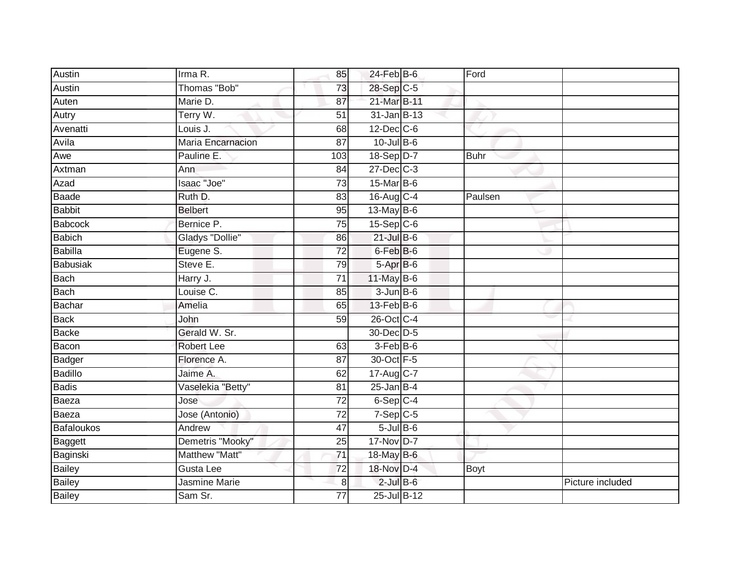| Austin            | Irma R.              | 85              | $24$ -Feb $B$ -6     | Ford    |                  |
|-------------------|----------------------|-----------------|----------------------|---------|------------------|
| Austin            | Thomas "Bob"         | 73              | 28-Sep C-5           |         |                  |
| Auten             | Marie D.             | 87              | 21-Mar B-11          |         |                  |
| Autry             | Terry W.             | 51              | 31-Jan B-13          |         |                  |
| Avenatti          | Louis J.             | 68              | $12$ -Dec $C$ -6     |         |                  |
| Avila             | Maria Encarnacion    | 87              | $10$ -Jul $B$ -6     |         |                  |
| Awe               | Pauline E.           | 103             | 18-Sep D-7           | Buhr    |                  |
| Axtman            | Ann                  | 84              | $27 - Dec$ C-3       |         |                  |
| Azad              | Isaac "Joe"          | $\overline{73}$ | 15-Mar B-6           |         |                  |
| Baade             | Ruth D.              | 83              | 16-Aug C-4           | Paulsen |                  |
| <b>Babbit</b>     | <b>Belbert</b>       | 95              | $13$ -May B-6        |         |                  |
| Babcock           | Bernice P.           | $\overline{75}$ | $15-Sep$ C-6         |         |                  |
| <b>Babich</b>     | Gladys "Dollie"      | 86              | $21$ -Jul B-6        |         |                  |
| <b>Babilla</b>    | Eugene S.            | $\overline{72}$ | 6-Feb <sup>B-6</sup> |         |                  |
| <b>Babusiak</b>   | Steve E.             | 79              | 5-Apr B-6            |         |                  |
| <b>Bach</b>       | Harry J.             | $\overline{71}$ | 11-May B-6           |         |                  |
| Bach              | Louise C.            | 85              | $3 - Jun$ B-6        |         |                  |
| Bachar            | Amelia               | 65              | $13$ -Feb $B$ -6     |         |                  |
| <b>Back</b>       | John                 | 59              | 26-Oct C-4           |         |                  |
| Backe             | Gerald W. Sr.        |                 | 30-Dec D-5           |         |                  |
| Bacon             | <b>Robert Lee</b>    | 63              | 3-Feb B-6            |         |                  |
| Badger            | Florence A.          | $\overline{87}$ | 30-Oct F-5           |         |                  |
| Badillo           | Jaime A.             | 62              | 17-Aug C-7           |         |                  |
| <b>Badis</b>      | Vaselekia "Betty"    | 81              | $25$ -Jan B-4        |         |                  |
| Baeza             | Jose                 | 72              | $6-Sep$ C-4          |         |                  |
| Baeza             | Jose (Antonio)       | $\overline{72}$ | $7-SepC-5$           |         |                  |
| <b>Bafaloukos</b> | Andrew               | 47              | $5$ -Jul $B$ -6      |         |                  |
| Baggett           | Demetris "Mooky"     | 25              | 17-Nov D-7           |         |                  |
| Baginski          | Matthew "Matt"       | $\overline{71}$ | 18-May B-6           |         |                  |
| Bailey            | Gusta Lee            | 72              | 18-Nov D-4           | Boyt    |                  |
| Bailey            | <b>Jasmine Marie</b> | 8               | $2$ -Jul B-6         |         | Picture included |
| <b>Bailey</b>     | Sam Sr.              | $\overline{77}$ | 25-Jul B-12          |         |                  |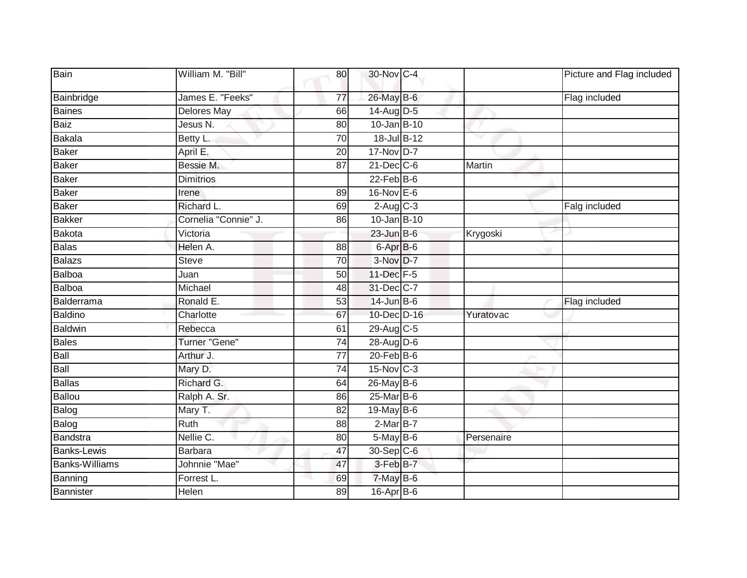| Bain                  | William M. "Bill"    | 80              | 30-Nov C-4        |            | Picture and Flag included |
|-----------------------|----------------------|-----------------|-------------------|------------|---------------------------|
| Bainbridge            | James E. "Feeks"     | 77              | 26-May B-6        |            | Flag included             |
| <b>Baines</b>         | <b>Delores May</b>   | 66              | $14$ -Aug D-5     |            |                           |
| <b>Baiz</b>           | Jesus N.             | 80              | 10-Jan B-10       |            |                           |
| <b>Bakala</b>         | Betty L.             | 70              | 18-Jul B-12       |            |                           |
| <b>Baker</b>          | April E.             | 20              | $17-NovD-7$       |            |                           |
| <b>Baker</b>          | Bessie M.            | 87              | $21$ -Dec $C-6$   | Martin     |                           |
| <b>Baker</b>          | <b>Dimitrios</b>     |                 | $22$ -Feb $B$ -6  |            |                           |
| <b>Baker</b>          | Irene                | 89              | 16-Nov E-6        |            |                           |
| <b>Baker</b>          | Richard L.           | 69              | $2-Aug$ $C-3$     |            | Falg included             |
| <b>Bakker</b>         | Cornelia "Connie" J. | 86              | 10-Jan B-10       |            |                           |
| Bakota                | Victoria             |                 | $23$ -Jun $B$ -6  | Krygoski   |                           |
| <b>Balas</b>          | Helen A.             | 88              | $6 -$ Apr $B - 6$ |            |                           |
| <b>Balazs</b>         | <b>Steve</b>         | 70              | 3-Nov D-7         |            |                           |
| Balboa                | Juan                 | 50              | 11-Dec F-5        |            |                           |
| Balboa                | Michael              | 48              | 31-Dec C-7        |            |                           |
| Balderrama            | Ronald E.            | 53              | $14$ -Jun $B$ -6  |            | Flag included             |
| Baldino               | Charlotte            | 67              | 10-Dec D-16       | Yuratovac  |                           |
| <b>Baldwin</b>        | Rebecca              | 61              | 29-Aug C-5        |            |                           |
| <b>Bales</b>          | Turner "Gene"        | $\overline{74}$ | 28-Aug D-6        |            |                           |
| Ball                  | Arthur J.            | 77              | $20$ -Feb $B$ -6  |            |                           |
| Ball                  | Mary D.              | 74              | 15-Nov C-3        |            |                           |
| <b>Ballas</b>         | Richard G.           | 64              | $26$ -May B-6     |            |                           |
| <b>Ballou</b>         | Ralph A. Sr.         | 86              | 25-Mar B-6        |            |                           |
| Balog                 | Mary T.              | $\overline{82}$ | 19-May B-6        |            |                           |
| Balog                 | Ruth                 | 88              | $2-MarB-7$        |            |                           |
| Bandstra              | Nellie C.            | 80              | $5$ -May $B$ -6   | Persenaire |                           |
| <b>Banks-Lewis</b>    | <b>Barbara</b>       | 47              | 30-Sep C-6        |            |                           |
| <b>Banks-Williams</b> | Johnnie "Mae"        | 47              | 3-Feb B-7         |            |                           |
| Banning               | Forrest L.           | 69              | 7-May B-6         |            |                           |
| Bannister             | Helen                | 89              | 16-Apr B-6        |            |                           |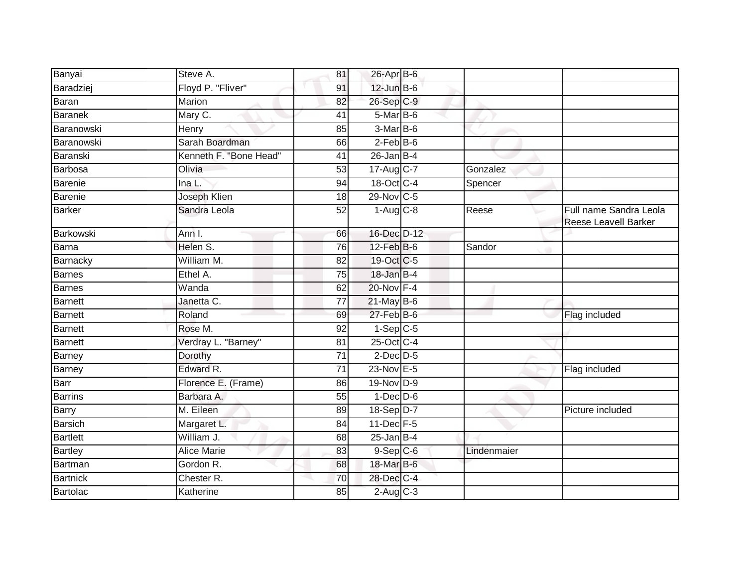| Banyai            | Steve A.                 | 81              | 26-Apr B-6      |             |                                                |
|-------------------|--------------------------|-----------------|-----------------|-------------|------------------------------------------------|
| Baradziej         | Floyd P. "Fliver"        | 91              | $12$ -Jun $B-6$ |             |                                                |
| <b>Baran</b>      | <b>Marion</b>            | 82              | 26-Sep C-9      |             |                                                |
| <b>Baranek</b>    | Mary C.                  | 41              | $5-Mar$ B-6     |             |                                                |
| <b>Baranowski</b> | Henry                    | 85              | 3-Mar B-6       |             |                                                |
| Baranowski        | Sarah Boardman           | 66              | $2$ -Feb $B$ -6 |             |                                                |
| Baranski          | Kenneth F. "Bone Head"   | 41              | $26$ -Jan B-4   |             |                                                |
| Barbosa           | Olivia                   | 53              | 17-Aug C-7      | Gonzalez    |                                                |
| <b>Barenie</b>    | Ina L.                   | 94              | 18-Oct C-4      | Spencer     |                                                |
| Barenie           | Joseph Klien             | 18              | 29-Nov C-5      |             |                                                |
| <b>Barker</b>     | Sandra Leola             | 52              | $1-Aug$ $C-8$   | Reese       | Full name Sandra Leola<br>Reese Leavell Barker |
| Barkowski         | Ann I.                   | 66              | 16-Dec D-12     |             |                                                |
| Barna             | Helen S.                 | $\overline{76}$ | 12-Feb B-6      | Sandor      |                                                |
| Barnacky          | William M.               | 82              | 19-Oct C-5      |             |                                                |
| <b>Barnes</b>     | Ethel A.                 | 75              | 18-Jan B-4      |             |                                                |
| Barnes            | Wanda                    | 62              | 20-Nov F-4      |             |                                                |
| Barnett           | Janetta $\overline{C}$ . | 77              | $21$ -May B-6   |             |                                                |
| <b>Barnett</b>    | Roland                   | 69              | 27-Feb B-6      |             | Flag included                                  |
| <b>Barnett</b>    | Rose M.                  | 92              | $1-Sep C-5$     |             |                                                |
| <b>Barnett</b>    | Verdray L. "Barney"      | 81              | 25-Oct C-4      |             |                                                |
| Barney            | Dorothy                  | 71              | $2$ -Dec $D-5$  |             |                                                |
| Barney            | Edward R.                | $\overline{71}$ | 23-Nov E-5      |             | Flag included                                  |
| Barr              | Florence E. (Frame)      | 86              | 19-Nov D-9      |             |                                                |
| <b>Barrins</b>    | Barbara A.               | 55              | $1-Dec$ $D-6$   |             |                                                |
| Barry             | M. Eileen                | 89              | 18-Sep D-7      |             | Picture included                               |
| <b>Barsich</b>    | Margaret L.              | 84              | 11-Dec F-5      |             |                                                |
| <b>Bartlett</b>   | William J.               | 68              | $25$ -Jan B-4   |             |                                                |
| <b>Bartley</b>    | <b>Alice Marie</b>       | 83              | $9-$ Sep $ C-6$ | Lindenmaier |                                                |
| Bartman           | Gordon R.                | 68              | 18-Mar B-6      |             |                                                |
| <b>Bartnick</b>   | Chester <sub>R.</sub>    | 70              | 28-Dec C-4      |             |                                                |
| <b>Bartolac</b>   | Katherine                | 85              | $2$ -Aug $C-3$  |             |                                                |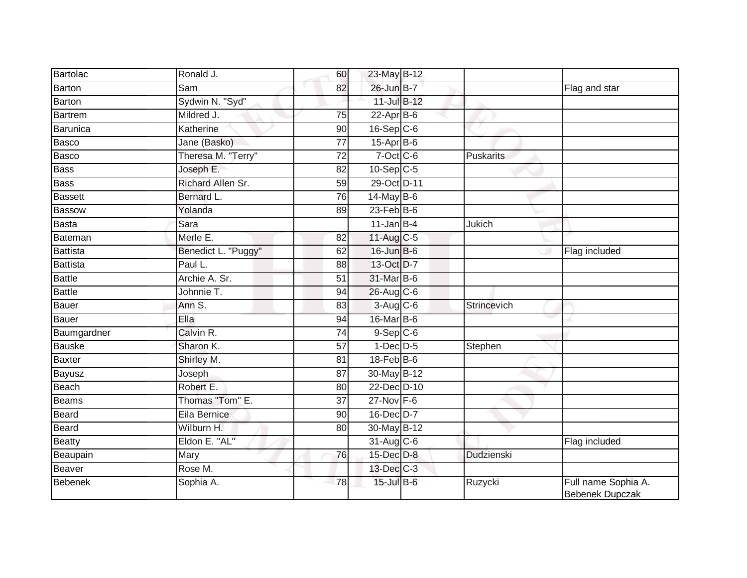| Bartolac        | Ronald J.           | 60              | 23-May B-12       |                   |                                        |
|-----------------|---------------------|-----------------|-------------------|-------------------|----------------------------------------|
| Barton          | Sam                 | 82              | 26-Jun B-7        |                   | Flag and star                          |
| <b>Barton</b>   | Sydwin N. "Syd"     |                 | 11-Jul B-12       |                   |                                        |
| <b>Bartrem</b>  | Mildred J.          | 75              | $22$ -Apr $B$ -6  |                   |                                        |
| Barunica        | Katherine           | 90              | $16-Sep$ C-6      |                   |                                        |
| Basco           | Jane (Basko)        | 77              | $15$ -Apr $B$ -6  |                   |                                        |
| Basco           | Theresa M. "Terry"  | 72              | $7$ -Oct $C$ -6   | Puskarits         |                                        |
| <b>Bass</b>     | Joseph E.           | 82              | $10-Sep$ C-5      |                   |                                        |
| <b>Bass</b>     | Richard Allen Sr.   | 59              | 29-Oct D-11       |                   |                                        |
| <b>Bassett</b>  | Bernard L.          | 76              | 14-May B-6        |                   |                                        |
| <b>Bassow</b>   | Yolanda             | 89              | $23$ -Feb $ B-6 $ |                   |                                        |
| <b>Basta</b>    | Sara                |                 | $11$ -Jan $B-4$   | Jukich            |                                        |
| Bateman         | Merle E.            | 82              | 11-Aug C-5        |                   |                                        |
| Battista        | Benedict L. "Puggy" | 62              | $16$ -Jun $B$ -6  |                   | Flag included                          |
| <b>Battista</b> | Paul L.             | 88              | 13-Oct D-7        |                   |                                        |
| <b>Battle</b>   | Archie A. Sr.       | 51              | 31-Mar B-6        |                   |                                        |
| <b>Battle</b>   | Johnnie T.          | 94              | 26-Aug C-6        |                   |                                        |
| Bauer           | Ann S.              | 83              | $3-Aug$ $C-6$     | Strincevich       |                                        |
| Bauer           | Ella                | 94              | 16-Mar B-6        |                   |                                        |
| Baumgardner     | Calvin R.           | $\overline{74}$ | $9-$ Sep $C-6$    |                   |                                        |
| <b>Bauske</b>   | Sharon K.           | 57              | $1-Dec$ D-5       | Stephen           |                                        |
| <b>Baxter</b>   | Shirley M.          | 81              | $18$ -Feb $ B-6 $ |                   |                                        |
| Bayusz          | Joseph              | 87              | 30-May B-12       |                   |                                        |
| Beach           | Robert E.           | 80              | 22-Dec D-10       |                   |                                        |
| <b>Beams</b>    | Thomas "Tom" E.     | 37              | $27$ -Nov $F-6$   |                   |                                        |
| Beard           | Eila Bernice        | 90              | 16-Dec D-7        |                   |                                        |
| <b>Beard</b>    | Wilburn H.          | 80              | 30-May B-12       |                   |                                        |
| <b>Beatty</b>   | Eldon E. "AL"       |                 | $31$ -Aug C-6     |                   | Flag included                          |
| Beaupain        | Mary                | 76              | 15-Dec D-8        | <b>Dudzienski</b> |                                        |
| Beaver          | Rose M.             |                 | 13-Dec C-3        |                   |                                        |
| <b>Bebenek</b>  | Sophia A.           | 78              | 15-Jul B-6        | Ruzycki           | Full name Sophia A.<br>Bebenek Dupczak |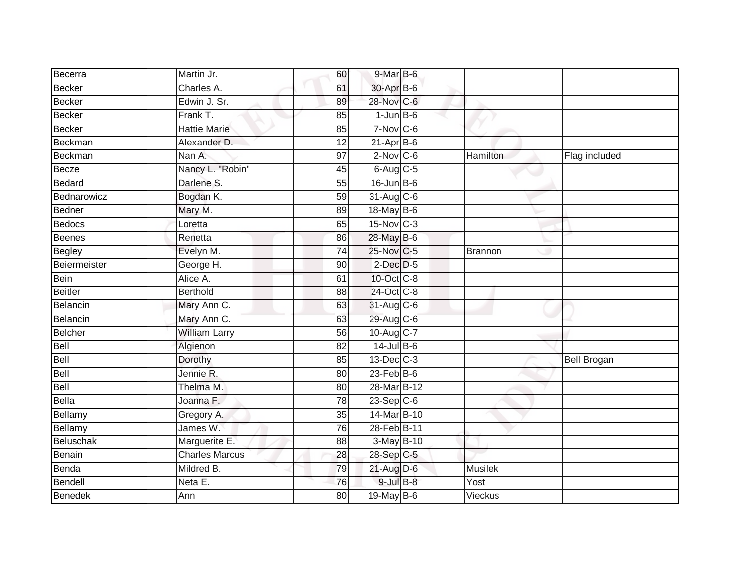| Becerra        | Martin Jr.            | 60              | 9-Mar B-6        |                 |                    |
|----------------|-----------------------|-----------------|------------------|-----------------|--------------------|
| Becker         | Charles A.            | 61              | 30-Apr B-6       |                 |                    |
| Becker         | Edwin J. Sr.          | 89              | 28-Nov C-6       |                 |                    |
| Becker         | Frank T.              | 85              | $1-JunB-6$       |                 |                    |
| <b>Becker</b>  | <b>Hattie Marie</b>   | 85              | $7-Nov$ C-6      |                 |                    |
| Beckman        | Alexander D.          | 12              | $21$ -Apr $B$ -6 |                 |                    |
| Beckman        | Nan A.                | 97              | $2$ -Nov $C$ -6  | <b>Hamilton</b> | Flag included      |
| Becze          | Nancy L. "Robin"      | 45              | $6$ -Aug $C$ -5  |                 |                    |
| Bedard         | Darlene S.            | 55              | 16-Jun B-6       |                 |                    |
| Bednarowicz    | Bogdan K.             | 59              | 31-Aug C-6       |                 |                    |
| Bedner         | Mary M.               | 89              | 18-May B-6       |                 |                    |
| <b>Bedocs</b>  | Loretta               | 65              | 15-Nov C-3       |                 |                    |
| <b>Beenes</b>  | Renetta               | 86              | 28-May B-6       |                 |                    |
| <b>Begley</b>  | Evelyn M.             | 74              | 25-Nov C-5       | Brannon         |                    |
| Beiermeister   | George H.             | $\overline{90}$ | $2$ -Dec $D$ -5  |                 |                    |
| Bein           | Alice A.              | 61              | 10-Oct C-8       |                 |                    |
| Beitler        | <b>Berthold</b>       | 88              | 24-Oct C-8       |                 |                    |
| Belancin       | Mary Ann C.           | 63              | 31-Aug C-6       |                 |                    |
| Belancin       | Mary Ann C.           | 63              | 29-Aug C-6       |                 |                    |
| Belcher        | <b>William Larry</b>  | 56              | 10-Aug C-7       |                 |                    |
| Bell           | Algienon              | 82              | 14-Jul B-6       |                 |                    |
| Bell           | Dorothy               | 85              | 13-Dec C-3       |                 | <b>Bell Brogan</b> |
| Bell           | Jennie R.             | 80              | $23$ -Feb $B$ -6 |                 |                    |
| Bell           | Thelma M.             | 80              | 28-Mar B-12      |                 |                    |
| Bella          | Joanna F.             | 78              | $23-Sep$ $C-6$   |                 |                    |
| Bellamy        | Gregory A.            | 35              | 14-Mar B-10      |                 |                    |
| Bellamy        | James W.              | 76              | 28-Feb B-11      |                 |                    |
| Beluschak      | Marguerite E.         | 88              | 3-May B-10       |                 |                    |
| Benain         | <b>Charles Marcus</b> | 28              | 28-Sep C-5       |                 |                    |
| Benda          | Mildred B.            | 79              | $21$ -Aug D-6    | <b>Musilek</b>  |                    |
| Bendell        | Neta E.               | 76              | $9$ -Jul $B$ -8  | Yost            |                    |
| <b>Benedek</b> | Ann                   | 80              | 19-May B-6       | Vieckus         |                    |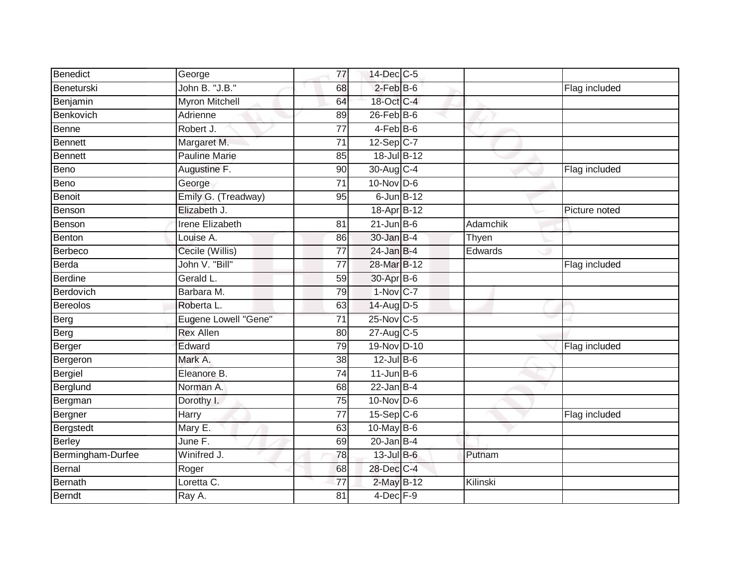| Benedict          | George                 | 77              | 14-Dec C-5              |          |               |
|-------------------|------------------------|-----------------|-------------------------|----------|---------------|
| Beneturski        | John B. "J.B."         | 68              | $2$ -Feb $B$ -6         |          | Flag included |
| Benjamin          | <b>Myron Mitchell</b>  | 64              | 18-Oct C-4              |          |               |
| Benkovich         | Adrienne               | 89              | $26$ -Feb $B$ -6        |          |               |
| <b>Benne</b>      | Robert J.              | $\overline{77}$ | $4-FebB-6$              |          |               |
| <b>Bennett</b>    | Margaret M.            | $\overline{71}$ | $12-Sep$ <sub>C-7</sub> |          |               |
| <b>Bennett</b>    | <b>Pauline Marie</b>   | 85              | 18-Jul B-12             |          |               |
| Beno              | Augustine F.           | 90              | 30-Aug C-4              |          | Flag included |
| Beno              | George                 | 71              | $10$ -Nov D-6           |          |               |
| Benoit            | Emily G. (Treadway)    | 95              | $6$ -Jun $B-12$         |          |               |
| Benson            | Elizabeth J.           |                 | 18-Apr B-12             |          | Picture noted |
| Benson            | <b>Irene Elizabeth</b> | 81              | $21$ -Jun $B$ -6        | Adamchik |               |
| Benton            | Louise A.              | 86              | 30-Jan B-4              | Thyen    |               |
| <b>Berbeco</b>    | Cecile (Willis)        | $\overline{77}$ | $24$ -Jan B-4           | Edwards  |               |
| Berda             | John V. "Bill"         | $\overline{77}$ | 28-Mar B-12             |          | Flag included |
| <b>Berdine</b>    | Gerald L.              | 59              | 30-Apr B-6              |          |               |
| Berdovich         | Barbara M.             | 79              | $1-Nov$ C-7             |          |               |
| Bereolos          | Roberta L.             | 63              | 14-Aug D-5              |          |               |
| Berg              | Eugene Lowell "Gene"   | 71              | 25-Nov C-5              |          |               |
| Berg              | <b>Rex Allen</b>       | 80              | 27-Aug C-5              |          |               |
| Berger            | Edward                 | 79              | 19-Nov D-10             |          | Flag included |
| Bergeron          | Mark A.                | 38              | $12$ -Jul B-6           |          |               |
| <b>Bergiel</b>    | Eleanore B.            | $\overline{74}$ | $11$ -Jun $B$ -6        |          |               |
| Berglund          | Norman A.              | 68              | $22$ -Jan B-4           |          |               |
| Bergman           | Dorothy I.             | 75              | $10$ -Nov D-6           |          |               |
| Bergner           | Harry                  | 77              | $15-Sep$ C-6            |          | Flag included |
| Bergstedt         | Mary E.                | 63              | $10$ -May B-6           |          |               |
| <b>Berley</b>     | June F.                | 69              | $20$ -Jan B-4           |          |               |
| Bermingham-Durfee | Winifred J.            | 78              | 13-Jul B-6              | Putnam   |               |
| Bernal            | Roger                  | 68              | 28-Dec C-4              |          |               |
| <b>Bernath</b>    | Loretta C.             | $\overline{77}$ | 2-May B-12              | Kilinski |               |
| <b>Berndt</b>     | Ray A.                 | $\overline{81}$ | $4$ -Dec $F-9$          |          |               |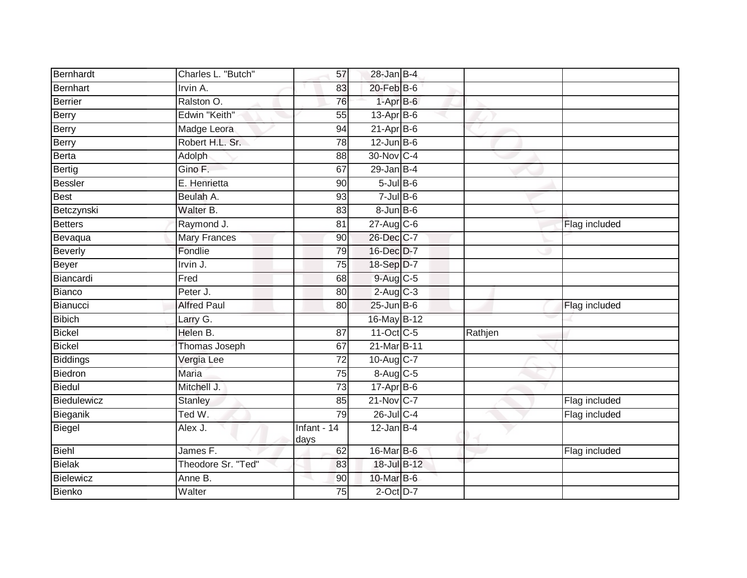| Bernhardt     | Charles L. "Butch"  | 57                  | $28$ -Jan B-4           |         |               |
|---------------|---------------------|---------------------|-------------------------|---------|---------------|
| Bernhart      | Irvin A.            | 83                  | $20$ -Feb $B$ -6        |         |               |
| Berrier       | Ralston O.          | 76                  | $1-AprB-6$              |         |               |
| Berry         | Edwin "Keith"       | 55                  | $13$ -Apr $B$ -6        |         |               |
| Berry         | Madge Leora         | $\overline{94}$     | $21-Apr$ B-6            |         |               |
| Berry         | Robert H.L. Sr.     | 78                  | $12$ -Jun B-6           |         |               |
| Berta         | Adolph              | 88                  | 30-Nov C-4              |         |               |
| <b>Bertig</b> | Gino F.             | 67                  | $29$ -Jan B-4           |         |               |
| Bessler       | E. Henrietta        | 90                  | $5$ -Jul $B$ -6         |         |               |
| Best          | Beulah A.           | 93                  | $7$ -Jul B-6            |         |               |
| Betczynski    | Walter B.           | 83                  | $8 - Jun$ B-6           |         |               |
| Betters       | Raymond J.          | 81                  | $27$ -Aug C-6           |         | Flag included |
| Bevaqua       | <b>Mary Frances</b> | 90                  | 26-Dec C-7              |         |               |
| Beverly       | Fondlie             | 79                  | 16-Dec D-7              |         |               |
| Beyer         | Irvin J.            | $\overline{75}$     | 18-Sep D-7              |         |               |
| Biancardi     | Fred                | 68                  | 9-Aug C-5               |         |               |
| Bianco        | Peter J.            | 80                  | $2-Aug$ $C-3$           |         |               |
| Bianucci      | <b>Alfred Paul</b>  | 80                  | $25$ -Jun $B$ -6        |         | Flag included |
| Bibich        | Larry G.            |                     | 16-May B-12             |         |               |
| Bickel        | Helen B.            | $\overline{87}$     | 11-Oct C-5              | Rathjen |               |
| Bickel        | Thomas Joseph       | 67                  | 21-Mar B-11             |         |               |
| Biddings      | Vergia Lee          | $\overline{72}$     | 10-Aug C-7              |         |               |
| Biedron       | <b>Maria</b>        | 75                  | 8-Aug C-5               |         |               |
| Biedul        | Mitchell J.         | $\overline{73}$     | $17$ -Apr $B$ -6        |         |               |
| Biedulewicz   | <b>Stanley</b>      | 85                  | $21-Nov$ <sub>C-7</sub> |         | Flag included |
| Bieganik      | Ted W.              | 79                  | 26-Jul C-4              |         | Flag included |
| <b>Biegel</b> | Alex J.             | Infant - 14<br>days | $12$ -Jan B-4           |         |               |
| Biehl         | James F.            | 62                  | $16$ -Mar $B$ -6        |         | Flag included |
| <b>Bielak</b> | Theodore Sr. "Ted"  | 83                  | 18-Jul B-12             |         |               |
| Bielewicz     | Anne B.             | 90                  | 10-Mar B-6              |         |               |
| Bienko        | Walter              | 75                  | $2$ -Oct $D-7$          |         |               |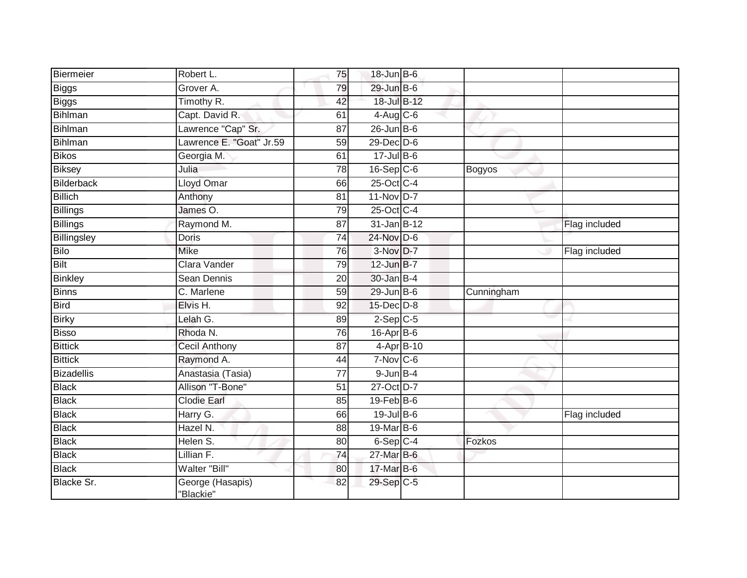| Biermeier         | Robert L.                     | 75              | 18-Jun B-6       |            |               |
|-------------------|-------------------------------|-----------------|------------------|------------|---------------|
| <b>Biggs</b>      | Grover A.                     | 79              | 29-Jun B-6       |            |               |
| Biggs             | Timothy R.                    | 42              | 18-Jul B-12      |            |               |
| Bihlman           | Capt. David R.                | 61              | $4-Aug$ $C-6$    |            |               |
| Bihlman           | Lawrence "Cap" Sr.            | $\overline{87}$ | $26$ -Jun B-6    |            |               |
| Bihlman           | Lawrence E. "Goat" Jr.59      | 59              | $29$ -Dec $D-6$  |            |               |
| <b>Bikos</b>      | Georgia M.                    | 61              | $17 -$ Jul B-6   |            |               |
| <b>Biksey</b>     | Julia                         | 78              | $16-Sep$ $C-6$   | Bogyos     |               |
| Bilderback        | Lloyd Omar                    | 66              | 25-Oct C-4       |            |               |
| <b>Billich</b>    | Anthony                       | 81              | $11-Nov$ D-7     |            |               |
| <b>Billings</b>   | James O.                      | 79              | 25-Oct C-4       |            |               |
| Billings          | Raymond M.                    | 87              | 31-Jan B-12      |            | Flag included |
| Billingsley       | <b>Doris</b>                  | 74              | $24$ -Nov D-6    |            |               |
| <b>Bilo</b>       | <b>Mike</b>                   | 76              | $3-Nov$ D-7      |            | Flag included |
| Bilt              | Clara Vander                  | 79              | 12-Jun B-7       |            |               |
| <b>Binkley</b>    | <b>Sean Dennis</b>            | 20              | 30-Jan B-4       |            |               |
| <b>Binns</b>      | C. Marlene                    | $\overline{59}$ | $29$ -Jun B-6    | Cunningham |               |
| <b>Bird</b>       | Elvis H.                      | 92              | $15$ -Dec $D$ -8 |            |               |
| <b>Birky</b>      | Lelah G.                      | 89              | $2-Sep$ $C-5$    |            |               |
| <b>Bisso</b>      | Rhoda N.                      | 76              | 16-Apr B-6       |            |               |
| <b>Bittick</b>    | Cecil Anthony                 | 87              | 4-Apr B-10       |            |               |
| <b>Bittick</b>    | Raymond A.                    | 44              | $7-Nov$ C-6      |            |               |
| <b>Bizadellis</b> | Anastasia (Tasia)             | 77              | $9$ -Jun $B-4$   |            |               |
| <b>Black</b>      | Allison "T-Bone"              | 51              | 27-Oct D-7       |            |               |
| <b>Black</b>      | <b>Clodie Earl</b>            | 85              | $19$ -Feb $B$ -6 |            |               |
| <b>Black</b>      | Harry G.                      | 66              | 19-Jul B-6       |            | Flag included |
| <b>Black</b>      | Hazel N.                      | 88              | 19-Mar B-6       |            |               |
| <b>Black</b>      | Helen S.                      | 80              | $6-Sep$ $C-4$    | Fozkos     |               |
| <b>Black</b>      | Lillian F.                    | 74              | 27-Mar B-6       |            |               |
| <b>Black</b>      | Walter "Bill"                 | 80              | 17-Mar B-6       |            |               |
| <b>Blacke Sr.</b> | George (Hasapis)<br>"Blackie" | 82              | 29-Sep C-5       |            |               |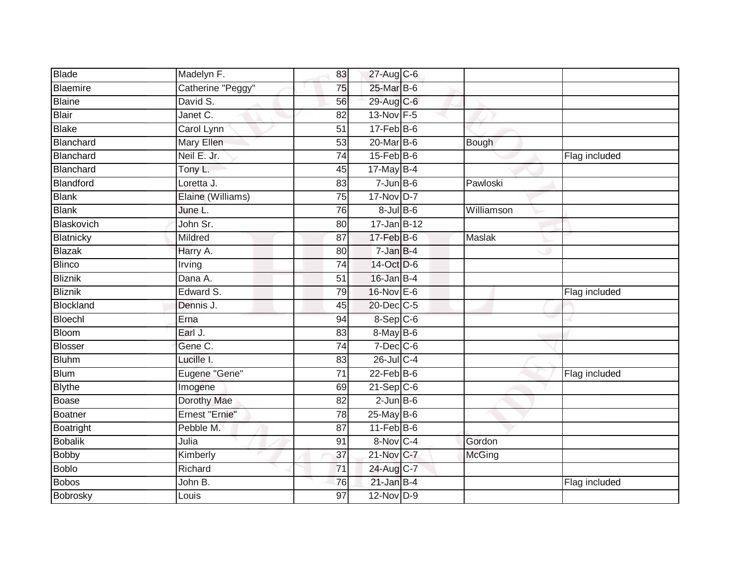| <b>Blade</b>     | Madelyn F.        | 83              | 27-Aug C-6        |               |               |
|------------------|-------------------|-----------------|-------------------|---------------|---------------|
| Blaemire         | Catherine "Peggy" | 75              | 25-Mar B-6        |               |               |
| Blaine           | David S.          | 56              | 29-Aug C-6        |               |               |
| <b>Blair</b>     | Janet C.          | 82              | 13-Nov F-5        |               |               |
| <b>Blake</b>     | Carol Lynn        | $\overline{51}$ | $17$ -Feb $B$ -6  |               |               |
| Blanchard        | Mary Ellen        | 53              | $20$ -Mar $B-6$   | Bough         |               |
| Blanchard        | Neil E. Jr.       | 74              | $15$ -Feb $B$ -6  |               | Flag included |
| Blanchard        | Tony L.           | 45              | 17-May B-4        |               |               |
| Blandford        | Loretta J.        | 83              | $7 - Jun$ B-6     | Pawloski      |               |
| <b>Blank</b>     | Elaine (Williams) | 75              | 17-Nov D-7        |               |               |
| <b>Blank</b>     | June L.           | 76              | $8 -$ Jul $B - 6$ | Williamson    |               |
| Blaskovich       | John Sr.          | 80              | 17-Jan B-12       |               |               |
| Blatnicky        | Mildred           | 87              | $17$ -Feb $B$ -6  | Maslak        |               |
| <b>Blazak</b>    | Harry A.          | 80              | $7 - JanB - 4$    |               |               |
| <b>Blinco</b>    | Irving            | $\overline{74}$ | 14-Oct D-6        |               |               |
| <b>Bliznik</b>   | Dana A.           | 51              | $16$ -Jan B-4     |               |               |
| Bliznik          | Edward S.         | 79              | 16-Nov E-6        |               | Flag included |
| <b>Blockland</b> | Dennis J.         | 45              | $20$ -Dec $C$ -5  |               |               |
| Bloechl          | Erna              | 94              | 8-Sep C-6         |               |               |
| <b>Bloom</b>     | Earl J.           | 83              | $8-MayB-6$        |               |               |
| <b>Blosser</b>   | Gene C.           | 74              | 7-Dec C-6         |               |               |
| <b>Bluhm</b>     | Lucille I.        | 83              | 26-Jul C-4        |               |               |
| <b>Blum</b>      | Eugene "Gene"     | 71              | $22$ -Feb $B$ -6  |               | Flag included |
| <b>Blythe</b>    | Imogene           | 69              | $21-SepC-6$       |               |               |
| Boase            | Dorothy Mae       | 82              | $2$ -Jun $B$ -6   |               |               |
| Boatner          | Ernest "Ernie"    | $\overline{78}$ | 25-May B-6        |               |               |
| Boatright        | Pebble M.         | $\overline{87}$ | $11-Feb B-6$      |               |               |
| <b>Bobalik</b>   | Julia             | 91              | 8-Nov C-4         | Gordon        |               |
| <b>Bobby</b>     | Kimberly          | 37              | 21-Nov C-7        | <b>McGing</b> |               |
| <b>Boblo</b>     | Richard           | 71              | 24-Aug C-7        |               |               |
| <b>Bobos</b>     | John B.           | 76              | $21$ -Jan B-4     |               | Flag included |
| Bobrosky         | Louis             | 97              | 12-Nov D-9        |               |               |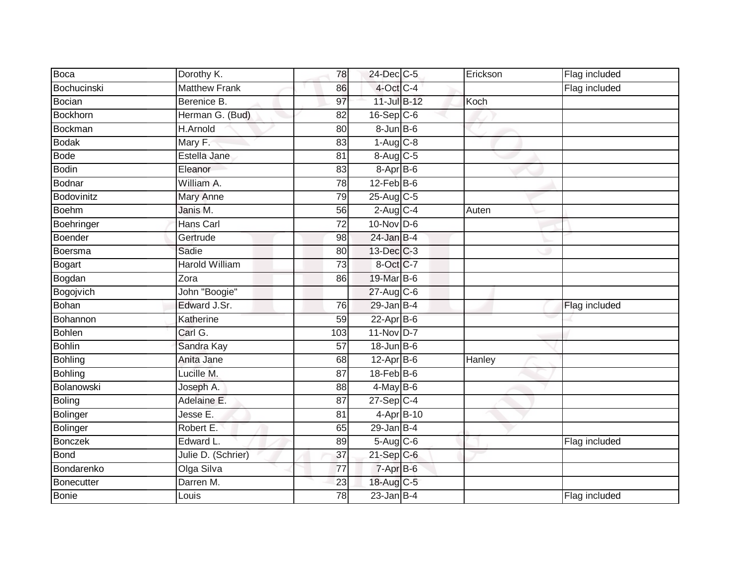| Boca            | Dorothy K.           | 78              | 24-Dec C-5        | Erickson | Flag included |
|-----------------|----------------------|-----------------|-------------------|----------|---------------|
| Bochucinski     | <b>Matthew Frank</b> | 86              | 4-Oct C-4         |          | Flag included |
| Bocian          | Berenice B.          | 97              | 11-Jul B-12       | Koch     |               |
| Bockhorn        | Herman G. (Bud)      | 82              | $16-Sep$ $C-6$    |          |               |
| <b>Bockman</b>  | <b>H.Arnold</b>      | $\overline{80}$ | $8 - Jun$ $B - 6$ |          |               |
| <b>Bodak</b>    | Mary F.              | 83              | $1-Aug$ $C-8$     |          |               |
| <b>Bode</b>     | Estella Jane         | 81              | $8-Aug$ $C-5$     |          |               |
| <b>Bodin</b>    | Eleanor              | 83              | 8-Apr B-6         |          |               |
| <b>Bodnar</b>   | William A.           | 78              | $12$ -Feb $B$ -6  |          |               |
| Bodovinitz      | Mary Anne            | 79              | 25-Aug C-5        |          |               |
| Boehm           | Janis M.             | 56              | $2-Aug$ $C-4$     | Auten    |               |
| Boehringer      | Hans Carl            | 72              | $10$ -Nov D-6     |          |               |
| Boender         | Gertrude             | 98              | $24$ -Jan B-4     |          |               |
| Boersma         | Sadie                | 80              | 13-Dec C-3        |          |               |
| <b>Bogart</b>   | Harold William       | $\overline{73}$ | 8-Oct C-7         |          |               |
| Bogdan          | Zora                 | 86              | 19-Mar B-6        |          |               |
| Bogojvich       | John "Boogie"        |                 | 27-Aug C-6        |          |               |
| <b>Bohan</b>    | Edward J.Sr.         | 76              | $29$ -Jan B-4     |          | Flag included |
| Bohannon        | Katherine            | 59              | $22$ -Apr $B$ -6  |          |               |
| <b>Bohlen</b>   | Carl G.              | 103             | 11-Nov D-7        |          |               |
| <b>Bohlin</b>   | Sandra Kay           | 57              | $18$ -Jun $B$ -6  |          |               |
| <b>Bohling</b>  | Anita Jane           | 68              | $12$ -Apr $B$ -6  | Hanley   |               |
| <b>Bohling</b>  | Lucille M.           | 87              | $18$ -Feb $B$ -6  |          |               |
| Bolanowski      | Joseph A.            | 88              | $4$ -May B-6      |          |               |
| <b>Boling</b>   | Adelaine E.          | 87              | $27-Sep$ C-4      |          |               |
| <b>Bolinger</b> | Jesse E.             | 81              | 4-Apr B-10        |          |               |
| <b>Bolinger</b> | Robert E.            | 65              | $29$ -Jan B-4     |          |               |
| <b>Bonczek</b>  | Edward L.            | 89              | $5-Aug$ $C-6$     |          | Flag included |
| <b>Bond</b>     | Julie D. (Schrier)   | 37              | $21-Sep C-6$      |          |               |
| Bondarenko      | Olga Silva           | $\overline{77}$ | 7-Apr B-6         |          |               |
| Bonecutter      | Darren M.            | 23              | 18-Aug C-5        |          |               |
| <b>Bonie</b>    | Louis                | 78              | $23$ -Jan B-4     |          | Flag included |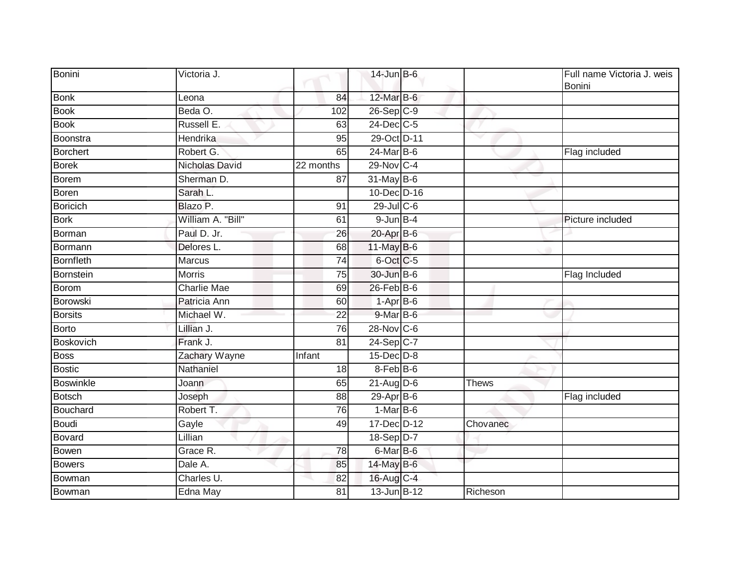| Bonini           | Victoria J.       |                 | $14$ -Jun $B$ -6     |          | Full name Victoria J. weis<br><b>Bonini</b> |
|------------------|-------------------|-----------------|----------------------|----------|---------------------------------------------|
| <b>Bonk</b>      | Leona             | 84              | 12-Mar B-6           |          |                                             |
| <b>Book</b>      | Beda O.           | 102             | 26-Sep C-9           |          |                                             |
| <b>Book</b>      | Russell E.        | 63              | 24-Dec C-5           |          |                                             |
| <b>Boonstra</b>  | Hendrika          | 95              | 29-Oct D-11          |          |                                             |
| <b>Borchert</b>  | Robert G.         | 65              | 24-Mar B-6           |          | Flag included                               |
| <b>Borek</b>     | Nicholas David    | 22 months       | 29-Nov C-4           |          |                                             |
| <b>Borem</b>     | Sherman D.        | 87              | 31-May B-6           |          |                                             |
| Boren            | Sarah L.          |                 | 10-Dec D-16          |          |                                             |
| Boricich         | Blazo P.          | 91              | 29-Jul C-6           |          |                                             |
| <b>Bork</b>      | William A. "Bill" | 61              | $9$ -Jun $B$ -4      |          | Picture included                            |
| Borman           | Paul D. Jr.       | 26              | $20$ -Apr $B$ -6     |          |                                             |
| Bormann          | Delores L.        | 68              | 11-May B-6           |          |                                             |
| <b>Bornfleth</b> | Marcus            | 74              | 6-Oct C-5            |          |                                             |
| Bornstein        | <b>Morris</b>     | $\overline{75}$ | 30-Jun B-6           |          | <b>Flag Included</b>                        |
| Borom            | Charlie Mae       | 69              | 26-Feb B-6           |          |                                             |
| Borowski         | Patricia Ann      | 60              | $1-Apr$ B-6          |          |                                             |
| <b>Borsits</b>   | Michael W.        | 22              | 9-Mar B-6            |          |                                             |
| <b>Borto</b>     | Lillian J.        | 76              | 28-Nov C-6           |          |                                             |
| <b>Boskovich</b> | Frank J.          | $\overline{81}$ | 24-Sep C-7           |          |                                             |
| <b>Boss</b>      | Zachary Wayne     | Infant          | $15$ -Dec $D-8$      |          |                                             |
| <b>Bostic</b>    | Nathaniel         | 18              | $8$ -Feb $ B$ -6     |          |                                             |
| Boswinkle        | Joann             | 65              | $21$ -Aug D-6        | Thews    |                                             |
| <b>Botsch</b>    | Joseph            | 88              | $29-AprB-6$          |          | Flag included                               |
| Bouchard         | Robert T.         | 76              | $1-MarB-6$           |          |                                             |
| <b>Boudi</b>     | Gayle             | 49              | 17-Dec D-12          | Chovanec |                                             |
| Bovard           | Lillian           |                 | 18-Sep D-7           |          |                                             |
| Bowen            | Grace R.          | 78              | 6-Mar <sub>B-6</sub> |          |                                             |
| <b>Bowers</b>    | Dale A.           | 85              | 14-May B-6           |          |                                             |
| Bowman           | Charles U.        | 82              | 16-Aug C-4           |          |                                             |
| Bowman           | Edna May          | 81              | 13-Jun B-12          | Richeson |                                             |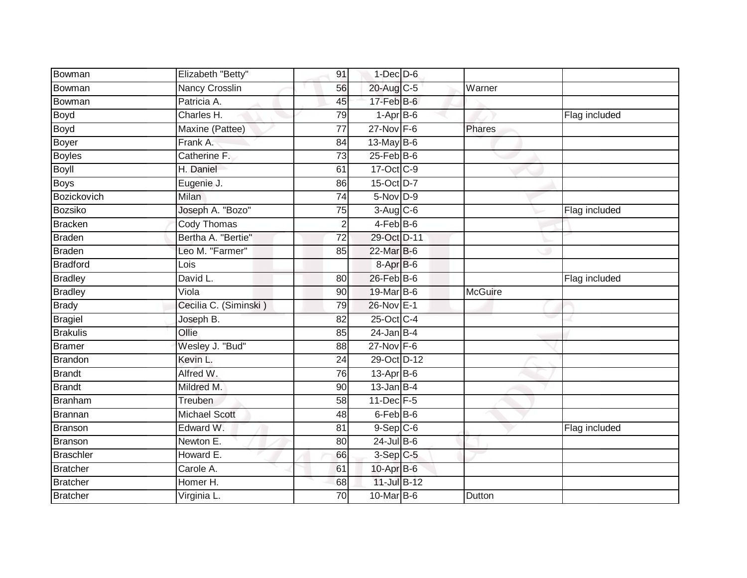| Bowman          | Elizabeth "Betty"     | 91              | $1$ -Dec $D$ -6             |                |               |
|-----------------|-----------------------|-----------------|-----------------------------|----------------|---------------|
| Bowman          | <b>Nancy Crosslin</b> | 56              | 20-Aug C-5                  | Warner         |               |
| Bowman          | Patricia A.           | 45              | $17$ -Feb $\overline{B}$ -6 |                |               |
| Boyd            | Charles H.            | 79              | $1-AprB-6$                  |                | Flag included |
| <b>Boyd</b>     | Maxine (Pattee)       | $\overline{77}$ | 27-Nov F-6                  | Phares         |               |
| Boyer           | Frank A.              | 84              | $13$ -May B-6               |                |               |
| <b>Boyles</b>   | Catherine F.          | 73              | $25$ -Feb $B$ -6            |                |               |
| <b>Boyll</b>    | H. Daniel             | 61              | 17-Oct C-9                  |                |               |
| <b>Boys</b>     | Eugenie J.            | 86              | 15-Oct D-7                  |                |               |
| Bozickovich     | <b>Milan</b>          | $\overline{74}$ | $5-Nov$ D-9                 |                |               |
| Bozsiko         | Joseph A. "Bozo"      | 75              | $3-Aug$ $C-6$               |                | Flag included |
| Bracken         | <b>Cody Thomas</b>    | $\overline{2}$  | $4-FebB-6$                  |                |               |
| <b>Braden</b>   | Bertha A. "Bertie"    | 72              | 29-Oct D-11                 |                |               |
| Braden          | Leo M. "Farmer"       | 85              | 22-Mar B-6                  |                |               |
| <b>Bradford</b> | Lois                  |                 | $8-AprB-6$                  |                |               |
| <b>Bradley</b>  | David L.              | 80              | 26-Feb B-6                  |                | Flag included |
| <b>Bradley</b>  | Viola                 | 90              | 19-Mar B-6                  | <b>McGuire</b> |               |
| <b>Brady</b>    | Cecilia C. (Siminski) | 79              | 26-Nov E-1                  |                |               |
| Bragiel         | Joseph B.             | 82              | 25-Oct C-4                  |                |               |
| <b>Brakulis</b> | Ollie                 | 85              | $24$ -Jan B-4               |                |               |
| <b>Bramer</b>   | Wesley J. "Bud"       | 88              | $27$ -Nov $F-6$             |                |               |
| <b>Brandon</b>  | Kevin L.              | $\overline{24}$ | 29-Oct D-12                 |                |               |
| <b>Brandt</b>   | Alfred W.             | 76              | 13-Apr B-6                  |                |               |
| <b>Brandt</b>   | Mildred M.            | 90              | $13$ -Jan B-4               |                |               |
| Branham         | Treuben               | 58              | 11-Dec F-5                  |                |               |
| Brannan         | <b>Michael Scott</b>  | 48              | 6-Feb <sup>B-6</sup>        |                |               |
| Branson         | Edward W.             | $\overline{81}$ | $9-$ Sep $ C-6 $            |                | Flag included |
| Branson         | Newton E.             | 80              | 24-Jul B-6                  |                |               |
| Braschler       | Howard E.             | 66              | $3-Sep$ $C-5$               |                |               |
| Bratcher        | Carole A.             | 61              | $10$ -Apr $B$ -6            |                |               |
| <b>Bratcher</b> | Homer H.              | 68              | 11-Jul B-12                 |                |               |
| Bratcher        | Virginia L.           | 70              | 10-Mar B-6                  | Dutton         |               |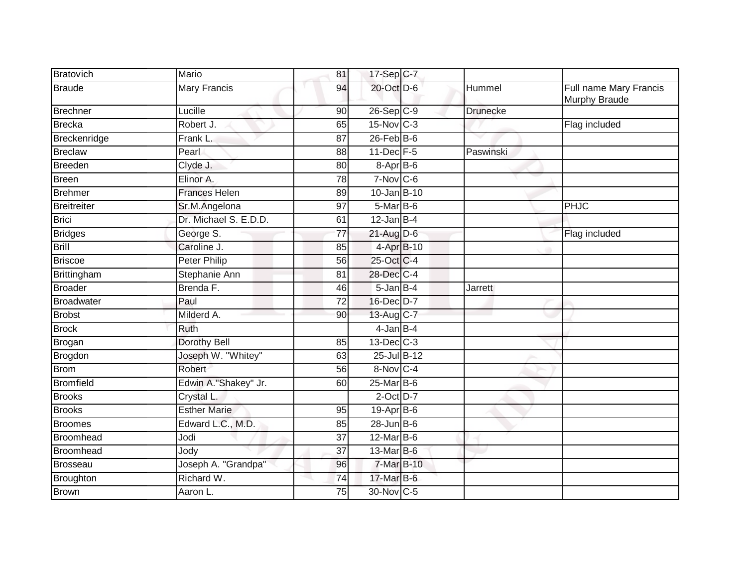| Bratovich          | Mario                 | 81              | 17-Sep C-7       |                 |                                         |
|--------------------|-----------------------|-----------------|------------------|-----------------|-----------------------------------------|
| <b>Braude</b>      | <b>Mary Francis</b>   | 94              | 20-Oct D-6       | Hummel          | Full name Mary Francis<br>Murphy Braude |
| <b>Brechner</b>    | Lucille               | 90              | $26-SepC-9$      | <b>Drunecke</b> |                                         |
| <b>Brecka</b>      | Robert J.             | 65              | 15-Nov C-3       |                 | Flag included                           |
| Breckenridge       | Frank L.              | 87              | $26$ -Feb $B$ -6 |                 |                                         |
| <b>Breclaw</b>     | Pearl                 | 88              | 11-Dec F-5       | Paswinski       |                                         |
| <b>Breeden</b>     | Clyde J.              | 80              | $8-Apr$ B-6      |                 |                                         |
| <b>Breen</b>       | Elinor A.             | $\overline{78}$ | $7-Nov$ C-6      |                 |                                         |
| <b>Brehmer</b>     | <b>Frances Helen</b>  | 89              | 10-Jan B-10      |                 |                                         |
| <b>Breitreiter</b> | Sr.M.Angelona         | 97              | 5-Mar B-6        |                 | <b>PHJC</b>                             |
| <b>Brici</b>       | Dr. Michael S. E.D.D. | 61              | $12$ -Jan B-4    |                 |                                         |
| <b>Bridges</b>     | George S.             | 77              | $21$ -Aug D-6    |                 | Flag included                           |
| <b>Brill</b>       | Caroline J.           | 85              | 4-Apr B-10       |                 |                                         |
| <b>Briscoe</b>     | <b>Peter Philip</b>   | 56              | 25-Oct C-4       |                 |                                         |
| Brittingham        | <b>Stephanie Ann</b>  | 81              | 28-Dec C-4       |                 |                                         |
| <b>Broader</b>     | Brenda F.             | 46              | $5$ -Jan B-4     | <b>Jarrett</b>  |                                         |
| <b>Broadwater</b>  | Paul                  | 72              | 16-Dec D-7       |                 |                                         |
| <b>Brobst</b>      | Milderd A.            | 90              | 13-Aug C-7       |                 |                                         |
| <b>Brock</b>       | Ruth                  |                 | $4$ -Jan B-4     |                 |                                         |
| Brogan             | <b>Dorothy Bell</b>   | 85              | 13-Dec C-3       |                 |                                         |
| Brogdon            | Joseph W. "Whitey"    | 63              | 25-Jul B-12      |                 |                                         |
| <b>Brom</b>        | Robert                | 56              | 8-Nov C-4        |                 |                                         |
| <b>Bromfield</b>   | Edwin A."Shakey" Jr.  | 60              | $25$ -Mar $B$ -6 |                 |                                         |
| <b>Brooks</b>      | Crystal L.            |                 | $2$ -Oct $D-7$   |                 |                                         |
| <b>Brooks</b>      | <b>Esther Marie</b>   | 95              | $19-Apr$ B-6     |                 |                                         |
| <b>Broomes</b>     | Edward L.C., M.D.     | 85              | $28$ -Jun $B$ -6 |                 |                                         |
| Broomhead          | Jodi                  | 37              | 12-Mar B-6       |                 |                                         |
| Broomhead          | Jody                  | 37              | $13$ -Mar $B$ -6 |                 |                                         |
| <b>Brosseau</b>    | Joseph A. "Grandpa"   | 96              | 7-Mar B-10       |                 |                                         |
| Broughton          | Richard W.            | 74              | 17-Mar B-6       |                 |                                         |
| <b>Brown</b>       | Aaron L.              | 75              | 30-Nov C-5       |                 |                                         |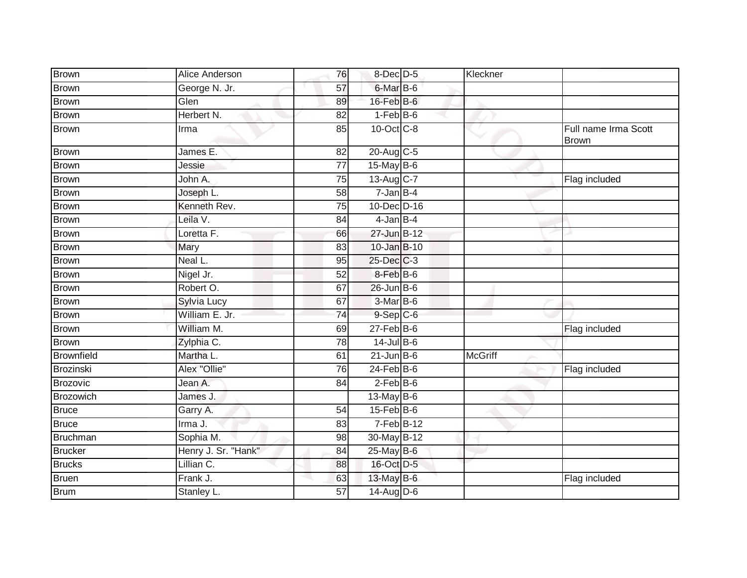| <b>Brown</b>      | Alice Anderson      | 76              | $8$ -Dec $D$ -5                     | Kleckner       |                                      |
|-------------------|---------------------|-----------------|-------------------------------------|----------------|--------------------------------------|
| Brown             | George N. Jr.       | 57              | 6-Mar B-6                           |                |                                      |
| <b>Brown</b>      | Glen                | 89              | 16-Feb B-6                          |                |                                      |
| <b>Brown</b>      | Herbert N.          | 82              | $1-Feb$ B-6                         |                |                                      |
| <b>Brown</b>      | Irma                | 85              | 10-Oct C-8                          |                | Full name Irma Scott<br><b>Brown</b> |
| <b>Brown</b>      | James E.            | 82              | 20-Aug C-5                          |                |                                      |
| <b>Brown</b>      | Jessie              | 77              | 15-May B-6                          |                |                                      |
| <b>Brown</b>      | John A.             | $\overline{75}$ | 13-Aug C-7                          |                | Flag included                        |
| <b>Brown</b>      | Joseph L.           | 58              | $7 - Jan$ B-4                       |                |                                      |
| <b>Brown</b>      | Kenneth Rev.        | 75              | 10-Dec D-16                         |                |                                      |
| <b>Brown</b>      | Leila V.            | 84              | $4$ -Jan $B$ -4                     |                |                                      |
| <b>Brown</b>      | Loretta F.          | 66              | 27-Jun B-12                         |                |                                      |
| <b>Brown</b>      | Mary                | 83              | 10-Jan B-10                         |                |                                      |
| <b>Brown</b>      | Neal L.             | 95              | 25-Dec C-3                          |                |                                      |
| <b>Brown</b>      | Nigel Jr.           | $\overline{52}$ | 8-Feb B-6                           |                |                                      |
| <b>Brown</b>      | Robert O.           | 67              | $26$ -Jun $B$ -6                    |                |                                      |
| <b>Brown</b>      | Sylvia Lucy         | 67              | 3-Mar B-6                           |                |                                      |
| <b>Brown</b>      | William E. Jr.      | 74              | $9-Sep$ <sub><math>C-6</math></sub> |                |                                      |
| <b>Brown</b>      | William M.          | 69              | $27$ -Feb $ B-6$                    |                | Flag included                        |
| <b>Brown</b>      | Zylphia C.          | 78              | $14$ -Jul B-6                       |                |                                      |
| <b>Brownfield</b> | Martha L.           | 61              | $21$ -Jun $B$ -6                    | <b>McGriff</b> |                                      |
| Brozinski         | Alex "Ollie"        | 76              | $24$ -Feb $B$ -6                    |                | Flag included                        |
| Brozovic          | Jean A.             | 84              | $2-FebB-6$                          |                |                                      |
| Brozowich         | James J.            |                 | $13$ -May B-6                       |                |                                      |
| <b>Bruce</b>      | Garry A.            | $\overline{54}$ | $15$ -Feb $B$ -6                    |                |                                      |
| <b>Bruce</b>      | Irma J.             | 83              | $7-Feb$ B-12                        |                |                                      |
| Bruchman          | Sophia M.           | 98              | 30-May B-12                         |                |                                      |
| <b>Brucker</b>    | Henry J. Sr. "Hank" | 84              | 25-May B-6                          |                |                                      |
| <b>Brucks</b>     | Lillian C.          | 88              | 16-Oct D-5                          |                |                                      |
| <b>Bruen</b>      | Frank J.            | 63              | 13-May B-6                          |                | Flag included                        |
| <b>Brum</b>       | Stanley L.          | 57              | 14-Aug D-6                          |                |                                      |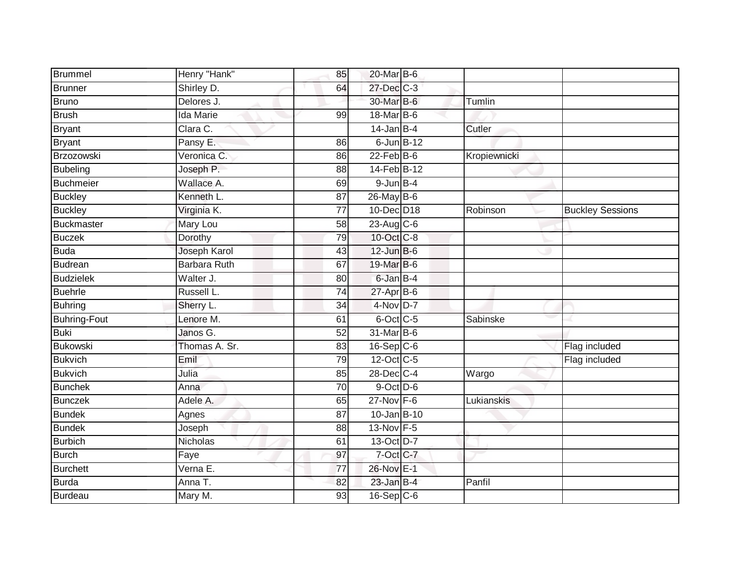| Brummel             | Henry "Hank"        | 85              | 20-Mar B-6       |              |                         |
|---------------------|---------------------|-----------------|------------------|--------------|-------------------------|
| Brunner             | Shirley D.          | 64              | 27-Dec C-3       |              |                         |
| Bruno               | Delores J.          |                 | 30-Mar B-6       | Tumlin       |                         |
| Brush               | Ida Marie           | 99              | 18-Mar B-6       |              |                         |
| <b>Bryant</b>       | Clara C.            |                 | $14$ -Jan B-4    | Cutler       |                         |
| <b>Bryant</b>       | Pansy E.            | 86              | $6$ -Jun $B-12$  |              |                         |
| Brzozowski          | Veronica C.         | 86              | $22$ -Feb $B$ -6 | Kropiewnicki |                         |
| <b>Bubeling</b>     | Joseph P.           | 88              | 14-Feb B-12      |              |                         |
| Buchmeier           | Wallace A.          | 69              | $9$ -Jun $B-4$   |              |                         |
| <b>Buckley</b>      | Kenneth L.          | 87              | 26-May B-6       |              |                         |
| <b>Buckley</b>      | Virginia K.         | 77              | 10-Dec D18       | Robinson     | <b>Buckley Sessions</b> |
| Buckmaster          | Mary Lou            | 58              | 23-Aug C-6       |              |                         |
| <b>Buczek</b>       | Dorothy             | 79              | 10-Oct C-8       |              |                         |
| <b>Buda</b>         | Joseph Karol        | 43              | $12$ -Jun B-6    |              |                         |
| Budrean             | <b>Barbara Ruth</b> | 67              | 19-Mar B-6       |              |                         |
| <b>Budzielek</b>    | Walter J.           | 80              | 6-Jan B-4        |              |                         |
| <b>Buehrle</b>      | Russell L.          | $\overline{74}$ | $27$ -Apr $B$ -6 |              |                         |
| <b>Buhring</b>      | Sherry L.           | 34              | 4-Nov D-7        |              |                         |
| <b>Buhring-Fout</b> | Lenore M.           | 61              | 6-Oct C-5        | Sabinske     |                         |
| <b>Buki</b>         | Janos G.            | $\overline{52}$ | 31-Mar B-6       |              |                         |
| Bukowski            | Thomas A. Sr.       | 83              | $16-Sep C-6$     |              | Flag included           |
| <b>Bukvich</b>      | Emil                | 79              | 12-Oct C-5       |              | Flag included           |
| <b>Bukvich</b>      | Julia               | 85              | 28-Dec C-4       | Wargo        |                         |
| <b>Bunchek</b>      | Anna                | 70              | $9$ -Oct $D$ -6  |              |                         |
| <b>Bunczek</b>      | Adele A.            | 65              | 27-Nov F-6       | Lukianskis   |                         |
| <b>Bundek</b>       | Agnes               | 87              | 10-Jan B-10      |              |                         |
| <b>Bundek</b>       | Joseph              | 88              | 13-Nov F-5       |              |                         |
| <b>Burbich</b>      | Nicholas            | 61              | 13-Oct D-7       |              |                         |
| <b>Burch</b>        | Faye                | 97              | 7-Oct C-7        |              |                         |
| <b>Burchett</b>     | Verna E.            | 77              | 26-Nov E-1       |              |                         |
| Burda               | Anna T.             | 82              | $23$ -Jan B-4    | Panfil       |                         |
| Burdeau             | Mary M.             | $\overline{93}$ | $16-Sep$ $C-6$   |              |                         |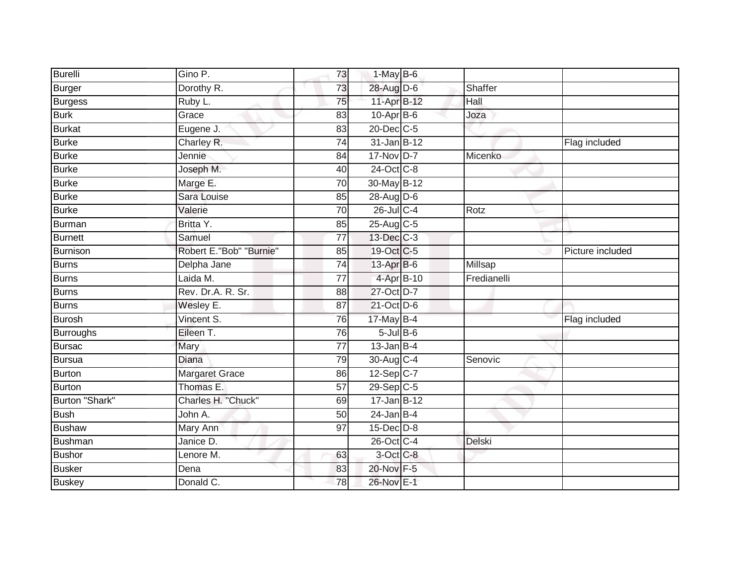| <b>Burelli</b>   | Gino P.                 | 73              | $1-May$ B-6      |             |                  |
|------------------|-------------------------|-----------------|------------------|-------------|------------------|
| Burger           | Dorothy R.              | 73              | 28-Aug D-6       | Shaffer     |                  |
| <b>Burgess</b>   | Ruby L.                 | 75              | 11-Apr B-12      | Hall        |                  |
| <b>Burk</b>      | Grace                   | 83              | $10$ -Apr $B$ -6 | Joza        |                  |
| <b>Burkat</b>    | Eugene J.               | 83              | 20-Dec C-5       |             |                  |
| Burke            | Charley R.              | 74              | 31-Jan B-12      |             | Flag included    |
| <b>Burke</b>     | Jennie                  | 84              | $17 - Nov$ D-7   | Micenko     |                  |
| <b>Burke</b>     | Joseph M.               | 40              | 24-Oct C-8       |             |                  |
| <b>Burke</b>     | Marge E.                | 70              | 30-May B-12      |             |                  |
| <b>Burke</b>     | Sara Louise             | 85              | 28-Aug D-6       |             |                  |
| Burke            | Valerie                 | 70              | 26-Jul C-4       | Rotz        |                  |
| Burman           | Britta Y.               | 85              | 25-Aug C-5       |             |                  |
| <b>Burnett</b>   | Samuel                  | $\overline{77}$ | 13-Dec C-3       |             |                  |
| Burnison         | Robert E."Bob" "Burnie" | 85              | 19-Oct C-5       |             | Picture included |
| <b>Burns</b>     | Delpha Jane             | 74              | 13-Apr B-6       | Millsap     |                  |
| Burns            | Laida M.                | 77              | 4-Apr B-10       | Fredianelli |                  |
| Burns            | Rev. Dr.A. R. Sr.       | $\overline{88}$ | 27-Oct D-7       |             |                  |
| Burns            | Wesley E.               | 87              | 21-Oct D-6       |             |                  |
| Burosh           | Vincent S.              | 76              | 17-May B-4       |             | Flag included    |
| <b>Burroughs</b> | Eileen T.               | 76              | $5$ -Jul B-6     |             |                  |
| Bursac           | Mary                    | 77              | $13$ -Jan B-4    |             |                  |
| Bursua           | Diana                   | 79              | 30-Aug C-4       | Senovic     |                  |
| Burton           | <b>Margaret Grace</b>   | 86              | 12-Sep C-7       |             |                  |
| Burton           | Thomas E.               | 57              | 29-Sep C-5       |             |                  |
| Burton "Shark"   | Charles H. "Chuck"      | 69              | $17 - Jan$ B-12  |             |                  |
| Bush             | John A.                 | 50              | $24$ -Jan B-4    |             |                  |
| <b>Bushaw</b>    | Mary Ann                | $\overline{97}$ | 15-Dec D-8       |             |                  |
| Bushman          | Janice D.               |                 | 26-Oct C-4       | Delski      |                  |
| <b>Bushor</b>    | Lenore M.               | 63              | 3-Oct C-8        |             |                  |
| Busker           | Dena                    | 83              | 20-Nov F-5       |             |                  |
| <b>Buskey</b>    | Donald C.               | 78              | 26-Nov E-1       |             |                  |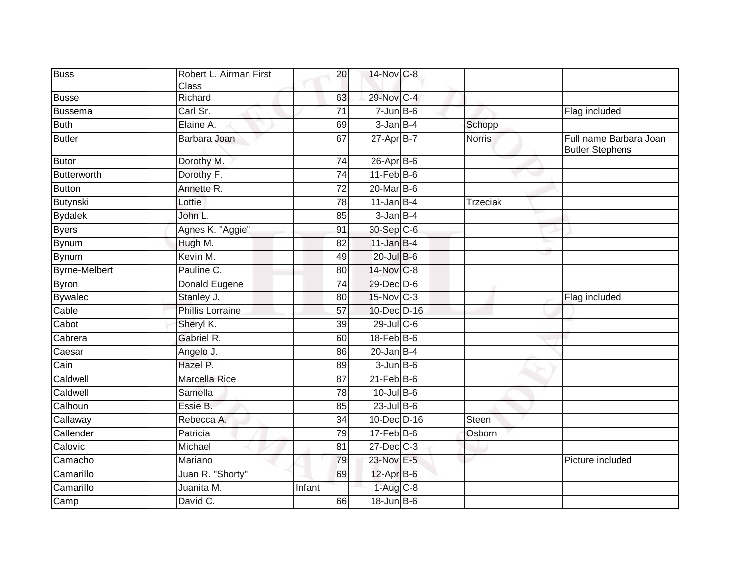| Class<br>29-Nov C-4<br>Richard<br>63<br>Carl Sr.<br>$7 - Jun$ B-6<br>$\overline{71}$<br>Flag included<br>3-Jan B-4<br>Elaine A.<br>69<br>Schopp<br>$27 - Apr$ B-7<br>Full name Barbara Joan<br>Barbara Joan<br>67<br><b>Norris</b><br><b>Butler Stephens</b><br>$26$ -Apr $B$ -6<br>Dorothy M.<br>$\overline{74}$<br>11-Feb B-6<br>Dorothy F.<br>74<br>Annette R.<br>20-Mar B-6<br>$\overline{72}$<br>$11$ -Jan B-4<br>Lottie<br>78<br><b>Trzeciak</b><br>$3 - Jan$ $B-4$<br>John L.<br>85<br>30-Sep C-6<br>Agnes K. "Aggie"<br>91<br>Hugh M.<br>$11$ -Jan $B-4$<br>82<br>Kevin M.<br>20-Jul B-6<br>49<br>14-Nov C-8<br>Pauline C.<br>80<br>$\overline{74}$<br>29-Dec D-6<br>Donald Eugene<br>15-Nov C-3<br>Stanley J.<br>Flag included<br>80<br><b>Phillis Lorraine</b><br>10-Dec D-16<br>57<br>29-Jul C-6<br>Sheryl K.<br>39<br>Gabriel R.<br>18-Feb B-6<br>60<br>$20$ -Jan B-4<br>Angelo J.<br>86<br>Hazel P.<br>$3 - Jun$ $B - 6$<br>89<br>Caldwell<br>$21$ -Feb $B$ -6<br><b>Marcella Rice</b><br>87<br>$10 -$ Jul B-6<br>Samella<br>78<br>$23$ -Jul B-6<br>Essie B.<br>85<br>10-Dec D-16<br>Rebecca A.<br>Steen<br>$\overline{34}$<br>Callender<br>$17$ -Feb $B$ -6<br>Patricia<br>Osborn<br>79<br>27-Dec C-3<br>81<br>Michael<br>23-Nov E-5<br>Mariano<br>79<br>Picture included<br>Juan R. "Shorty"<br>$12$ -Apr $B$ -6<br>69<br>Camarillo<br>$1-Aug$ $C-8$<br>Juanita M.<br>Infant<br>David C.<br>$18$ -Jun $B$ -6<br>66 | <b>Buss</b>    | Robert L. Airman First | 20 | 14-Nov C-8 |  |  |
|-----------------------------------------------------------------------------------------------------------------------------------------------------------------------------------------------------------------------------------------------------------------------------------------------------------------------------------------------------------------------------------------------------------------------------------------------------------------------------------------------------------------------------------------------------------------------------------------------------------------------------------------------------------------------------------------------------------------------------------------------------------------------------------------------------------------------------------------------------------------------------------------------------------------------------------------------------------------------------------------------------------------------------------------------------------------------------------------------------------------------------------------------------------------------------------------------------------------------------------------------------------------------------------------------------------------------------------------------------------------------------------------------------------------------------------|----------------|------------------------|----|------------|--|--|
|                                                                                                                                                                                                                                                                                                                                                                                                                                                                                                                                                                                                                                                                                                                                                                                                                                                                                                                                                                                                                                                                                                                                                                                                                                                                                                                                                                                                                                   |                |                        |    |            |  |  |
|                                                                                                                                                                                                                                                                                                                                                                                                                                                                                                                                                                                                                                                                                                                                                                                                                                                                                                                                                                                                                                                                                                                                                                                                                                                                                                                                                                                                                                   | <b>Busse</b>   |                        |    |            |  |  |
|                                                                                                                                                                                                                                                                                                                                                                                                                                                                                                                                                                                                                                                                                                                                                                                                                                                                                                                                                                                                                                                                                                                                                                                                                                                                                                                                                                                                                                   | Bussema        |                        |    |            |  |  |
|                                                                                                                                                                                                                                                                                                                                                                                                                                                                                                                                                                                                                                                                                                                                                                                                                                                                                                                                                                                                                                                                                                                                                                                                                                                                                                                                                                                                                                   | <b>Buth</b>    |                        |    |            |  |  |
|                                                                                                                                                                                                                                                                                                                                                                                                                                                                                                                                                                                                                                                                                                                                                                                                                                                                                                                                                                                                                                                                                                                                                                                                                                                                                                                                                                                                                                   | <b>Butler</b>  |                        |    |            |  |  |
|                                                                                                                                                                                                                                                                                                                                                                                                                                                                                                                                                                                                                                                                                                                                                                                                                                                                                                                                                                                                                                                                                                                                                                                                                                                                                                                                                                                                                                   | Butor          |                        |    |            |  |  |
|                                                                                                                                                                                                                                                                                                                                                                                                                                                                                                                                                                                                                                                                                                                                                                                                                                                                                                                                                                                                                                                                                                                                                                                                                                                                                                                                                                                                                                   | Butterworth    |                        |    |            |  |  |
|                                                                                                                                                                                                                                                                                                                                                                                                                                                                                                                                                                                                                                                                                                                                                                                                                                                                                                                                                                                                                                                                                                                                                                                                                                                                                                                                                                                                                                   | <b>Button</b>  |                        |    |            |  |  |
|                                                                                                                                                                                                                                                                                                                                                                                                                                                                                                                                                                                                                                                                                                                                                                                                                                                                                                                                                                                                                                                                                                                                                                                                                                                                                                                                                                                                                                   | Butynski       |                        |    |            |  |  |
|                                                                                                                                                                                                                                                                                                                                                                                                                                                                                                                                                                                                                                                                                                                                                                                                                                                                                                                                                                                                                                                                                                                                                                                                                                                                                                                                                                                                                                   | <b>Bydalek</b> |                        |    |            |  |  |
|                                                                                                                                                                                                                                                                                                                                                                                                                                                                                                                                                                                                                                                                                                                                                                                                                                                                                                                                                                                                                                                                                                                                                                                                                                                                                                                                                                                                                                   | <b>Byers</b>   |                        |    |            |  |  |
|                                                                                                                                                                                                                                                                                                                                                                                                                                                                                                                                                                                                                                                                                                                                                                                                                                                                                                                                                                                                                                                                                                                                                                                                                                                                                                                                                                                                                                   | Bynum          |                        |    |            |  |  |
|                                                                                                                                                                                                                                                                                                                                                                                                                                                                                                                                                                                                                                                                                                                                                                                                                                                                                                                                                                                                                                                                                                                                                                                                                                                                                                                                                                                                                                   | Bynum          |                        |    |            |  |  |
|                                                                                                                                                                                                                                                                                                                                                                                                                                                                                                                                                                                                                                                                                                                                                                                                                                                                                                                                                                                                                                                                                                                                                                                                                                                                                                                                                                                                                                   | Byrne-Melbert  |                        |    |            |  |  |
|                                                                                                                                                                                                                                                                                                                                                                                                                                                                                                                                                                                                                                                                                                                                                                                                                                                                                                                                                                                                                                                                                                                                                                                                                                                                                                                                                                                                                                   | Byron          |                        |    |            |  |  |
|                                                                                                                                                                                                                                                                                                                                                                                                                                                                                                                                                                                                                                                                                                                                                                                                                                                                                                                                                                                                                                                                                                                                                                                                                                                                                                                                                                                                                                   | <b>Bywalec</b> |                        |    |            |  |  |
|                                                                                                                                                                                                                                                                                                                                                                                                                                                                                                                                                                                                                                                                                                                                                                                                                                                                                                                                                                                                                                                                                                                                                                                                                                                                                                                                                                                                                                   | Cable          |                        |    |            |  |  |
|                                                                                                                                                                                                                                                                                                                                                                                                                                                                                                                                                                                                                                                                                                                                                                                                                                                                                                                                                                                                                                                                                                                                                                                                                                                                                                                                                                                                                                   | Cabot          |                        |    |            |  |  |
|                                                                                                                                                                                                                                                                                                                                                                                                                                                                                                                                                                                                                                                                                                                                                                                                                                                                                                                                                                                                                                                                                                                                                                                                                                                                                                                                                                                                                                   | Cabrera        |                        |    |            |  |  |
|                                                                                                                                                                                                                                                                                                                                                                                                                                                                                                                                                                                                                                                                                                                                                                                                                                                                                                                                                                                                                                                                                                                                                                                                                                                                                                                                                                                                                                   | Caesar         |                        |    |            |  |  |
|                                                                                                                                                                                                                                                                                                                                                                                                                                                                                                                                                                                                                                                                                                                                                                                                                                                                                                                                                                                                                                                                                                                                                                                                                                                                                                                                                                                                                                   | Cain           |                        |    |            |  |  |
|                                                                                                                                                                                                                                                                                                                                                                                                                                                                                                                                                                                                                                                                                                                                                                                                                                                                                                                                                                                                                                                                                                                                                                                                                                                                                                                                                                                                                                   |                |                        |    |            |  |  |
|                                                                                                                                                                                                                                                                                                                                                                                                                                                                                                                                                                                                                                                                                                                                                                                                                                                                                                                                                                                                                                                                                                                                                                                                                                                                                                                                                                                                                                   | Caldwell       |                        |    |            |  |  |
|                                                                                                                                                                                                                                                                                                                                                                                                                                                                                                                                                                                                                                                                                                                                                                                                                                                                                                                                                                                                                                                                                                                                                                                                                                                                                                                                                                                                                                   | Calhoun        |                        |    |            |  |  |
|                                                                                                                                                                                                                                                                                                                                                                                                                                                                                                                                                                                                                                                                                                                                                                                                                                                                                                                                                                                                                                                                                                                                                                                                                                                                                                                                                                                                                                   | Callaway       |                        |    |            |  |  |
|                                                                                                                                                                                                                                                                                                                                                                                                                                                                                                                                                                                                                                                                                                                                                                                                                                                                                                                                                                                                                                                                                                                                                                                                                                                                                                                                                                                                                                   |                |                        |    |            |  |  |
|                                                                                                                                                                                                                                                                                                                                                                                                                                                                                                                                                                                                                                                                                                                                                                                                                                                                                                                                                                                                                                                                                                                                                                                                                                                                                                                                                                                                                                   | Calovic        |                        |    |            |  |  |
|                                                                                                                                                                                                                                                                                                                                                                                                                                                                                                                                                                                                                                                                                                                                                                                                                                                                                                                                                                                                                                                                                                                                                                                                                                                                                                                                                                                                                                   | Camacho        |                        |    |            |  |  |
|                                                                                                                                                                                                                                                                                                                                                                                                                                                                                                                                                                                                                                                                                                                                                                                                                                                                                                                                                                                                                                                                                                                                                                                                                                                                                                                                                                                                                                   | Camarillo      |                        |    |            |  |  |
|                                                                                                                                                                                                                                                                                                                                                                                                                                                                                                                                                                                                                                                                                                                                                                                                                                                                                                                                                                                                                                                                                                                                                                                                                                                                                                                                                                                                                                   |                |                        |    |            |  |  |
|                                                                                                                                                                                                                                                                                                                                                                                                                                                                                                                                                                                                                                                                                                                                                                                                                                                                                                                                                                                                                                                                                                                                                                                                                                                                                                                                                                                                                                   | Camp           |                        |    |            |  |  |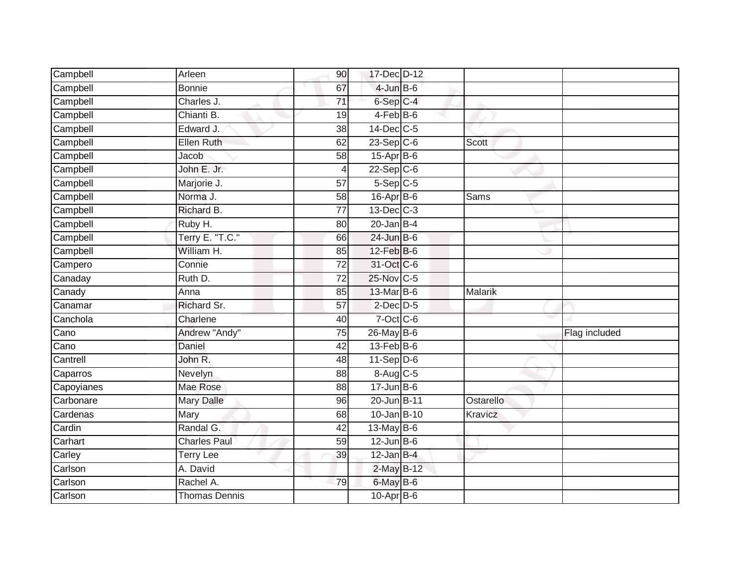| Campbell                 | Arleen               | 90              | 17-Dec D-12      |                |               |
|--------------------------|----------------------|-----------------|------------------|----------------|---------------|
| Campbell                 | <b>Bonnie</b>        | 67              | $4$ -Jun $B$ -6  |                |               |
| Campbell                 | Charles J.           | $\overline{71}$ | $6-Sep$ $C-4$    |                |               |
| Campbell                 | Chianti B.           | 19              | 4-Feb B-6        |                |               |
| Campbell                 | Edward J.            | $\overline{38}$ | 14-Dec C-5       |                |               |
| Campbell                 | Ellen Ruth           | 62              | 23-Sep C-6       | <b>Scott</b>   |               |
| Campbell                 | Jacob                | 58              | $15$ -Apr $B$ -6 |                |               |
| Campbell                 | John E. Jr.          | $\overline{4}$  | $22-Sep C-6$     |                |               |
| Campbell                 | Marjorie J.          | 57              | $5-$ Sep $C-5$   |                |               |
| Campbell                 | Norma J.             | 58              | 16-Apr B-6       | Sams           |               |
| Campbell                 | Richard B.           | $\overline{77}$ | 13-Dec C-3       |                |               |
| Campbell                 | Ruby H.              | 80              | $20$ -Jan B-4    |                |               |
| Campbell                 | Terry E. "T.C."      | 66              | $24$ -Jun B-6    |                |               |
| Campbell                 | William H.           | 85              | 12-Feb B-6       |                |               |
| Campero                  | Connie               | $\overline{72}$ | 31-Oct C-6       |                |               |
| Canaday                  | Ruth D.              | $\overline{72}$ | 25-Nov C-5       |                |               |
| Canady                   | Anna                 | 85              | 13-Mar B-6       | Malarik        |               |
| Canamar                  | Richard Sr.          | 57              | $2$ -Dec $D-5$   |                |               |
| Canchola                 | Charlene             | 40              | $7$ -Oct C-6     |                |               |
| $\overline{\text{Cano}}$ | Andrew "Andy"        | $\overline{75}$ | 26-May B-6       |                | Flag included |
| Cano                     | Daniel               | 42              | $13$ -Feb $B$ -6 |                |               |
| Cantrell                 | John R.              | $\overline{48}$ | $11-Sep D-6$     |                |               |
| Caparros                 | Nevelyn              | 88              | 8-Aug C-5        |                |               |
| Capoyianes               | Mae Rose             | 88              | $17 - Jun$ B-6   |                |               |
| Carbonare                | <b>Mary Dalle</b>    | 96              | 20-Jun B-11      | Ostarello      |               |
| Cardenas                 | Mary                 | 68              | 10-Jan B-10      | <b>Kravicz</b> |               |
| Cardin                   | Randal G.            | 42              | 13-May B-6       |                |               |
| Carhart                  | <b>Charles Paul</b>  | 59              | $12$ -Jun B-6    |                |               |
| Carley                   | <b>Terry Lee</b>     | 39              | $12$ -Jan B-4    |                |               |
| Carlson                  | A. David             |                 | 2-May B-12       |                |               |
| Carlson                  | Rachel A.            | 79              | 6-May B-6        |                |               |
| Carlson                  | <b>Thomas Dennis</b> |                 | $10$ -Apr $B$ -6 |                |               |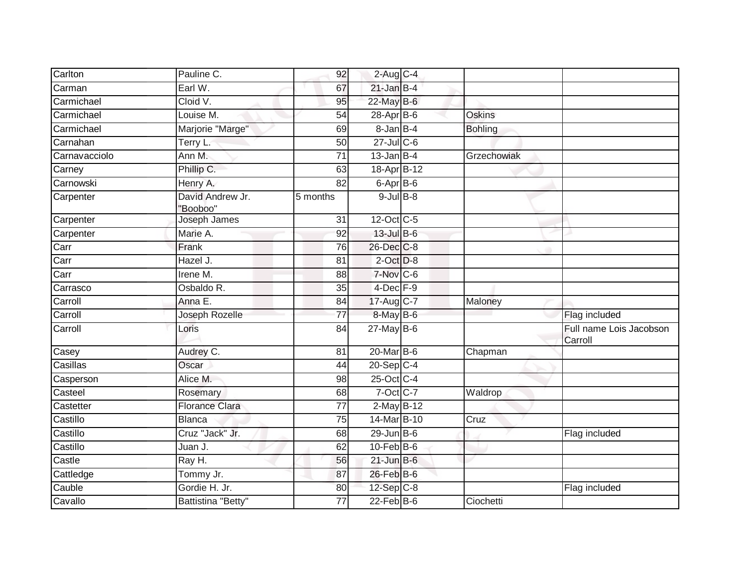| Carlton       | Pauline C.                   | 92              | $2-Aug$ <sub>C-4</sub>   |                |                                    |
|---------------|------------------------------|-----------------|--------------------------|----------------|------------------------------------|
| Carman        | Earl W.                      | 67              | $21$ -Jan B-4            |                |                                    |
| Carmichael    | Cloid V.                     | 95              | 22-May B-6               |                |                                    |
| Carmichael    | Louise M.                    | 54              | 28-Apr B-6               | <b>Oskins</b>  |                                    |
| Carmichael    | Marjorie "Marge"             | 69              | 8-Jan B-4                | <b>Bohling</b> |                                    |
| Carnahan      | Terry L.                     | 50              | $27$ -Jul C-6            |                |                                    |
| Carnavacciolo | Ann M.                       | 71              | $13$ -Jan $B-4$          | Grzechowiak    |                                    |
| Carney        | Phillip C.                   | 63              | 18-Apr B-12              |                |                                    |
| Carnowski     | Henry A.                     | 82              | $6 - \overline{Apr}$ B-6 |                |                                    |
| Carpenter     | David Andrew Jr.<br>"Booboo" | 5 months        | $9$ -Jul $B$ -8          |                |                                    |
| Carpenter     | Joseph James                 | 31              | 12-Oct C-5               |                |                                    |
| Carpenter     | Marie A.                     | 92              | 13-Jul B-6               |                |                                    |
| Carr          | Frank                        | 76              | 26-Dec C-8               |                |                                    |
| Carr          | Hazel J.                     | 81              | $2$ -Oct $D-8$           |                |                                    |
| Carr          | Irene M.                     | 88              | 7-Nov C-6                |                |                                    |
| Carrasco      | Osbaldo R.                   | 35              | $4$ -Dec $F-9$           |                |                                    |
| Carroll       | Anna E.                      | 84              | 17-Aug C-7               | Maloney        |                                    |
| Carroll       | Joseph Rozelle               | 77              | 8-May B-6                |                | Flag included                      |
| Carroll       | Loris                        | 84              | $27$ -May B-6            |                | Full name Lois Jacobson<br>Carroll |
| Casey         | Audrey C.                    | 81              | 20-Mar B-6               | Chapman        |                                    |
| Casillas      | Oscar                        | 44              | $20-Sep$ C-4             |                |                                    |
| Casperson     | Alice M.                     | 98              | 25-Oct C-4               |                |                                    |
| Casteel       | Rosemary                     | 68              | $7$ -Oct C-7             | Waldrop        |                                    |
| Castetter     | <b>Florance Clara</b>        | $\overline{77}$ | 2-May B-12               |                |                                    |
| Castillo      | <b>Blanca</b>                | $\overline{75}$ | 14-Mar B-10              | Cruz           |                                    |
| Castillo      | Cruz "Jack" Jr.              | 68              | $29$ -Jun $B$ -6         |                | Flag included                      |
| Castillo      | Juan J.                      | 62              | $10$ -Feb $B$ -6         |                |                                    |
| Castle        | Ray H.                       | 56              | $21$ -Jun B-6            |                |                                    |
| Cattledge     | Tommy Jr.                    | 87              | 26-Feb B-6               |                |                                    |
| Cauble        | Gordie H. Jr.                | 80              | 12-Sep C-8               |                | Flag included                      |
| Cavallo       | Battistina "Betty"           | 77              | $22$ -Feb $B$ -6         | Ciochetti      |                                    |
|               |                              |                 |                          |                |                                    |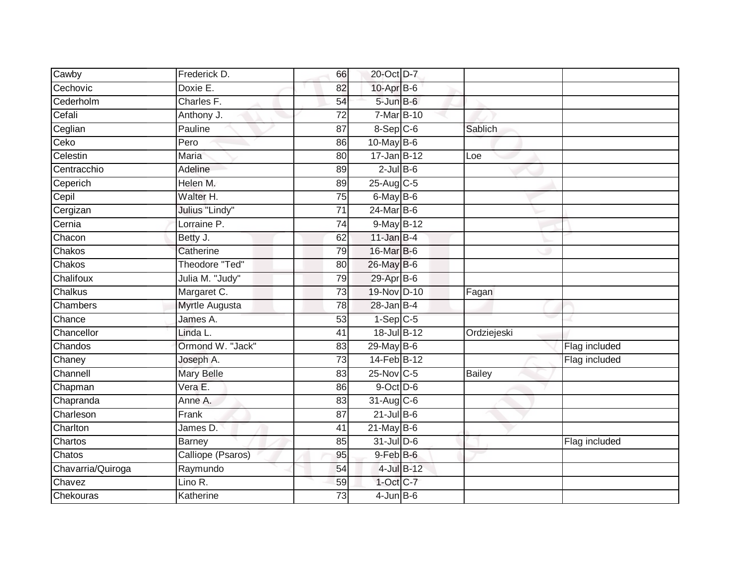| Cawby             | Frederick D.          | 66              | 20-Oct D-7              |               |               |
|-------------------|-----------------------|-----------------|-------------------------|---------------|---------------|
| Cechovic          | Doxie E.              | 82              | 10-Apr B-6              |               |               |
| Cederholm         | Charles F.            | 54              | $5 - Jun$ $B - 6$       |               |               |
| Cefali            | Anthony J.            | 72              | 7-Mar B-10              |               |               |
| Ceglian           | Pauline               | $\overline{87}$ | $8-$ Sep $C-6$          | Sablich       |               |
| Ceko              | Pero                  | 86              | 10-May B-6              |               |               |
| Celestin          | Maria                 | 80              | $17 - Jan$ B-12         | Loe           |               |
| Centracchio       | Adeline               | 89              | $2$ -Jul B-6            |               |               |
| Ceperich          | Helen M.              | 89              | $25-Aug$ <sub>C-5</sub> |               |               |
| Cepil             | Walter H.             | 75              | $6$ -May $B$ -6         |               |               |
| Cergizan          | Julius "Lindy"        | 71              | $24$ -Mar $B$ -6        |               |               |
| Cernia            | Lorraine P.           | 74              | $9$ -May B-12           |               |               |
| Chacon            | Betty J.              | 62              | 11-Jan $B-4$            |               |               |
| Chakos            | Catherine             | 79              | 16-Mar B-6              |               |               |
| Chakos            | <b>Theodore "Ted"</b> | 80              | 26-May B-6              |               |               |
| Chalifoux         | Julia M. "Judy"       | 79              | 29-Apr B-6              |               |               |
| Chalkus           | Margaret C.           | $\overline{73}$ | 19-Nov D-10             | Fagan         |               |
| Chambers          | <b>Myrtle Augusta</b> | 78              | $28$ -Jan B-4           |               |               |
| Chance            | James A.              | 53              | $1-Sep$ $C-5$           |               |               |
| Chancellor        | Linda L.              | $\overline{41}$ | 18-Jul B-12             | Ordziejeski   |               |
| Chandos           | Ormond W. "Jack"      | 83              | $29$ -May B-6           |               | Flag included |
| Chaney            | Joseph A.             | 73              | 14-Feb B-12             |               | Flag included |
| Channell          | <b>Mary Belle</b>     | 83              | 25-Nov C-5              | <b>Bailey</b> |               |
| Chapman           | Vera E.               | 86              | $9$ -Oct $D$ -6         |               |               |
| Chapranda         | Anne A.               | 83              | 31-Aug C-6              |               |               |
| Charleson         | Frank                 | 87              | $21$ -Jul B-6           |               |               |
| Charlton          | James D.              | 41              | $21$ -May B-6           |               |               |
| Chartos           | <b>Barney</b>         | 85              | $31$ -Jul D-6           |               | Flag included |
| Chatos            | Calliope (Psaros)     | 95              | 9-Feb B-6               |               |               |
| Chavarria/Quiroga | Raymundo              | 54              | 4-Jul B-12              |               |               |
| Chavez            | Lino R.               | 59              | 1-Oct C-7               |               |               |
| Chekouras         | Katherine             | $\overline{73}$ | $4-JunB-6$              |               |               |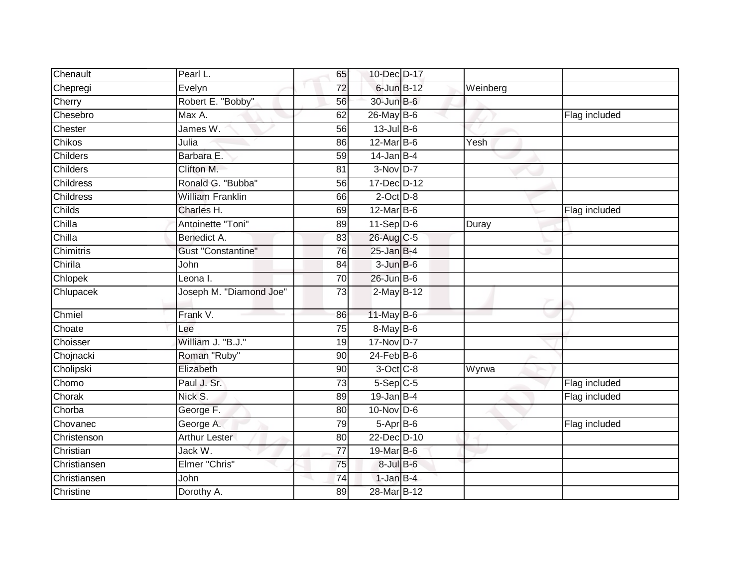| Chenault         | Pearl L.                  | 65              | 10-Dec D-17       |          |               |
|------------------|---------------------------|-----------------|-------------------|----------|---------------|
| Chepregi         | Evelyn                    | $\overline{72}$ | 6-Jun B-12        | Weinberg |               |
| Cherry           | Robert E. "Bobby"         | 56              | 30-Jun B-6        |          |               |
| Chesebro         | Max A.                    | 62              | 26-May B-6        |          | Flag included |
| Chester          | James W.                  | 56              | $13$ -Jul B-6     |          |               |
| <b>Chikos</b>    | Julia                     | 86              | $12$ -Mar $B-6$   | Yesh     |               |
| <b>Childers</b>  | Barbara E.                | 59              | $14$ -Jan B-4     |          |               |
| <b>Childers</b>  | Clifton M.                | 81              | $3-Nov$ D-7       |          |               |
| <b>Childress</b> | Ronald G. "Bubba"         | 56              | 17-Dec D-12       |          |               |
| <b>Childress</b> | <b>William Franklin</b>   | 66              | $2$ -Oct $D-8$    |          |               |
| Childs           | Charles H.                | 69              | $12$ -Mar $B$ -6  |          | Flag included |
| Chilla           | Antoinette "Toni"         | 89              | $11-Sep$ D-6      | Duray    |               |
| Chilla           | Benedict A.               | 83              | 26-Aug C-5        |          |               |
| Chimitris        | <b>Gust "Constantine"</b> | 76              | $25$ -Jan B-4     |          |               |
| Chirila          | John                      | 84              | $3 - Jun$ $B - 6$ |          |               |
| Chlopek          | Leona I.                  | $\overline{70}$ | $26$ -Jun $B-6$   |          |               |
| Chlupacek        | Joseph M. "Diamond Joe"   | $\overline{73}$ | 2-May B-12        |          |               |
| Chmiel           | Frank V.                  | 86              | $11$ -May B-6     |          |               |
| Choate           | Lee                       | 75              | 8-May B-6         |          |               |
| Choisser         | William J. "B.J."         | 19              | 17-Nov D-7        |          |               |
| Chojnacki        | Roman "Ruby"              | 90              | $24$ -Feb $B$ -6  |          |               |
| Cholipski        | Elizabeth                 | 90              | $3$ -Oct $C$ -8   | Wyrwa    |               |
| Chomo            | Paul J. Sr.               | 73              | $5-$ Sep $C-5$    |          | Flag included |
| Chorak           | Nick S.                   | 89              | $19$ -Jan B-4     |          | Flag included |
| Chorba           | George F.                 | $\overline{80}$ | 10-Nov D-6        |          |               |
| Chovanec         | George A.                 | 79              | 5-Apr B-6         |          | Flag included |
| Christenson      | <b>Arthur Lester</b>      | 80              | 22-Dec D-10       |          |               |
| Christian        | Jack W.                   | 77              | 19-Mar B-6        |          |               |
| Christiansen     | Elmer "Chris"             | 75              | 8-Jul B-6         |          |               |
| Christiansen     | John                      | 74              | $1$ -Jan $B-4$    |          |               |
| Christine        | Dorothy A.                | 89              | 28-Mar B-12       |          |               |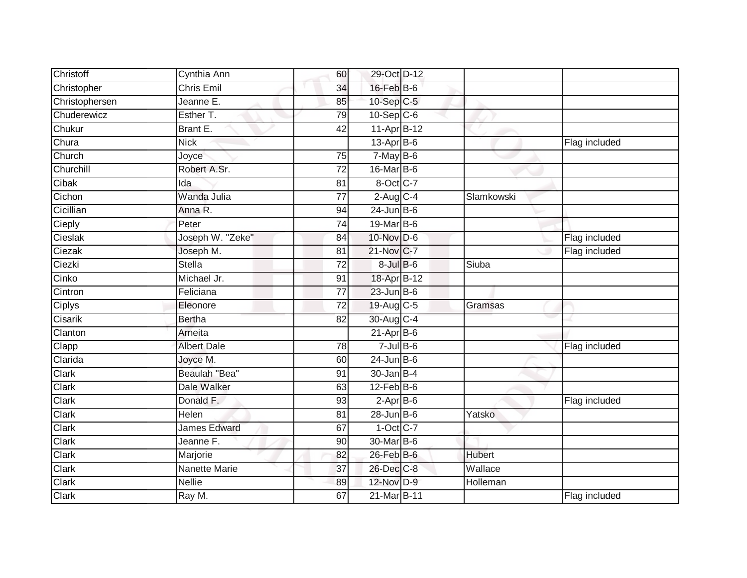| Christoff      | Cynthia Ann          | 60              | 29-Oct D-12       |               |               |
|----------------|----------------------|-----------------|-------------------|---------------|---------------|
| Christopher    | <b>Chris Emil</b>    | 34              | $16$ -Feb $B$ -6  |               |               |
| Christophersen | Jeanne E.            | 85              | $10-Sep$ C-5      |               |               |
| Chuderewicz    | Esther T.            | 79              | $10-Sep$ C-6      |               |               |
| Chukur         | Brant E.             | $\overline{42}$ | 11-Apr B-12       |               |               |
| Chura          | <b>Nick</b>          |                 | $13-Apr$ B-6      |               | Flag included |
| Church         | Joyce                | 75              | $7-MayB-6$        |               |               |
| Churchill      | Robert A.Sr.         | 72              | 16-Mar B-6        |               |               |
| Cibak          | Ida                  | 81              | 8-Oct C-7         |               |               |
| Cichon         | Wanda Julia          | $\overline{77}$ | $2$ -Aug $C-4$    | Slamkowski    |               |
| Cicillian      | Anna R.              | 94              | $24$ -Jun $B$ -6  |               |               |
| Cieply         | Peter                | $\overline{74}$ | 19-Mar B-6        |               |               |
| Cieslak        | Joseph W. "Zeke"     | 84              | 10-Nov D-6        |               | Flag included |
| Ciezak         | Joseph M.            | 81              | 21-Nov C-7        |               | Flag included |
| Ciezki         | Stella               | $\overline{72}$ | $8 -$ Jul $B - 6$ | Siuba         |               |
| Cinko          | Michael Jr.          | 91              | 18-Apr B-12       |               |               |
| Cintron        | Feliciana            | $\overline{77}$ | $23$ -Jun B-6     |               |               |
| <b>Ciplys</b>  | Eleonore             | 72              | 19-Aug C-5        | Gramsas       |               |
| Cisarik        | <b>Bertha</b>        | 82              | 30-Aug C-4        |               |               |
| Clanton        | Arneita              |                 | $21-AprB-6$       |               |               |
| Clapp          | <b>Albert Dale</b>   | 78              | $7$ -Jul B-6      |               | Flag included |
| Clarida        | Joyce M.             | 60              | $24$ -Jun B-6     |               |               |
| Clark          | Beaulah "Bea"        | 91              | $30 - Jan$ B-4    |               |               |
| Clark          | Dale Walker          | 63              | $12$ -Feb $B$ -6  |               |               |
| Clark          | Donald F.            | 93              | $2$ -Apr $B$ -6   |               | Flag included |
| Clark          | <b>Helen</b>         | 81              | $28$ -Jun $B$ -6  | Yatsko        |               |
| Clark          | <b>James Edward</b>  | 67              | $1-Oct$ C-7       |               |               |
| Clark          | Jeanne F.            | 90              | 30-Mar B-6        |               |               |
| Clark          | Marjorie             | 82              | $26$ -Feb $B$ -6  | <b>Hubert</b> |               |
| Clark          | <b>Nanette Marie</b> | 37              | 26-Dec C-8        | Wallace       |               |
| Clark          | <b>Nellie</b>        | 89              | 12-Nov D-9        | Holleman      |               |
| <b>Clark</b>   | Ray M.               | 67              | 21-Mar B-11       |               | Flag included |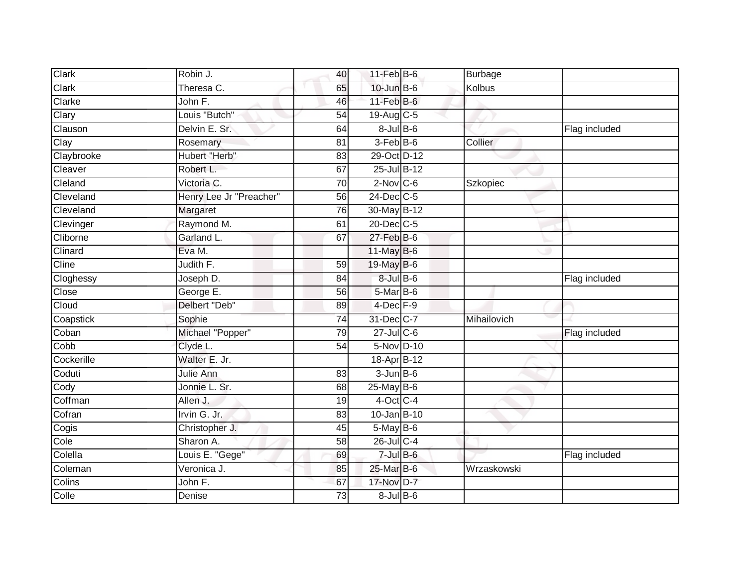| Clark      | Robin J.                | 40 | $11$ -Feb $B$ -6  | Burbage     |               |
|------------|-------------------------|----|-------------------|-------------|---------------|
| Clark      | Theresa C.              | 65 | $10$ -Jun $B - 6$ | Kolbus      |               |
| Clarke     | John F.                 | 46 | $11-Feb$ B-6      |             |               |
| Clary      | Louis "Butch"           | 54 | 19-Aug C-5        |             |               |
| Clauson    | Delvin E. Sr.           | 64 | $8 -$ Jul $B - 6$ |             | Flag included |
| Clay       | Rosemary                | 81 | $3-FebB-6$        | Collier     |               |
| Claybrooke | Hubert "Herb"           | 83 | 29-Oct D-12       |             |               |
| Cleaver    | Robert L.               | 67 | 25-Jul B-12       |             |               |
| Cleland    | Victoria C.             | 70 | $2$ -Nov $C$ -6   | Szkopiec    |               |
| Cleveland  | Henry Lee Jr "Preacher" | 56 | $24$ -Dec $C-5$   |             |               |
| Cleveland  | Margaret                | 76 | 30-May B-12       |             |               |
| Clevinger  | Raymond M.              | 61 | 20-Dec C-5        |             |               |
| Cliborne   | Garland L.              | 67 | $27$ -Feb $B$ -6  |             |               |
| Clinard    | Eva M.                  |    | $11$ -May B-6     |             |               |
| Cline      | Judith F.               | 59 | 19-May B-6        |             |               |
| Cloghessy  | Joseph D.               | 84 | $8$ -Jul $B$ -6   |             | Flag included |
| Close      | George E.               | 56 | $5$ -Mar $B$ -6   |             |               |
| Cloud      | Delbert "Deb"           | 89 | $4$ -Dec $F-9$    |             |               |
| Coapstick  | Sophie                  | 74 | 31-Dec C-7        | Mihailovich |               |
| Coban      | Michael "Popper"        | 79 | $27$ -Jul C-6     |             | Flag included |
| Cobb       | Clyde L.                | 54 | 5-Nov D-10        |             |               |
| Cockerille | Walter E. Jr.           |    | 18-Apr B-12       |             |               |
| Coduti     | Julie Ann               | 83 | $3$ -Jun $B$ -6   |             |               |
| Cody       | Jonnie L. Sr.           | 68 | $25$ -May B-6     |             |               |
| Coffman    | Allen J.                | 19 | 4-Oct C-4         |             |               |
| Cofran     | Irvin G. Jr.            | 83 | $10 - Jan$ B-10   |             |               |
| Cogis      | Christopher J.          | 45 | $5$ -May $B$ -6   |             |               |
| Cole       | Sharon A.               | 58 | 26-Jul C-4        |             |               |
| Colella    | Louis E. "Gege"         | 69 | $7$ -Jul $B$ -6   |             | Flag included |
| Coleman    | Veronica J.             | 85 | 25-Mar B-6        | Wrzaskowski |               |
| Colins     | John F.                 | 67 | 17-Nov D-7        |             |               |
| Colle      | Denise                  | 73 | $8 -$ Jul $B - 6$ |             |               |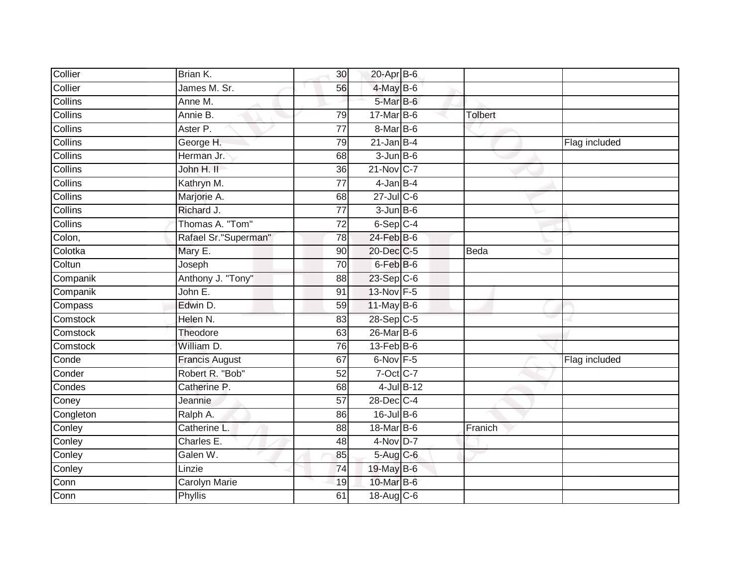| Collier   | Brian K.              | 30              | $20$ -Apr $B$ -6 |               |                |               |
|-----------|-----------------------|-----------------|------------------|---------------|----------------|---------------|
| Collier   | James M. Sr.          | 56              | 4-May B-6        |               |                |               |
| Collins   | Anne M.               |                 | 5-Mar B-6        |               |                |               |
| Collins   | Annie B.              | 79              | 17-Mar B-6       |               | <b>Tolbert</b> |               |
| Collins   | Aster P.              | $\overline{77}$ | 8-Mar B-6        |               |                |               |
| Collins   | George H.             | 79              | $21$ -Jan B-4    |               |                | Flag included |
| Collins   | Herman Jr.            | 68              | $3$ -Jun $B$ -6  |               |                |               |
| Collins   | John H. II            | 36              | 21-Nov C-7       |               |                |               |
| Collins   | Kathryn M.            | 77              | $4$ -Jan $B-4$   |               |                |               |
| Collins   | Marjorie A.           | 68              | $27 -$ Jul C-6   |               |                |               |
| Collins   | Richard J.            | 77              | $3 - Jun$ B-6    |               |                |               |
| Collins   | Thomas A. "Tom"       | $\overline{72}$ | $6-Sep C-4$      |               |                |               |
| Colon,    | Rafael Sr."Superman"  | 78              | $24$ -Feb $B$ -6 |               |                |               |
| Colotka   | Mary E.               | 90              | 20-Dec C-5       |               | Beda           |               |
| Coltun    | Joseph                | 70              | 6-Feb B-6        |               |                |               |
| Companik  | Anthony J. "Tony"     | 88              | 23-Sep C-6       |               |                |               |
| Companik  | John E.               | $\overline{91}$ | 13-Nov F-5       |               |                |               |
| Compass   | Edwin D.              | 59              | $11$ -May B-6    |               |                |               |
| Comstock  | Helen N.              | 83              | 28-Sep C-5       |               |                |               |
| Comstock  | Theodore              | 63              | $26$ -Mar $B$ -6 |               |                |               |
| Comstock  | William D.            | 76              | $13-FebB-6$      |               |                |               |
| Conde     | <b>Francis August</b> | 67              | $6$ -Nov $F - 5$ |               |                | Flag included |
| Conder    | Robert R. "Bob"       | 52              | 7-Oct C-7        |               |                |               |
| Condes    | Catherine P.          | 68              |                  | $4$ -Jul B-12 |                |               |
| Coney     | Jeannie               | $\overline{57}$ | 28-Dec C-4       |               |                |               |
| Congleton | Ralph A.              | 86              | $16$ -Jul B-6    |               |                |               |
| Conley    | Catherine L.          | 88              | 18-Mar B-6       |               | Franich        |               |
| Conley    | Charles E.            | 48              | $4$ -Nov D-7     |               |                |               |
| Conley    | Galen W.              | 85              | 5-Aug C-6        |               |                |               |
| Conley    | Linzie                | 74              | 19-May B-6       |               |                |               |
| Conn      | <b>Carolyn Marie</b>  | 19              | 10-Mar B-6       |               |                |               |
| Conn      | <b>Phyllis</b>        | 61              | 18-Aug C-6       |               |                |               |
|           |                       |                 |                  |               |                |               |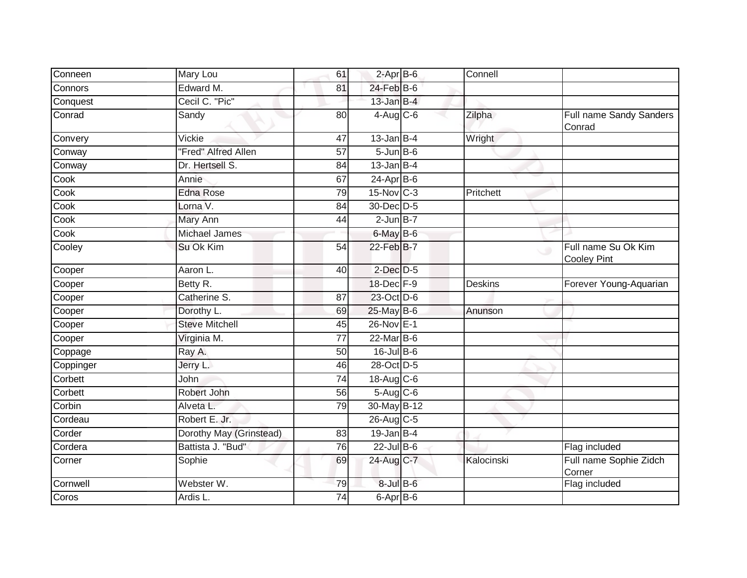| Conneen   | Mary Lou                | 61              | $2-Apr$ B-6       | Connell        |                                                      |
|-----------|-------------------------|-----------------|-------------------|----------------|------------------------------------------------------|
| Connors   | Edward M.               | 81              | 24-Feb B-6        |                |                                                      |
| Conquest  | Cecil C. "Pic"          |                 | $13$ -Jan B-4     |                |                                                      |
| Conrad    | Sandy                   | 80              | $4$ -Aug $C$ -6   | Zilpha         | Full name Sandy Sanders<br>Conrad                    |
| Convery   | Vickie                  | 47              | $13$ -Jan B-4     | Wright         |                                                      |
| Conway    | "Fred" Alfred Allen     | 57              | $5 - Jun$ $B - 6$ |                |                                                      |
| Conway    | Dr. Hertsell S.         | 84              | $13$ -Jan $B-4$   |                |                                                      |
| Cook      | Annie                   | 67              | $24-AprB-6$       |                |                                                      |
| Cook      | <b>Edna Rose</b>        | 79              | $15$ -Nov $ C-3 $ | Pritchett      |                                                      |
| Cook      | Lorna V.                | 84              | 30-Dec D-5        |                |                                                      |
| Cook      | Mary Ann                | 44              | $2$ -Jun $B-7$    |                |                                                      |
| Cook      | <b>Michael James</b>    |                 | $6$ -May $B$ -6   |                |                                                      |
| Cooley    | Su Ok Kim               | 54              | 22-Feb B-7        |                | Full name Su Ok Kim<br>$\circ$<br><b>Cooley Pint</b> |
| Cooper    | Aaron L.                | 40              | $2$ -Dec $D-5$    |                |                                                      |
| Cooper    | Betty R.                |                 | 18-Dec F-9        | <b>Deskins</b> | Forever Young-Aquarian                               |
| Cooper    | Catherine S.            | 87              | 23-Oct D-6        |                |                                                      |
| Cooper    | Dorothy L.              | 69              | 25-May B-6        | Anunson        |                                                      |
| Cooper    | <b>Steve Mitchell</b>   | 45              | 26-Nov E-1        |                |                                                      |
| Cooper    | Virginia M.             | 77              | $22$ -Mar $B-6$   |                |                                                      |
| Coppage   | Ray A.                  | 50              | $16$ -Jul B-6     |                |                                                      |
| Coppinger | Jerry L.                | 46              | 28-Oct D-5        |                |                                                      |
| Corbett   | John                    | $\overline{74}$ | 18-Aug C-6        |                |                                                      |
| Corbett   | Robert John             | 56              | $5-Aug$ $C-6$     |                |                                                      |
| Corbin    | Alveta L.               | 79              | 30-May B-12       |                |                                                      |
| Cordeau   | Robert E. Jr.           |                 | 26-Aug C-5        |                |                                                      |
| Corder    | Dorothy May (Grinstead) | 83              | $19$ -Jan B-4     |                |                                                      |
| Cordera   | Battista J. "Bud"       | 76              | $22$ -Jul $B-6$   |                | Flag included                                        |
| Corner    | Sophie                  | 69              | 24-Aug C-7        | Kalocinski     | Full name Sophie Zidch<br>Corner                     |
| Cornwell  | Webster W.              | 79              | $8$ -Jul $B$ -6   |                | Flag included                                        |
| Coros     | Ardis L.                | $\overline{74}$ | 6-Apr B-6         |                |                                                      |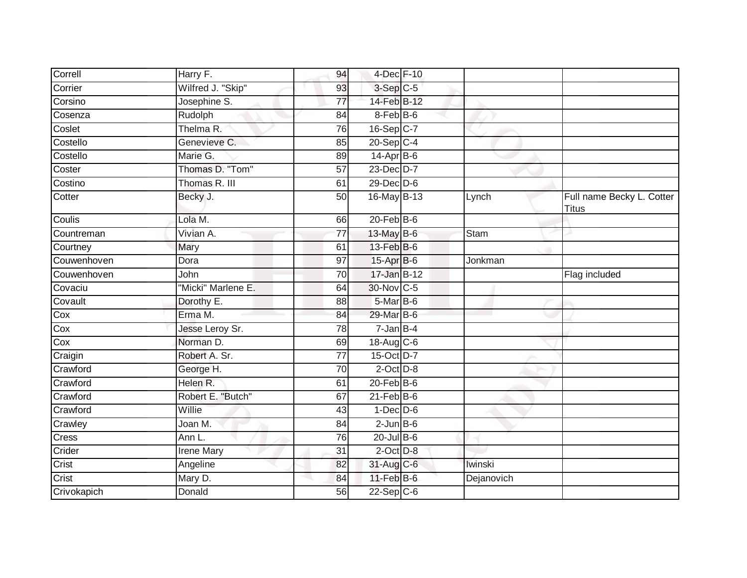| Correll     | Harry F.           | 94              | 4-Dec F-10       |             |                                           |
|-------------|--------------------|-----------------|------------------|-------------|-------------------------------------------|
| Corrier     | Wilfred J. "Skip"  | 93              | 3-Sep C-5        |             |                                           |
| Corsino     | Josephine S.       | 77              | 14-Feb B-12      |             |                                           |
| Cosenza     | Rudolph            | 84              | 8-Feb B-6        |             |                                           |
| Coslet      | Thelma R.          | 76              | 16-Sep C-7       |             |                                           |
| Costello    | Genevieve C.       | 85              | 20-Sep C-4       |             |                                           |
| Costello    | Marie G.           | 89              | $14$ -Apr $B$ -6 |             |                                           |
| Coster      | Thomas D. "Tom"    | 57              | 23-Dec D-7       |             |                                           |
| Costino     | Thomas R. III      | 61              | $29$ -Dec $D-6$  |             |                                           |
| Cotter      | Becky J.           | $\overline{50}$ | 16-May B-13      | Lynch       | Full name Becky L. Cotter<br><b>Titus</b> |
| Coulis      | Lola M.            | 66              | $20$ -Feb $B$ -6 |             |                                           |
| Countreman  | Vivian A.          | $\overline{77}$ | 13-May B-6       | <b>Stam</b> |                                           |
| Courtney    | Mary               | 61              | 13-Feb B-6       |             |                                           |
| Couwenhoven | Dora               | 97              | 15-Apr B-6       | Jonkman     |                                           |
| Couwenhoven | John               | 70              | 17-Jan B-12      |             | Flag included                             |
| Covaciu     | "Micki" Marlene E. | 64              | 30-Nov C-5       |             |                                           |
| Covault     | Dorothy E.         | 88              | 5-Mar B-6        |             |                                           |
| Cox         | Erma M.            | 84              | 29-Mar B-6       |             |                                           |
| Cox         | Jesse Leroy Sr.    | 78              | $7 - Jan$ B-4    |             |                                           |
| Cox         | Norman D.          | 69              | 18-Aug C-6       |             |                                           |
| Craigin     | Robert A. Sr.      | 77              | 15-Oct D-7       |             |                                           |
| Crawford    | George H.          | $\overline{70}$ | $2$ -Oct $D-8$   |             |                                           |
| Crawford    | Helen R.           | 61              | $20$ -Feb $B$ -6 |             |                                           |
| Crawford    | Robert E. "Butch"  | 67              | $21$ -Feb $B$ -6 |             |                                           |
| Crawford    | Willie             | 43              | $1-Dec$ $D-6$    |             |                                           |
| Crawley     | Joan M.            | 84              | $2$ -Jun $B$ -6  |             |                                           |
| Cress       | Ann L.             | 76              | $20$ -Jul B-6    |             |                                           |
| Crider      | <b>Irene Mary</b>  | $\overline{31}$ | $2$ -Oct $D-8$   |             |                                           |
| Crist       | Angeline           | 82              | 31-Aug C-6       | Iwinski     |                                           |
| Crist       | Mary D.            | 84              | $11$ -Feb $B$ -6 | Dejanovich  |                                           |
| Crivokapich | Donald             | 56              | $22-Sep C-6$     |             |                                           |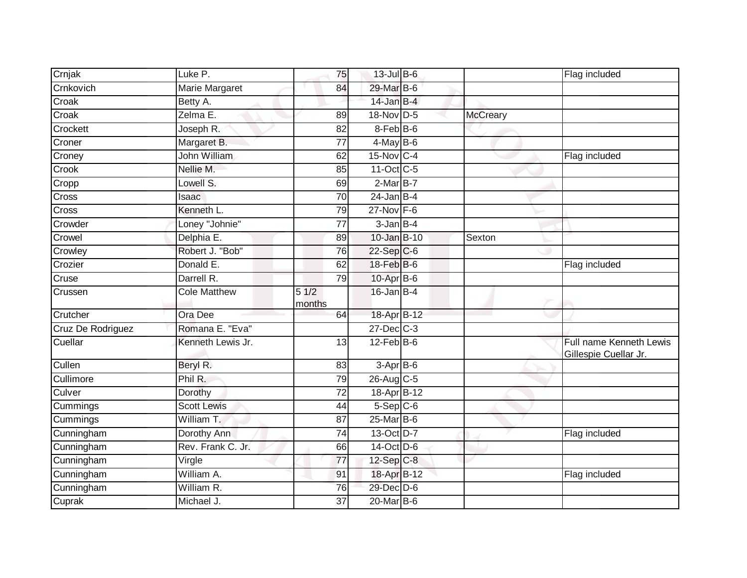| Crnjak               | Luke P.             | 75              | $13$ -Jul B-6                  |                 | Flag included                                    |
|----------------------|---------------------|-----------------|--------------------------------|-----------------|--------------------------------------------------|
| Crnkovich            | Marie Margaret      | 84              | 29-Mar B-6                     |                 |                                                  |
| Croak                | Betty A.            |                 | $14$ -Jan B-4                  |                 |                                                  |
| Croak                | Zelma E.            | 89              | 18-Nov D-5                     | <b>McCreary</b> |                                                  |
| Crockett             | Joseph R.           | 82              | $8$ -Feb $ B$ -6               |                 |                                                  |
| Croner               | Margaret B.         | 77              | $4$ -May B-6                   |                 |                                                  |
| Croney               | John William        | 62              | $15$ -Nov C-4                  |                 | Flag included                                    |
| Crook                | Nellie M.           | 85              | 11-Oct C-5                     |                 |                                                  |
| Cropp                | Lowell S.           | 69              | $2-MarB-7$                     |                 |                                                  |
| Cross                | Isaac               | 70              | $24$ -Jan B-4                  |                 |                                                  |
| Cross                | Kenneth L.          | 79              | $27$ -Nov $F-6$                |                 |                                                  |
| Crowder              | Loney "Johnie"      | 77              | $3$ -Jan $B-4$                 |                 |                                                  |
| Crowel               | Delphia E.          | 89              | 10-Jan B-10                    | Sexton          |                                                  |
| Crowley              | Robert J. "Bob"     | 76              | 22-Sep C-6                     |                 |                                                  |
| Crozier              | Donald E.           | 62              | 18-Feb B-6                     |                 | Flag included                                    |
| Cruse                | Darrell R.          | 79              | $10-AprB-6$                    |                 |                                                  |
| Crussen              | <b>Cole Matthew</b> | 51/2<br>months  | $16$ -Jan B-4                  |                 |                                                  |
| Crutcher             | Ora Dee             | 64              | 18-Apr B-12                    |                 |                                                  |
| Cruz De Rodriguez    | Romana E. "Eva"     |                 | $27$ -Dec $C-3$                |                 |                                                  |
| Cuellar              |                     |                 |                                |                 |                                                  |
|                      | Kenneth Lewis Jr.   | 13              | $12$ -Feb $B$ -6               |                 | Full name Kenneth Lewis<br>Gillespie Cuellar Jr. |
| Cullen               | Beryl R.            | 83              | $3-AprB-6$                     |                 |                                                  |
| Cullimore            | Phil R.             | 79              | 26-Aug C-5                     |                 |                                                  |
| Culver               | Dorothy             | 72              | 18-Apr B-12                    |                 |                                                  |
| Cummings             | <b>Scott Lewis</b>  | 44              | $5-$ Sep $C-6$                 |                 |                                                  |
| Cummings             | William T.          | $\overline{87}$ | $25$ -Mar $B$ -6               |                 |                                                  |
| Cunningham           | Dorothy Ann         | 74              | 13-Oct D-7                     |                 | Flag included                                    |
| Cunningham           | Rev. Frank C. Jr.   | 66              | 14-Oct D-6                     |                 |                                                  |
| Cunningham           | Virgle              | 77              | 12-Sep C-8                     |                 |                                                  |
| Cunningham           | William A.          | 91              | 18-Apr B-12                    |                 | Flag included                                    |
| Cunningham<br>Cuprak | William R.          | 76              | 29-Dec D-6<br>$20$ -Mar $B$ -6 |                 |                                                  |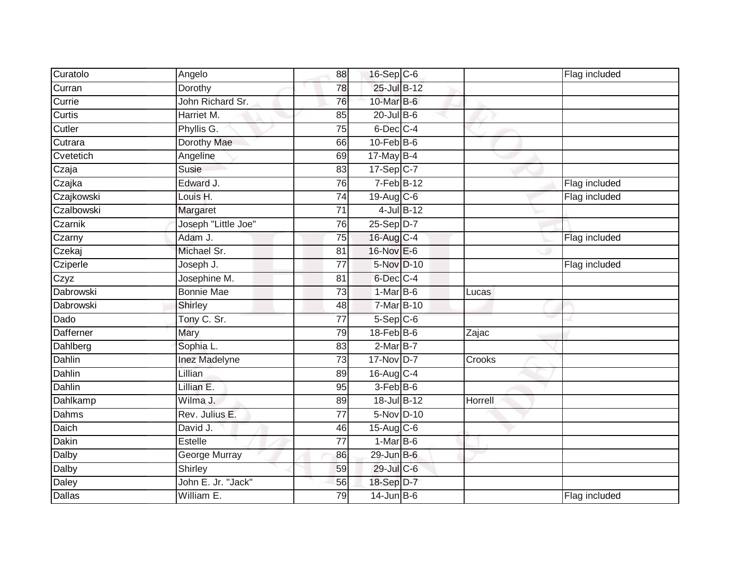| Curatolo      | Angelo              | 88              | 16-Sep C-6        |                | Flag included |
|---------------|---------------------|-----------------|-------------------|----------------|---------------|
| Curran        | Dorothy             | 78              | 25-Jul B-12       |                |               |
| Currie        | John Richard Sr.    | 76              | 10-Mar B-6        |                |               |
| Curtis        | Harriet M.          | 85              | $20$ -Jul B-6     |                |               |
| Cutler        | Phyllis G.          | 75              | $6$ -Dec $C$ -4   |                |               |
| Cutrara       | Dorothy Mae         | 66              | $10$ -Feb $B$ -6  |                |               |
| Cvetetich     | Angeline            | 69              | $17$ -May B-4     |                |               |
| Czaja         | Susie               | 83              | $17 - Sep$ C-7    |                |               |
| Czajka        | Edward J.           | 76              | 7-Feb B-12        |                | Flag included |
| Czajkowski    | Louis H.            | $\overline{74}$ | 19-Aug C-6        |                | Flag included |
| Czalbowski    | Margaret            | 71              | 4-Jul B-12        |                |               |
| Czarnik       | Joseph "Little Joe" | 76              | $25-Sep D-7$      |                |               |
| Czarny        | Adam J.             | 75              | 16-Aug C-4        |                | Flag included |
| Czekaj        | Michael Sr.         | 81              | 16-Nov E-6        |                |               |
| Cziperle      | Joseph J.           | $\overline{77}$ | 5-Nov D-10        |                | Flag included |
| Czyz          | Josephine M.        | 81              | $6$ -Dec $C$ -4   |                |               |
| Dabrowski     | <b>Bonnie Mae</b>   | $\overline{73}$ | $1-MarB-6$        | Lucas          |               |
| Dabrowski     | Shirley             | 48              | $7-Mar$ B-10      |                |               |
| Dado          | Tony C. Sr.         | 77              | $5-Sep C-6$       |                |               |
| Dafferner     | Mary                | 79              | $18$ -Feb $ B-6 $ | Zajac          |               |
| Dahlberg      | Sophia L.           | 83              | 2-Mar B-7         |                |               |
| <b>Dahlin</b> | Inez Madelyne       | $\overline{73}$ | 17-Nov D-7        | Crooks         |               |
| Dahlin        | Lillian             | 89              | $16$ -Aug C-4     |                |               |
| Dahlin        | Lillian E.          | 95              | 3-Feb B-6         |                |               |
| Dahlkamp      | Wilma J.            | 89              | 18-Jul B-12       | <b>Horrell</b> |               |
| Dahms         | Rev. Julius E.      | 77              | 5-Nov D-10        |                |               |
| Daich         | David J.            | 46              | 15-Aug C-6        |                |               |
| Dakin         | Estelle             | $\overline{77}$ | $1-Mar$ B-6       |                |               |
| Dalby         | George Murray       | 86              | 29-Jun B-6        |                |               |
| Dalby         | Shirley             | 59              | 29-Jul C-6        |                |               |
| Daley         | John E. Jr. "Jack"  | 56              | 18-Sep D-7        |                |               |
| Dallas        | William E.          | $\overline{79}$ | $14$ -Jun B-6     |                | Flag included |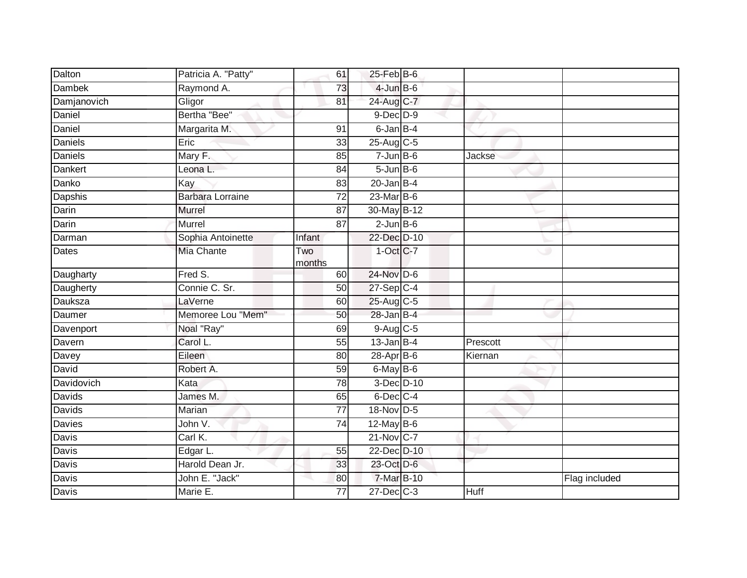| Dalton        | Patricia A. "Patty"     | 61              | $25$ -Feb $B$ -6  |             |               |
|---------------|-------------------------|-----------------|-------------------|-------------|---------------|
| <b>Dambek</b> | Raymond A.              | 73              | $4$ -Jun $B$ -6   |             |               |
| Damjanovich   | Gligor                  | 81              | 24-Aug C-7        |             |               |
| Daniel        | Bertha "Bee"            |                 | $9$ -Dec $D$ -9   |             |               |
| Daniel        | Margarita M.            | 91              | $6$ -Jan $B-4$    |             |               |
| Daniels       | Eric                    | 33              | 25-Aug C-5        |             |               |
| Daniels       | Mary F.                 | 85              | $7$ -Jun $B$ -6   | Jackse      |               |
| Dankert       | Leona L.                | 84              | $5 - Jun$ $B - 6$ |             |               |
| Danko         | Kay                     | 83              | $20$ -Jan B-4     |             |               |
| Dapshis       | <b>Barbara Lorraine</b> | $\overline{72}$ | $23$ -Mar $B$ -6  |             |               |
| Darin         | Murrel                  | 87              | 30-May B-12       |             |               |
| Darin         | Murrel                  | 87              | $2$ -Jun $B$ -6   |             |               |
| Darman        | Sophia Antoinette       | Infant          | 22-Dec D-10       |             |               |
| Dates         | Mia Chante              | Two<br>months   | $1-Oct$ $C-7$     | ی           |               |
| Daugharty     | Fred S.                 | 60              | 24-Nov D-6        |             |               |
| Daugherty     | Connie C. Sr.           | 50              | $27-Sep$ C-4      |             |               |
| Dauksza       | LaVerne                 | 60              | 25-Aug C-5        |             |               |
| Daumer        | Memoree Lou "Mem"       | 50              | $28$ -Jan B-4     |             |               |
| Davenport     | Noal "Ray"              | 69              | $9$ -Aug C-5      |             |               |
| Davern        | Carol L.                | 55              | $13$ -Jan B-4     | Prescott    |               |
| Davey         | Eileen                  | 80              | $28-Apr$ B-6      | Kiernan     |               |
| David         | Robert A.               | 59              | $6$ -May B-6      |             |               |
| Davidovich    | Kata                    | 78              | 3-Dec D-10        |             |               |
| Davids        | James M.                | 65              | 6-Dec C-4         |             |               |
| Davids        | Marian                  | $\overline{77}$ | 18-Nov D-5        |             |               |
| Davies        | John V.                 | 74              | 12-May B-6        |             |               |
| <b>Davis</b>  | Carl K.                 |                 | $21$ -Nov $ C-7 $ |             |               |
| Davis         | Edgar L.                | 55              | 22-Dec D-10       |             |               |
| Davis         | Harold Dean Jr.         | 33              | 23-Oct D-6        |             |               |
| Davis         | John E. "Jack"          | 80              | 7-Mar B-10        |             | Flag included |
| Davis         | Marie E.                | 77              | $27$ -Dec $C$ -3  | <b>Huff</b> |               |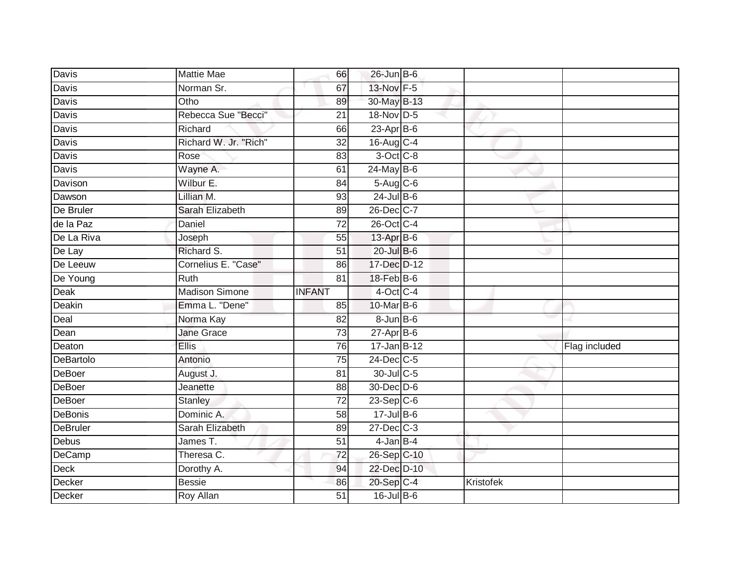| Davis                             | <b>Mattie Mae</b>     | 66              | $26$ -Jun B-6            |           |               |
|-----------------------------------|-----------------------|-----------------|--------------------------|-----------|---------------|
| Davis                             | Norman Sr.            | 67              | 13-Nov F-5               |           |               |
| Davis                             | Otho                  | 89              | 30-May B-13              |           |               |
| Davis                             | Rebecca Sue "Becci"   | 21              | 18-Nov D-5               |           |               |
| Davis                             | Richard               | 66              | $23$ -Apr $B$ -6         |           |               |
| Davis                             | Richard W. Jr. "Rich" | 32              | 16-Aug C-4               |           |               |
| Davis                             | Rose                  | 83              | 3-Oct C-8                |           |               |
| Davis                             | Wayne A.              | 61              | $24$ -May B-6            |           |               |
| Davison                           | Wilbur E.             | 84              | $5-Aug$ $C-6$            |           |               |
| Dawson                            | Lillian M.            | 93              | $24$ -Jul B-6            |           |               |
| De Bruler                         | Sarah Elizabeth       | 89              | 26-Dec C-7               |           |               |
| de la Paz                         | Daniel                | 72              | 26-Oct C-4               |           |               |
| De La Riva                        | Joseph                | 55              | $13$ -Apr $B$ -6         |           |               |
| De Lay                            | Richard S.            | 51              | $20$ -Jul B-6            |           |               |
| De Leeuw                          | Cornelius E. "Case"   | 86              | 17-Dec D-12              |           |               |
| De Young                          | Ruth                  | 81              | 18-Feb B-6               |           |               |
|                                   |                       |                 |                          |           |               |
| Deak                              | <b>Madison Simone</b> | <b>INFANT</b>   | 4-Oct C-4                |           |               |
| Deakin                            | Emma L. "Dene"        | 85              | 10-Mar B-6               |           |               |
| Deal                              | Norma Kay             | 82              | 8-Jun B-6                |           |               |
| Dean                              | Jane Grace            | $\overline{73}$ | $27$ -Apr $B$ -6         |           |               |
|                                   | <b>Ellis</b>          | 76              | 17-Jan B-12              |           | Flag included |
|                                   | Antonio               | 75              | 24-Dec C-5               |           |               |
| Deaton<br>DeBartolo<br>DeBoer     | August J.             | 81              | 30-Jul C-5               |           |               |
| DeBoer                            | Jeanette              | 88              | 30-Dec D-6               |           |               |
| <b>DeBoer</b>                     | Stanley               | 72              | $23-Sep C-6$             |           |               |
|                                   | Dominic A.            | 58              | $17 -$ Jul $B - 6$       |           |               |
| <b>DeBonis</b><br><b>DeBruler</b> | Sarah Elizabeth       | 89              | $27 - Dec$ $C-3$         |           |               |
| Debus                             | James T.              | 51              | $4$ -Jan $B-4$           |           |               |
| DeCamp                            | Theresa C.            | 72              | 26-Sep C-10              |           |               |
| Deck                              | Dorothy A.            | 94              | 22-Dec D-10              |           |               |
| Decker<br>Decker                  | <b>Bessie</b>         | 86              | 20-Sep C-4<br>16-Jul B-6 | Kristofek |               |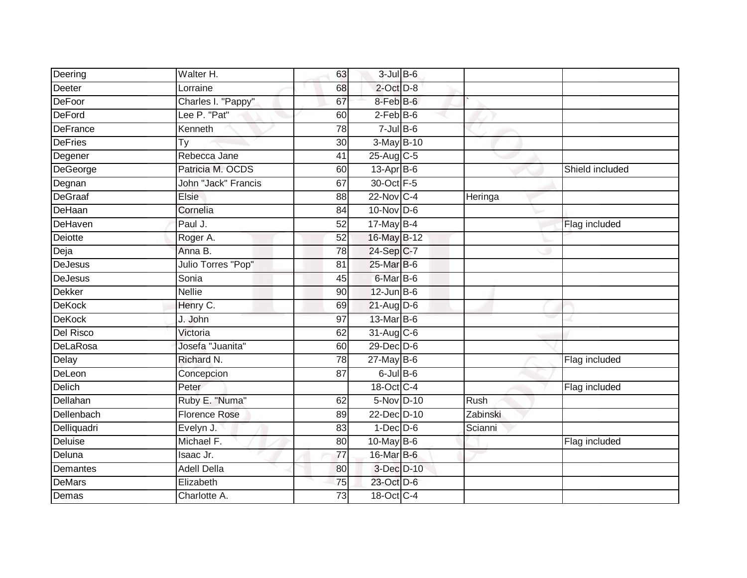| Deering         | Walter H.            | 63              | $3$ -Jul $B$ -6  |          |                 |
|-----------------|----------------------|-----------------|------------------|----------|-----------------|
| Deeter          | Lorraine             | 68              | $2$ -Oct $D-8$   |          |                 |
| DeFoor          | Charles I. "Pappy"   | 67              | 8-Feb B-6        |          |                 |
| DeFord          | Lee P. "Pat"         | 60              | $2-FebB-6$       |          |                 |
| <b>DeFrance</b> | Kenneth              | $\overline{78}$ | $7$ -Jul B-6     |          |                 |
| <b>DeFries</b>  | Ty                   | 30              | $3-May$ $B-10$   |          |                 |
| Degener         | Rebecca Jane         | 41              | 25-Aug C-5       |          |                 |
| DeGeorge        | Patricia M. OCDS     | 60              | 13-Apr B-6       |          | Shield included |
| Degnan          | John "Jack" Francis  | 67              | 30-Oct F-5       |          |                 |
| DeGraaf         | Elsie                | 88              | 22-Nov C-4       | Heringa  |                 |
| <b>DeHaan</b>   | Cornelia             | 84              | $10$ -Nov D-6    |          |                 |
| DeHaven         | Paul J.              | $\overline{52}$ | $17$ -May B-4    |          | Flag included   |
| Deiotte         | Roger A.             | 52              | 16-May B-12      |          |                 |
| Deja            | Anna B.              | 78              | 24-Sep C-7       |          |                 |
| <b>DeJesus</b>  | Julio Torres "Pop"   | 81              | 25-Mar B-6       |          |                 |
| DeJesus         | Sonia                | 45              | 6-Mar B-6        |          |                 |
| Dekker          | <b>Nellie</b>        | 90              | $12$ -Jun $B$ -6 |          |                 |
| <b>DeKock</b>   | Henry C.             | 69              | $21$ -Aug D-6    |          |                 |
| <b>DeKock</b>   | J. John              | 97              | 13-Mar B-6       |          |                 |
| Del Risco       | Victoria             | 62              | 31-Aug C-6       |          |                 |
| DeLaRosa        | Josefa "Juanita"     | 60              | 29-Dec D-6       |          |                 |
| Delay           | Richard N.           | 78              | $27$ -May B-6    |          | Flag included   |
| DeLeon          | Concepcion           | 87              | $6$ -Jul $B$ -6  |          |                 |
| Delich          | Peter                |                 | 18-Oct C-4       |          | Flag included   |
| Dellahan        | Ruby E. "Numa"       | 62              | 5-Nov D-10       | Rush     |                 |
| Dellenbach      | <b>Florence Rose</b> | 89              | 22-Dec D-10      | Zabinski |                 |
| Delliquadri     | Evelyn J.            | 83              | $1$ -Dec $D-6$   | Scianni  |                 |
| <b>Deluise</b>  | Michael F.           | 80              | 10-May B-6       |          | Flag included   |
| Deluna          | Isaac Jr.            | $\overline{77}$ | 16-Mar B-6       |          |                 |
| Demantes        | <b>Adell Della</b>   | 80              | 3-Dec D-10       |          |                 |
| <b>DeMars</b>   | Elizabeth            | 75              | 23-Oct D-6       |          |                 |
| Demas           | Charlotte A.         | 73              | 18-Oct C-4       |          |                 |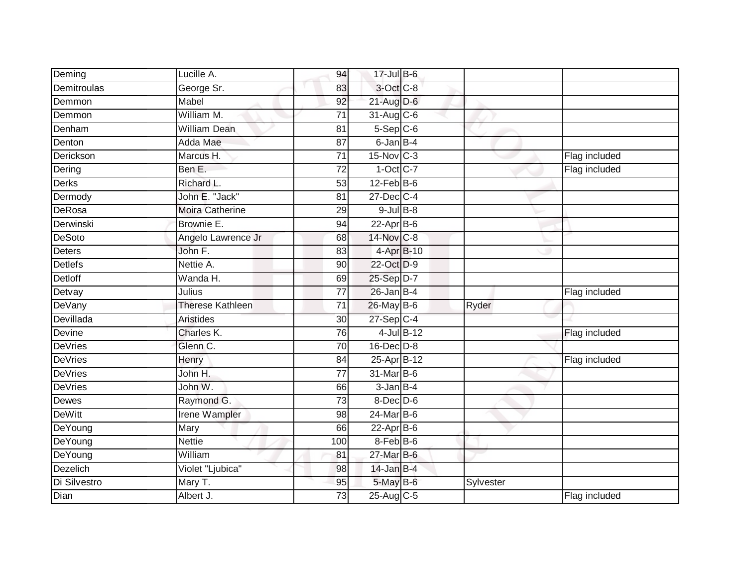| Deming         | Lucille A.              | 94              | $17 -$ Jul B-6   |           |               |
|----------------|-------------------------|-----------------|------------------|-----------|---------------|
| Demitroulas    | George Sr.              | 83              | 3-Oct C-8        |           |               |
| Demmon         | Mabel                   | 92              | 21-Aug D-6       |           |               |
| Demmon         | William M.              | 71              | $31$ -Aug C-6    |           |               |
| Denham         | <b>William Dean</b>     | $\overline{81}$ | $5-$ Sep $C-6$   |           |               |
| Denton         | Adda Mae                | 87              | 6-Jan B-4        |           |               |
| Derickson      | Marcus H.               | 71              | 15-Nov C-3       |           | Flag included |
| Dering         | Ben E.                  | 72              | $1-Oct$ C-7      |           | Flag included |
| <b>Derks</b>   | Richard L.              | 53              | $12$ -Feb $B$ -6 |           |               |
| Dermody        | John E. "Jack"          | 81              | 27-Dec C-4       |           |               |
| DeRosa         | <b>Moira Catherine</b>  | 29              | $9$ -Jul $B$ -8  |           |               |
| Derwinski      | Brownie E.              | 94              | $22$ -Apr $B$ -6 |           |               |
| <b>DeSoto</b>  | Angelo Lawrence Jr      | 68              | 14-Nov C-8       |           |               |
| Deters         | John F.                 | 83              | 4-Apr B-10       |           |               |
| <b>Detlefs</b> | Nettie A.               | 90              | 22-Oct D-9       |           |               |
| Detloff        | Wanda H.                | 69              | 25-Sep D-7       |           |               |
| Detvay         | Julius                  | $\overline{77}$ | $26$ -Jan B-4    |           | Flag included |
| <b>DeVany</b>  | <b>Therese Kathleen</b> | 71              | 26-May B-6       | Ryder     |               |
| Devillada      | <b>Aristides</b>        | 30              | $27-Sep$ C-4     |           |               |
| Devine         | Charles K.              | $\overline{76}$ | 4-Jul B-12       |           | Flag included |
| <b>DeVries</b> | Glenn C.                | 70              | $16$ -Dec $D-8$  |           |               |
| <b>DeVries</b> | Henry                   | 84              | 25-Apr B-12      |           | Flag included |
| <b>DeVries</b> | John H.                 | 77              | 31-Mar B-6       |           |               |
| <b>DeVries</b> | John W.                 | 66              | $3$ -Jan $B$ -4  |           |               |
| Dewes          | Raymond G.              | 73              | $8$ -Dec $D$ -6  |           |               |
| <b>DeWitt</b>  | <b>Irene Wampler</b>    | 98              | $24$ -Mar $B$ -6 |           |               |
| DeYoung        | Mary                    | 66              | $22$ -Apr $B-6$  |           |               |
| DeYoung        | <b>Nettie</b>           | 100             | 8-Feb B-6        |           |               |
| DeYoung        | William                 | 81              | 27-Mar B-6       |           |               |
| Dezelich       | Violet "Ljubica"        | 98              | $14$ -Jan B-4    |           |               |
| Di Silvestro   | Mary T.                 | 95              | $5$ -May $B$ -6  | Sylvester |               |
| Dian           | Albert J.               | 73              | 25-Aug C-5       |           | Flag included |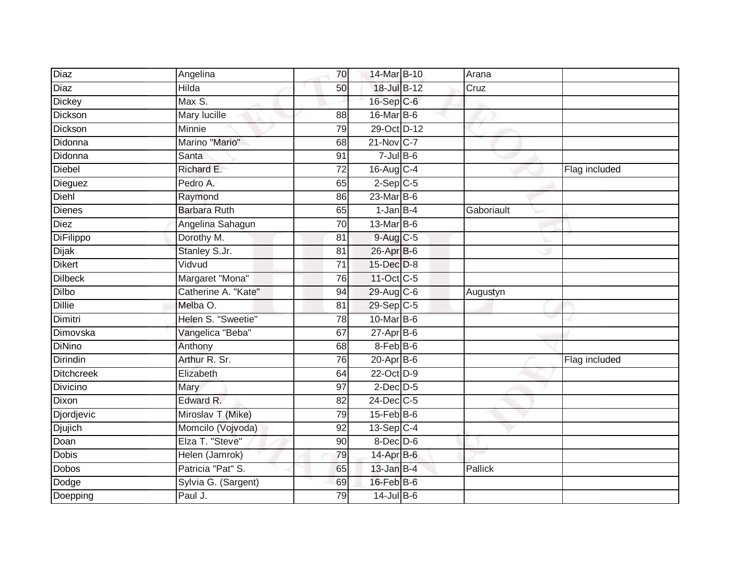| Diaz              | Angelina            | 70              | 14-Mar B-10      | Arana      |               |
|-------------------|---------------------|-----------------|------------------|------------|---------------|
| <b>Diaz</b>       | <b>Hilda</b>        | 50              | 18-Jul B-12      | Cruz       |               |
| Dickey            | Max S.              |                 | 16-Sep C-6       |            |               |
| Dickson           | Mary lucille        | 88              | $16$ -Mar $B$ -6 |            |               |
| Dickson           | Minnie              | 79              | 29-Oct D-12      |            |               |
| Didonna           | Marino "Mario"      | 68              | 21-Nov C-7       |            |               |
| Didonna           | Santa               | 91              | $7 -$ JulB-6     |            |               |
| <b>Diebel</b>     | Richard E.          | 72              | 16-Aug C-4       |            | Flag included |
| Dieguez           | Pedro A.            | 65              | $2-Sep$ C-5      |            |               |
| Diehl             | Raymond             | 86              | 23-Mar B-6       |            |               |
| Dienes            | <b>Barbara Ruth</b> | 65              | $1$ -Jan $B-4$   | Gaboriault |               |
| Diez              | Angelina Sahagun    | 70              | 13-Mar B-6       |            |               |
| DiFilippo         | Dorothy M.          | 81              | $9-Aug$ $C-5$    |            |               |
| <b>Dijak</b>      | Stanley S.Jr.       | 81              | 26-Apr B-6       |            |               |
| <b>Dikert</b>     | Vidvud              | $\overline{71}$ | 15-Dec D-8       |            |               |
| <b>Dilbeck</b>    | Margaret "Mona"     | 76              | 11-Oct C-5       |            |               |
| <b>Dilbo</b>      | Catherine A. "Kate" | 94              | 29-Aug C-6       | Augustyn   |               |
| <b>Dillie</b>     | Melba O.            | 81              | 29-Sep C-5       |            |               |
| Dimitri           | Helen S. "Sweetie"  | 78              | 10-Mar B-6       |            |               |
| Dimovska          | Vangelica "Beba"    | 67              | $27$ -Apr $B$ -6 |            |               |
| <b>DiNino</b>     | Anthony             | 68              | 8-Feb B-6        |            |               |
| Dirindin          | Arthur R. Sr.       | $\overline{76}$ | $20$ -Apr $B$ -6 |            | Flag included |
| <b>Ditchcreek</b> | Elizabeth           | 64              | 22-Oct D-9       |            |               |
| <b>Divicino</b>   | Mary                | 97              | $2$ -Dec $D-5$   |            |               |
| Dixon             | Edward R.           | 82              | 24-Dec C-5       |            |               |
| Djordjevic        | Miroslav T (Mike)   | 79              | $15$ -Feb $B$ -6 |            |               |
| Djujich           | Momcilo (Vojvoda)   | 92              | 13-Sep C-4       |            |               |
| Doan              | Elza T. "Steve"     | 90              | $8$ -Dec $D$ -6  |            |               |
| Dobis             | Helen (Jamrok)      | 79              | 14-Apr B-6       |            |               |
| <b>Dobos</b>      | Patricia "Pat" S.   | 65              | $13$ -Jan B-4    | Pallick    |               |
| Dodge             | Sylvia G. (Sargent) | 69              | $16$ -Feb $B$ -6 |            |               |
| Doepping          | Paul J.             | 79              | $14$ -Jul $B-6$  |            |               |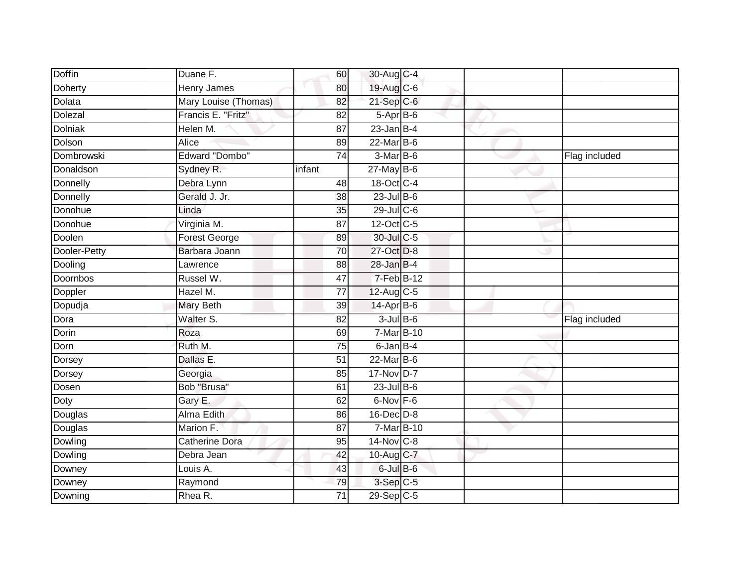| <b>Doffin</b>   | Duane F.              | 60              | 30-Aug C-4       |             |               |
|-----------------|-----------------------|-----------------|------------------|-------------|---------------|
| Doherty         | <b>Henry James</b>    | 80              | 19-Aug C-6       |             |               |
| Dolata          | Mary Louise (Thomas)  | 82              | $21-Sep$ C-6     |             |               |
| Dolezal         | Francis E. "Fritz"    | 82              | 5-Apr B-6        |             |               |
| <b>Dolniak</b>  | Helen M.              | $\overline{87}$ | $23$ -Jan B-4    |             |               |
| Dolson          | Alice                 | 89              | $22$ -Mar $B$ -6 |             |               |
| Dombrowski      | <b>Edward "Dombo"</b> | 74              | 3-Mar B-6        |             | Flag included |
| Donaldson       | Sydney R.             | infant          | $27$ -May B-6    |             |               |
| Donnelly        | Debra Lynn            | 48              | 18-Oct C-4       |             |               |
| Donnelly        | Gerald J. Jr.         | $\overline{38}$ | $23$ -Jul $B-6$  |             |               |
| Donohue         | Linda                 | 35              | 29-Jul C-6       |             |               |
| Donohue         | Virginia M.           | 87              | 12-Oct C-5       |             |               |
| Doolen          | <b>Forest George</b>  | 89              | 30-Jul C-5       |             |               |
| Dooler-Petty    | Barbara Joann         | 70              | 27-Oct D-8       |             |               |
| Dooling         | Lawrence              | $\overline{88}$ | $28$ -Jan $B-4$  |             |               |
| <b>Doornbos</b> | Russel W.             | 47              | 7-Feb B-12       |             |               |
| Doppler         | Hazel M.              | $\overline{77}$ | 12-Aug C-5       |             |               |
| Dopudja         | <b>Mary Beth</b>      | 39              | $14$ -Apr $B$ -6 |             |               |
| Dora            | Walter S.             | 82              | $3$ -Jul $B$ -6  |             | Flag included |
| Dorin           | Roza                  | 69              |                  | $7-MarB-10$ |               |
| Dorn            | Ruth M.               | 75              | $6$ -Jan $B$ -4  |             |               |
| Dorsey          | Dallas E.             | $\overline{51}$ | $22$ -Mar $B-6$  |             |               |
| Dorsey          | Georgia               | 85              | 17-Nov D-7       |             |               |
| Dosen           | Bob "Brusa"           | 61              | $23$ -Jul B-6    |             |               |
| Doty            | Gary E.               | 62              | 6-Nov F-6        |             |               |
| Douglas         | <b>Alma Edith</b>     | 86              | 16-Dec D-8       |             |               |
| Douglas         | Marion F.             | $\overline{87}$ | 7-Mar B-10       |             |               |
| Dowling         | <b>Catherine Dora</b> | 95              | 14-Nov C-8       |             |               |
| Dowling         | Debra Jean            | 42              | 10-Aug C-7       |             |               |
| Downey          | Louis A.              | 43              | $6$ -Jul $B$ -6  |             |               |
| Downey          | Raymond               | 79              | $3-Sep C-5$      |             |               |
| Downing         | Rhea R.               | $\overline{71}$ | 29-Sep C-5       |             |               |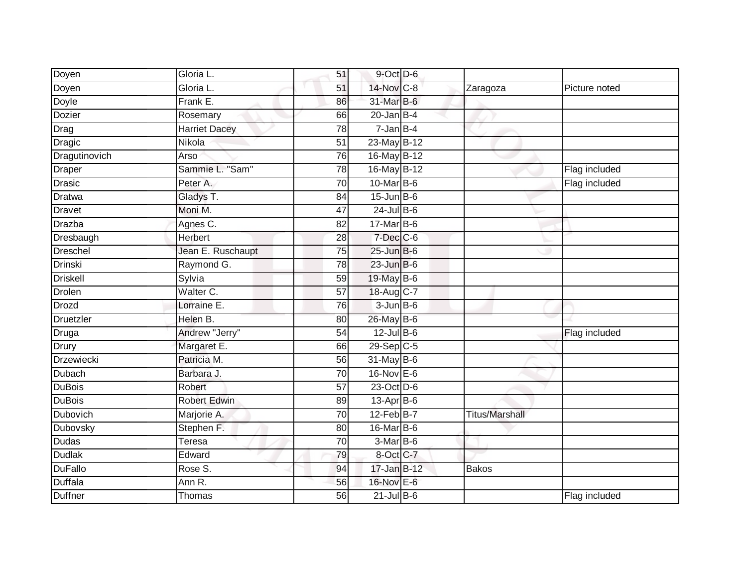| Doyen             | Gloria L.            | 51              | $9$ -Oct $D$ -6         |                       |               |
|-------------------|----------------------|-----------------|-------------------------|-----------------------|---------------|
| Doyen             | Gloria L.            | 51              | 14-Nov C-8              | Zaragoza              | Picture noted |
| <b>Doyle</b>      | Frank E.             | 86              | 31-Mar B-6              |                       |               |
| <b>Dozier</b>     | Rosemary             | 66              | $20$ -Jan B-4           |                       |               |
| Drag              | <b>Harriet Dacey</b> | 78              | $7$ -Jan B-4            |                       |               |
| Dragic            | Nikola               | 51              | 23-May B-12             |                       |               |
| Dragutinovich     | Arso                 | 76              | 16-May B-12             |                       |               |
| Draper            | Sammie L. "Sam"      | 78              | 16-May B-12             |                       | Flag included |
| Drasic            | Peter A.             | 70              | 10-Mar B-6              |                       | Flag included |
| <b>Dratwa</b>     | Gladys T.            | 84              | $15$ -Jun B-6           |                       |               |
| Dravet            | Moni M.              | 47              | $24$ -Jul B-6           |                       |               |
| Drazba            | Agnes C.             | 82              | $17$ -Mar $ B-6 $       |                       |               |
| Dresbaugh         | <b>Herbert</b>       | 28              | $7$ -Dec $C$ -6         |                       |               |
| Dreschel          | Jean E. Ruschaupt    | 75              | $25$ -Jun $B$ -6        |                       |               |
| <b>Drinski</b>    | Raymond G.           | 78              | $23$ -Jun $B-6$         |                       |               |
| <b>Driskell</b>   | Sylvia               | 59              | 19-May B-6              |                       |               |
| Drolen            | Walter C.            | $\overline{57}$ | 18-Aug C-7              |                       |               |
| Drozd             | Lorraine E.          | 76              | $3$ -Jun $B$ -6         |                       |               |
| Druetzler         | Helen B.             | 80              | 26-May B-6              |                       |               |
| Druga             | Andrew "Jerry"       | $\overline{54}$ | $12$ -Jul B-6           |                       | Flag included |
| Drury             | Margaret E.          | 66              | $29-Sep$ <sub>C-5</sub> |                       |               |
| <b>Drzewiecki</b> | Patricia M.          | 56              | $31$ -May B-6           |                       |               |
| Dubach            | Barbara J.           | 70              | $16$ -Nov $E$ -6        |                       |               |
| <b>DuBois</b>     | Robert               | 57              | 23-Oct D-6              |                       |               |
| <b>DuBois</b>     | <b>Robert Edwin</b>  | 89              | $13$ -Apr $B$ -6        |                       |               |
| Dubovich          | Marjorie A.          | 70              | $12$ -Feb $B$ -7        | <b>Titus/Marshall</b> |               |
| Dubovsky          | Stephen F.           | 80              | 16-Mar B-6              |                       |               |
| <b>Dudas</b>      | Teresa               | $\overline{70}$ | $3-Mar$ B-6             |                       |               |
| <b>Dudlak</b>     | Edward               | 79              | 8-Oct C-7               |                       |               |
| <b>DuFallo</b>    | Rose S.              | 94              | 17-Jan B-12             | <b>Bakos</b>          |               |
| <b>Duffala</b>    | Ann R.               | 56              | 16-Nov E-6              |                       |               |
| <b>Duffner</b>    | Thomas               | 56              | $21$ -Jul $B-6$         |                       | Flag included |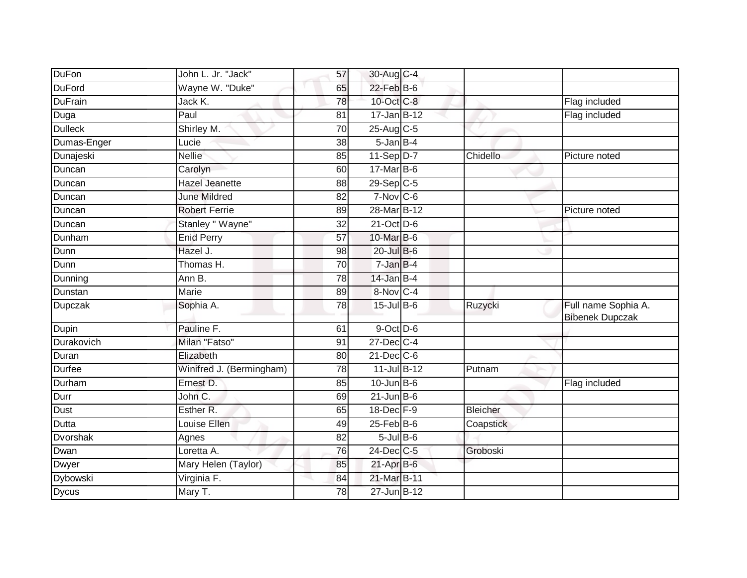| DuFon          | John L. Jr. "Jack"       | 57              | 30-Aug C-4        |                 |                                               |
|----------------|--------------------------|-----------------|-------------------|-----------------|-----------------------------------------------|
| <b>DuFord</b>  | Wayne W. "Duke"          | 65              | $22$ -Feb $B$ -6  |                 |                                               |
| <b>DuFrain</b> | Jack K.                  | 78              | 10-Oct C-8        |                 | Flag included                                 |
| Duga           | Paul                     | 81              | $17 - Jan$ B-12   |                 | Flag included                                 |
| <b>Dulleck</b> | Shirley M.               | $\overline{70}$ | 25-Aug C-5        |                 |                                               |
| Dumas-Enger    | Lucie                    | 38              | $5 - Jan$ $B - 4$ |                 |                                               |
| Dunajeski      | <b>Nellie</b>            | 85              | $11-Sep D-7$      | Chidello        | Picture noted                                 |
| Duncan         | Carolyn                  | 60              | 17-Mar B-6        |                 |                                               |
| Duncan         | <b>Hazel Jeanette</b>    | 88              | 29-Sep C-5        |                 |                                               |
| Duncan         | <b>June Mildred</b>      | 82              | $7-Nov$ C-6       |                 |                                               |
| Duncan         | <b>Robert Ferrie</b>     | 89              | 28-Mar B-12       |                 | Picture noted                                 |
| Duncan         | Stanley " Wayne"         | 32              | $21-Oct$ D-6      |                 |                                               |
| Dunham         | <b>Enid Perry</b>        | 57              | 10-Mar B-6        |                 |                                               |
| Dunn           | Hazel J.                 | 98              | $20$ -Jul $B$ -6  |                 |                                               |
| Dunn           | Thomas H.                | $\overline{70}$ | 7-Jan B-4         |                 |                                               |
| Dunning        | Ann B.                   | 78              | $14$ -Jan B-4     |                 |                                               |
| Dunstan        | <b>Marie</b>             | 89              | 8-Nov C-4         |                 |                                               |
| Dupczak        | Sophia A.                | 78              | $15$ -Jul B-6     | Ruzycki         | Full name Sophia A.<br><b>Bibenek Dupczak</b> |
| Dupin          | Pauline F.               | 61              | 9-Oct D-6         |                 |                                               |
| Durakovich     | Milan "Fatso"            | 91              | $27$ -Dec $C-4$   |                 |                                               |
| Duran          | Elizabeth                | 80              | $21$ -Dec $C$ -6  |                 |                                               |
| <b>Durfee</b>  | Winifred J. (Bermingham) | 78              | 11-Jul B-12       | Putnam          |                                               |
| Durham         | Ernest D.                | 85              | $10$ -Jun $B$ -6  |                 | Flag included                                 |
| Durr           | John C.                  | 69              | $21$ -Jun B-6     |                 |                                               |
| Dust           | Esther R.                | 65              | 18-Dec F-9        | <b>Bleicher</b> |                                               |
| Dutta          | Louise Ellen             | 49              | $25$ -Feb $B$ -6  | Coapstick       |                                               |
| Dvorshak       | Agnes                    | $\overline{82}$ | $5 -$ Jul B-6     |                 |                                               |
| Dwan           | Loretta A.               | 76              | 24-Dec C-5        | Groboski        |                                               |
| Dwyer          | Mary Helen (Taylor)      | 85              | $21-Apr$ B-6      |                 |                                               |
| Dybowski       | Virginia F.              | 84              | 21-Mar B-11       |                 |                                               |
| <b>Dycus</b>   | Mary T.                  | 78              | 27-Jun B-12       |                 |                                               |
|                |                          |                 |                   |                 |                                               |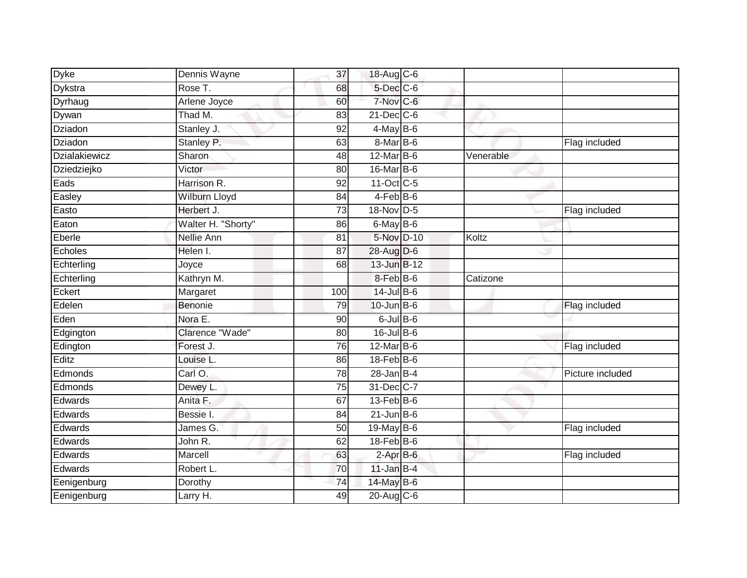| <b>Dyke</b>    | Dennis Wayne         | 37              | 18-Aug C-6        |           |                  |
|----------------|----------------------|-----------------|-------------------|-----------|------------------|
| Dykstra        | Rose T.              | 68              | 5-Dec C-6         |           |                  |
| Dyrhaug        | Arlene Joyce         | 60              | 7-Nov C-6         |           |                  |
| Dywan          | Thad M.              | 83              | $21$ -Dec $C$ -6  |           |                  |
| <b>Dziadon</b> | Stanley J.           | $\overline{92}$ | $4$ -May B-6      |           |                  |
| Dziadon        | Stanley P.           | 63              | $8$ -Mar $ B$ -6  |           | Flag included    |
| Dzialakiewicz  | Sharon               | 48              | $12$ -Mar $B$ -6  | Venerable |                  |
| Dziedziejko    | Victor               | 80              | 16-Mar B-6        |           |                  |
| Eads           | Harrison R.          | 92              | 11-Oct C-5        |           |                  |
| Easley         | <b>Wilburn Lloyd</b> | 84              | $4-Feb$ B-6       |           |                  |
| Easto          | Herbert J.           | 73              | 18-Nov D-5        |           | Flag included    |
| Eaton          | Walter H. "Shorty"   | 86              | $6$ -May B-6      |           |                  |
| Eberle         | Nellie Ann           | 81              | 5-Nov D-10        | Koltz     |                  |
| Echoles        | Helen I.             | 87              | $28$ -Aug D-6     |           |                  |
| Echterling     | Joyce                | 68              | 13-Jun B-12       |           |                  |
| Echterling     | Kathryn M.           |                 | $8$ -Feb $B$ -6   | Catizone  |                  |
| Eckert         | Margaret             | 100             | $14$ -Jul B-6     |           |                  |
| Edelen         | Benonie              | 79              | $10$ -Jun $B - 6$ |           | Flag included    |
| Eden           | Nora E.              | 90              | $6$ -Jul B- $6$   |           |                  |
| Edgington      | Clarence "Wade"      | 80              | $16$ -Jul B-6     |           |                  |
| Edington       | Forest J.            | 76              | $12$ -Mar $B$ -6  |           | Flag included    |
| Editz          | Louise L.            | 86              | $18$ -Feb $B$ -6  |           |                  |
| Edmonds        | Carl O.              | 78              | $28$ -Jan B-4     |           | Picture included |
| Edmonds        | Dewey L.             | 75              | 31-Dec C-7        |           |                  |
| Edwards        | Anita F.             | 67              | $13$ -Feb $B$ -6  |           |                  |
| Edwards        | Bessie I.            | 84              | $21$ -Jun $B$ -6  |           |                  |
| Edwards        | James G.             | 50              | 19-May B-6        |           | Flag included    |
| Edwards        | John R.              | 62              | $18$ -Feb $ B$ -6 |           |                  |
| Edwards        | Marcell              | 63              | $2$ -Apr $B$ -6   |           | Flag included    |
| Edwards        | Robert L.            | 70              | $11$ -Jan B-4     |           |                  |
| Eenigenburg    | Dorothy              | 74              | 14-May B-6        |           |                  |
| Eenigenburg    | Larry H.             | 49              | $20$ -Aug $C$ -6  |           |                  |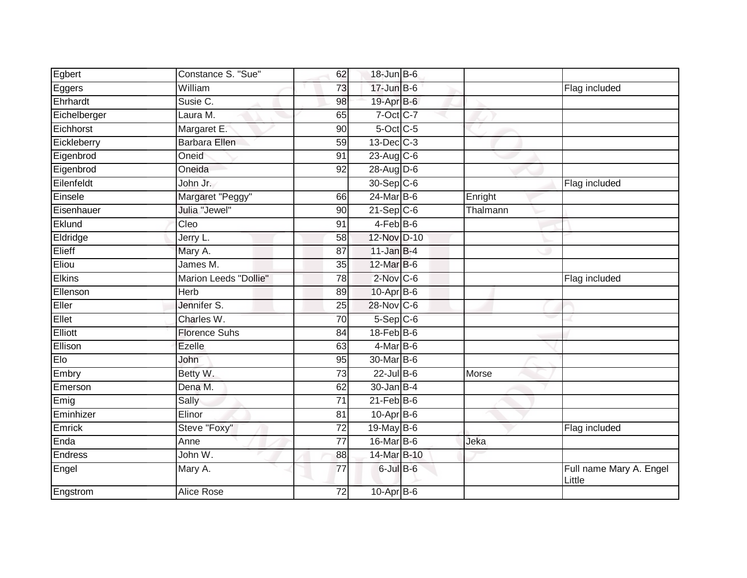| Egbert       | Constance S. "Sue"    | 62              | $18$ -Jun $B$ -6 |          |                                   |
|--------------|-----------------------|-----------------|------------------|----------|-----------------------------------|
| Eggers       | William               | 73              | $17 - Jun$ B-6   |          | Flag included                     |
| Ehrhardt     | Susie C.              | 98              | 19-Apr B-6       |          |                                   |
| Eichelberger | Laura M.              | 65              | 7-Oct C-7        |          |                                   |
| Eichhorst    | Margaret E.           | 90              | $5$ -Oct $C$ -5  |          |                                   |
| Eickleberry  | <b>Barbara Ellen</b>  | 59              | $13$ -Dec $C-3$  |          |                                   |
| Eigenbrod    | Oneid                 | 91              | $23$ -Aug C-6    |          |                                   |
| Eigenbrod    | Oneida                | 92              | $28-Aug$ D-6     |          |                                   |
| Eilenfeldt   | John Jr.              |                 | 30-Sep C-6       |          | Flag included                     |
| Einsele      | Margaret "Peggy"      | 66              | $24$ -Mar $B$ -6 | Enright  |                                   |
| Eisenhauer   | Julia "Jewel"         | 90              | $21-Sep C-6$     | Thalmann |                                   |
| Eklund       | Cleo                  | 91              | $4$ -Feb $B$ -6  |          |                                   |
| Eldridge     | Jerry L.              | 58              | 12-Nov D-10      |          |                                   |
| Elieff       | Mary A.               | 87              | $11$ -Jan B-4    |          |                                   |
| Eliou        | James M.              | $\overline{35}$ | 12-Mar B-6       |          |                                   |
| Elkins       | Marion Leeds "Dollie" | 78              | $2$ -Nov $ C-6 $ |          | Flag included                     |
| Ellenson     | <b>Herb</b>           | 89              | $10-Apr$ B-6     |          |                                   |
| Eller        | Jennifer S.           | 25              | 28-Nov C-6       |          |                                   |
| Ellet        | Charles W.            | 70              | $5-$ Sep $C-6$   |          |                                   |
| Elliott      | <b>Florence Suhs</b>  | 84              | 18-Feb B-6       |          |                                   |
| Ellison      | <b>Ezelle</b>         | 63              | $4$ -Mar $B$ -6  |          |                                   |
| Elo          | John                  | 95              | 30-Mar B-6       |          |                                   |
| Embry        | Betty W.              | 73              | $22$ -Jul B-6    | Morse    |                                   |
| Emerson      | Dena M.               | 62              | $30 - Jan$ B-4   |          |                                   |
| Emig         | Sally                 | 71              | $21$ -Feb $B$ -6 |          |                                   |
| Eminhizer    | Elinor                | 81              | $10$ -Apr $B$ -6 |          |                                   |
| Emrick       | Steve "Foxy"          | $\overline{72}$ | 19-May B-6       |          | Flag included                     |
| Enda         | Anne                  | 77              | 16-Mar B-6       | Jeka     |                                   |
| Endress      | John W.               | 88              | 14-Mar B-10      |          |                                   |
| Engel        | Mary A.               | 77              | $6$ -Jul $B$ -6  |          | Full name Mary A. Engel<br>Little |
| Engstrom     | Alice Rose            | 72              | $10$ -Apr $B$ -6 |          |                                   |
|              |                       |                 |                  |          |                                   |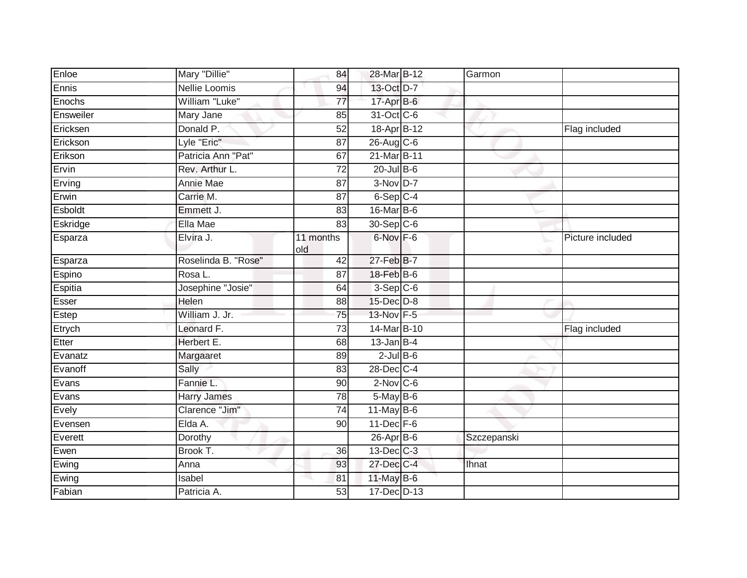| Enloe     | Mary "Dillie"       | 84               | 28-Mar B-12      | Garmon      |                  |
|-----------|---------------------|------------------|------------------|-------------|------------------|
| Ennis     | Nellie Loomis       | 94               | 13-Oct D-7       |             |                  |
| Enochs    | William "Luke"      | $\overline{77}$  | 17-Apr B-6       |             |                  |
| Ensweiler | Mary Jane           | 85               | 31-Oct C-6       |             |                  |
| Ericksen  | Donald P.           | $\overline{52}$  | 18-Apr B-12      |             | Flag included    |
| Erickson  | Lyle "Eric"         | 87               | 26-Aug C-6       |             |                  |
| Erikson   | Patricia Ann "Pat"  | 67               | 21-Mar B-11      |             |                  |
| Ervin     | Rev. Arthur L.      | $\overline{72}$  | $20$ -Jul $B-6$  |             |                  |
| Erving    | Annie Mae           | 87               | 3-Nov D-7        |             |                  |
| Erwin     | Carrie M.           | 87               | $6-Sep$ C-4      |             |                  |
| Esboldt   | Emmett J.           | 83               | 16-Mar B-6       |             |                  |
| Eskridge  | Ella Mae            | 83               | 30-Sep C-6       |             |                  |
| Esparza   | Elvira J.           | 11 months<br>old | 6-Nov F-6        |             | Picture included |
| Esparza   | Roselinda B. "Rose" | 42               | 27-Feb B-7       |             |                  |
| Espino    | Rosa L.             | $\overline{87}$  | 18-Feb B-6       |             |                  |
| Espitia   | Josephine "Josie"   | 64               | $3-Sep$ C-6      |             |                  |
| Esser     | Helen               | 88               | $15$ -Dec $D-8$  |             |                  |
| Estep     | William J. Jr.      | 75               | 13-Nov F-5       |             |                  |
| Etrych    | Leonard F.          | $\overline{73}$  | 14-Mar B-10      |             | Flag included    |
| Etter     | Herbert E.          | 68               | $13$ -Jan B-4    |             |                  |
| Evanatz   | Margaaret           | 89               | $2$ -Jul $B$ -6  |             |                  |
| Evanoff   | Sally               | 83               | 28-Dec C-4       |             |                  |
| Evans     | Fannie L.           | 90               | $2$ -Nov C-6     |             |                  |
| Evans     | <b>Harry James</b>  | 78               | 5-May B-6        |             |                  |
| Evely     | Clarence "Jim"      | $\overline{74}$  | $11$ -May B-6    |             |                  |
| Evensen   | Elda A.             | 90               | $11$ -Dec $F-6$  |             |                  |
| Everett   | Dorothy             |                  | $26$ -Apr $B$ -6 | Szczepanski |                  |
| Ewen      | Brook T.            | 36               | 13-Dec C-3       |             |                  |
| Ewing     | Anna                | 93               | 27-Dec C-4       | Ihnat       |                  |
| Ewing     | Isabel              | 81               | 11-May $B-6$     |             |                  |
| Fabian    | Patricia A.         | 53               | 17-Dec D-13      |             |                  |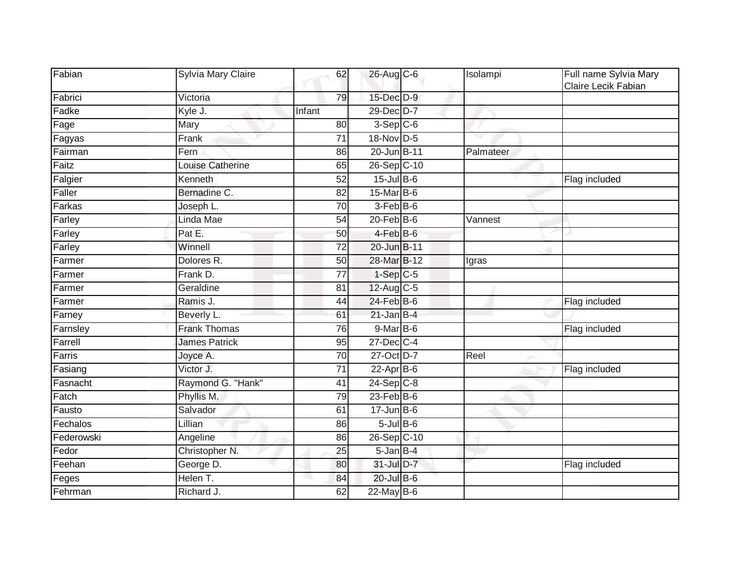| Fabian     | Sylvia Mary Claire   | 62              | 26-Aug C-6       | Isolampi  | Full name Sylvia Mary<br>Claire Lecik Fabian |
|------------|----------------------|-----------------|------------------|-----------|----------------------------------------------|
| Fabrici    | Victoria             | 79              | 15-Dec D-9       |           |                                              |
| Fadke      | Kyle J.              | Infant          | 29-Dec D-7       |           |                                              |
| Fage       | Mary                 | 80              | $3-$ Sep $C-6$   |           |                                              |
| Fagyas     | Frank                | 71              | 18-Nov D-5       |           |                                              |
| Fairman    | Fern                 | 86              | 20-Jun B-11      | Palmateer |                                              |
| Faitz      | Louise Catherine     | 65              | 26-Sep C-10      |           |                                              |
| Falgier    | Kenneth              | 52              | $15$ -Jul B-6    |           | Flag included                                |
| Faller     | Bernadine C.         | 82              | 15-Mar B-6       |           |                                              |
| Farkas     | Joseph L.            | 70              | $3-Feb$ B-6      |           |                                              |
| Farley     | Linda Mae            | 54              | $20$ -Feb $B$ -6 | Vannest   |                                              |
| Farley     | Pat E.               | 50              | 4-Feb B-6        |           |                                              |
| Farley     | Winnell              | 72              | 20-Jun B-11      |           |                                              |
| Farmer     | Dolores R.           | 50              | 28-Mar B-12      | Igras     |                                              |
| Farmer     | Frank D.             | $\overline{77}$ | $1-Sep$ $C-5$    |           |                                              |
| Farmer     | Geraldine            | 81              | 12-Aug C-5       |           |                                              |
| Farmer     | Ramis J.             | 44              | $24$ -Feb $B$ -6 |           | Flag included                                |
| Farney     | Beverly L.           | 61              | $21$ -Jan B-4    |           |                                              |
| Farnsley   | <b>Frank Thomas</b>  | 76              | $9$ -Mar B-6     |           | Flag included                                |
| Farrell    | <b>James Patrick</b> | 95              | $27 - Dec$ C-4   |           |                                              |
| Farris     | Joyce A.             | 70              | 27-Oct D-7       | Reel      |                                              |
| Fasiang    | Victor J.            | $\overline{71}$ | $22$ -Apr $B$ -6 |           | Flag included                                |
| Fasnacht   | Raymond G. "Hank"    | 41              | $24-Sep$ C-8     |           |                                              |
| Fatch      | Phyllis M.           | 79              | $23$ -Feb $B$ -6 |           |                                              |
| Fausto     | Salvador             | 61              | $17 - Jun$ B-6   |           |                                              |
| Fechalos   | Lillian              | 86              | $5$ -Jul $B$ -6  |           |                                              |
| Federowski | Angeline             | 86              | 26-Sep C-10      |           |                                              |
| Fedor      | Christopher N.       | 25              | $5$ -Jan $B$ -4  |           |                                              |
| Feehan     | George D.            | 80              | 31-Jul D-7       |           | Flag included                                |
| Feges      | Helen T.             | 84              | $20$ -Jul B-6    |           |                                              |
| Fehrman    | Richard J.           | 62              | $22$ -May B-6    |           |                                              |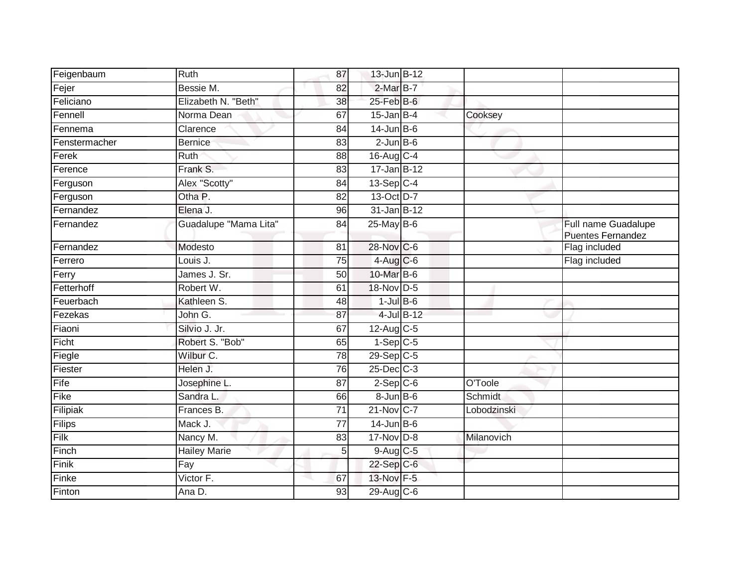| Feigenbaum    | Ruth                  | 87              | 13-Jun B-12         |            |                |                                                 |
|---------------|-----------------------|-----------------|---------------------|------------|----------------|-------------------------------------------------|
| Fejer         | Bessie M.             | 82              | $2-MarB-7$          |            |                |                                                 |
| Feliciano     | Elizabeth N. "Beth"   | 38              | $25$ -Feb $B$ -6    |            |                |                                                 |
| Fennell       | Norma Dean            | 67              | $15$ -Jan $B-4$     |            | Cooksey        |                                                 |
| Fennema       | Clarence              | 84              | $14$ -Jun B-6       |            |                |                                                 |
| Fenstermacher | <b>Bernice</b>        | 83              | $2$ -Jun $B$ -6     |            |                |                                                 |
| Ferek         | Ruth                  | 88              | 16-Aug C-4          |            |                |                                                 |
| Ference       | Frank S.              | 83              | $17 - Jan$ B-12     |            |                |                                                 |
| Ferguson      | Alex "Scotty"         | 84              | $13-\text{Sep}$ C-4 |            |                |                                                 |
| Ferguson      | Otha P.               | $\overline{82}$ | 13-Oct D-7          |            |                |                                                 |
| Fernandez     | Elena J.              | 96              | 31-Jan B-12         |            |                |                                                 |
| Fernandez     | Guadalupe "Mama Lita" | 84              | $25$ -May B-6       |            |                | Full name Guadalupe<br><b>Puentes Fernandez</b> |
| Fernandez     | Modesto               | $\overline{81}$ | 28-Nov C-6          |            |                | Flag included                                   |
| Ferrero       | Louis J.              | 75              | $4$ -Aug $C$ -6     |            |                | Flag included                                   |
| Ferry         | James J. Sr.          | 50              | 10-Mar B-6          |            |                |                                                 |
| Fetterhoff    | Robert W.             | 61              | 18-Nov D-5          |            |                |                                                 |
| Feuerbach     | Kathleen S.           | 48              | $1$ -Jul B-6        |            |                |                                                 |
| Fezekas       | John G.               | 87              |                     | 4-Jul B-12 |                |                                                 |
| Fiaoni        | Silvio J. Jr.         | 67              | $12$ -Aug C-5       |            |                |                                                 |
| Ficht         | Robert S. "Bob"       | 65              | $1-Sep$ C-5         |            |                |                                                 |
| Fiegle        | Wilbur C.             | 78              | 29-Sep C-5          |            |                |                                                 |
| Fiester       | Helen J.              | 76              | $25$ -Dec $C$ -3    |            |                |                                                 |
| Fife          | Josephine L.          | 87              | $2-Sep C-6$         |            | O'Toole        |                                                 |
| Fike          | Sandra L.             | 66              | $8 - Jun$ B-6       |            | <b>Schmidt</b> |                                                 |
| Filipiak      | Frances B.            | $\overline{71}$ | 21-Nov C-7          |            | Lobodzinski    |                                                 |
| Filips        | Mack J.               | 77              | $14$ -Jun B-6       |            |                |                                                 |
| Filk          | Nancy M.              | 83              | 17-Nov D-8          |            | Milanovich     |                                                 |
| Finch         | <b>Hailey Marie</b>   | 5               | $9$ -Aug $C$ -5     |            |                |                                                 |
| Finik         | Fay                   |                 | 22-Sep C-6          |            |                |                                                 |
| Finke         | Victor F.             | 67              | 13-Nov F-5          |            |                |                                                 |
| Finton        | Ana D.                | 93              | 29-Aug C-6          |            |                |                                                 |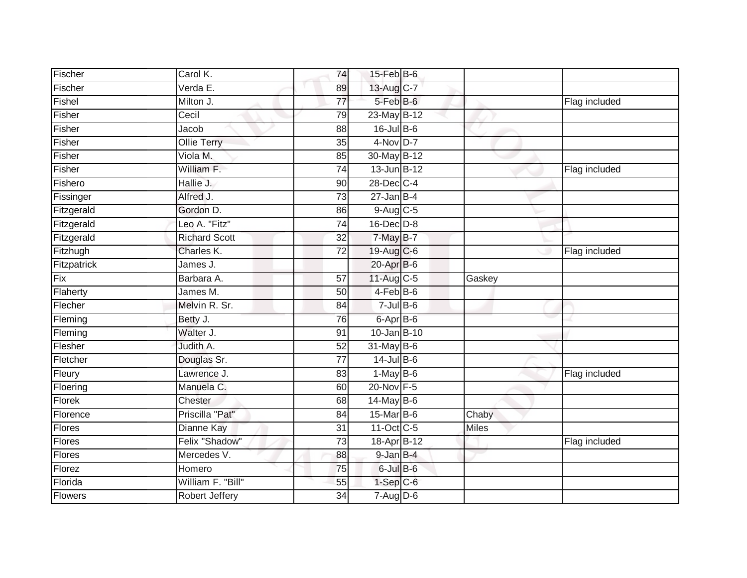| Fischer        | Carol K.              | 74              | $15$ -Feb $B$ -6  |              |               |
|----------------|-----------------------|-----------------|-------------------|--------------|---------------|
| Fischer        | Verda E.              | 89              | 13-Aug C-7        |              |               |
| Fishel         | Milton J.             | $\overline{77}$ | 5-Feb B-6         |              | Flag included |
| Fisher         | Cecil                 | 79              | 23-May B-12       |              |               |
| Fisher         | Jacob                 | 88              | $16$ -Jul $B$ -6  |              |               |
| Fisher         | <b>Ollie Terry</b>    | 35              | 4-Nov D-7         |              |               |
| Fisher         | Viola M.              | 85              | 30-May B-12       |              |               |
| Fisher         | William F.            | $\overline{74}$ | 13-Jun B-12       |              | Flag included |
| Fishero        | Hallie J.             | 90              | 28-Dec C-4        |              |               |
| Fissinger      | Alfred J.             | 73              | $27 - Jan$ B-4    |              |               |
| Fitzgerald     | Gordon D.             | 86              | 9-Aug C-5         |              |               |
| Fitzgerald     | Leo A. "Fitz"         | $\overline{74}$ | $16$ -Dec $D-8$   |              |               |
| Fitzgerald     | <b>Richard Scott</b>  | 32              | 7-May B-7         |              |               |
| Fitzhugh       | Charles K.            | $\overline{72}$ | 19-Aug C-6        |              | Flag included |
| Fitzpatrick    | James J.              |                 | $20 - Apr$ B-6    |              |               |
| Fix            | Barbara A.            | 57              | 11-Aug C-5        | Gaskey       |               |
| Flaherty       | James M.              | 50              | $4-FebB-6$        |              |               |
| Flecher        | Melvin R. Sr.         | 84              | $7$ -Jul B-6      |              |               |
| Fleming        | Betty J.              | 76              | $6 -$ Apr $B - 6$ |              |               |
| Fleming        | Walter J.             | 91              | 10-Jan B-10       |              |               |
| Flesher        | Judith A.             | 52              | 31-May B-6        |              |               |
| Fletcher       | Douglas Sr.           | $\overline{77}$ | $14$ -Jul $B$ -6  |              |               |
| Fleury         | Lawrence J.           | 83              | $1-May$ B-6       |              | Flag included |
| Floering       | Manuela C.            | 60              | 20-Nov F-5        |              |               |
| Florek         | Chester               | 68              | 14-May B-6        |              |               |
| Florence       | Priscilla "Pat"       | 84              | 15-Mar B-6        | Chaby        |               |
| <b>Flores</b>  | <b>Dianne Kay</b>     | $\overline{31}$ | 11-Oct C-5        | <b>Miles</b> |               |
| Flores         | Felix "Shadow"        | 73              | 18-Apr B-12       |              | Flag included |
| Flores         | Mercedes V.           | 88              | $9$ -Jan $B$ -4   |              |               |
| Florez         | Homero                | 75              | $6$ -Jul $B$ -6   |              |               |
| Florida        | William F. "Bill"     | 55              | $1-Sep$ $C-6$     |              |               |
| <b>Flowers</b> | <b>Robert Jeffery</b> | 34              | $7 - Aug$ $D-6$   |              |               |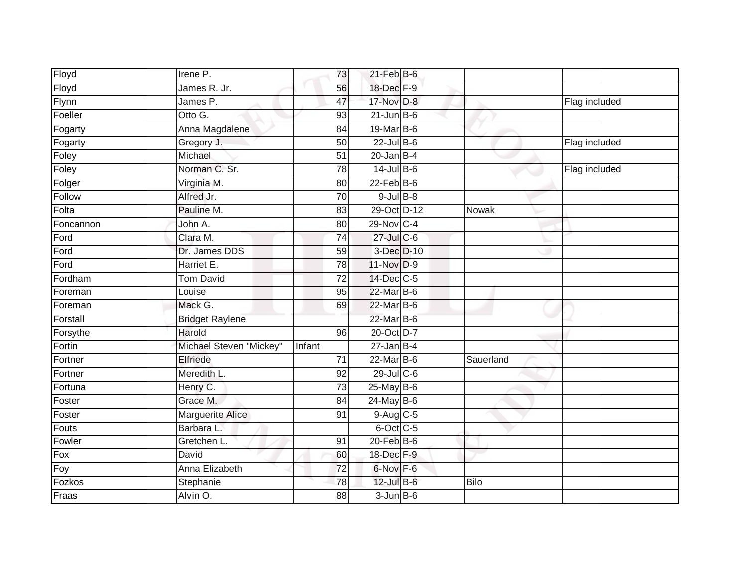| Floyd        | Irene P.                | 73              | $21$ -Feb $B$ -6 |             |               |
|--------------|-------------------------|-----------------|------------------|-------------|---------------|
| Floyd        | James R. Jr.            | 56              | 18-Dec F-9       |             |               |
| Flynn        | James P.                | 47              | 17-Nov D-8       |             | Flag included |
| Foeller      | Otto G.                 | 93              | $21$ -Jun $B$ -6 |             |               |
| Fogarty      | Anna Magdalene          | $\overline{84}$ | 19-Mar B-6       |             |               |
| Fogarty      | Gregory J.              | 50              | $22$ -Jul B-6    |             | Flag included |
| Foley        | Michael                 | $\overline{51}$ | $20$ -Jan B-4    |             |               |
| Foley        | Norman C. Sr.           | 78              | $14$ -Jul B-6    |             | Flag included |
| Folger       | Virginia M.             | 80              | $22$ -Feb $B$ -6 |             |               |
| Follow       | Alfred Jr.              | 70              | $9$ -Jul $B$ -8  |             |               |
| Folta        | Pauline M.              | 83              | 29-Oct D-12      | Nowak       |               |
| Foncannon    | John A.                 | 80              | 29-Nov C-4       |             |               |
| Ford         | Clara M.                | 74              | 27-Jul C-6       |             |               |
| Ford         | Dr. James DDS           | 59              | 3-Dec D-10       |             |               |
| Ford         | Harriet E.              | 78              | 11-Nov D-9       |             |               |
| Fordham      | <b>Tom David</b>        | 72              | 14-Dec C-5       |             |               |
| Foreman      | Louise                  | 95              | 22-Mar B-6       |             |               |
| Foreman      | Mack G.                 | 69              | 22-Mar B-6       |             |               |
| Forstall     | <b>Bridget Raylene</b>  |                 | 22-Mar B-6       |             |               |
| Forsythe     | Harold                  | $\overline{96}$ | 20-Oct D-7       |             |               |
| Fortin       | Michael Steven "Mickey" | Infant          | $27$ -Jan B-4    |             |               |
| Fortner      | Elfriede                | 71              | $22$ -Mar $B-6$  | Sauerland   |               |
| Fortner      | Meredith L.             | 92              | $29$ -Jul C-6    |             |               |
| Fortuna      | Henry C.                | 73              | 25-May B-6       |             |               |
| Foster       | Grace M.                | 84              | $24$ -May B-6    |             |               |
| Foster       | <b>Marguerite Alice</b> | 91              | 9-Aug C-5        |             |               |
| <b>Fouts</b> | Barbara L.              |                 | 6-Oct C-5        |             |               |
| Fowler       | Gretchen L.             | 91              | $20$ -Feb $B$ -6 |             |               |
| Fox          | David                   | 60              | 18-Dec F-9       |             |               |
| Foy          | Anna Elizabeth          | $\overline{72}$ | 6-Nov F-6        |             |               |
| Fozkos       | Stephanie               | $\overline{78}$ | 12-Jul B-6       | <b>Bilo</b> |               |
| Fraas        | Alvin O.                | $\overline{88}$ | $3$ -Jun $B$ -6  |             |               |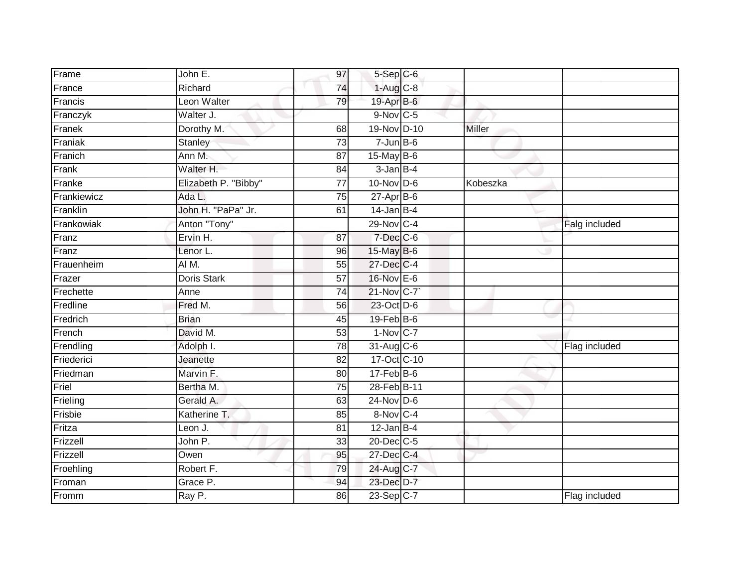| Frame<br>France<br>Francis | John E.<br>Richard<br>Leon Walter | 97<br>74        | 5-Sep C-6<br>$1-Aug$ $C-8$ |          |               |
|----------------------------|-----------------------------------|-----------------|----------------------------|----------|---------------|
|                            |                                   |                 |                            |          |               |
|                            |                                   |                 |                            |          |               |
|                            |                                   | 79              | 19-Apr B-6                 |          |               |
| Franczyk                   | Walter J.                         |                 | 9-Nov C-5                  |          |               |
| Franek                     | Dorothy M.                        | 68              | 19-Nov D-10                | Miller   |               |
| Franiak                    | Stanley                           | $\overline{73}$ | $7 - Jun$ B-6              |          |               |
| Franich                    | Ann M.                            | 87              | $15$ -May B-6              |          |               |
| Frank                      | Walter H.                         | 84              | $3$ -Jan $B-4$             |          |               |
| Franke                     | Elizabeth P. "Bibby"              | 77              | $10$ -Nov D-6              | Kobeszka |               |
| Frankiewicz                | Ada L.                            | $\overline{75}$ | $27$ -Apr $B$ -6           |          |               |
| Franklin                   | John H. "PaPa" Jr.                | 61              | $14$ -Jan B-4              |          |               |
| Frankowiak                 | Anton "Tony"                      |                 | 29-Nov C-4                 |          | Falg included |
| Franz                      | Ervin H.                          | 87              | 7-Dec C-6                  |          |               |
| Franz                      | Lenor L.                          | 96              | 15-May B-6                 |          |               |
| Frauenheim                 | AIM.                              | 55              | 27-Dec C-4                 |          |               |
| Frazer                     | Doris Stark                       | 57              | 16-Nov E-6                 |          |               |
| Frechette                  | Anne                              | $\overline{74}$ | 21-Nov C-7                 |          |               |
| Fredline                   | Fred M.                           | 56              | 23-Oct D-6                 |          |               |
| Fredrich                   | <b>Brian</b>                      | 45              | 19-Feb <sup>B-6</sup>      |          |               |
| French                     | David M.                          | 53              | $1-Nov$ C-7                |          |               |
| Frendling                  | Adolph I.                         | 78              | 31-Aug C-6                 |          | Flag included |
| Friederici                 | Jeanette                          | $\overline{82}$ | 17-Oct C-10                |          |               |
| Friedman                   | Marvin F.                         | 80              | $17$ -Feb $B$ -6           |          |               |
| Friel                      | Bertha M.                         | 75              | 28-Feb B-11                |          |               |
| Frieling                   | Gerald A.                         | 63              | $24$ -Nov D-6              |          |               |
| Frisbie                    | Katherine T.                      | 85              | 8-Nov C-4                  |          |               |
| Fritza                     | Leon J.                           | 81              | $12$ -Jan B-4              |          |               |
| Frizzell                   | John P.                           | 33              | 20-Dec C-5                 |          |               |
| Frizzell                   | Owen                              | 95              | 27-Dec C-4                 |          |               |
| Froehling                  | Robert F.                         | 79              | 24-Aug C-7                 |          |               |
| Froman                     | Grace P.                          | 94              | 23-Dec D-7                 |          |               |
| Fromm                      | Ray P.                            | 86              | 23-Sep C-7                 |          | Flag included |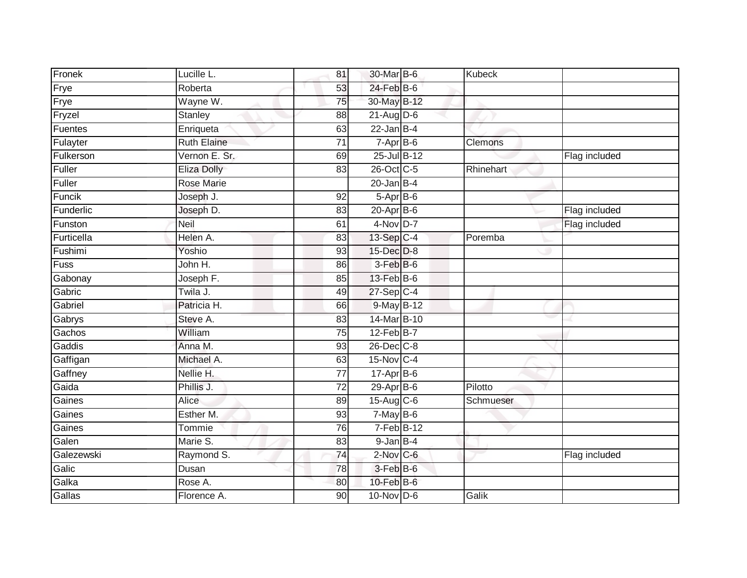| Fronek     | Lucille L.         | 81              | 30-Mar B-6       | Kubeck    |               |
|------------|--------------------|-----------------|------------------|-----------|---------------|
| Frye       | Roberta            | 53              | $24$ -Feb $B$ -6 |           |               |
| Frye       | Wayne W.           | 75              | 30-May B-12      |           |               |
| Fryzel     | Stanley            | 88              | $21$ -Aug D-6    |           |               |
| Fuentes    | Enriqueta          | 63              | $22$ -Jan B-4    |           |               |
| Fulayter   | <b>Ruth Elaine</b> | $\overline{71}$ | $7-Apr$ B-6      | Clemons   |               |
| Fulkerson  | Vernon E. Sr.      | 69              | 25-Jul B-12      |           | Flag included |
| Fuller     | <b>Eliza Dolly</b> | 83              | 26-Oct C-5       | Rhinehart |               |
| Fuller     | Rose Marie         |                 | $20$ -Jan B-4    |           |               |
| Funcik     | Joseph J.          | $\overline{92}$ | $5-AprB-6$       |           |               |
| Funderlic  | Joseph D.          | 83              | $20-Apr$ B-6     |           | Flag included |
| Funston    | Neil               | 61              | $4-Nov$ D-7      |           | Flag included |
| Furticella | Helen A.           | 83              | 13-Sep C-4       | Poremba   |               |
| Fushimi    | Yoshio             | 93              | 15-Dec D-8       |           |               |
| Fuss       | John H.            | 86              | $3-FebB-6$       |           |               |
| Gabonay    | Joseph F.          | 85              | $13$ -Feb $B$ -6 |           |               |
| Gabric     | Twila J.           | 49              | 27-Sep C-4       |           |               |
| Gabriel    | Patricia H.        | 66              | 9-May B-12       |           |               |
| Gabrys     | Steve A.           | 83              | 14-Mar B-10      |           |               |
| Gachos     | William            | 75              | $12$ -Feb $B$ -7 |           |               |
| Gaddis     | Anna M.            | 93              | 26-Dec C-8       |           |               |
| Gaffigan   | Michael A.         | 63              | 15-Nov C-4       |           |               |
| Gaffney    | Nellie H.          | 77              | 17-Apr B-6       |           |               |
| Gaida      | Phillis J.         | $\overline{72}$ | $29$ -Apr $B$ -6 | Pilotto   |               |
| Gaines     | Alice              | 89              | 15-Aug C-6       | Schmueser |               |
| Gaines     | Esther M.          | 93              | $7-May$ B-6      |           |               |
| Gaines     | Tommie             | 76              | $7-FebB-12$      |           |               |
| Galen      | Marie S.           | 83              | $9$ -Jan $B-4$   |           |               |
| Galezewski | Raymond S.         | 74              | 2-Nov C-6        |           | Flag included |
| Galic      | Dusan              | 78              | $3$ -Feb $B$ -6  |           |               |
| Galka      | Rose A.            | 80              | $10$ -Feb $B$ -6 |           |               |
| Gallas     | Florence A.        | 90              | $10$ -Nov D-6    | Galik     |               |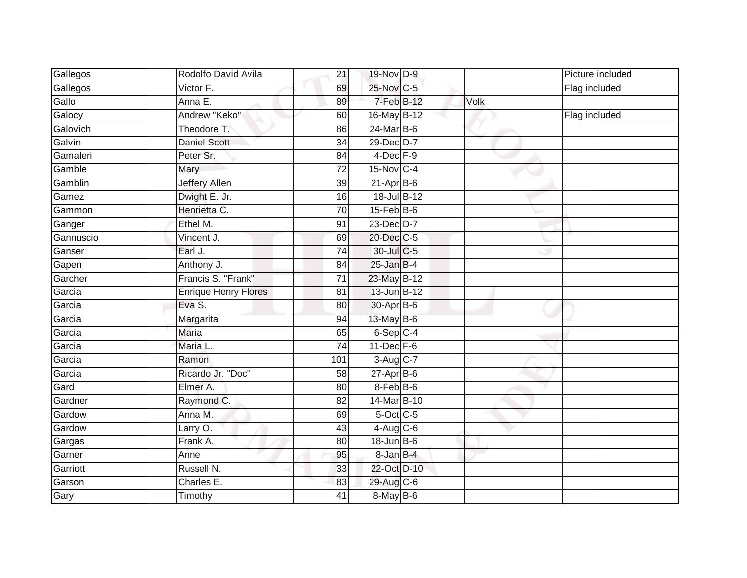| Gallegos  | Rodolfo David Avila         | 21  | 19-Nov D-9       |      | Picture included |
|-----------|-----------------------------|-----|------------------|------|------------------|
| Gallegos  | Victor F.                   | 69  | 25-Nov C-5       |      | Flag included    |
| Gallo     | Anna E.                     | 89  | 7-Feb B-12       | Volk |                  |
| Galocy    | Andrew "Keko"               | 60  | 16-May B-12      |      | Flag included    |
| Galovich  | Theodore T.                 | 86  | $24$ -Mar B-6    |      |                  |
| Galvin    | <b>Daniel Scott</b>         | 34  | 29-Dec D-7       |      |                  |
| Gamaleri  | Peter Sr.                   | 84  | $4$ -Dec $F-9$   |      |                  |
| Gamble    | Mary                        | 72  | 15-Nov C-4       |      |                  |
| Gamblin   | <b>Jeffery Allen</b>        | 39  | $21-AprB-6$      |      |                  |
| Gamez     | Dwight E. Jr.               | 16  | 18-Jul B-12      |      |                  |
| Gammon    | Henrietta C.                | 70  | $15$ -Feb $B$ -6 |      |                  |
| Ganger    | Ethel M.                    | 91  | 23-Dec D-7       |      |                  |
| Gannuscio | Vincent J.                  | 69  | 20-Dec C-5       |      |                  |
| Ganser    | Earl J.                     | 74  | 30-Jul C-5       |      |                  |
| Gapen     | Anthony J.                  | 84  | $25$ -Jan $B-4$  |      |                  |
| Garcher   | Francis S. "Frank"          | 71  | 23-May B-12      |      |                  |
| Garcia    | <b>Enrique Henry Flores</b> | 81  | 13-Jun B-12      |      |                  |
| Garcia    | Eva S.                      | 80  | 30-Apr B-6       |      |                  |
| Garcia    | Margarita                   | 94  | 13-May $B-6$     |      |                  |
| Garcia    | <b>Maria</b>                | 65  | 6-Sep C-4        |      |                  |
| Garcia    | Maria L.                    | 74  | $11$ -Dec $F-6$  |      |                  |
| Garcia    | Ramon                       | 101 | 3-Aug C-7        |      |                  |
| Garcia    | Ricardo Jr. "Doc"           | 58  | $27-AprB-6$      |      |                  |
| Gard      | Elmer A.                    | 80  | 8-Feb B-6        |      |                  |
| Gardner   | Raymond C.                  | 82  | 14-Mar B-10      |      |                  |
| Gardow    | Anna M.                     | 69  | 5-Oct C-5        |      |                  |
| Gardow    | Larry O.                    | 43  | $4-Aug$ C-6      |      |                  |
| Gargas    | Frank A.                    | 80  | $18$ -Jun $B$ -6 |      |                  |
| Garner    | Anne                        | 95  | 8-Jan B-4        |      |                  |
| Garriott  | Russell N.                  | 33  | 22-Oct D-10      |      |                  |
| Garson    | Charles E.                  | 83  | 29-Aug C-6       |      |                  |
| Gary      | Timothy                     | 41  | 8-May B-6        |      |                  |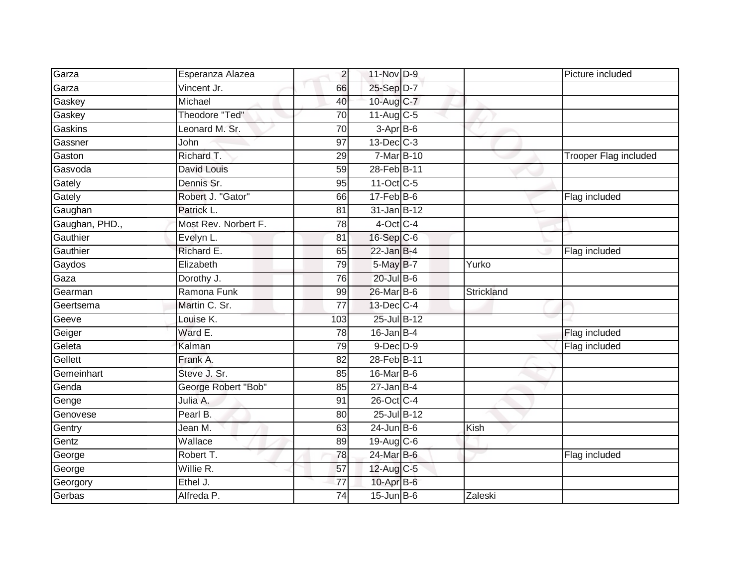| Garza          | Esperanza Alazea      | $\overline{2}$  | 11-Nov D-9              |            | Picture included      |
|----------------|-----------------------|-----------------|-------------------------|------------|-----------------------|
| Garza          | Vincent Jr.           | 66              | 25-Sep D-7              |            |                       |
| Gaskey         | Michael               | 40              | 10-Aug C-7              |            |                       |
| Gaskey         | Theodore "Ted"        | 70              | $11-Aug$ <sub>C-5</sub> |            |                       |
| Gaskins        | Leonard M. Sr.        | 70              | 3-Apr B-6               |            |                       |
| Gassner        | John                  | 97              | $13$ -Dec $C-3$         |            |                       |
| Gaston         | Richard T.            | 29              | 7-Mar B-10              |            | Trooper Flag included |
| Gasvoda        | David Louis           | 59              | 28-Feb B-11             |            |                       |
| Gately         | Dennis Sr.            | 95              | 11-Oct C-5              |            |                       |
| Gately         | Robert J. "Gator"     | 66              | $17 - Feb$ B-6          |            | Flag included         |
| Gaughan        | Patrick L.            | 81              | $31$ -Jan B-12          |            |                       |
| Gaughan, PHD., | Most Rev. Norbert F.  | $\overline{78}$ | $4$ -Oct C-4            |            |                       |
| Gauthier       | Evelyn L.             | 81              | 16-Sep C-6              |            |                       |
| Gauthier       | Richard E.            | 65              | $22$ -Jan B-4           |            | Flag included         |
| Gaydos         | Elizabeth             | 79              | 5-May B-7               | Yurko      |                       |
| Gaza           | Dorothy J.            | $\overline{76}$ | $20$ -Jul $B$ -6        |            |                       |
| Gearman        | Ramona Funk           | 99              | 26-Mar B-6              | Strickland |                       |
| Geertsema      | Martin C. Sr.         | 77              | 13-Dec C-4              |            |                       |
| Geeve          | Louise K.             | 103             | 25-Jul B-12             |            |                       |
| Geiger         | Ward E.               | $\overline{78}$ | $16$ -Jan B-4           |            | Flag included         |
| Geleta         | Kalman                | 79              | $9$ -Dec $D$ -9         |            | Flag included         |
| Gellett        | Frank A.              | $\overline{82}$ | 28-Feb B-11             |            |                       |
| Gemeinhart     | Steve J. Sr.          | 85              | 16-Mar B-6              |            |                       |
| Genda          | George Robert "Bob"   | 85              | $27$ -Jan B-4           |            |                       |
| Genge          | Julia A.              | 91              | 26-Oct C-4              |            |                       |
| Genovese       | Pearl B.              | 80              | 25-Jul B-12             |            |                       |
| Gentry         | Jean $\overline{M}$ . | 63              | $24$ -Jun B-6           | Kish       |                       |
| Gentz          | Wallace               | 89              | 19-Aug C-6              |            |                       |
| George         | Robert T.             | 78              | $24$ -Mar $B-6$         |            | Flag included         |
| George         | Willie R.             | 57              | 12-Aug C-5              |            |                       |
| Georgory       | Ethel J.              | 77              | 10-Apr B-6              |            |                       |
| Gerbas         | Alfreda P.            | 74              | $15$ -Jun $B$ -6        | Zaleski    |                       |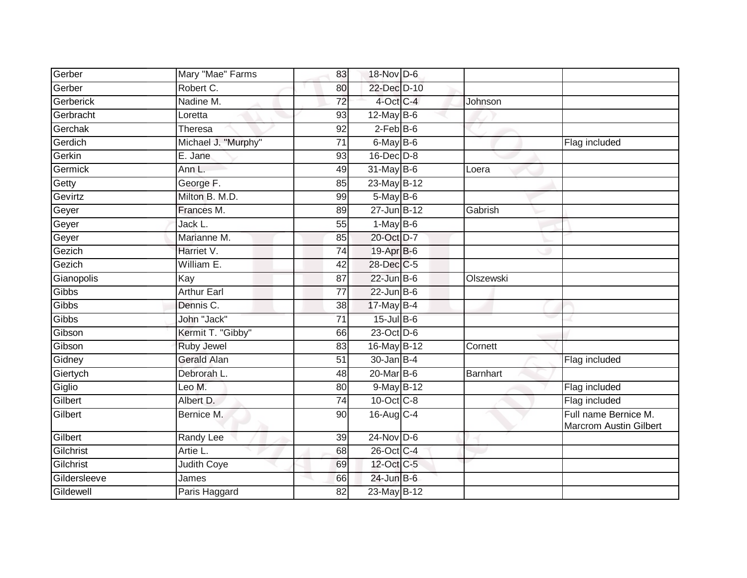| Gerber       | Mary "Mae" Farms    | 83              | 18-Nov D-6       |                 |                                                       |
|--------------|---------------------|-----------------|------------------|-----------------|-------------------------------------------------------|
| Gerber       | Robert C.           | 80              | 22-Dec D-10      |                 |                                                       |
| Gerberick    | Nadine M.           | 72              | 4-Oct C-4        | Johnson         |                                                       |
| Gerbracht    | Loretta             | 93              | 12-May $B-6$     |                 |                                                       |
| Gerchak      | Theresa             | $\overline{92}$ | $2$ -Feb $B$ -6  |                 |                                                       |
| Gerdich      | Michael J. "Murphy" | 71              | $6$ -May $B$ -6  |                 | Flag included                                         |
| Gerkin       | E. Jane             | 93              | $16$ -Dec $D-8$  |                 |                                                       |
| Germick      | Ann L.              | 49              | $31$ -May B-6    | Loera           |                                                       |
| Getty        | George F.           | 85              | $23$ -May $B-12$ |                 |                                                       |
| Gevirtz      | Milton B. M.D.      | 99              | $5$ -May $B$ -6  |                 |                                                       |
| Geyer        | Frances M.          | 89              | $27 - Jun$ B-12  | Gabrish         |                                                       |
| Geyer        | Jack L.             | 55              | $1-MayB-6$       |                 |                                                       |
| Geyer        | Marianne M.         | 85              | 20-Oct D-7       |                 |                                                       |
| Gezich       | Harriet V.          | 74              | 19-Apr B-6       |                 |                                                       |
| Gezich       | William E.          | 42              | 28-Dec C-5       |                 |                                                       |
| Gianopolis   | Kay                 | $\overline{87}$ | $22$ -Jun $B-6$  | Olszewski       |                                                       |
| Gibbs        | <b>Arthur Earl</b>  | $\overline{77}$ | $22$ -Jun $B-6$  |                 |                                                       |
| Gibbs        | Dennis C.           | 38              | $17$ -May B-4    |                 |                                                       |
| Gibbs        | John "Jack"         | 71              | $15$ -Jul B-6    |                 |                                                       |
| Gibson       | Kermit T. "Gibby"   | 66              | 23-Oct D-6       |                 |                                                       |
| Gibson       | Ruby Jewel          | 83              | 16-May B-12      | Cornett         |                                                       |
| Gidney       | <b>Gerald Alan</b>  | 51              | $30 - Jan$ $B-4$ |                 | Flag included                                         |
| Giertych     | Debrorah L.         | 48              | $20$ -Mar $B$ -6 | <b>Barnhart</b> |                                                       |
| Giglio       | Leo M.              | 80              | $9-May$ B-12     |                 | Flag included                                         |
| Gilbert      | Albert D.           | 74              | 10-Oct C-8       |                 | Flag included                                         |
| Gilbert      | Bernice M.          | 90              | $16$ -Aug C-4    |                 | Full name Bernice M.<br><b>Marcrom Austin Gilbert</b> |
| Gilbert      | Randy Lee           | 39              | $24$ -Nov D-6    |                 |                                                       |
| Gilchrist    | Artie L.            | 68              | 26-Oct C-4       |                 |                                                       |
| Gilchrist    | Judith Coye         | 69              | 12-Oct C-5       |                 |                                                       |
| Gildersleeve | James               | 66              | $24$ -Jun $B$ -6 |                 |                                                       |
| Gildewell    | Paris Haggard       | 82              | 23-May B-12      |                 |                                                       |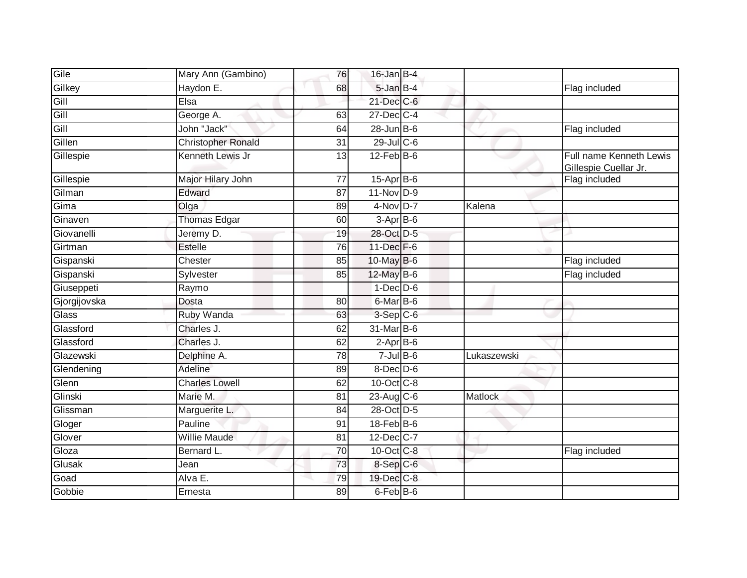| Gile         | Mary Ann (Gambino)        | 76              | $16$ -Jan B-4    |             |                                                  |
|--------------|---------------------------|-----------------|------------------|-------------|--------------------------------------------------|
| Gilkey       | Haydon E.                 | 68              | 5-Jan B-4        |             | Flag included                                    |
| Gill         | Elsa                      |                 | $21$ -Dec $C$ -6 |             |                                                  |
| Gill         | George A.                 | 63              | 27-Dec C-4       |             |                                                  |
| Gill         | John "Jack"               | 64              | $28$ -Jun $B$ -6 |             | Flag included                                    |
| Gillen       | <b>Christopher Ronald</b> | $\overline{31}$ | 29-Jul C-6       |             |                                                  |
| Gillespie    | Kenneth Lewis Jr          | 13              | $12$ -Feb $B$ -6 |             | Full name Kenneth Lewis<br>Gillespie Cuellar Jr. |
| Gillespie    | Major Hilary John         | $\overline{77}$ | 15-Apr B-6       |             | Flag included                                    |
| Gilman       | Edward                    | 87              | $11 - Nov D-9$   |             |                                                  |
| Gima         | Olga                      | 89              | $4-Nov$ D-7      | Kalena      |                                                  |
| Ginaven      | Thomas Edgar              | 60              | $3-AprB-6$       |             |                                                  |
| Giovanelli   | Jeremy D.                 | 19              | 28-Oct D-5       |             |                                                  |
| Girtman      | <b>Estelle</b>            | $\overline{76}$ | 11-Dec F-6       |             |                                                  |
| Gispanski    | Chester                   | 85              | 10-May B-6       |             | Flag included                                    |
| Gispanski    | Sylvester                 | 85              | 12-May B-6       |             | Flag included                                    |
| Giuseppeti   | Raymo                     |                 | $1-Dec$ D-6      |             |                                                  |
| Gjorgijovska | Dosta                     | 80              | 6-Mar B-6        |             |                                                  |
| Glass        | Ruby Wanda                | 63              | 3-Sep C-6        |             |                                                  |
| Glassford    | Charles J.                | 62              | $31$ -Mar $B$ -6 |             |                                                  |
| Glassford    | Charles J.                | 62              | $2$ -Apr $B$ -6  |             |                                                  |
| Glazewski    | Delphine A.               | 78              | $7$ -Jul $B$ -6  | Lukaszewski |                                                  |
| Glendening   | Adeline                   | 89              | $8$ -Dec $D$ -6  |             |                                                  |
| Glenn        | <b>Charles Lowell</b>     | 62              | 10-Oct C-8       |             |                                                  |
| Glinski      | Marie M.                  | 81              | $23-Aug$ C-6     | Matlock     |                                                  |
| Glissman     | Marguerite L.             | 84              | 28-Oct D-5       |             |                                                  |
| Gloger       | Pauline                   | 91              | 18-Feb B-6       |             |                                                  |
| Glover       | <b>Willie Maude</b>       | 81              | 12-Dec C-7       |             |                                                  |
| Gloza        | Bernard L.                | 70              | $10$ -Oct $C$ -8 |             | Flag included                                    |
| Glusak       | Jean                      | 73              | 8-Sep C-6        |             |                                                  |
| Goad         | Alva E.                   | 79              | 19-Dec C-8       |             |                                                  |
| Gobbie       | Ernesta                   | 89              | 6-Feb B-6        |             |                                                  |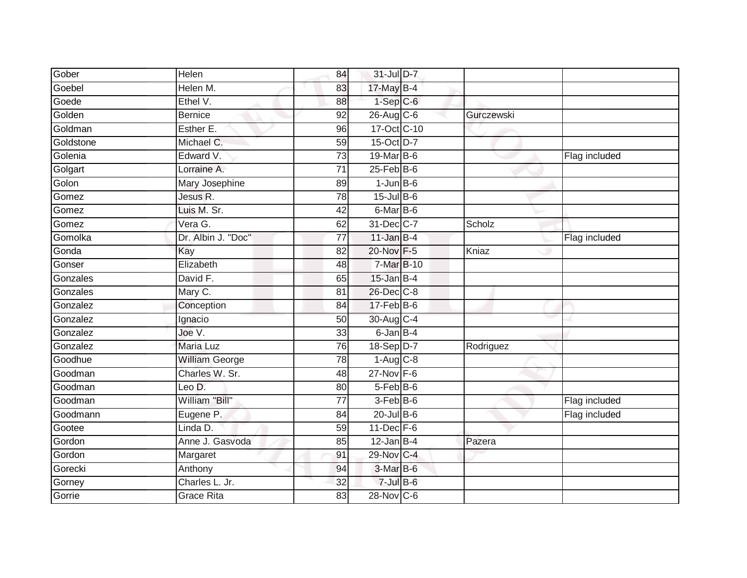| Gober     | Helen                 | 84              | 31-Jul D-7       |            |               |
|-----------|-----------------------|-----------------|------------------|------------|---------------|
| Goebel    | Helen M.              | 83              | 17-May B-4       |            |               |
| Goede     | Ethel V.              | 88              | $1-Sep$ $C-6$    |            |               |
| Golden    | Bernice               | 92              | 26-Aug C-6       | Gurczewski |               |
| Goldman   | Esther E.             | $\overline{96}$ | 17-Oct C-10      |            |               |
| Goldstone | Michael C.            | 59              | 15-Oct D-7       |            |               |
| Golenia   | Edward V.             | 73              | 19-Mar B-6       |            | Flag included |
| Golgart   | Lorraine A.           | 71              | $25$ -Feb $B$ -6 |            |               |
| Golon     | Mary Josephine        | 89              | $1$ -Jun $B$ -6  |            |               |
| Gomez     | Jesus R.              | 78              | $15$ -Jul $B$ -6 |            |               |
| Gomez     | Luis M. Sr.           | 42              | 6-Mar B-6        |            |               |
| Gomez     | Vera G.               | 62              | 31-Dec C-7       | Scholz     |               |
| Gomolka   | Dr. Albin J. "Doc"    | 77              | $11$ -Jan B-4    |            | Flag included |
| Gonda     | Kay                   | 82              | 20-Nov F-5       | Kniaz      |               |
| Gonser    | Elizabeth             | 48              | 7-Mar B-10       |            |               |
| Gonzales  | David F.              | 65              | $15$ -Jan B-4    |            |               |
| Gonzales  | Mary C.               | 81              | 26-Dec C-8       |            |               |
| Gonzalez  | Conception            | 84              | $17$ -Feb $B$ -6 |            |               |
| Gonzalez  | Ignacio               | 50              | 30-Aug C-4       |            |               |
| Gonzalez  | Joe V.                | 33              | 6-Jan B-4        |            |               |
| Gonzalez  | <b>Maria Luz</b>      | 76              | 18-Sep D-7       | Rodriguez  |               |
| Goodhue   | <b>William George</b> | 78              | $1-Aug$ $C-8$    |            |               |
| Goodman   | Charles W. Sr.        | $\overline{48}$ | $27$ -Nov F-6    |            |               |
| Goodman   | Leo D.                | 80              | $5-Feb$ B-6      |            |               |
| Goodman   | William "Bill"        | 77              | 3-Feb B-6        |            | Flag included |
| Goodmann  | Eugene P.             | 84              | $20$ -Jul B-6    |            | Flag included |
| Gootee    | Linda D.              | 59              | $11$ -Dec $F-6$  |            |               |
| Gordon    | Anne J. Gasvoda       | 85              | $12$ -Jan B-4    | Pazera     |               |
| Gordon    | Margaret              | 91              | 29-Nov C-4       |            |               |
| Gorecki   | Anthony               | 94              | 3-Mar B-6        |            |               |
| Gorney    | Charles L. Jr.        | 32              | $7$ -Jul B-6     |            |               |
| Gorrie    | <b>Grace Rita</b>     | $\overline{83}$ | 28-Nov C-6       |            |               |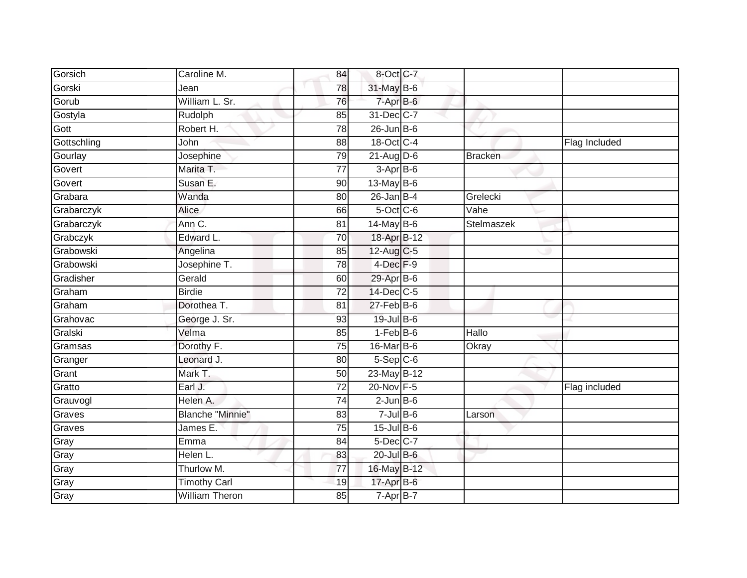| Gorsich     | Caroline M.             | 84              | 8-Oct C-7                |                |               |
|-------------|-------------------------|-----------------|--------------------------|----------------|---------------|
| Gorski      | Jean                    | 78              | 31-May B-6               |                |               |
| Gorub       | William L. Sr.          | 76              | $7 - Apr$ $B - 6$        |                |               |
| Gostyla     | Rudolph                 | 85              | 31-Dec C-7               |                |               |
| Gott        | Robert H.               | $\overline{78}$ | $26$ -Jun $B$ -6         |                |               |
| Gottschling | <b>John</b>             | 88              | 18-Oct C-4               |                | Flag Included |
| Gourlay     | Josephine               | 79              | $21$ -Aug D-6            | <b>Bracken</b> |               |
| Govert      | Marita T.               | 77              | $3-AprB-6$               |                |               |
| Govert      | Susan E.                | 90              | 13-May B-6               |                |               |
| Grabara     | Wanda                   | 80              | $26$ -Jan B-4            | Grelecki       |               |
| Grabarczyk  | Alice                   | 66              | 5-Oct C-6                | Vahe           |               |
| Grabarczyk  | Ann C.                  | 81              | 14-May B-6               | Stelmaszek     |               |
| Grabczyk    | Edward L.               | 70              | 18-Apr <sub>B-12</sub>   |                |               |
| Grabowski   | Angelina                | 85              | 12-Aug C-5               |                |               |
| Grabowski   | Josephine T.            | $\overline{78}$ | 4-Dec <sup>F-9</sup>     |                |               |
| Gradisher   | Gerald                  | 60              | 29-Apr B-6               |                |               |
| Graham      | <b>Birdie</b>           | $\overline{72}$ | 14-Dec C-5               |                |               |
| Graham      | Dorothea T.             | 81              | $27$ -Feb $B$ -6         |                |               |
| Grahovac    | George J. Sr.           | 93              | 19-Jul B-6               |                |               |
| Gralski     | Velma                   | 85              | $1-Feb$ B-6              | Hallo          |               |
| Gramsas     | Dorothy F.              | 75              | $16$ -Mar $ B-6 $        | Okray          |               |
| Granger     | Leonard J.              | 80              | $5-Sep$ $C-6$            |                |               |
| Grant       | Mark T.                 | 50              | 23-May B-12              |                |               |
| Gratto      | Earl J.                 | $\overline{72}$ | 20-Nov F-5               |                | Flag included |
| Grauvogl    | Helen A.                | 74              | $2$ -Jun $B$ -6          |                |               |
| Graves      | <b>Blanche "Minnie"</b> | 83              | $7$ -Jul B-6             | Larson         |               |
| Graves      | James E.                | 75              | 15-Jul B-6               |                |               |
| Gray        | Emma                    | 84              | 5-Dec C-7                |                |               |
| Gray        | Helen L.                | 83              | 20-Jul B-6               |                |               |
| Gray        | Thurlow M.              | 77              | 16-May B-12              |                |               |
| Gray        | <b>Timothy Carl</b>     | 19              | 17-Apr B-6               |                |               |
| Gray        | <b>William Theron</b>   | 85              | $7 - \overline{Apr}$ B-7 |                |               |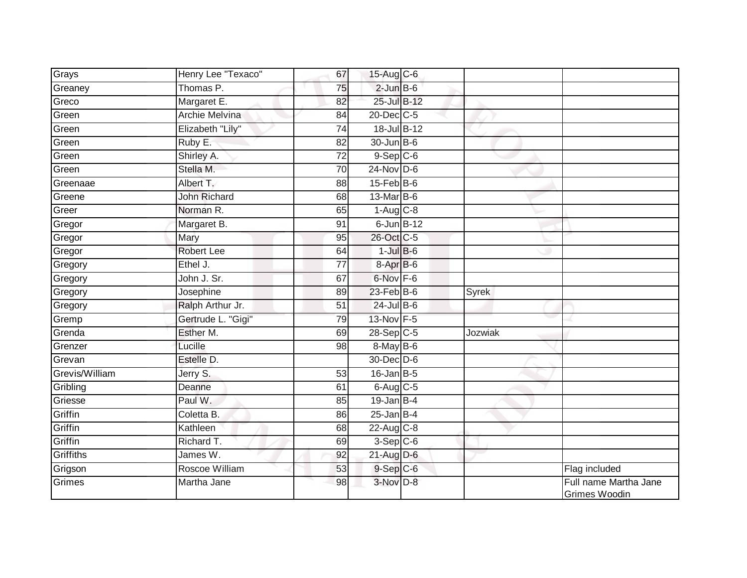| Grays          | Henry Lee "Texaco"  | 67              | 15-Aug C-6       |              |                                               |
|----------------|---------------------|-----------------|------------------|--------------|-----------------------------------------------|
| Greaney        | Thomas P.           | 75              | $2$ -Jun $B$ -6  |              |                                               |
| Greco          | Margaret E.         | 82              | 25-Jul B-12      |              |                                               |
| Green          | Archie Melvina      | 84              | 20-Dec C-5       |              |                                               |
| Green          | Elizabeth "Lily"    | $\overline{74}$ | 18-Jul B-12      |              |                                               |
| Green          | Ruby E.             | 82              | 30-Jun B-6       |              |                                               |
| Green          | Shirley A.          | 72              | $9-$ Sep $C-6$   |              |                                               |
| Green          | Stella M.           | 70              | $24$ -Nov D-6    |              |                                               |
| Greenaae       | Albert T.           | 88              | $15$ -Feb $B$ -6 |              |                                               |
| Greene         | <b>John Richard</b> | 68              | $13$ -Mar $B$ -6 |              |                                               |
| Greer          | Norman R.           | 65              | $1-Aug$ $C-8$    |              |                                               |
| Gregor         | Margaret B.         | 91              | 6-Jun B-12       |              |                                               |
| Gregor         | Mary                | 95              | 26-Oct C-5       |              |                                               |
| Gregor         | <b>Robert Lee</b>   | 64              | $1$ -Jul $B$ -6  |              |                                               |
| Gregory        | Ethel J.            | $\overline{77}$ | 8-Apr B-6        |              |                                               |
| Gregory        | John J. Sr.         | 67              | 6-Nov F-6        |              |                                               |
| Gregory        | Josephine           | 89              | $23$ -Feb $B$ -6 | <b>Syrek</b> |                                               |
| Gregory        | Ralph Arthur Jr.    | 51              | $24$ -Jul B-6    |              |                                               |
| Gremp          | Gertrude L. "Gigi"  | 79              | 13-Nov F-5       |              |                                               |
| Grenda         | Esther M.           | 69              | 28-Sep C-5       | Jozwiak      |                                               |
| Grenzer        | Lucille             | 98              | $8$ -May B-6     |              |                                               |
| Grevan         | Estelle D.          |                 | 30-Dec D-6       |              |                                               |
| Grevis/William | Jerry S.            | $\overline{53}$ | $16$ -Jan B-5    |              |                                               |
| Gribling       | Deanne              | 61              | $6$ -Aug $C$ -5  |              |                                               |
| Griesse        | Paul W.             | 85              | $19$ -Jan B-4    |              |                                               |
| Griffin        | Coletta B.          | 86              | $25$ -Jan B-4    |              |                                               |
| Griffin        | Kathleen            | 68              | $22$ -Aug C-8    |              |                                               |
| Griffin        | Richard T.          | 69              | $3-Sep$ $C-6$    |              |                                               |
| Griffiths      | James W.            | 92              | $21$ -Aug D-6    |              |                                               |
| Grigson        | Roscoe William      | 53              | $9-$ Sep $C-6$   |              | Flag included                                 |
| Grimes         | Martha Jane         | 98              | $3-Nov$ D-8      |              | Full name Martha Jane<br><b>Grimes Woodin</b> |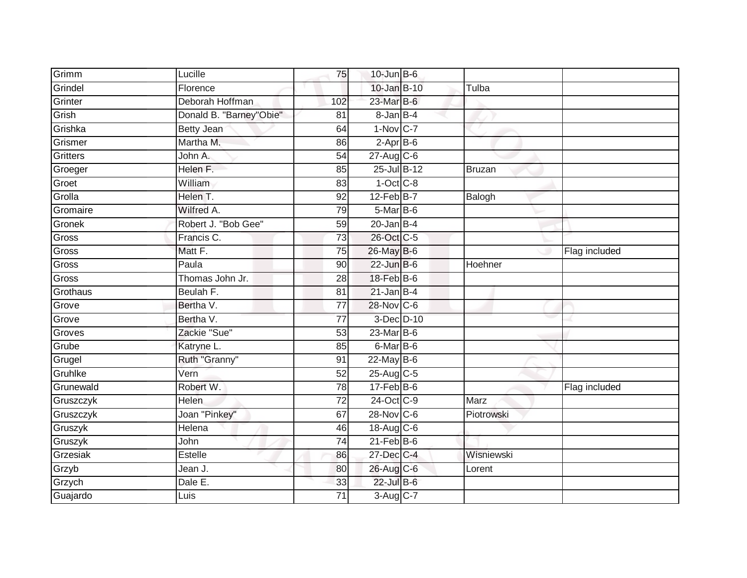| Grimm           | Lucille                 | 75              | $10$ -Jun $B - 6$      |            |               |
|-----------------|-------------------------|-----------------|------------------------|------------|---------------|
| Grindel         | Florence                |                 | $10 -$ Jan B-10        | Tulba      |               |
| Grinter         | Deborah Hoffman         | 102             | 23-Mar B-6             |            |               |
| Grish           | Donald B. "Barney"Obie" | 81              | 8-Jan B-4              |            |               |
| Grishka         | <b>Betty Jean</b>       | 64              | $1-Nov$ <sub>C-7</sub> |            |               |
| Grismer         | Martha M.               | 86              | $2-AprB-6$             |            |               |
| <b>Gritters</b> | John A.                 | 54              | $27$ -Aug C-6          |            |               |
| Groeger         | Helen F.                | 85              | 25-Jul B-12            | Bruzan     |               |
| Groet           | William                 | 83              | $1-Oct$ $C-8$          |            |               |
| Grolla          | Helen T.                | 92              | $12$ -Feb $B$ -7       | Balogh     |               |
| Gromaire        | Wilfred A.              | 79              | $5$ -Mar $B$ -6        |            |               |
| Gronek          | Robert J. "Bob Gee"     | 59              | $20$ -Jan B-4          |            |               |
| Gross           | Francis C.              | 73              | 26-Oct C-5             |            |               |
| Gross           | Matt F.                 | 75              | 26-May B-6             |            | Flag included |
| Gross           | Paula                   | 90              | $22$ -Jun B-6          | Hoehner    |               |
| Gross           | Thomas John Jr.         | 28              | 18-Feb B-6             |            |               |
| Grothaus        | Beulah F.               | $\overline{81}$ | $21$ -Jan B-4          |            |               |
| Grove           | Bertha V.               | 77              | 28-Nov C-6             |            |               |
| Grove           | Bertha V.               | $\overline{77}$ | 3-Dec D-10             |            |               |
| Groves          | Zackie "Sue"            | 53              | 23-Mar B-6             |            |               |
| Grube           | Katryne L.              | 85              | 6-Mar B-6              |            |               |
| Grugel          | Ruth "Granny"           | 91              | $22$ -May B-6          |            |               |
| Gruhlke         | Vern                    | 52              | 25-Aug C-5             |            |               |
| Grunewald       | Robert W.               | 78              | $17$ -Feb $B$ -6       |            | Flag included |
| Gruszczyk       | Helen                   | 72              | 24-Oct C-9             | Marz       |               |
| Gruszczyk       | Joan "Pinkey"           | 67              | $28-Nov$ C-6           | Piotrowski |               |
| Gruszyk         | Helena                  | 46              | 18-Aug C-6             |            |               |
| Gruszyk         | John                    | $\overline{74}$ | $21$ -Feb $B$ -6       |            |               |
| Grzesiak        | Estelle                 | 86              | 27-Dec C-4             | Wisniewski |               |
| Grzyb           | Jean J.                 | 80              | 26-Aug C-6             | Lorent     |               |
| Grzych          | Dale E.                 | 33              | 22-Jul B-6             |            |               |
| Guajardo        | Luis                    | $\overline{71}$ | 3-Aug C-7              |            |               |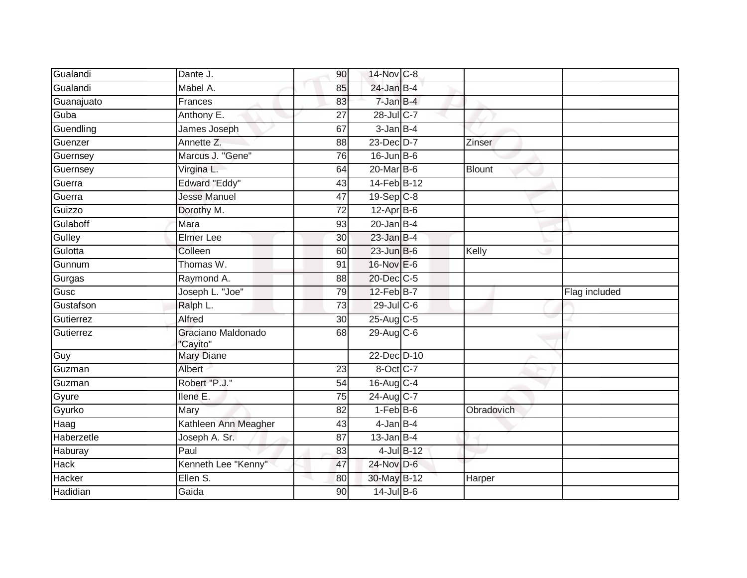| Gualandi            | Dante J.                      | 90              | 14-Nov C-8              |            |               |
|---------------------|-------------------------------|-----------------|-------------------------|------------|---------------|
| Gualandi            | Mabel A.                      | 85              | $24$ -Jan B-4           |            |               |
| Guanajuato          | Frances                       | 83              | 7-Jan B-4               |            |               |
| Guba                | Anthony E.                    | 27              | 28-Jul C-7              |            |               |
| Guendling           | James Joseph                  | 67              | $3$ -Jan $B-4$          |            |               |
| Guenzer             | Annette Z.                    | 88              | 23-Dec D-7              | Zinser     |               |
| Guernsey            | Marcus J. "Gene"              | 76              | $16$ -Jun B-6           |            |               |
| Guernsey            | Virgina L.                    | 64              | 20-Mar B-6              | Blount     |               |
| Guerra              | <b>Edward "Eddy"</b>          | 43              | 14-Feb B-12             |            |               |
| Guerra              | <b>Jesse Manuel</b>           | 47              | $19-Sep$ <sub>C-8</sub> |            |               |
| Guizzo              | Dorothy M.                    | 72              | $12-Apr$ B-6            |            |               |
| Gulaboff            | Mara                          | 93              | $20$ -Jan B-4           |            |               |
| Gulley              | Elmer Lee                     | 30              | $23$ -Jan B-4           |            |               |
| Gulotta             | Colleen                       | 60              | $23$ -Jun B-6           | Kelly      |               |
| Gunnum              | Thomas W.                     | 91              | 16-Nov E-6              |            |               |
| Gurgas              | Raymond A.                    | 88              | 20-Dec C-5              |            |               |
|                     |                               |                 |                         |            |               |
| Gusc                | Joseph L. "Joe"               | 79              | 12-Feb B-7              |            | Flag included |
| Gustafson           | Ralph L.                      | 73              | $29$ -Jul C-6           |            |               |
|                     | Alfred                        | 30              | 25-Aug C-5              |            |               |
| Gutierrez           | Graciano Maldonado            | 68              | 29-Aug C-6              |            |               |
| Guy                 | "Cayito"<br><b>Mary Diane</b> |                 | 22-Dec D-10             |            |               |
| Guzman              | Albert                        | 23              | $8$ -Oct $ C-7 $        |            |               |
| Gutierrez<br>Guzman | Robert "P.J."                 | $\overline{54}$ | 16-Aug C-4              |            |               |
| Gyure               | Ilene E.                      | 75              | 24-Aug C-7              |            |               |
| Gyurko              | Mary                          | 82              | $1-FebB-6$              | Obradovich |               |
|                     | Kathleen Ann Meagher          | 43              | $4$ -Jan B-4            |            |               |
| Haag<br>Haberzetle  | Joseph A. Sr.                 | 87              | $13$ -Jan B-4           |            |               |
| Haburay             | Paul                          | 83              | $4$ -Jul $B$ -12        |            |               |
| <b>Hack</b>         | Kenneth Lee "Kenny"           | 47              | 24-Nov D-6              |            |               |
| Hacker<br>Hadidian  | Ellen S.                      | 80              | 30-May B-12             | Harper     |               |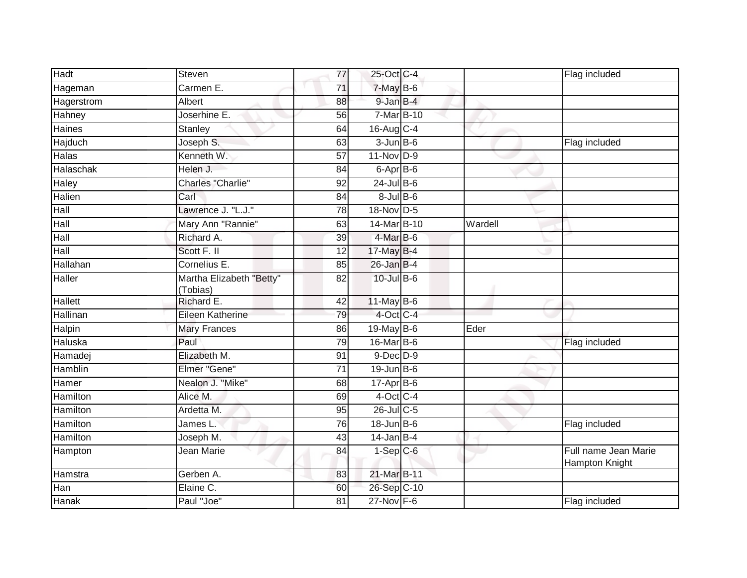| Hadt          | Steven                               | $\overline{77}$ | 25-Oct C-4         |         | Flag included                          |
|---------------|--------------------------------------|-----------------|--------------------|---------|----------------------------------------|
| Hageman       | Carmen E.                            | 71              | 7-May B-6          |         |                                        |
| Hagerstrom    | Albert                               | 88              | $9$ -Jan $B$ -4    |         |                                        |
| Hahney        | Joserhine E.                         | 56              | 7-Mar B-10         |         |                                        |
| <b>Haines</b> | Stanley                              | 64              | 16-Aug C-4         |         |                                        |
| Hajduch       | Joseph S.                            | 63              | $3$ -Jun $B$ -6    |         | Flag included                          |
| Halas         | Kenneth W.                           | 57              | 11-Nov D-9         |         |                                        |
| Halaschak     | Helen J.                             | 84              | $6$ -Apr $B$ -6    |         |                                        |
| Haley         | <b>Charles "Charlie"</b>             | 92              | $24$ -Jul B-6      |         |                                        |
| Halien        | Carl                                 | 84              | $8 -$ Jul $B - 6$  |         |                                        |
| Hall          | Lawrence J. "L.J."                   | $\overline{78}$ | 18-Nov D-5         |         |                                        |
| Hall          | Mary Ann "Rannie"                    | 63              | 14-Mar B-10        | Wardell |                                        |
| Hall          | Richard A.                           | 39              | 4-Mar B-6          |         |                                        |
| Hall          | Scott F. II                          | 12              | 17-May B-4         |         |                                        |
| Hallahan      | Cornelius E.                         | 85              | $26$ -Jan B-4      |         |                                        |
| Haller        | Martha Elizabeth "Betty"<br>(Tobias) | 82              | 10-Jul B-6         |         |                                        |
| Hallett       | Richard E.                           | 42              | $11$ -May B-6      |         |                                        |
| Hallinan      | Eileen Katherine                     | 79              | 4-Oct C-4          |         |                                        |
| Halpin        | <b>Mary Frances</b>                  | 86              | 19-May $B-6$       | Eder    |                                        |
| Haluska       | Paul                                 | 79              | 16-Mar B-6         |         | Flag included                          |
| Hamadej       | Elizabeth M.                         | 91              | $9$ -Dec $D$ -9    |         |                                        |
| Hamblin       | Elmer "Gene"                         | 71              | $19$ -Jun B-6      |         |                                        |
| Hamer         | Nealon J. "Mike"                     | 68              | $17-Apr$ B-6       |         |                                        |
| Hamilton      | Alice M.                             | 69              | $4$ -Oct C-4       |         |                                        |
| Hamilton      | Ardetta M.                           | 95              | $26$ -Jul C-5      |         |                                        |
| Hamilton      | James L.                             | 76              | $18 - Jun$ $B - 6$ |         | Flag included                          |
| Hamilton      | Joseph M.                            | $\overline{43}$ | $14$ -Jan B-4      |         |                                        |
| Hampton       | Jean Marie                           | 84              | $1-Sep$ $C-6$      |         | Full name Jean Marie<br>Hampton Knight |
| Hamstra       | Gerben A.                            | 83              | 21-Mar B-11        |         |                                        |
| Han           | Elaine C.                            | 60              | 26-Sep C-10        |         |                                        |
| Hanak         | Paul "Joe"                           | 81              | $27$ -Nov $F-6$    |         | Flag included                          |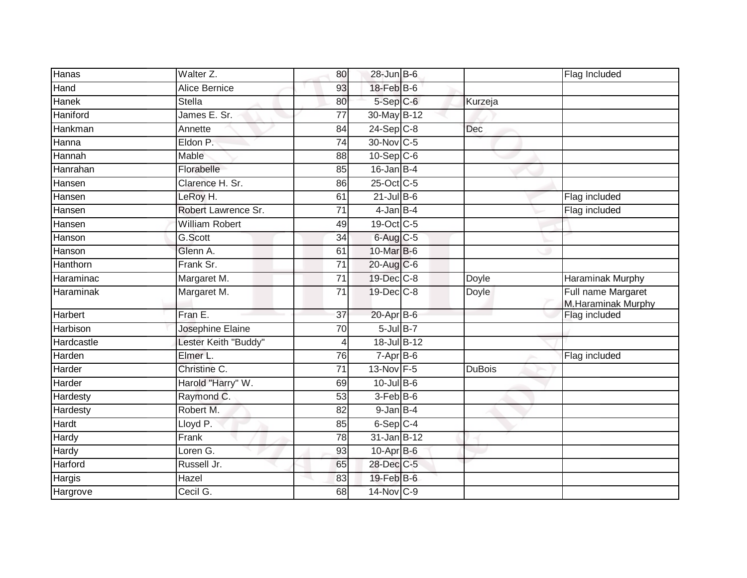| Hanas      | Walter Z.             | 80              | $28$ -Jun $B$ -6          |               | Flag Included                            |
|------------|-----------------------|-----------------|---------------------------|---------------|------------------------------------------|
| Hand       | <b>Alice Bernice</b>  | 93              | $18$ -Feb $B$ -6          |               |                                          |
| Hanek      | <b>Stella</b>         | 80              | $5-$ Sep $C-6$            | Kurzeja       |                                          |
| Haniford   | James E. Sr.          | 77              | 30-May B-12               |               |                                          |
| Hankman    | Annette               | 84              | $24-Sep$ <sub>C-8</sub>   | <b>Dec</b>    |                                          |
| Hanna      | Eldon P.              | 74              | 30-Nov C-5                |               |                                          |
| Hannah     | Mable                 | 88              | $10-Sep$ $C-6$            |               |                                          |
| Hanrahan   | Florabelle            | 85              | $16$ -Jan B-4             |               |                                          |
| Hansen     | Clarence H. Sr.       | 86              | 25-Oct C-5                |               |                                          |
| Hansen     | LeRoy H.              | 61              | $21$ -Jul B-6             |               | Flag included                            |
| Hansen     | Robert Lawrence Sr.   | $\overline{71}$ | $4$ -Jan B-4              |               | Flag included                            |
| Hansen     | <b>William Robert</b> | 49              | 19-Oct C-5                |               |                                          |
| Hanson     | G.Scott               | 34              | 6-Aug C-5                 |               |                                          |
| Hanson     | Glenn A.              | 61              | 10-Mar B-6                |               |                                          |
| Hanthorn   | Frank Sr.             | $\overline{71}$ | 20-Aug C-6                |               |                                          |
| Haraminac  | Margaret M.           | $\overline{71}$ | 19-Dec C-8                | Doyle         | Haraminak Murphy                         |
| Haraminak  | Margaret M.           | $\overline{71}$ | 19-Dec C-8                | Doyle         | Full name Margaret<br>M.Haraminak Murphy |
| Harbert    | Fran E.               | $\overline{37}$ | $20 - \overline{Apr}$ B-6 |               | Flag included                            |
| Harbison   | Josephine Elaine      | 70              | $5$ -Jul $B-7$            |               |                                          |
| Hardcastle | Lester Keith "Buddy"  | 4               | 18-Jul B-12               |               |                                          |
| Harden     | Elmer L.              | 76              | $7-AprB-6$                |               | Flag included                            |
| Harder     | Christine C.          | $\overline{71}$ | 13-Nov F-5                | <b>DuBois</b> |                                          |
| Harder     | Harold "Harry" W.     | 69              | $10 -$ Jul B-6            |               |                                          |
| Hardesty   | Raymond C.            | 53              | $3-FebB-6$                |               |                                          |
| Hardesty   | Robert M.             | 82              | $9$ -Jan $B-4$            |               |                                          |
| Hardt      | Lloyd P.              | 85              | $6-SepC-4$                |               |                                          |
| Hardy      | Frank                 | 78              | 31-Jan B-12               |               |                                          |
| Hardy      | Loren G.              | 93              | $10$ -Apr $B$ -6          |               |                                          |
| Harford    | Russell Jr.           | 65              | 28-Dec C-5                |               |                                          |
| Hargis     | Hazel                 | 83              | 19-Feb B-6                |               |                                          |
| Hargrove   | Cecil G.              | 68              | 14-Nov C-9                |               |                                          |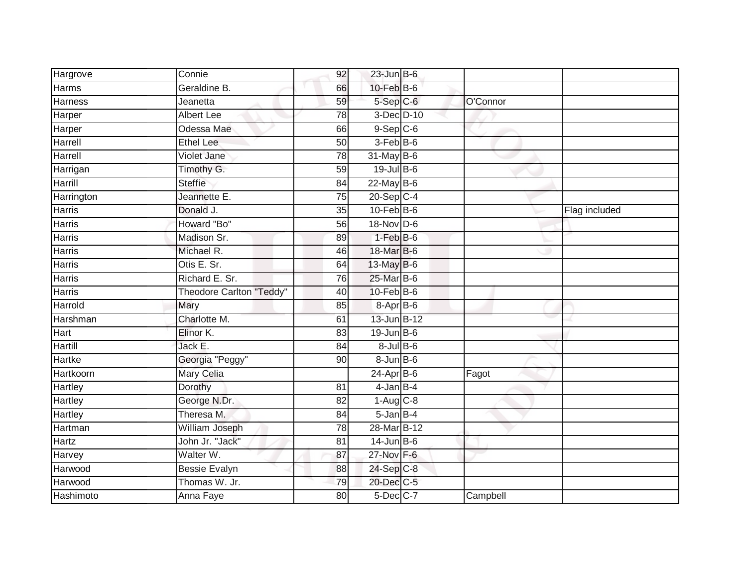| Hargrove       | Connie                          | 92 | $23$ -Jun B-6     |          |               |
|----------------|---------------------------------|----|-------------------|----------|---------------|
| <b>Harms</b>   | Geraldine B.                    | 66 | 10-Feb B-6        |          |               |
| <b>Harness</b> | Jeanetta                        | 59 | 5-Sep C-6         | O'Connor |               |
| Harper         | <b>Albert Lee</b>               | 78 | 3-Dec D-10        |          |               |
| Harper         | Odessa Mae                      | 66 | $9-$ Sep $ C-6 $  |          |               |
| Harrell        | <b>Ethel Lee</b>                | 50 | $3-Feb$ B-6       |          |               |
| Harrell        | <b>Violet Jane</b>              | 78 | $31$ -May B-6     |          |               |
| Harrigan       | Timothy G.                      | 59 | 19-Jul B-6        |          |               |
| Harrill        | <b>Steffie</b>                  | 84 | $22$ -May B-6     |          |               |
| Harrington     | Jeannette E.                    | 75 | $20-Sep$ C-4      |          |               |
| <b>Harris</b>  | Donald J.                       | 35 | $10$ -Feb $B$ -6  |          | Flag included |
| <b>Harris</b>  | Howard "Bo"                     | 56 | 18-Nov D-6        |          |               |
| <b>Harris</b>  | Madison Sr.                     | 89 | $1-FebB-6$        |          |               |
| <b>Harris</b>  | Michael R.                      | 46 | 18-Mar B-6        |          |               |
| <b>Harris</b>  | Otis E. Sr.                     | 64 | 13-May B-6        |          |               |
| <b>Harris</b>  | Richard E. Sr.                  | 76 | 25-Mar B-6        |          |               |
| <b>Harris</b>  | <b>Theodore Carlton "Teddy"</b> | 40 | $10$ -Feb $B$ -6  |          |               |
| Harrold        | Mary                            | 85 | 8-Apr B-6         |          |               |
| Harshman       | Charlotte M.                    | 61 | 13-Jun B-12       |          |               |
| Hart           | Elinor K.                       | 83 | $19$ -Jun $B$ -6  |          |               |
| Hartill        | Jack E.                         | 84 | $8$ -Jul $B$ -6   |          |               |
| <b>Hartke</b>  | Georgia "Peggy"                 | 90 | $8 - Jun$ $B - 6$ |          |               |
| Hartkoorn      | Mary Celia                      |    | $24-Apr$ B-6      | Fagot    |               |
| Hartley        | Dorothy                         | 81 | $4$ -Jan $B-4$    |          |               |
| Hartley        | George N.Dr.                    | 82 | $1-Aug$ $C-8$     |          |               |
| Hartley        | Theresa M.                      | 84 | $5$ -Jan $B-4$    |          |               |
| Hartman        | William Joseph                  | 78 | 28-Mar B-12       |          |               |
| Hartz          | John Jr. "Jack"                 | 81 | $14$ -Jun $B$ -6  |          |               |
| Harvey         | Walter W.                       | 87 | 27-Nov F-6        |          |               |
| Harwood        | <b>Bessie Evalyn</b>            | 88 | 24-Sep C-8        |          |               |
| Harwood        | Thomas W. Jr.                   | 79 | 20-Dec C-5        |          |               |
| Hashimoto      | Anna Faye                       | 80 | 5-Dec C-7         | Campbell |               |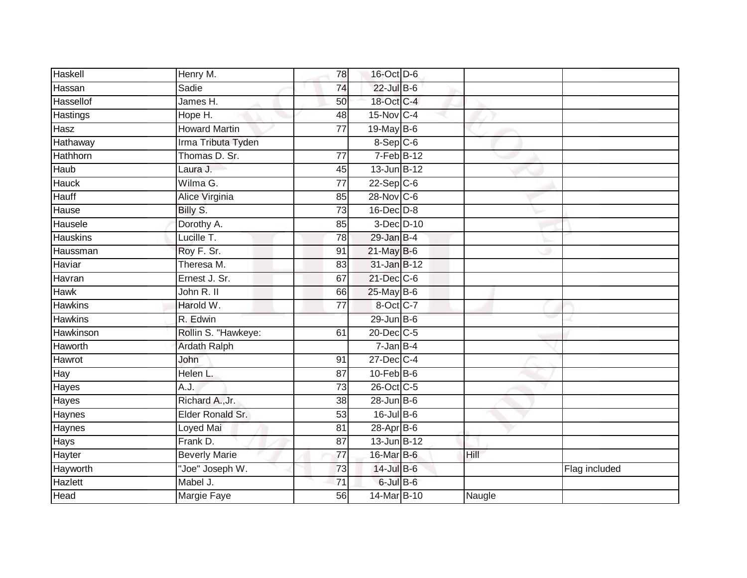| Haskell         | Henry M.             | 78              | 16-Oct D-6       |        |               |
|-----------------|----------------------|-----------------|------------------|--------|---------------|
| Hassan          | Sadie                | 74              | $22$ -Jul B-6    |        |               |
| Hassellof       | James H.             | 50              | 18-Oct C-4       |        |               |
| Hastings        | Hope H.              | 48              | 15-Nov C-4       |        |               |
| Hasz            | <b>Howard Martin</b> | $\overline{77}$ | $19$ -May B-6    |        |               |
| Hathaway        | Irma Tributa Tyden   |                 | 8-Sep C-6        |        |               |
| Hathhorn        | Thomas D. Sr.        | $\overline{77}$ | $7-FebB-12$      |        |               |
| Haub            | Laura J.             | 45              | $13$ -Jun B-12   |        |               |
| <b>Hauck</b>    | Wilma G.             | $\overline{77}$ | $22-Sep C-6$     |        |               |
| Hauff           | Alice Virginia       | 85              | 28-Nov C-6       |        |               |
| Hause           | Billy S.             | 73              | 16-Dec D-8       |        |               |
| Hausele         | Dorothy A.           | 85              | 3-Dec D-10       |        |               |
| <b>Hauskins</b> | Lucille T.           | 78              | $29$ -Jan B-4    |        |               |
| Haussman        | Roy F. Sr.           | 91              | $21$ -May B-6    |        |               |
| Haviar          | Theresa M.           | 83              | 31-Jan B-12      |        |               |
| Havran          | Ernest J. Sr.        | 67              | 21-Dec C-6       |        |               |
| <b>Hawk</b>     | John R. II           | 66              | $25$ -May B-6    |        |               |
| <b>Hawkins</b>  | Harold W.            | 77              | 8-Oct C-7        |        |               |
| <b>Hawkins</b>  | R. Edwin             |                 | $29$ -Jun $B$ -6 |        |               |
| Hawkinson       | Rollin S. "Hawkeye:  | 61              | 20-Dec C-5       |        |               |
| Haworth         | <b>Ardath Ralph</b>  |                 | $7 - Jan$ B-4    |        |               |
| Hawrot          | John                 | 91              | 27-Dec C-4       |        |               |
| Hay             | Helen L.             | 87              | $10$ -Feb $B$ -6 |        |               |
| Hayes           | A.J.                 | 73              | 26-Oct C-5       |        |               |
| Hayes           | Richard A., Jr.      | 38              | $28$ -Jun $B$ -6 |        |               |
| Haynes          | Elder Ronald Sr.     | 53              | $16$ -Jul $B$ -6 |        |               |
| Haynes          | Loyed Mai            | 81              | 28-Apr B-6       |        |               |
| Hays            | Frank D.             | 87              | $13$ -Jun $B-12$ |        |               |
| Hayter          | <b>Beverly Marie</b> | 77              | 16-Mar B-6       | Hill   |               |
| Hayworth        | "Joe" Joseph W.      | 73              | 14-Jul B-6       |        | Flag included |
| Hazlett         | Mabel J.             | $\overline{71}$ | 6-Jul B-6        |        |               |
| Head            | <b>Margie Faye</b>   | 56              | 14-Mar B-10      | Naugle |               |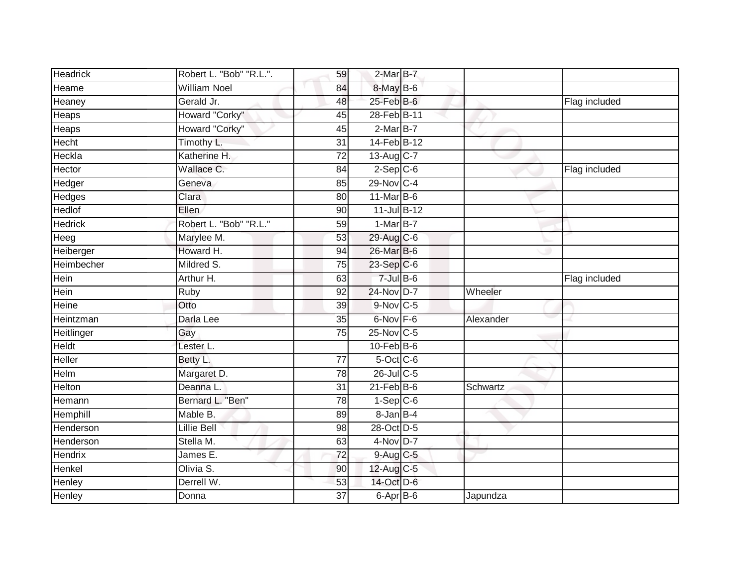| <b>Headrick</b> | Robert L. "Bob" "R.L.". | 59              | $2$ -Mar $B$ -7         |           |               |
|-----------------|-------------------------|-----------------|-------------------------|-----------|---------------|
| Heame           | <b>William Noel</b>     | 84              | 8-May B-6               |           |               |
| Heaney          | Gerald Jr.              | 48              | $25$ -Feb $B$ -6        |           | Flag included |
| Heaps           | Howard "Corky"          | 45              | 28-Feb B-11             |           |               |
| Heaps           | Howard "Corky"          | 45              | $2-MarB-7$              |           |               |
| Hecht           | Timothy L.              | 31              | 14-Feb B-12             |           |               |
| Heckla          | Katherine H.            | 72              | $13-Aug$ <sub>C-7</sub> |           |               |
| Hector          | Wallace C.              | 84              | $2-Sep$ $C-6$           |           | Flag included |
| Hedger          | Geneva                  | 85              | 29-Nov C-4              |           |               |
| Hedges          | Clara                   | 80              | $11$ -Mar B-6           |           |               |
| Hedlof          | <b>Ellen</b>            | 90              | $11$ -Jul B-12          |           |               |
| <b>Hedrick</b>  | Robert L. "Bob" "R.L."  | 59              | $1-MarB-7$              |           |               |
| Heeg            | Marylee M.              | 53              | 29-Aug C-6              |           |               |
| Heiberger       | Howard H.               | 94              | 26-Mar B-6              |           |               |
| Heimbecher      | Mildred S.              | $\overline{75}$ | 23-Sep C-6              |           |               |
| Hein            | Arthur H.               | 63              | $7 -$ Jul B-6           |           | Flag included |
| Hein            | Ruby                    | 92              | 24-Nov D-7              | Wheeler   |               |
| Heine           | Otto                    | 39              | 9-Nov C-5               |           |               |
| Heintzman       | Darla Lee               | 35              | 6-Nov F-6               | Alexander |               |
| Heitlinger      | Gay                     | $\overline{75}$ | 25-Nov C-5              |           |               |
| Heldt           | Lester L.               |                 | $10$ -Feb $B$ -6        |           |               |
| Heller          | Betty L.                | 77              | 5-Oct C-6               |           |               |
| Helm            | Margaret D.             | 78              | $26$ -JulC-5            |           |               |
| Helton          | Deanna L.               | 31              | $21$ -Feb $B$ -6        | Schwartz  |               |
| Hemann          | Bernard L. "Ben"        | 78              | $1-Sep C-6$             |           |               |
| Hemphill        | Mable B.                | 89              | 8-Jan B-4               |           |               |
| Henderson       | <b>Lillie Bell</b>      | 98              | 28-Oct D-5              |           |               |
| Henderson       | Stella M.               | 63              | $4$ -Nov D-7            |           |               |
| <b>Hendrix</b>  | James E.                | 72              | $9$ -Aug $C$ -5         |           |               |
| Henkel          | Olivia S.               | 90              | 12-Aug C-5              |           |               |
| Henley          | Derrell W.              | 53              | 14-Oct D-6              |           |               |
| Henley          | Donna                   | $\overline{37}$ | 6-Apr B-6               | Japundza  |               |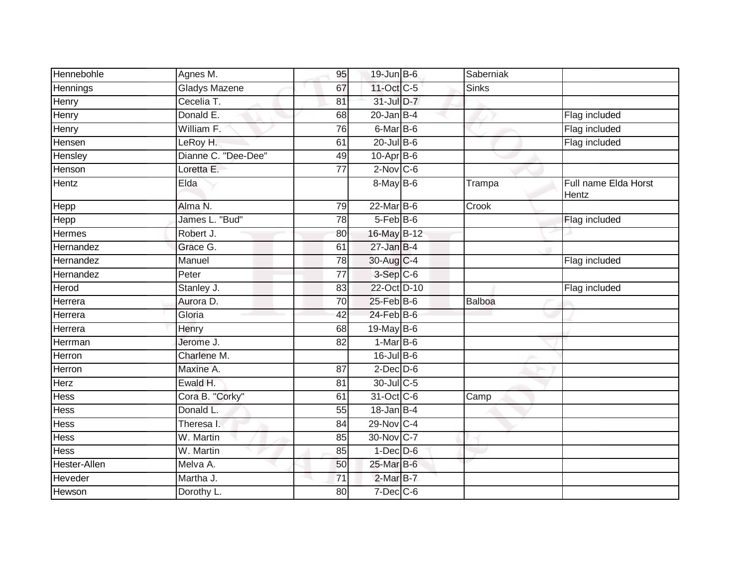| Hennebohle    | Agnes M.            | 95              | $19$ -Jun $B$ -6 | Saberniak     |                               |
|---------------|---------------------|-----------------|------------------|---------------|-------------------------------|
| Hennings      | Gladys Mazene       | 67              | 11-Oct C-5       | <b>Sinks</b>  |                               |
| Henry         | Cecelia T.          | 81              | $31$ -Jul $D-7$  |               |                               |
| Henry         | Donald E.           | 68              | $20$ -Jan $B-4$  |               | Flag included                 |
| Henry         | William F.          | 76              | 6-Mar B-6        |               | Flag included                 |
| Hensen        | LeRoy H.            | 61              | $20$ -Jul B-6    |               | Flag included                 |
| Hensley       | Dianne C. "Dee-Dee" | 49              | $10$ -Apr $B$ -6 |               |                               |
| Henson        | Loretta E.          | 77              | $2$ -Nov $C$ -6  |               |                               |
| Hentz         | Elda                |                 | $8$ -May B-6     | Trampa        | Full name Elda Horst<br>Hentz |
| Hepp          | Alma N.             | 79              | $22$ -Mar $B$ -6 | Crook         |                               |
| Hepp          | James L. "Bud"      | 78              | 5-Feb B-6        |               | Flag included                 |
| <b>Hermes</b> | Robert J.           | 80              | 16-May B-12      |               |                               |
| Hernandez     | Grace G.            | 61              | $27$ -Jan B-4    |               |                               |
| Hernandez     | Manuel              | 78              | $30$ -Aug C-4    |               | Flag included                 |
| Hernandez     | Peter               | $\overline{77}$ | 3-Sep C-6        |               |                               |
| Herod         | Stanley J.          | 83              | 22-Oct D-10      |               | Flag included                 |
| Herrera       | Aurora D.           | 70              | $25$ -Feb $B$ -6 | <b>Balboa</b> |                               |
| Herrera       | Gloria              | 42              | $24$ -Feb $B$ -6 |               |                               |
| Herrera       | Henry               | 68              | $19$ -May B-6    |               |                               |
| Herrman       | Jerome J.           | 82              | $1-MarB-6$       |               |                               |
| Herron        | Charlene M.         |                 | $16$ -Jul B-6    |               |                               |
| Herron        | Maxine A.           | 87              | $2$ -Dec $D-6$   |               |                               |
| Herz          | Ewald H.            | 81              | 30-Jul C-5       |               |                               |
| Hess          | Cora B. "Corky"     | 61              | 31-Oct C-6       | Camp          |                               |
| <b>Hess</b>   | Donald L.           | $\overline{55}$ | $18$ -Jan $B-4$  |               |                               |
| <b>Hess</b>   | Theresa I.          | 84              | 29-Nov C-4       |               |                               |
| <b>Hess</b>   | W. Martin           | 85              | 30-Nov C-7       |               |                               |
| Hess          | W. Martin           | 85              | $1-Dec$ $D-6$    |               |                               |
| Hester-Allen  | Melva A.            | 50              | 25-Mar B-6       |               |                               |
| Heveder       | Martha J.           | 71              | $2$ -Mar $B-7$   |               |                               |
| Hewson        | Dorothy L.          | 80              | $7$ -Dec $C$ -6  |               |                               |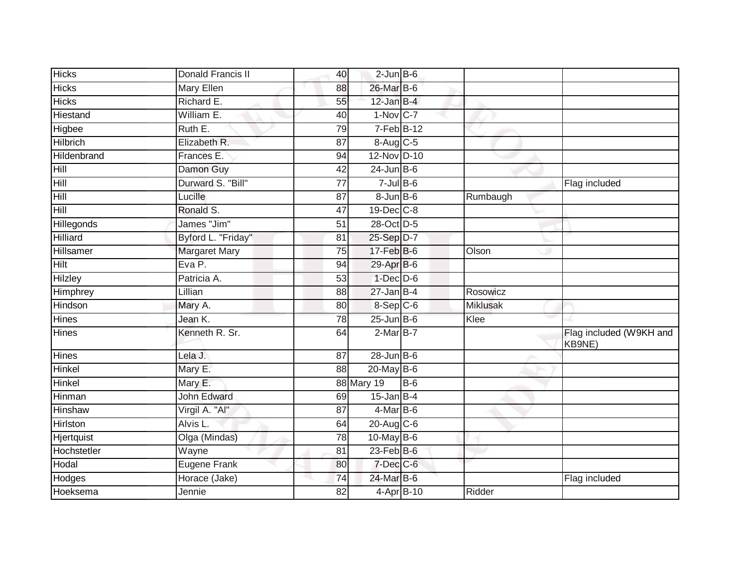| <b>Hicks</b>    | Donald Francis II    | 40                     | $2$ -Jun $B$ -6 |                 |                                   |
|-----------------|----------------------|------------------------|-----------------|-----------------|-----------------------------------|
| <b>Hicks</b>    | <b>Mary Ellen</b>    | 26-Mar B-6<br>88       |                 |                 |                                   |
| <b>Hicks</b>    | Richard E.           | $12$ -Jan B-4<br>55    |                 |                 |                                   |
| Hiestand        | William E.           | $1-Nov$ C-7<br>40      |                 |                 |                                   |
| Higbee          | Ruth E.              | 79                     | $7-Feb$ B-12    |                 |                                   |
| <b>Hilbrich</b> | Elizabeth R.         | 87                     | 8-Aug C-5       |                 |                                   |
| Hildenbrand     | Frances E.           | 94                     | 12-Nov D-10     |                 |                                   |
| Hill            | Damon Guy            | $24$ -Jun $B$ -6<br>42 |                 |                 |                                   |
| Hill            | Durward S. "Bill"    | 77                     | $7$ -Jul B-6    |                 | Flag included                     |
| Hill            | Lucille              | 87                     | $8 - Jun$ B-6   | Rumbaugh        |                                   |
| Hill            | Ronald S.            | 19-Dec C-8<br>47       |                 |                 |                                   |
| Hillegonds      | James "Jim"          | 51<br>28-Oct D-5       |                 |                 |                                   |
| Hilliard        | Byford L. "Friday"   | 25-Sep D-7<br>81       |                 |                 |                                   |
| Hillsamer       | <b>Margaret Mary</b> | 17-Feb B-6<br>75       |                 | Olson           |                                   |
| Hilt            | Eva P.               | 29-Apr B-6<br>94       |                 |                 |                                   |
| Hilzley         | Patricia A.          | 53                     | $1$ -Dec $D-6$  |                 |                                   |
| Himphrey        | Lillian              | $27 - Jan$ B-4<br>88   |                 | Rosowicz        |                                   |
| Hindson         | Mary A.              | $8-Sep C-6$<br>80      |                 | <b>Miklusak</b> |                                   |
| <b>Hines</b>    | Jean K.              | $25$ -Jun $B$ -6<br>78 |                 | Klee            |                                   |
| <b>Hines</b>    | Kenneth R. Sr.       | 64                     | $2-MarB-7$      |                 | Flag included (W9KH and<br>KB9NE) |
| <b>Hines</b>    | Lela J.              | $28$ -Jun $B$ -6<br>87 |                 |                 |                                   |
| Hinkel          | Mary E.              | 88<br>$20$ -May B-6    |                 |                 |                                   |
| <b>Hinkel</b>   | Mary E.              | 88 Mary 19             | $B-6$           |                 |                                   |
| Hinman          | John Edward          | $15$ -Jan B-4<br>69    |                 |                 |                                   |
| <b>Hinshaw</b>  | Virgil A. "Al"       | 87                     | $4$ -Mar $B$ -6 |                 |                                   |
| Hirlston        | Alvis L.             | 20-Aug C-6<br>64       |                 |                 |                                   |
| Hjertquist      | Olga (Mindas)        | $10$ -May B-6<br>78    |                 |                 |                                   |
| Hochstetler     | Wayne                | 23-Feb B-6<br>81       |                 |                 |                                   |
| Hodal           | <b>Eugene Frank</b>  | 7-Dec C-6<br>80        |                 |                 |                                   |
| Hodges          | Horace (Jake)        | 74<br>24-Mar B-6       |                 |                 | Flag included                     |
| Hoeksema        | Jennie               | 82                     | 4-Apr B-10      | Ridder          |                                   |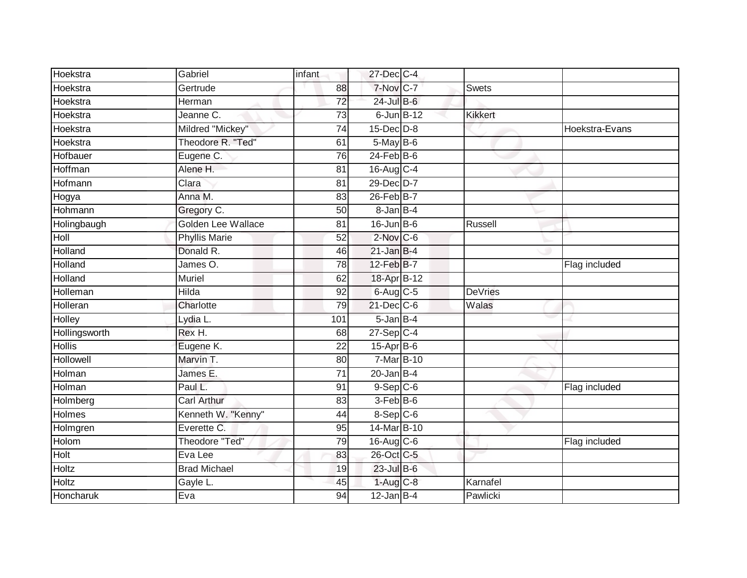| Hoekstra      | Gabriel                   | infant          | 27-Dec C-4                          |                 |                |                |
|---------------|---------------------------|-----------------|-------------------------------------|-----------------|----------------|----------------|
| Hoekstra      | Gertrude                  | 88              | 7-Nov C-7                           |                 | <b>Swets</b>   |                |
| Hoekstra      | Herman                    | $\overline{72}$ | $24$ -Jul B-6                       |                 |                |                |
| Hoekstra      | Jeanne C.                 | $\overline{73}$ |                                     | $6$ -Jun $B-12$ | <b>Kikkert</b> |                |
| Hoekstra      | Mildred "Mickey"          | $\overline{74}$ | $15$ -Dec $D-8$                     |                 |                | Hoekstra-Evans |
| Hoekstra      | Theodore R. "Ted"         | 61              | $5$ -May $B$ -6                     |                 |                |                |
| Hofbauer      | Eugene C.                 | 76              | $24$ -Feb $B$ -6                    |                 |                |                |
| Hoffman       | Alene H.                  | 81              | 16-Aug C-4                          |                 |                |                |
| Hofmann       | Clara                     | 81              | 29-Dec D-7                          |                 |                |                |
| Hogya         | Anna M.                   | 83              | $26$ -Feb $B$ -7                    |                 |                |                |
| Hohmann       | Gregory C.                | 50              | 8-Jan B-4                           |                 |                |                |
| Holingbaugh   | <b>Golden Lee Wallace</b> | 81              | $16$ -Jun $B$ -6                    |                 | Russell        |                |
| Holl          | <b>Phyllis Marie</b>      | 52              | $2$ -Nov $C-6$                      |                 |                |                |
| Holland       | Donald R.                 | 46              | $21$ -Jan B-4                       |                 |                |                |
| Holland       | James O.                  | 78              | 12-Feb B-7                          |                 |                | Flag included  |
| Holland       | <b>Muriel</b>             | 62              | 18-Apr B-12                         |                 |                |                |
| Holleman      | <b>Hilda</b>              | $\overline{92}$ | $6$ -Aug $C$ -5                     |                 | <b>DeVries</b> |                |
| Holleran      | Charlotte                 | 79              | 21-Dec C-6                          |                 | Walas          |                |
| <b>Holley</b> | Lydia L.                  | 101             | $5$ -Jan $B-4$                      |                 |                |                |
| Hollingsworth | Rex H.                    | 68              | $27-Sep C-4$                        |                 |                |                |
| <b>Hollis</b> | Eugene K.                 | 22              | $15-Apr$ B-6                        |                 |                |                |
| Hollowell     | Marvin T.                 | 80              | 7-Mar B-10                          |                 |                |                |
| Holman        | James E.                  | 71              | $20 - JanB-4$                       |                 |                |                |
| Holman        | Paul L.                   | 91              | $9-Sep$ <sub><math>C-6</math></sub> |                 |                | Flag included  |
| Holmberg      | <b>Carl Arthur</b>        | 83              | 3-Feb B-6                           |                 |                |                |
| <b>Holmes</b> | Kenneth W. "Kenny"        | 44              | $8-$ Sep $C-6$                      |                 |                |                |
| Holmgren      | Everette C.               | 95              | 14-Mar B-10                         |                 |                |                |
| Holom         | <b>Theodore "Ted"</b>     | 79              | 16-Aug C-6                          |                 |                | Flag included  |
| Holt          | Eva Lee                   | 83              | 26-Oct C-5                          |                 |                |                |
| Holtz         | <b>Brad Michael</b>       | 19              | $23$ -Jul $B$ -6                    |                 |                |                |
| Holtz         | Gayle L.                  | 45              | $1-Aug$ <sub>C-8</sub>              |                 | Karnafel       |                |
| Honcharuk     | Eva                       | 94              | $12$ -Jan B-4                       |                 | Pawlicki       |                |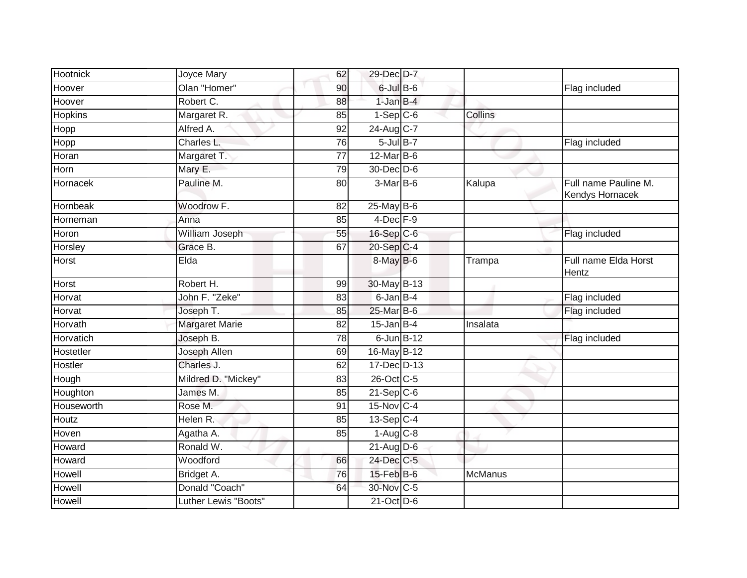| <b>Hootnick</b> | Joyce Mary           | 62              | 29-Dec D-7       |          |                                         |
|-----------------|----------------------|-----------------|------------------|----------|-----------------------------------------|
| Hoover          | Olan "Homer"         | 90              | $6$ -Jul $B$ -6  |          | Flag included                           |
| Hoover          | Robert C.            | 88              | $1$ -Jan $B-4$   |          |                                         |
| <b>Hopkins</b>  | Margaret R.          | 85              | $1-Sep C-6$      | Collins  |                                         |
| Hopp            | Alfred A.            | 92              | 24-Aug C-7       |          |                                         |
| Hopp            | Charles L.           | 76              | $5$ -Jul $B-7$   |          | Flag included                           |
| Horan           | Margaret T.          | 77              | $12$ -Mar $B$ -6 |          |                                         |
| Horn            | Mary E.              | 79              | 30-Dec D-6       |          |                                         |
| Hornacek        | Pauline M.           | 80              | 3-Mar B-6        | Kalupa   | Full name Pauline M.<br>Kendys Hornacek |
| Hornbeak        | Woodrow F.           | 82              | $25$ -May $B-6$  |          |                                         |
| Horneman        | Anna                 | 85              | $4$ -Dec $F-9$   |          |                                         |
| Horon           | William Joseph       | 55              | 16-Sep C-6       |          | Flag included                           |
| Horsley         | Grace B.             | 67              | $20 - Sep$ C-4   |          |                                         |
| Horst           | Elda                 |                 | $8$ -May $B$ -6  | Trampa   | Full name Elda Horst<br>Hentz           |
| Horst           | Robert H.            | 99              | 30-May B-13      |          |                                         |
| Horvat          | John F. "Zeke"       | 83              | 6-Jan B-4        |          | Flag included                           |
| Horvat          | Joseph T.            | 85              | 25-Mar B-6       |          | Flag included                           |
| Horvath         | Margaret Marie       | $\overline{82}$ | $15$ -Jan B-4    | Insalata |                                         |
| Horvatich       | Joseph B.            | 78              | $6$ -Jun $B-12$  |          | Flag included                           |
| Hostetler       | Joseph Allen         | 69              | 16-May B-12      |          |                                         |
| Hostler         | Charles J.           | 62              | 17-Dec D-13      |          |                                         |
| Hough           | Mildred D. "Mickey"  | 83              | 26-Oct C-5       |          |                                         |
| Houghton        | James M.             | 85              | $21 - Sep$ C-6   |          |                                         |
| Houseworth      | Rose M.              | 91              | 15-Nov C-4       |          |                                         |
| Houtz           | Helen R.             | 85              | $13-Sep C-4$     |          |                                         |
| Hoven           | Agatha A.            | 85              | $1-Aug$ $C-8$    |          |                                         |
| Howard          | Ronald W.            |                 | $21$ -Aug $D-6$  |          |                                         |
| Howard          | Woodford             | 66              | 24-Dec C-5       |          |                                         |
| Howell          | Bridget A.           | 76              | 15-Feb B-6       | McManus  |                                         |
| Howell          | Donald "Coach"       | 64              | 30-Nov C-5       |          |                                         |
| Howell          | Luther Lewis "Boots" |                 | 21-Oct D-6       |          |                                         |
|                 |                      |                 |                  |          |                                         |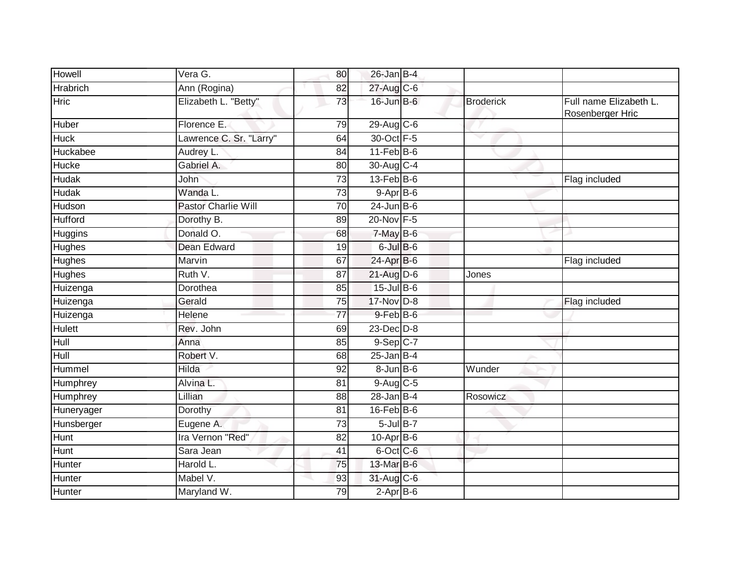| <b>Howell</b>   | Vera G.                    | 80              | $26$ -Jan B-4     |                  |                                            |
|-----------------|----------------------------|-----------------|-------------------|------------------|--------------------------------------------|
| <b>Hrabrich</b> | Ann (Rogina)               | 82              | 27-Aug C-6        |                  |                                            |
| Hric            | Elizabeth L. "Betty"       | 73              | 16-Jun B-6        | <b>Broderick</b> | Full name Elizabeth L.<br>Rosenberger Hric |
| Huber           | Florence E.                | 79              | 29-Aug C-6        |                  |                                            |
| <b>Huck</b>     | Lawrence C. Sr. "Larry"    | 64              | 30-Oct F-5        | v                |                                            |
| Huckabee        | Audrey L.                  | 84              | $11$ -Feb $B$ -6  |                  |                                            |
| Hucke           | Gabriel A.                 | 80              | 30-Aug C-4        |                  |                                            |
| <b>Hudak</b>    | John                       | $\overline{73}$ | $13$ -Feb $ B-6 $ |                  | Flag included                              |
| <b>Hudak</b>    | Wanda L.                   | 73              | $9 - Apr$ $B - 6$ |                  |                                            |
| Hudson          | <b>Pastor Charlie Will</b> | 70              | $24$ -Jun B-6     |                  |                                            |
| <b>Hufford</b>  | Dorothy B.                 | 89              | 20-Nov F-5        |                  |                                            |
| Huggins         | Donald O.                  | 68              | $7$ -May $B$ -6   |                  |                                            |
| Hughes          | <b>Dean Edward</b>         | $\overline{19}$ | $6$ -Jul $B$ -6   |                  |                                            |
| Hughes          | Marvin                     | 67              | 24-Apr B-6        |                  | Flag included                              |
| <b>Hughes</b>   | Ruth V.                    | 87              | 21-Aug D-6        | Jones            |                                            |
| Huizenga        | Dorothea                   | 85              | $15$ -Jul B-6     |                  |                                            |
| Huizenga        | Gerald                     | 75              | 17-Nov D-8        |                  | Flag included                              |
| Huizenga        | Helene                     | 77              | $9$ -Feb $B$ -6   |                  |                                            |
| <b>Hulett</b>   | Rev. John                  | 69              | $23$ -Dec $D-8$   |                  |                                            |
| $H$ ull         | Anna                       | 85              | $9-Sep$ $C-7$     |                  |                                            |
| Hull            | Robert V.                  | 68              | $25$ -Jan B-4     |                  |                                            |
| Hummel          | Hilda                      | 92              | $8$ -Jun $B$ -6   | Wunder           |                                            |
| Humphrey        | Alvina L.                  | 81              | $9$ -Aug $C$ -5   |                  |                                            |
| Humphrey        | Lillian                    | 88              | $28$ -Jan B-4     | Rosowicz         |                                            |
| Huneryager      | Dorothy                    | 81              | $16$ -Feb $B$ -6  |                  |                                            |
| Hunsberger      | Eugene A.                  | 73              | $5 -$ Jul B-7     |                  |                                            |
| Hunt            | Ira Vernon "Red"           | 82              | $10$ -Apr $B$ -6  |                  |                                            |
| Hunt            | Sara Jean                  | 41              | 6-Oct C-6         |                  |                                            |
| Hunter          | Harold L.                  | 75              | 13-Mar B-6        |                  |                                            |
| Hunter          | Mabel V.                   | 93              | 31-Aug C-6        |                  |                                            |
| Hunter          | Maryland W.                | 79              | $2-AprB-6$        |                  |                                            |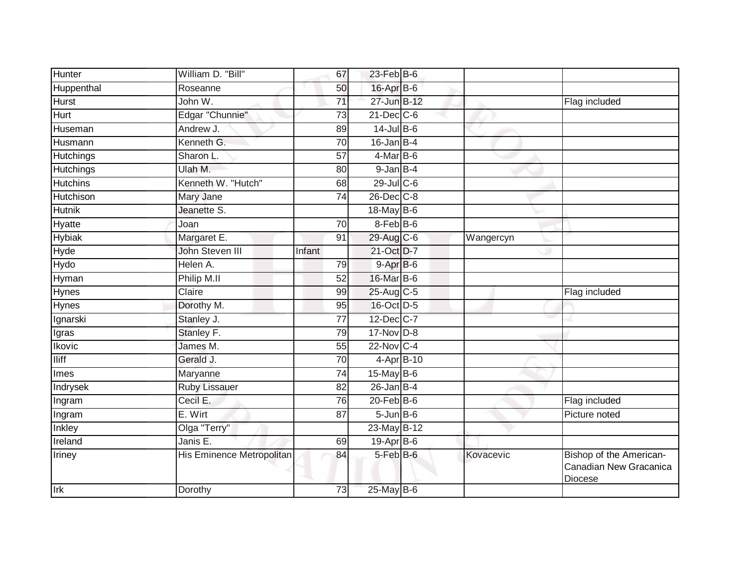| Hunter           | William D. "Bill"               | 67              | $23$ -Feb $B$ -6 |           |                                                              |
|------------------|---------------------------------|-----------------|------------------|-----------|--------------------------------------------------------------|
| Huppenthal       | Roseanne                        | 50              | 16-Apr B-6       |           |                                                              |
| Hurst            | John W.                         | 71              | 27-Jun B-12      |           | Flag included                                                |
| Hurt             | Edgar "Chunnie"                 | 73              | $21$ -Dec $C$ -6 |           |                                                              |
| Huseman          | Andrew J.                       | 89              | $14$ -Jul B-6    |           |                                                              |
| Husmann          | Kenneth G.                      | 70              | $16$ -Jan $B-4$  |           |                                                              |
| <b>Hutchings</b> | Sharon L.                       | 57              | 4-Mar B-6        |           |                                                              |
| Hutchings        | Ulah M.                         | 80              | $9$ -Jan $B-4$   |           |                                                              |
| <b>Hutchins</b>  | Kenneth W. "Hutch"              | 68              | $29$ -Jul C-6    |           |                                                              |
| <b>Hutchison</b> | Mary Jane                       | $\overline{74}$ | $26$ -Dec $C-8$  |           |                                                              |
| <b>Hutnik</b>    | Jeanette S.                     |                 | 18-May $B-6$     |           |                                                              |
| Hyatte           | Joan                            | 70              | $8$ -Feb $ B$ -6 |           |                                                              |
| <b>Hybiak</b>    | Margaret E.                     | 91              | 29-Aug C-6       | Wangercyn |                                                              |
| Hyde             | John Steven III                 | Infant          | 21-Oct D-7       |           |                                                              |
| Hydo             | Helen A.                        | 79              | 9-Apr B-6        |           |                                                              |
| Hyman            | Philip M.II                     | 52              | 16-Mar B-6       |           |                                                              |
| <b>Hynes</b>     | Claire                          | 99              | 25-Aug C-5       |           | Flag included                                                |
| Hynes            | Dorothy M.                      | 95              | 16-Oct D-5       |           |                                                              |
| Ignarski         | Stanley J.                      | 77              | 12-Dec C-7       |           |                                                              |
| Igras            | Stanley F.                      | 79              | 17-Nov D-8       |           |                                                              |
| <b>Ikovic</b>    | James M.                        | 55              | 22-Nov C-4       |           |                                                              |
| <b>Iliff</b>     | Gerald J.                       | 70              | 4-Apr B-10       |           |                                                              |
| Imes             | Maryanne                        | 74              | 15-May $B-6$     |           |                                                              |
| Indrysek         | <b>Ruby Lissauer</b>            | 82              | $26$ -Jan B-4    |           |                                                              |
| Ingram           | Cecil E.                        | 76              | $20$ -Feb $ B-6$ |           | Flag included                                                |
| Ingram           | E. Wirt                         | 87              | $5$ -Jun $B$ -6  |           | Picture noted                                                |
| Inkley           | Olga "Terry"                    |                 | 23-May B-12      |           |                                                              |
| Ireland          | Janis $\overline{\mathsf{E}}$ . | 69              | 19-Apr B-6       |           |                                                              |
| Iriney           | His Eminence Metropolitan       | 84              | 5-Feb B-6        | Kovacevic | Bishop of the American-<br>Canadian New Gracanica<br>Diocese |
| <b>Irk</b>       | Dorothy                         | 73              | 25-May B-6       |           |                                                              |
|                  |                                 |                 |                  |           |                                                              |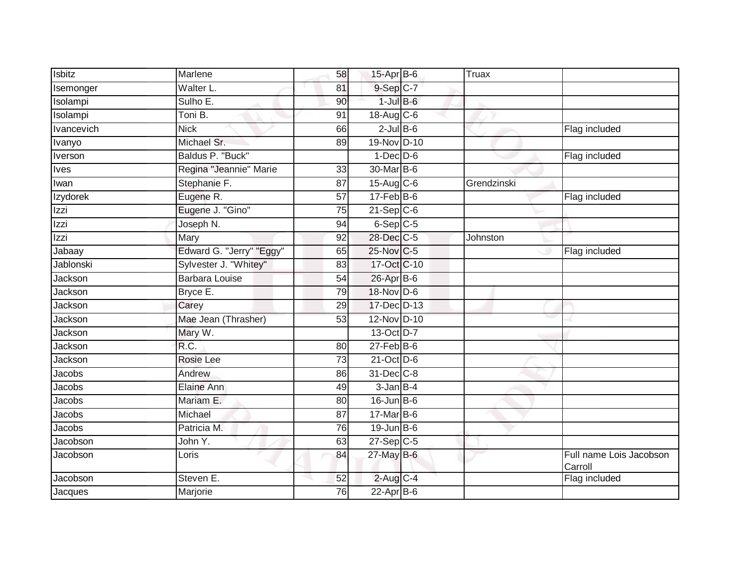| Isbitz      | Marlene                  | 58              | 15-Apr B-6        | Truax       |                                    |
|-------------|--------------------------|-----------------|-------------------|-------------|------------------------------------|
| Isemonger   | Walter L.                | 81              | 9-Sep C-7         |             |                                    |
| Isolampi    | Sulho E.                 | 90              | $1$ -Jul $B-6$    |             |                                    |
| Isolampi    | Toni B.                  | 91              | 18-Aug C-6        |             |                                    |
| Ivancevich  | <b>Nick</b>              | 66              | $2$ -Jul B-6      |             | Flag included                      |
| Ivanyo      | Michael Sr.              | 89              | 19-Nov D-10       |             |                                    |
| Iverson     | Baldus P. "Buck"         |                 | $1-Dec$ D-6       |             | Flag included                      |
| <b>Ives</b> | Regina "Jeannie" Marie   | 33              | 30-Mar B-6        |             |                                    |
| Iwan        | Stephanie F.             | 87              | $15$ -Aug $C$ -6  | Grendzinski |                                    |
| Izydorek    | Eugene R.                | $\overline{57}$ | $17 - Feb$ B-6    |             | Flag included                      |
| Izzi        | Eugene J. "Gino"         | 75              | $21-Sep$ C-6      |             |                                    |
| Izzi        | Joseph N.                | 94              | 6-Sep C-5         |             |                                    |
| Izzi        | Mary                     | 92              | 28-Dec C-5        | Johnston    |                                    |
| Jabaay      | Edward G. "Jerry" "Eggy" | 65              | 25-Nov C-5        |             | Flag included                      |
| Jablonski   | Sylvester J. "Whitey"    | 83              | 17-Oct C-10       |             |                                    |
| Jackson     | <b>Barbara Louise</b>    | 54              | 26-Apr B-6        |             |                                    |
| Jackson     | Bryce E.                 | 79              | 18-Nov D-6        |             |                                    |
| Jackson     | Carey                    | 29              | 17-Dec D-13       |             |                                    |
| Jackson     | Mae Jean (Thrasher)      | 53              | 12-Nov D-10       |             |                                    |
| Jackson     | Mary W.                  |                 | 13-Oct D-7        |             |                                    |
| Jackson     | R.C.                     | 80              | $27$ -Feb $ B-6$  |             |                                    |
| Jackson     | <b>Rosie Lee</b>         | $\overline{73}$ | 21-Oct D-6        |             |                                    |
| Jacobs      | Andrew                   | 86              | 31-Dec C-8        |             |                                    |
| Jacobs      | Elaine Ann               | 49              | 3-Jan B-4         |             |                                    |
| Jacobs      | Mariam E.                | 80              | $16$ -Jun $B$ -6  |             |                                    |
| Jacobs      | Michael                  | 87              | $17$ -Mar $ B-6 $ |             |                                    |
| Jacobs      | Patricia M.              | 76              | $19$ -Jun B-6     |             |                                    |
| Jacobson    | John Y.                  | 63              | $27-Sep$ C-5      |             |                                    |
| Jacobson    | Loris                    | 84              | 27-May B-6        |             | Full name Lois Jacobson<br>Carroll |
| Jacobson    | Steven E.                | 52              | $2$ -Aug C-4      |             | Flag included                      |
| Jacques     | Marjorie                 | 76              | $22$ -Apr $B$ -6  |             |                                    |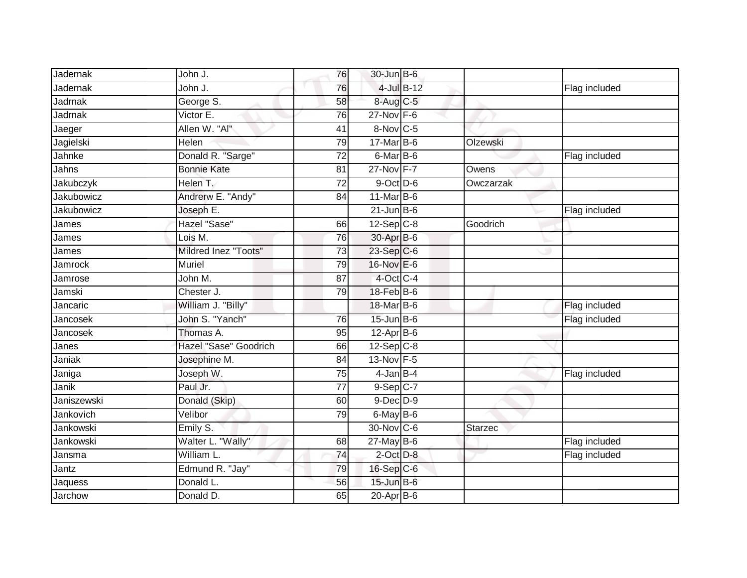| Jadernak       | John J.               | 76              | $30$ -Jun $B$ -6 |                 |           |               |
|----------------|-----------------------|-----------------|------------------|-----------------|-----------|---------------|
| Jadernak       | John J.               | 76              |                  | $4$ -Jul $B-12$ |           | Flag included |
| <b>Jadrnak</b> | George S.             | 58              | 8-Aug C-5        |                 |           |               |
| Jadrnak        | Victor E.             | 76              | $27-Nov$ F-6     |                 |           |               |
| Jaeger         | Allen W. "Al"         | 41              | 8-Nov C-5        |                 |           |               |
| Jagielski      | Helen                 | 79              | 17-Mar B-6       |                 | Olzewski  |               |
| Jahnke         | Donald R. "Sarge"     | 72              | 6-Mar B-6        |                 |           | Flag included |
| Jahns          | <b>Bonnie Kate</b>    | 81              | 27-Nov F-7       |                 | Owens     |               |
| Jakubczyk      | Helen T.              | 72              | $9$ -Oct $D$ -6  |                 | Owczarzak |               |
| Jakubowicz     | Andrerw E. "Andy"     | 84              | 11-Mar B-6       |                 |           |               |
| Jakubowicz     | Joseph E.             |                 | $21 - Jun$ B-6   |                 |           | Flag included |
| James          | Hazel "Sase"          | 66              | $12$ -Sep $C-8$  |                 | Goodrich  |               |
| James          | Lois M.               | 76              | 30-Apr B-6       |                 |           |               |
| James          | Mildred Inez "Toots"  | 73              | 23-Sep C-6       |                 |           |               |
| Jamrock        | <b>Muriel</b>         | 79              | 16-Nov E-6       |                 |           |               |
| Jamrose        | John M.               | 87              | 4-Oct C-4        |                 |           |               |
| Jamski         | Chester J.            | 79              | 18-Feb B-6       |                 |           |               |
| Jancaric       | William J. "Billy"    |                 | 18-Mar B-6       |                 |           | Flag included |
| Jancosek       | John S. "Yanch"       | 76              | 15-Jun B-6       |                 |           | Flag included |
| Jancosek       | Thomas A.             | 95              | $12-Apr$ B-6     |                 |           |               |
| Janes          | Hazel "Sase" Goodrich | 66              | $12-Sep$ C-8     |                 |           |               |
| Janiak         | Josephine M.          | 84              | 13-Nov F-5       |                 |           |               |
| Janiga         | Joseph W.             | 75              | $4$ -Jan $B-4$   |                 |           | Flag included |
| Janik          | Paul Jr.              | $\overline{77}$ | $9-Sep$ $C-7$    |                 |           |               |
| Janiszewski    | Donald (Skip)         | 60              | $9$ -Dec $D$ -9  |                 |           |               |
| Jankovich      | Velibor               | 79              | 6-May B-6        |                 |           |               |
| Jankowski      | Emily S.              |                 | 30-Nov C-6       |                 | Starzec   |               |
| Jankowski      | Walter L. "Wally"     | 68              | 27-May B-6       |                 |           | Flag included |
| Jansma         | William L.            | 74              | $2$ -Oct $D-8$   |                 |           | Flag included |
| Jantz          | Edmund R. "Jay"       | 79              | 16-Sep C-6       |                 |           |               |
| Jaquess        | Donald L.             | 56              | 15-Jun B-6       |                 |           |               |
| Jarchow        | Donald D.             | 65              | 20-Apr B-6       |                 |           |               |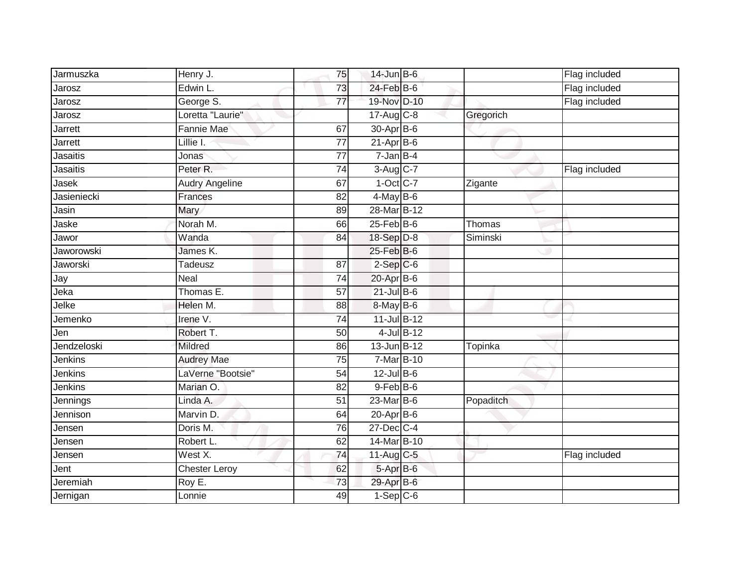| Jarmuszka         | Henry J.              | 75              | $14$ -Jun B-6    |           | Flag included |
|-------------------|-----------------------|-----------------|------------------|-----------|---------------|
| Jarosz            | Edwin L.              | 73              | $24$ -Feb $B$ -6 |           | Flag included |
| Jarosz            | George S.             | $\overline{77}$ | 19-Nov D-10      |           | Flag included |
| Jarosz            | Loretta "Laurie"      |                 | $17$ -Aug $C-8$  | Gregorich |               |
| Jarrett           | Fannie Mae            | 67              | 30-Apr B-6       |           |               |
| Jarrett           | Lillie I.             | $\overline{77}$ | $21-Apr$ B-6     |           |               |
| Jasaitis          | Jonas                 | $\overline{77}$ | $7 - Jan$ B-4    |           |               |
| Jasaitis          | Peter <sub>R.</sub>   | $\overline{74}$ | 3-Aug C-7        |           | Flag included |
| Jase <sub>k</sub> | <b>Audry Angeline</b> | 67              | $1-Oct$ $C-7$    | Zigante   |               |
| Jasieniecki       | Frances               | 82              | $4$ -May B-6     |           |               |
| Jasin             | Mary                  | 89              | 28-Mar B-12      |           |               |
| Jaske             | Norah M.              | 66              | $25$ -Feb $B$ -6 | Thomas    |               |
| Jawor             | Wanda                 | 84              | 18-Sep D-8       | Siminski  |               |
| Jaworowski        | James K.              |                 | 25-Feb B-6       |           |               |
| Jaworski          | Tadeusz               | 87              | $2-Sep$ $C-6$    |           |               |
| Jay               | Neal                  | 74              | $20$ -Apr $B$ -6 |           |               |
| Jeka              | Thomas E.             | $\overline{57}$ | $21$ -Jul B-6    |           |               |
| Jelke             | Helen M.              | 88              | 8-May B-6        |           |               |
| Jemenko           | Irene V.              | 74              | 11-Jul B-12      |           |               |
| Jen               | Robert T.             | $\overline{50}$ | 4-Jul B-12       |           |               |
| Jendzeloski       | Mildred               | 86              | 13-Jun B-12      | Topinka   |               |
| Jenkins           | <b>Audrey Mae</b>     | 75              | 7-Mar B-10       |           |               |
| Jenkins           | LaVerne "Bootsie"     | 54              | $12$ -Jul B-6    |           |               |
| Jenkins           | Marian O.             | 82              | $9$ -Feb $B$ -6  |           |               |
| Jennings          | Linda A.              | 51              | $23$ -Mar $B$ -6 | Popaditch |               |
| Jennison          | Marvin D.             | 64              | 20-Apr B-6       |           |               |
| Jensen            | Doris M.              | 76              | 27-Dec C-4       |           |               |
| Jensen            | Robert L.             | 62              | 14-Mar B-10      |           |               |
| Jensen            | West X.               | 74              | $11$ -Aug C-5    |           | Flag included |
| Jent <sup>-</sup> | <b>Chester Leroy</b>  | 62              | 5-Apr B-6        |           |               |
| Jeremiah          | Roy E.                | $\overline{73}$ | 29-Apr B-6       |           |               |
| Jernigan          | Lonnie                | 49              | $1-Sep$ $C-6$    |           |               |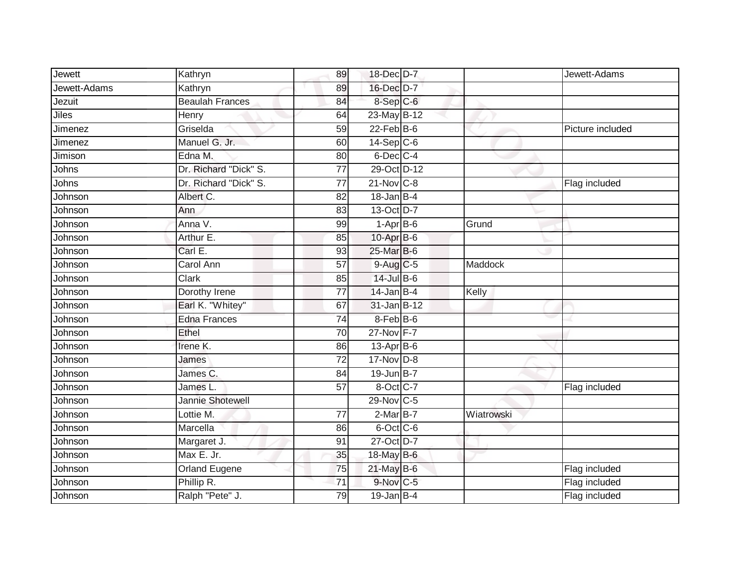| Jewett       | Kathryn                | 89              | 18-Dec D-7       |                | Jewett-Adams     |
|--------------|------------------------|-----------------|------------------|----------------|------------------|
| Jewett-Adams | Kathryn                | 89              | 16-Dec D-7       |                |                  |
| Jezuit       | <b>Beaulah Frances</b> | 84              | 8-Sep C-6        |                |                  |
| Jiles        | Henry                  | 64              | 23-May B-12      |                |                  |
| Jimenez      | Griselda               | 59              | $22$ -Feb $B$ -6 |                | Picture included |
| Jimenez      | Manuel G. Jr.          | 60              | $14-Sep$ C-6     |                |                  |
| Jimison      | Edna M.                | 80              | 6-Dec C-4        |                |                  |
| Johns        | Dr. Richard "Dick" S.  | $\overline{77}$ | 29-Oct D-12      |                |                  |
| Johns        | Dr. Richard "Dick" S.  | 77              | $21$ -Nov $C-8$  |                | Flag included    |
| Johnson      | Albert C.              | $\overline{82}$ | $18$ -Jan B-4    |                |                  |
| Johnson      | Ann                    | 83              | 13-Oct D-7       |                |                  |
| Johnson      | Anna V.                | 99              | $1-AprB-6$       | Grund          |                  |
| Johnson      | Arthur E.              | 85              | 10-Apr B-6       |                |                  |
| Johnson      | Carl E.                | 93              | 25-Mar B-6       |                |                  |
| Johnson      | Carol Ann              | 57              | 9-Aug C-5        | <b>Maddock</b> |                  |
| Johnson      | Clark                  | 85              | 14-Jul B-6       |                |                  |
| Johnson      | Dorothy Irene          | $\overline{77}$ | $14$ -Jan B-4    | Kelly          |                  |
| Johnson      | Earl K. "Whitey"       | 67              | 31-Jan B-12      |                |                  |
| Johnson      | <b>Edna Frances</b>    | 74              | 8-Feb B-6        |                |                  |
| Johnson      | Ethel                  | $\overline{70}$ | 27-Nov F-7       |                |                  |
| Johnson      | Irene K.               | 86              | 13-Apr B-6       |                |                  |
| Johnson      | James                  | $\overline{72}$ | $17$ -Nov $D-8$  |                |                  |
| Johnson      | James C.               | 84              | $19$ -Jun $B-7$  |                |                  |
| Johnson      | James L                | 57              | 8-Oct C-7        |                | Flag included    |
| Johnson      | Jannie Shotewell       |                 | 29-Nov C-5       |                |                  |
| Johnson      | Lottie M.              | 77              | $2-MarB-7$       | Wiatrowski     |                  |
| Johnson      | Marcella               | 86              | 6-Oct C-6        |                |                  |
| Johnson      | Margaret J.            | 91              | 27-Oct D-7       |                |                  |
| Johnson      | Max E. Jr.             | 35              | 18-May B-6       |                |                  |
| Johnson      | Orland Eugene          | 75              | 21-May B-6       |                | Flag included    |
| Johnson      | Phillip R.             | 71              | 9-Nov C-5        |                | Flag included    |
| Johnson      | Ralph "Pete" J.        | 79              | $19$ -Jan B-4    |                | Flag included    |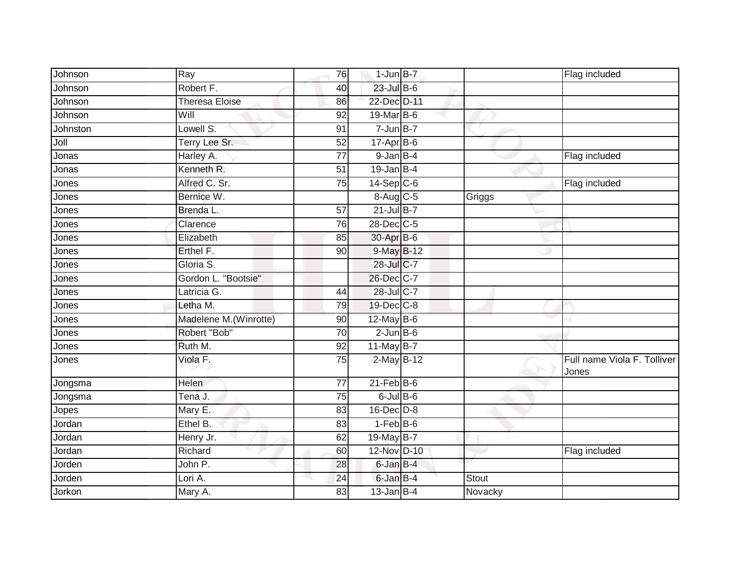| Johnson  | $\overline{Ray}$       | 76              | $1$ -Jun $B-7$   |         | Flag included                        |
|----------|------------------------|-----------------|------------------|---------|--------------------------------------|
| Johnson  | Robert F.              | 40              | 23-Jul B-6       |         |                                      |
| Johnson  | <b>Theresa Eloise</b>  | 86              | 22-Dec D-11      |         |                                      |
| Johnson  | Will                   | 92              | $19$ -Mar $ B-6$ |         |                                      |
| Johnston | Lowell S.              | 91              | $7 - Jun$ B-7    |         |                                      |
| Joll     | Terry Lee Sr.          | 52              | $17$ -Apr $B$ -6 |         |                                      |
| Jonas    | Harley A.              | $\overline{77}$ | 9-Jan B-4        |         | Flag included                        |
| Jonas    | Kenneth <sub>R.</sub>  | 51              | $19$ -Jan B-4    |         |                                      |
| Jones    | Alfred C. Sr.          | 75              | $14-Sep$ C-6     |         | Flag included                        |
| Jones    | Bernice W.             |                 | 8-Aug C-5        | Griggs  |                                      |
| Jones    | Brenda L.              | 57              | $21$ -Jul B-7    |         |                                      |
| Jones    | Clarence               | $\overline{76}$ | 28-Dec C-5       |         |                                      |
| Jones    | Elizabeth              | 85              | 30-Apr B-6       |         |                                      |
| Jones    | Erthel F.              | 90              | 9-May B-12       |         |                                      |
| Jones    | Gloria S.              |                 | 28-Jul C-7       |         |                                      |
| Jones    | Gordon L. "Bootsie"    |                 | 26-Dec C-7       |         |                                      |
| Jones    | Latricia G.            | 44              | 28-Jul C-7       |         |                                      |
| Jones    | Letha M.               | 79              | $19$ -Dec $ C-8$ |         |                                      |
| Jones    | Madelene M. (Winrotte) | 90              | 12-May B-6       |         |                                      |
| Jones    | Robert "Bob"           | 70              | $2$ -Jun $B$ -6  |         |                                      |
| Jones    | Ruth M.                | 92              | 11-May $B-7$     |         |                                      |
| Jones    | Viola F.               | $\overline{75}$ | 2-May B-12       |         | Full name Viola F. Tolliver<br>Jones |
| Jongsma  | <b>Helen</b>           | $\overline{77}$ | $21$ -Feb $B$ -6 |         |                                      |
| Jongsma  | Tena J.                | 75              | $6$ -Jul $B$ -6  |         |                                      |
| Jopes    | Mary E.                | 83              | 16-Dec D-8       |         |                                      |
| Jordan   | Ethel B.               | 83              | $1-FebB-6$       |         |                                      |
| Jordan   | Henry Jr.              | 62              | 19-May B-7       |         |                                      |
| Jordan   | Richard                | 60              | 12-Nov D-10      |         | Flag included                        |
| Jorden   | John P.                | 28              | 6-Jan B-4        |         |                                      |
| Jorden   | Lori A.                | 24              | 6-Jan B-4        | Stout   |                                      |
| Jorkon   | Mary A.                | 83              | $13$ -Jan B-4    | Novacky |                                      |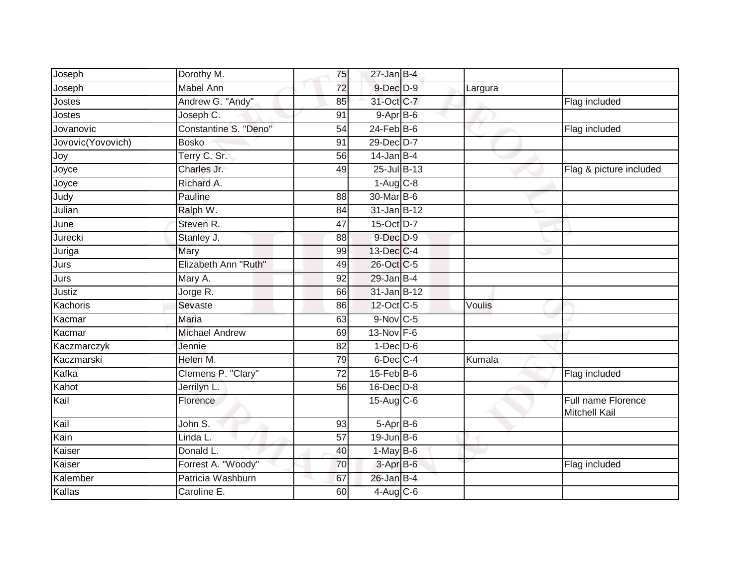| Joseph<br><b>Mabel Ann</b><br>$9$ -Dec $D$ -9<br>72<br>Largura<br>Andrew G. "Andy"<br>31-Oct C-7<br>Jostes<br>Flag included<br>85<br>Joseph C.<br>$9-AprB-6$<br>Jostes<br>91<br>Constantine S. "Deno"<br>$24$ -Feb $B$ -6<br>$\overline{54}$<br>Jovanovic<br>Flag included<br>29-Dec D-7<br>Jovovic(Yovovich)<br><b>Bosko</b><br>91<br>Terry C. Sr.<br>$14$ -Jan B-4<br>56<br>Joy<br>Joyce<br>25-Jul B-13<br>Charles Jr.<br>49<br>Joyce<br>$1-Aug$ <sub>C-8</sub><br>Richard A.<br>Judy<br>30-Mar B-6<br>Pauline<br>88<br>31-Jan B-12<br>Ralph W.<br>84<br>15-Oct D-7<br>Steven R.<br>47<br>June<br>9-Dec D-9<br>Jurecki<br>Stanley J.<br>88<br>Juriga<br>13-Dec C-4<br>Mary<br>99<br>Elizabeth Ann "Ruth"<br>26-Oct C-5<br>49 |                         |
|--------------------------------------------------------------------------------------------------------------------------------------------------------------------------------------------------------------------------------------------------------------------------------------------------------------------------------------------------------------------------------------------------------------------------------------------------------------------------------------------------------------------------------------------------------------------------------------------------------------------------------------------------------------------------------------------------------------------------------|-------------------------|
|                                                                                                                                                                                                                                                                                                                                                                                                                                                                                                                                                                                                                                                                                                                                |                         |
|                                                                                                                                                                                                                                                                                                                                                                                                                                                                                                                                                                                                                                                                                                                                |                         |
| Julian<br>Jurs                                                                                                                                                                                                                                                                                                                                                                                                                                                                                                                                                                                                                                                                                                                 |                         |
|                                                                                                                                                                                                                                                                                                                                                                                                                                                                                                                                                                                                                                                                                                                                |                         |
|                                                                                                                                                                                                                                                                                                                                                                                                                                                                                                                                                                                                                                                                                                                                |                         |
|                                                                                                                                                                                                                                                                                                                                                                                                                                                                                                                                                                                                                                                                                                                                |                         |
|                                                                                                                                                                                                                                                                                                                                                                                                                                                                                                                                                                                                                                                                                                                                | Flag & picture included |
|                                                                                                                                                                                                                                                                                                                                                                                                                                                                                                                                                                                                                                                                                                                                |                         |
|                                                                                                                                                                                                                                                                                                                                                                                                                                                                                                                                                                                                                                                                                                                                |                         |
|                                                                                                                                                                                                                                                                                                                                                                                                                                                                                                                                                                                                                                                                                                                                |                         |
|                                                                                                                                                                                                                                                                                                                                                                                                                                                                                                                                                                                                                                                                                                                                |                         |
|                                                                                                                                                                                                                                                                                                                                                                                                                                                                                                                                                                                                                                                                                                                                |                         |
|                                                                                                                                                                                                                                                                                                                                                                                                                                                                                                                                                                                                                                                                                                                                |                         |
|                                                                                                                                                                                                                                                                                                                                                                                                                                                                                                                                                                                                                                                                                                                                |                         |
| Jurs<br>$29$ -Jan B-4<br>Mary A.<br>92                                                                                                                                                                                                                                                                                                                                                                                                                                                                                                                                                                                                                                                                                         |                         |
| Justiz<br>Jorge R.<br>31-Jan B-12<br>66                                                                                                                                                                                                                                                                                                                                                                                                                                                                                                                                                                                                                                                                                        |                         |
| Kachoris<br>12-Oct C-5<br>Sevaste<br>86<br>Voulis                                                                                                                                                                                                                                                                                                                                                                                                                                                                                                                                                                                                                                                                              |                         |
| Kacmar<br>$9-Nov$ C-5<br>Maria<br>63                                                                                                                                                                                                                                                                                                                                                                                                                                                                                                                                                                                                                                                                                           |                         |
| Kacmar<br><b>Michael Andrew</b><br>13-Nov F-6<br>69                                                                                                                                                                                                                                                                                                                                                                                                                                                                                                                                                                                                                                                                            |                         |
| Kaczmarczyk<br>82<br>$1-Dec$ D-6<br>Jennie                                                                                                                                                                                                                                                                                                                                                                                                                                                                                                                                                                                                                                                                                     |                         |
| Kaczmarski<br>Helen M.<br>$6$ -Dec $C$ -4<br>79<br>Kumala                                                                                                                                                                                                                                                                                                                                                                                                                                                                                                                                                                                                                                                                      |                         |
| Kafka<br>$15$ -Feb $B$ -6<br>Clemens P. "Clary"<br>72<br>Flag included                                                                                                                                                                                                                                                                                                                                                                                                                                                                                                                                                                                                                                                         |                         |
| Kahot<br>56<br>$16$ -Dec $D$ -8<br>Jerrilyn L.                                                                                                                                                                                                                                                                                                                                                                                                                                                                                                                                                                                                                                                                                 |                         |
| Kail<br>15-Aug C-6<br>Florence<br>Mitchell Kail                                                                                                                                                                                                                                                                                                                                                                                                                                                                                                                                                                                                                                                                                | Full name Florence      |
| Kail<br>John S.<br>$5-AprB-6$<br>93                                                                                                                                                                                                                                                                                                                                                                                                                                                                                                                                                                                                                                                                                            |                         |
| Kain<br>$19$ -Jun B-6<br>Linda L.<br>57                                                                                                                                                                                                                                                                                                                                                                                                                                                                                                                                                                                                                                                                                        |                         |
| Kaiser<br>Donald L.<br>$1-May$ B-6<br>40                                                                                                                                                                                                                                                                                                                                                                                                                                                                                                                                                                                                                                                                                       |                         |
| Kaiser<br>Forrest A. "Woody"<br>70<br>3-Apr B-6<br>Flag included                                                                                                                                                                                                                                                                                                                                                                                                                                                                                                                                                                                                                                                               |                         |
| Kalember<br>$26$ -Jan $B-4$<br>Patricia Washburn<br>67                                                                                                                                                                                                                                                                                                                                                                                                                                                                                                                                                                                                                                                                         |                         |
| Kallas<br>Caroline E.<br>4-Aug C-6<br>60                                                                                                                                                                                                                                                                                                                                                                                                                                                                                                                                                                                                                                                                                       |                         |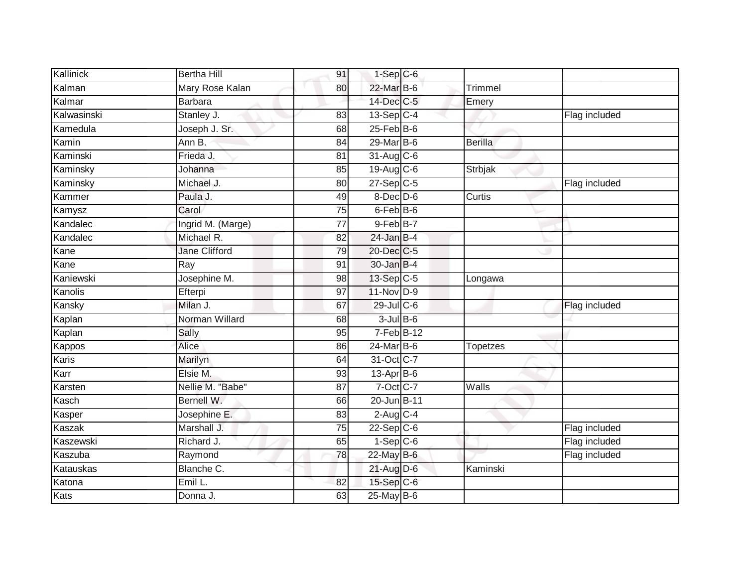| Kallinick   | <b>Bertha Hill</b> | 91              | $1-Sep$ $C-6$    |                 |               |
|-------------|--------------------|-----------------|------------------|-----------------|---------------|
| Kalman      | Mary Rose Kalan    | 80              | 22-Mar B-6       | Trimmel         |               |
| Kalmar      | <b>Barbara</b>     |                 | 14-Dec C-5       | Emery           |               |
| Kalwasinski | Stanley J.         | 83              | 13-Sep C-4       |                 | Flag included |
| Kamedula    | Joseph J. Sr.      | 68              | $25$ -Feb $B$ -6 |                 |               |
| Kamin       | Ann B.             | 84              | 29-Mar B-6       | <b>Berilla</b>  |               |
| Kaminski    | Frieda J.          | 81              | $31-Aug$ $C-6$   |                 |               |
| Kaminsky    | Johanna            | 85              | 19-Aug C-6       | Strbjak         |               |
| Kaminsky    | Michael J.         | 80              | $27-Sep$ C-5     |                 | Flag included |
| Kammer      | Paula J.           | 49              | 8-Dec D-6        | Curtis          |               |
| Kamysz      | Carol              | $\overline{75}$ | $6$ -Feb $B$ -6  |                 |               |
| Kandalec    | Ingrid M. (Marge)  | 77              | $9$ -Feb $B$ -7  |                 |               |
| Kandalec    | Michael R.         | 82              | $24$ -Jan B-4    |                 |               |
| Kane        | Jane Clifford      | 79              | 20-Dec C-5       |                 |               |
| Kane        | Ray                | $\overline{91}$ | $30 - Jan$ $B-4$ |                 |               |
| Kaniewski   | Josephine M.       | 98              | 13-Sep C-5       | Longawa         |               |
| Kanolis     | Efterpi            | $\overline{97}$ | 11-Nov D-9       |                 |               |
| Kansky      | Milan J.           | 67              | $29$ -Jul C-6    |                 | Flag included |
| Kaplan      | Norman Willard     | 68              | $3$ -Jul $B$ -6  |                 |               |
| Kaplan      | Sally              | 95              | $7-FebB-12$      |                 |               |
| Kappos      | Alice              | 86              | 24-Mar B-6       | <b>Topetzes</b> |               |
| Karis       | Marilyn            | 64              | 31-Oct C-7       |                 |               |
| Karr        | Elsie M.           | 93              | 13-Apr B-6       |                 |               |
| Karsten     | Nellie M. "Babe"   | 87              | 7-Oct C-7        | Walls           |               |
| Kasch       | Bernell W.         | 66              | 20-Jun B-11      |                 |               |
| Kasper      | Josephine E.       | 83              | $2-Aug$ C-4      |                 |               |
| Kaszak      | Marshall J.        | 75              | $22-Sep C-6$     |                 | Flag included |
| Kaszewski   | Richard J.         | 65              | $1-Sep$ $C-6$    |                 | Flag included |
| Kaszuba     | Raymond            | 78              | 22-May B-6       |                 | Flag included |
| Katauskas   | Blanche C.         |                 | 21-Aug D-6       | Kaminski        |               |
| Katona      | Emil L.            | 82              | $15-Sep$ $C-6$   |                 |               |
| Kats        | Donna J.           | 63              | $25$ -May B-6    |                 |               |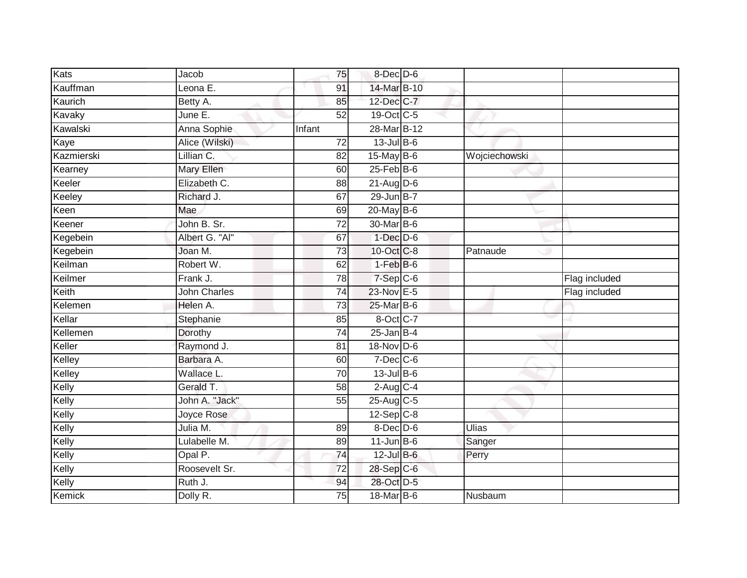| Kats       | Jacob               | 75              | $8$ -Dec $D$ -6    |               |               |
|------------|---------------------|-----------------|--------------------|---------------|---------------|
| Kauffman   | Leona E.            | 91              | 14-Mar B-10        |               |               |
| Kaurich    | Betty A.            | 85              | 12-Dec C-7         |               |               |
| Kavaky     | June E.             | 52              | 19-Oct C-5         |               |               |
| Kawalski   | Anna Sophie         | Infant          | 28-Mar B-12        |               |               |
| Kaye       | Alice (Wilski)      | $\overline{72}$ | $13$ -Jul $B-6$    |               |               |
| Kazmierski | Lillian C.          | 82              | 15-May B-6         | Wojciechowski |               |
| Kearney    | Mary Ellen          | 60              | $25$ -Feb $B$ -6   |               |               |
| Keeler     | Elizabeth C.        | 88              | $21$ -Aug $D-6$    |               |               |
| Keeley     | Richard J.          | 67              | 29-Jun B-7         |               |               |
| Keen       | Mae                 | 69              | 20-May B-6         |               |               |
| Keener     | John B. Sr.         | $\overline{72}$ | 30-Mar B-6         |               |               |
| Kegebein   | Albert G. "Al"      | 67              | $1$ -Dec $D-6$     |               |               |
| Kegebein   | Joan M.             | 73              | 10-Oct C-8         | Patnaude      |               |
| Keilman    | Robert W.           | 62              | $1-FebB-6$         |               |               |
| Keilmer    | Frank J.            | 78              | $7-Sep$ $C-6$      |               | Flag included |
| Keith      | <b>John Charles</b> | 74              | 23-Nov E-5         |               | Flag included |
| Kelemen    | Helen A.            | 73              | 25-Mar B-6         |               |               |
| Kellar     | Stephanie           | 85              | 8-Oct C-7          |               |               |
| Kellemen   | Dorothy             | $\overline{74}$ | $25$ -Jan B-4      |               |               |
| Keller     | Raymond J.          | 81              | 18-Nov D-6         |               |               |
| Kelley     | Barbara A.          | 60              | $7$ -Dec $C$ -6    |               |               |
| Kelley     | Wallace L.          | 70              | $13 -$ Jul $B - 6$ |               |               |
| Kelly      | Gerald T.           | $\overline{58}$ | $2$ -Aug $C-4$     |               |               |
| Kelly      | John A. "Jack"      | 55              | 25-Aug C-5         |               |               |
| Kelly      | Joyce Rose          |                 | $12$ -Sep $C-8$    |               |               |
| Kelly      | Julia M.            | 89              | $8$ -Dec $D$ -6    | <b>Ulias</b>  |               |
| Kelly      | Lulabelle M.        | 89              | $11$ -Jun B-6      | Sanger        |               |
| Kelly      | Opal P.             | 74              | 12-Jul B-6         | Perry         |               |
| Kelly      | Roosevelt Sr.       | 72              | 28-Sep C-6         |               |               |
| Kelly      | Ruth J.             | 94              | 28-Oct D-5         |               |               |
| Kemick     | Dolly R.            | 75              | 18-Mar B-6         | Nusbaum       |               |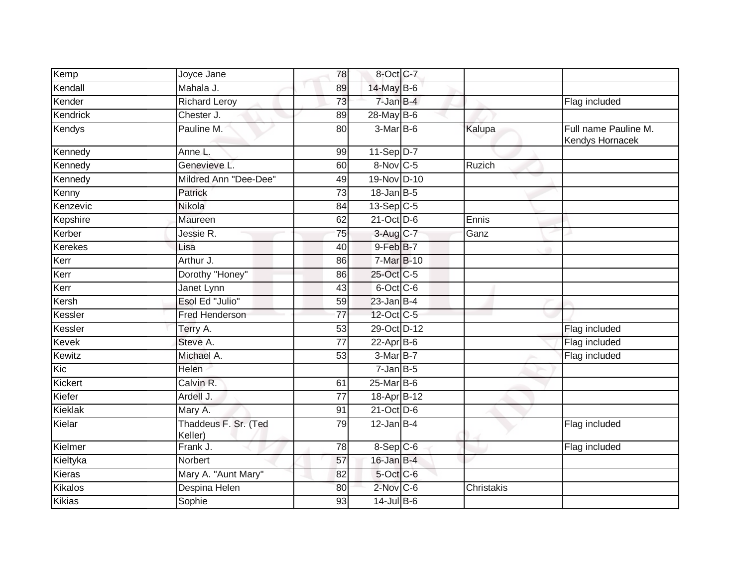| Kemp           | Joyce Jane                      | 78              | 8-Oct C-7         |            |                                         |
|----------------|---------------------------------|-----------------|-------------------|------------|-----------------------------------------|
| Kendall        | Mahala J.                       | 89              | 14-May B-6        |            |                                         |
| Kender         | <b>Richard Leroy</b>            | 73              | 7-Jan B-4         |            | Flag included                           |
| Kendrick       | Chester J.                      | 89              | 28-May B-6        |            |                                         |
| Kendys         | Pauline M.                      | 80              | $3-MarB-6$        | Kalupa     | Full name Pauline M.<br>Kendys Hornacek |
| Kennedy        | Anne L.                         | 99              | 11-Sep D-7        |            |                                         |
| Kennedy        | Genevieve L.                    | 60              | 8-Nov C-5         | Ruzich     |                                         |
| Kennedy        | Mildred Ann "Dee-Dee"           | 49              | 19-Nov D-10       |            |                                         |
| Kenny          | Patrick                         | 73              | $18$ -Jan $ B-5 $ |            |                                         |
| Kenzevic       | Nikola                          | 84              | $13-Sep$ C-5      |            |                                         |
| Kepshire       | Maureen                         | 62              | $21$ -Oct D-6     | Ennis      |                                         |
| Kerber         | Jessie R.                       | 75              | $3-Aug$ $C-7$     | Ganz       |                                         |
| <b>Kerekes</b> | Lisa                            | 40              | 9-Feb B-7         |            |                                         |
| Kerr           | Arthur J.                       | 86              | 7-Mar B-10        |            |                                         |
| Kerr           | Dorothy "Honey"                 | 86              | 25-Oct C-5        |            |                                         |
| Kerr           | Janet Lynn                      | 43              | 6-Oct C-6         |            |                                         |
| Kersh          | Esol Ed "Julio"                 | 59              | $23$ -Jan B-4     |            |                                         |
| Kessler        | <b>Fred Henderson</b>           | 77              | 12-Oct C-5        |            |                                         |
| Kessler        | Terry A.                        | $\overline{53}$ | 29-Oct D-12       |            | Flag included                           |
| <b>Kevek</b>   | Steve A.                        | $\overline{77}$ | $22$ -Apr $B$ -6  |            | Flag included                           |
| Kewitz         | Michael A.                      | 53              | 3-Mar B-7         |            | Flag included                           |
| Kic            | Helen                           |                 | $7 - JanB - 5$    |            |                                         |
| Kickert        | Calvin R.                       | 61              | $25$ -Mar $B$ -6  |            |                                         |
| Kiefer         | Ardell J.                       | 77              | 18-Apr B-12       |            |                                         |
| Kieklak        | Mary A.                         | 91              | $21$ -Oct D-6     |            |                                         |
| Kielar         | Thaddeus F. Sr. (Ted<br>Keller) | 79              | $12$ -Jan B-4     |            | Flag included                           |
| Kielmer        | Frank J.                        | 78              | 8-Sep C-6         |            | Flag included                           |
| Kieltyka       | Norbert                         | 57              | $16$ -Jan $B-4$   |            |                                         |
| Kieras         | Mary A. "Aunt Mary"             | 82              | 5-Oct C-6         |            |                                         |
| Kikalos        | Despina Helen                   | 80              | $2$ -Nov $ C-6 $  | Christakis |                                         |
| <b>Kikias</b>  | Sophie                          | 93              | $14$ -Jul B-6     |            |                                         |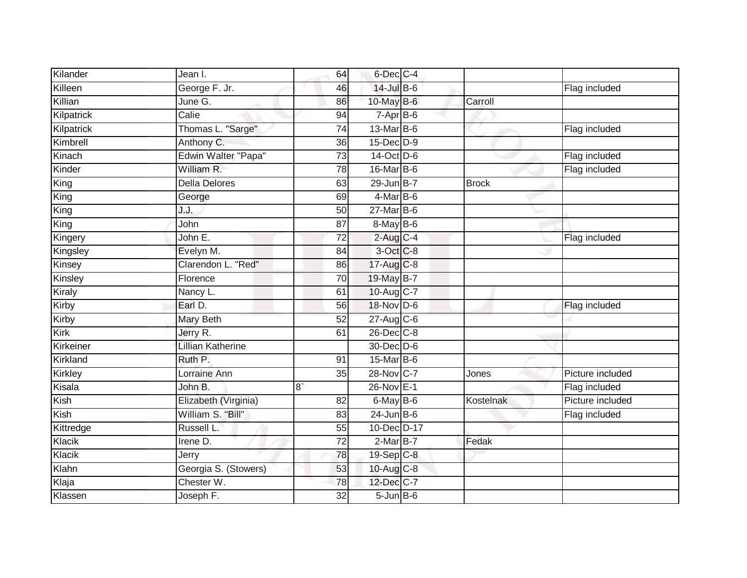| Kilander   | Jean I.                    | 64              | 6-Dec C-4         |              |                  |
|------------|----------------------------|-----------------|-------------------|--------------|------------------|
| Killeen    | George F. Jr.              | 46              | $14$ -Jul B-6     |              | Flag included    |
| Killian    | June G.                    | 86              | 10-May B-6        | Carroll      |                  |
| Kilpatrick | Calie                      | 94              | $7-AprB-6$        |              |                  |
| Kilpatrick | Thomas L. "Sarge"          | $\overline{74}$ | 13-Mar B-6        |              | Flag included    |
| Kimbrell   | Anthony C.                 | 36              | 15-Dec D-9        |              |                  |
| Kinach     | <b>Edwin Walter "Papa"</b> | $\overline{73}$ | 14-Oct D-6        |              | Flag included    |
| Kinder     | William R.                 | 78              | 16-Mar B-6        |              | Flag included    |
| King       | <b>Della Delores</b>       | 63              | 29-Jun B-7        | <b>Brock</b> |                  |
| King       | George                     | 69              | $4$ -Mar $ B-6$   |              |                  |
| King       | J.J.                       | 50              | 27-Mar B-6        |              |                  |
| King       | John                       | 87              | $8$ -May B-6      |              |                  |
| Kingery    | John E.                    | 72              | $2$ -Aug $C-4$    |              | Flag included    |
| Kingsley   | Evelyn M.                  | 84              | 3-Oct C-8         |              |                  |
| Kinsey     | Clarendon L. "Red"         | 86              | 17-Aug C-8        |              |                  |
| Kinsley    | Florence                   | 70              | 19-May B-7        |              |                  |
| Kiraly     | Nancy L.                   | 61              | 10-Aug C-7        |              |                  |
| Kirby      | Earl D.                    | 56              | 18-Nov D-6        |              | Flag included    |
| Kirby      | Mary Beth                  | 52              | $27$ -Aug C-6     |              |                  |
| Kirk       | Jerry R.                   | 61              | 26-Dec C-8        |              |                  |
| Kirkeiner  | <b>Lillian Katherine</b>   |                 | 30-Dec D-6        |              |                  |
| Kirkland   | Ruth P.                    | 91              | 15-Mar B-6        |              |                  |
| Kirkley    | Lorraine Ann               | 35              | 28-Nov C-7        | Jones        | Picture included |
| Kisala     | John B.                    | 8               | 26-Nov E-1        |              | Flag included    |
| Kish       | Elizabeth (Virginia)       | 82              | $6$ -May B-6      | Kostelnak    | Picture included |
| Kish       | William S. "Bill"          | 83              | $24$ -Jun $B-6$   |              | Flag included    |
| Kittredge  | Russell L.                 | 55              | 10-Dec D-17       |              |                  |
| Klacik     | Irene D.                   | $\overline{72}$ | $2$ -Mar $B$ -7   | Fedak        |                  |
| Klacik     | Jerry                      | 78              | 19-Sep C-8        |              |                  |
| Klahn      | Georgia S. (Stowers)       | 53              | 10-Aug C-8        |              |                  |
| Klaja      | Chester W.                 | 78              | 12-Dec C-7        |              |                  |
| Klassen    | Joseph F.                  | $\overline{32}$ | $5 - Jun$ $B - 6$ |              |                  |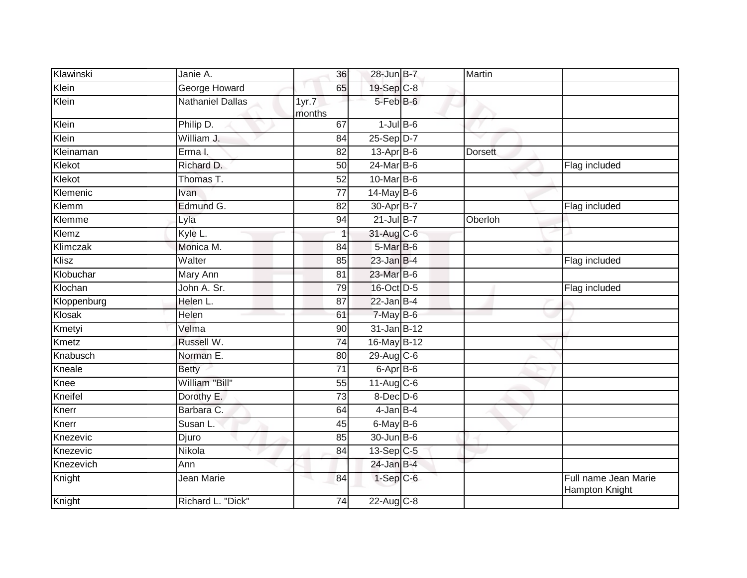| Klawinski   | Janie A.                | 36              | 28-Jun B-7              | Martin         |                                        |
|-------------|-------------------------|-----------------|-------------------------|----------------|----------------------------------------|
| Klein       | <b>George Howard</b>    | 65              | 19-Sep C-8              |                |                                        |
| Klein       | <b>Nathaniel Dallas</b> | 1yr.7<br>months | $5-FebB-6$              |                |                                        |
| Klein       | Philip D.               | 67              | $1$ -Jul $B$ -6         |                |                                        |
| Klein       | William J.              | 84              | $25-Sep D-7$            |                |                                        |
| Kleinaman   | Erma I.                 | 82              | $13$ -Apr $B$ -6        | <b>Dorsett</b> |                                        |
| Klekot      | Richard D.              | 50              | $24$ -Mar B-6           |                | Flag included                          |
| Klekot      | Thomas T.               | $\overline{52}$ | 10-Mar B-6              |                |                                        |
| Klemenic    | Ivan                    | 77              | $14$ -May B-6           |                |                                        |
| Klemm       | Edmund G.               | 82              | 30-Apr B-7              |                | Flag included                          |
| Klemme      | Lyla                    | 94              | $21$ -Jul B-7           | Oberloh        |                                        |
| Klemz       | Kyle L.                 |                 | 31-Aug C-6              |                |                                        |
| Klimczak    | Monica M.               | 84              | 5-Mar B-6               |                |                                        |
| Klisz       | Walter                  | 85              | $23$ -Jan B-4           |                | Flag included                          |
| Klobuchar   | Mary Ann                | $\overline{81}$ | 23-Mar B-6              |                |                                        |
| Klochan     | John A. Sr.             | 79              | 16-Oct D-5              |                | Flag included                          |
| Kloppenburg | Helen L.                | 87              | $22$ -Jan B-4           |                |                                        |
| Klosak      | Helen                   | 61              | 7-May B-6               |                |                                        |
| Kmetyi      | Velma                   | 90              | $31$ -Jan $B-12$        |                |                                        |
| Kmetz       | Russell W.              | $\overline{74}$ | 16-May B-12             |                |                                        |
| Knabusch    | Norman E.               | 80              | 29-Aug C-6              |                |                                        |
| Kneale      | <b>Betty</b>            | 71              | $6$ -Apr $B$ -6         |                |                                        |
| Knee        | William "Bill"          | 55              | $11-Aug$ <sub>C-6</sub> |                |                                        |
| Kneifel     | Dorothy E.              | 73              | $8$ -Dec $D$ -6         |                |                                        |
| Knerr       | Barbara C.              | 64              | 4-Jan B-4               |                |                                        |
| Knerr       | Susan L.                | 45              | $6$ -May B-6            |                |                                        |
| Knezevic    | Djuro                   | 85              | $30 - Jun$ B-6          |                |                                        |
| Knezevic    | Nikola                  | 84              | 13-Sep C-5              |                |                                        |
| Knezevich   | Ann                     |                 | $24$ -Jan B-4           |                |                                        |
| Knight      | Jean Marie              | 84              | $1-Sep$ $C-6$           |                | Full name Jean Marie<br>Hampton Knight |
| Knight      | Richard L. "Dick"       | 74              | 22-Aug C-8              |                |                                        |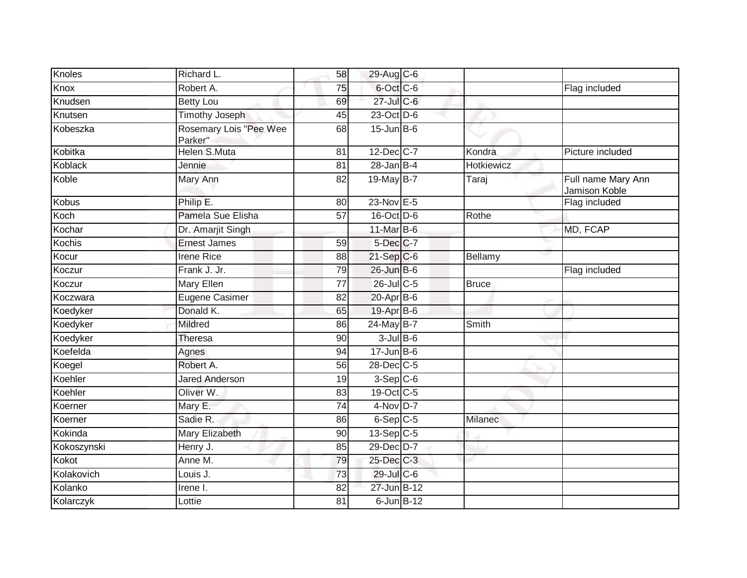| Knoles       | Richard L.                        | 58              | 29-Aug C-6                  |              |                                     |
|--------------|-----------------------------------|-----------------|-----------------------------|--------------|-------------------------------------|
| Knox         | Robert A.                         | 75              | 6-Oct C-6                   |              | Flag included                       |
| Knudsen      | <b>Betty Lou</b>                  | 69              | 27-Jul C-6                  |              |                                     |
| Knutsen      | <b>Timothy Joseph</b>             | 45              | 23-Oct D-6                  |              |                                     |
| Kobeszka     | Rosemary Lois "Pee Wee<br>Parker" | 68              | $15$ -Jun $B$ -6            |              |                                     |
| Kobitka      | <b>Helen S.Muta</b>               | 81              | 12-Dec C-7                  | Kondra       | Picture included                    |
| Koblack      | Jennie                            | 81              | $28$ -Jan B-4               | Hotkiewicz   |                                     |
| Koble        | Mary Ann                          | 82              | 19-May B-7                  | Taraj        | Full name Mary Ann<br>Jamison Koble |
| <b>Kobus</b> | Philip E.                         | 80              | 23-Nov E-5                  |              | Flag included                       |
| Koch         | Pamela Sue Elisha                 | 57              | $16$ -Oct $\overline{D}$ -6 | Rothe        |                                     |
| Kochar       | Dr. Amarjit Singh                 |                 | 11-Mar B-6                  |              | MD, FCAP                            |
| Kochis       | <b>Ernest James</b>               | 59              | 5-Dec C-7                   |              |                                     |
| Kocur        | <b>Irene Rice</b>                 | 88              | $21-SepC-6$                 | Bellamy      |                                     |
| Koczur       | Frank J. Jr.                      | 79              | $26$ -Jun $B$ -6            |              | Flag included                       |
| Koczur       | Mary Ellen                        | $\overline{77}$ | 26-Jul C-5                  | <b>Bruce</b> |                                     |
| Koczwara     | Eugene Casimer                    | 82              | $20-AprB-6$                 |              |                                     |
| Koedyker     | Donald K.                         | 65              | 19-Apr B-6                  |              |                                     |
| Koedyker     | Mildred                           | 86              | 24-May B-7                  | Smith        |                                     |
| Koedyker     | <b>Theresa</b>                    | 90              | $3$ -Jul $B$ -6             |              |                                     |
| Koefelda     | Agnes                             | 94              | $17 - Jun$ B-6              |              |                                     |
| Koegel       | Robert A.                         | 56              | 28-Dec C-5                  |              |                                     |
| Koehler      | <b>Jared Anderson</b>             | 19              | $3-Sep$ C-6                 |              |                                     |
| Koehler      | Oliver W.                         | 83              | 19-Oct C-5                  |              |                                     |
| Koerner      | Mary E.                           | 74              | $4$ -Nov D-7                |              |                                     |
| Koerner      | Sadie R.                          | 86              | $6-Sep$ $C-5$               | Milanec      |                                     |
| Kokinda      | Mary Elizabeth                    | 90              | $13-Sep C-5$                |              |                                     |
| Kokoszynski  | Henry J.                          | 85              | 29-Dec D-7                  |              |                                     |
| Kokot        | Anne M.                           | 79              | 25-Dec C-3                  |              |                                     |
| Kolakovich   | Louis J.                          | 73              | 29-Jul C-6                  |              |                                     |
| Kolanko      | Irene I.                          | 82              | 27-Jun B-12                 |              |                                     |
| Kolarczyk    | Lottie                            | 81              | $6$ -Jun $B$ -12            |              |                                     |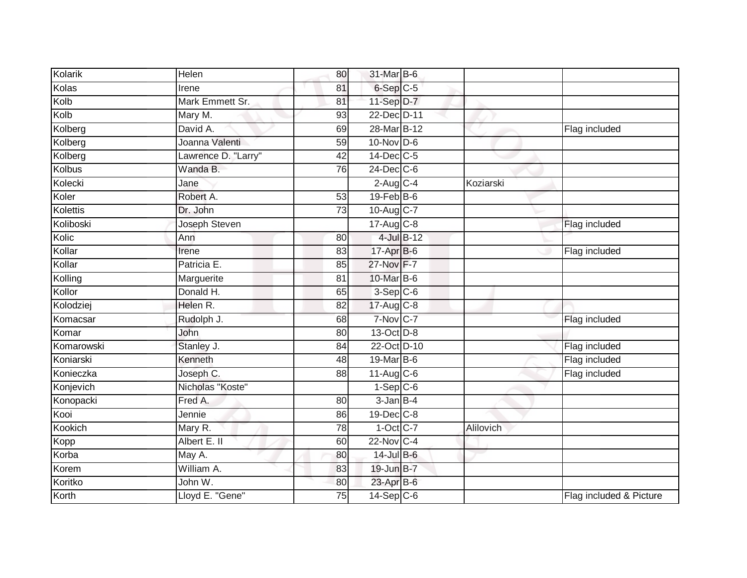| Kolarik    | Helen               | 80              | 31-Mar B-6              |           |                         |
|------------|---------------------|-----------------|-------------------------|-----------|-------------------------|
| Kolas      | Irene               | 81              | 6-Sep C-5               |           |                         |
| Kolb       | Mark Emmett Sr.     | 81              | 11-Sep D-7              |           |                         |
| Kolb       | Mary M.             | 93              | 22-Dec D-11             |           |                         |
| Kolberg    | David A.            | 69              | 28-Mar B-12             |           | Flag included           |
| Kolberg    | Joanna Valenti      | 59              | $10$ -Nov D-6           |           |                         |
| Kolberg    | Lawrence D. "Larry" | 42              | $14$ -Dec $ C-5$        |           |                         |
| Kolbus     | Wanda B.            | 76              | 24-Dec C-6              |           |                         |
| Kolecki    | Jane                |                 | $2$ -Aug C-4            | Koziarski |                         |
| Koler      | Robert A.           | 53              | $19$ -Feb $ B-6 $       |           |                         |
| Kolettis   | Dr. John            | $\overline{73}$ | 10-Aug C-7              |           |                         |
| Koliboski  | Joseph Steven       |                 | $17-Aug$ <sub>C-8</sub> |           | Flag included           |
| Kolic      | Ann                 | 80              | $4$ -Jul $B-12$         |           |                         |
| Kollar     | Irene               | 83              | 17-Apr B-6              |           | Flag included           |
| Kollar     | Patricia E.         | 85              | 27-Nov F-7              |           |                         |
| Kolling    | Marguerite          | 81              | 10-Mar B-6              |           |                         |
| Kollor     | Donald H.           | 65              | $3-Sep$ $C-6$           |           |                         |
| Kolodziej  | Helen R.            | 82              | 17-Aug C-8              |           |                         |
| Komacsar   | Rudolph J.          | 68              | $7-Nov$ <sub>C-7</sub>  |           | Flag included           |
| Komar      | <b>John</b>         | 80              | 13-Oct D-8              |           |                         |
| Komarowski | Stanley J.          | 84              | 22-Oct D-10             |           | Flag included           |
| Koniarski  | Kenneth             | 48              | 19-Mar B-6              |           | Flag included           |
| Konieczka  | Joseph C.           | 88              | $11-Aug$ C-6            |           | Flag included           |
| Konjevich  | Nicholas "Koste"    |                 | $1-Sep$ C-6             |           |                         |
| Konopacki  | Fred A.             | 80              | $3$ -Jan $B-4$          |           |                         |
| Kooi       | Jennie              | 86              | 19-Dec C-8              |           |                         |
| Kookich    | Mary R.             | 78              | $1-Oct$ $C-7$           | Alilovich |                         |
| Kopp       | Albert E. II        | 60              | 22-Nov C-4              |           |                         |
| Korba      | May A.              | 80              | 14-Jul B-6              |           |                         |
| Korem      | William A.          | 83              | 19-Jun B-7              |           |                         |
| Koritko    | John W.             | 80              | 23-Apr B-6              |           |                         |
| Korth      | Lloyd E. "Gene"     | 75              | 14-Sep C-6              |           | Flag included & Picture |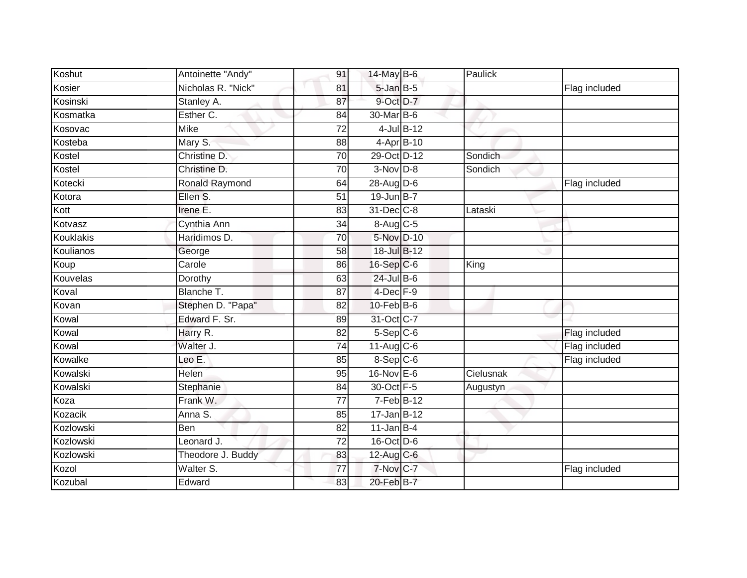| Koshut    | Antoinette "Andy"     | 91 | 14-May B-6              | Paulick   |               |
|-----------|-----------------------|----|-------------------------|-----------|---------------|
| Kosier    | Nicholas R. "Nick"    | 81 | $5$ -Jan $B$ -5         |           | Flag included |
| Kosinski  | Stanley A.            | 87 | 9-Oct D-7               |           |               |
| Kosmatka  | Esther C.             | 84 | 30-Mar B-6              |           |               |
| Kosovac   | <b>Mike</b>           | 72 | $4$ -Jul $B-12$         |           |               |
| Kosteba   | Mary S.               | 88 | $4$ -Apr $B$ -10        |           |               |
| Kostel    | Christine D.          | 70 | 29-Oct D-12             | Sondich   |               |
| Kostel    | Christine D.          | 70 | $3-Nov$ D-8             | Sondich   |               |
| Kotecki   | <b>Ronald Raymond</b> | 64 | $28$ -Aug $D-6$         |           | Flag included |
| Kotora    | Ellen S.              | 51 | 19-Jun B-7              |           |               |
| Kott      | Irene E.              | 83 | 31-Dec C-8              | Lataski   |               |
| Kotvasz   | Cynthia Ann           | 34 | 8-Aug C-5               |           |               |
| Kouklakis | Haridimos D.          | 70 | 5-Nov D-10              |           |               |
| Koulianos | George                | 58 | 18-Jul B-12             |           |               |
| Koup      | Carole                | 86 | 16-Sep C-6              | King      |               |
| Kouvelas  | Dorothy               | 63 | $24$ -Jul B-6           |           |               |
| Koval     | Blanche T.            | 87 | $4$ -Dec $F-9$          |           |               |
| Kovan     | Stephen D. "Papa"     | 82 | $10$ -Feb $ B-6$        |           |               |
| Kowal     | Edward F. Sr.         | 89 | 31-Oct C-7              |           |               |
| Kowal     | Harry R.              | 82 | $5-$ Sep $C-6$          |           | Flag included |
| Kowal     | Walter J.             | 74 | $11-Aug$ <sub>C-6</sub> |           | Flag included |
| Kowalke   | Leo E.                | 85 | 8-Sep C-6               |           | Flag included |
| Kowalski  | Helen                 | 95 | $16$ -Nov $E$ -6        | Cielusnak |               |
| Kowalski  | Stephanie             | 84 | 30-Oct F-5              | Augustyn  |               |
| Koza      | Frank W.              | 77 | $7-Feb$ B-12            |           |               |
| Kozacik   | Anna S.               | 85 | $17 - Jan$ B-12         |           |               |
| Kozlowski | <b>Ben</b>            | 82 | $11$ -Jan B-4           |           |               |
| Kozlowski | Leonard J.            | 72 | 16-Oct D-6              |           |               |
| Kozlowski | Theodore J. Buddy     | 83 | 12-Aug C-6              |           |               |
| Kozol     | Walter S.             | 77 | 7-Nov C-7               |           | Flag included |
| Kozubal   | Edward                | 83 | 20-Feb B-7              |           |               |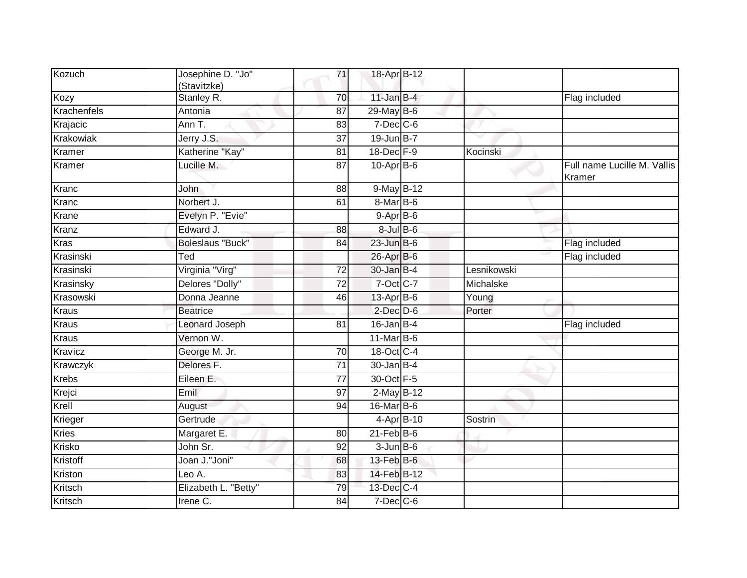|              | (Stavitzke)             | 71              | 18-Apr B-12      |             |                                       |
|--------------|-------------------------|-----------------|------------------|-------------|---------------------------------------|
| Kozy         | Stanley R.              | 70              | $11$ -Jan B-4    |             | Flag included                         |
| Krachenfels  | Antonia                 | $\overline{87}$ | $29$ -May B-6    |             |                                       |
| Krajacic     | Ann T.                  | 83              | $7$ -Dec $C$ -6  |             |                                       |
| Krakowiak    | Jerry J.S.              | 37              | $19$ -Jun B-7    |             |                                       |
| Kramer       | Katherine "Kay"         | 81              | 18-Dec F-9       | Kocinski    |                                       |
| Kramer       | Lucille M.              | 87              | $10-Apr$ B-6     |             | Full name Lucille M. Vallis<br>Kramer |
| Kranc        | John                    | $\overline{88}$ | 9-May B-12       |             |                                       |
| Kranc        | Norbert J.              | 61              | 8-Mar B-6        |             |                                       |
| Krane        | Evelyn P. "Evie"        |                 | $9-AprB-6$       |             |                                       |
| Kranz        | Edward J.               | 88              | $8$ -Jul $B$ -6  |             |                                       |
| <b>Kras</b>  | <b>Boleslaus "Buck"</b> | 84              | $23$ -Jun $B$ -6 |             | Flag included                         |
| Krasinski    | Ted                     |                 | 26-Apr B-6       |             | Flag included                         |
| Krasinski    | Virginia "Virg"         | 72              | 30-Jan B-4       | Lesnikowski |                                       |
| Krasinsky    | Delores "Dolly"         | $\overline{72}$ | 7-Oct C-7        | Michalske   |                                       |
| Krasowski    | Donna Jeanne            | 46              | $13$ -Apr $B$ -6 | Young       |                                       |
| <b>Kraus</b> | <b>Beatrice</b>         |                 | $2$ -Dec $D-6$   | Porter      |                                       |
| <b>Kraus</b> | <b>Leonard Joseph</b>   | 81              | $16$ -Jan B-4    |             | Flag included                         |
| <b>Kraus</b> | Vernon W.               |                 | $11$ -Mar $B$ -6 |             |                                       |
| Kravicz      | George M. Jr.           | 70              | 18-Oct C-4       |             |                                       |
| Krawczyk     | Delores F.              | $\overline{71}$ | $30 - Jan$ B-4   |             |                                       |
| <b>Krebs</b> | Eileen E.               | 77              | 30-Oct F-5       |             |                                       |
| Krejci       | Emil                    | 97              | 2-May B-12       |             |                                       |
| Krell        | August                  | 94              | 16-Mar B-6       |             |                                       |
| Krieger      | Gertrude                |                 | 4-Apr B-10       | Sostrin     |                                       |
| <b>Kries</b> | Margaret E.             | 80              | $21$ -Feb $B$ -6 |             |                                       |
| Krisko       | John Sr.                | 92              | $3$ -Jun $B$ -6  |             |                                       |
| Kristoff     | Joan J."Joni"           | 68              | 13-Feb B-6       |             |                                       |
| Kriston      | Leo A.                  | 83              | 14-Feb B-12      |             |                                       |
| Kritsch      | Elizabeth L. "Betty"    | 79              | 13-Dec C-4       |             |                                       |
| Kritsch      | Irene C.                | 84              | $7$ -Dec $C$ -6  |             |                                       |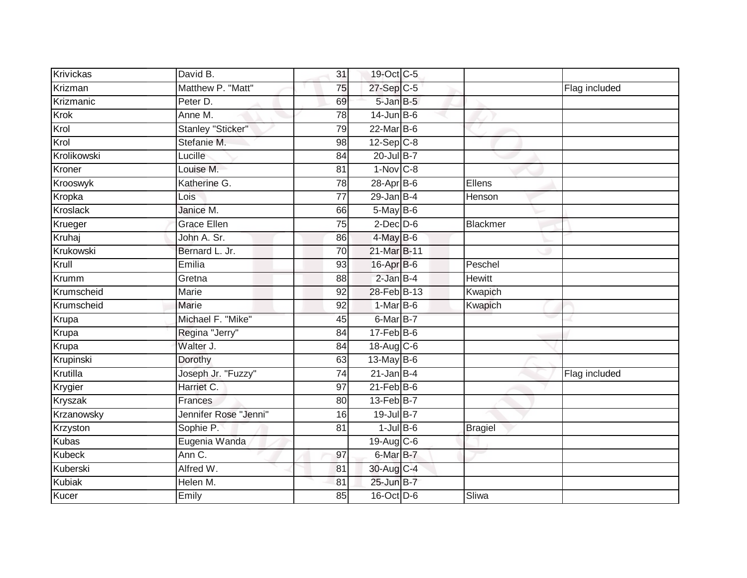| Krivickas     | David B.              | 31              | 19-Oct C-5       |                |               |
|---------------|-----------------------|-----------------|------------------|----------------|---------------|
| Krizman       | Matthew P. "Matt"     | $\overline{75}$ | 27-Sep C-5       |                | Flag included |
| Krizmanic     | Peter D.              | 69              | $5$ -Jan $B$ -5  |                |               |
| Krok          | Anne M.               | 78              | $14$ -Jun B-6    |                |               |
| Krol          | Stanley "Sticker"     | 79              | $22$ -Mar $B-6$  |                |               |
| Krol          | Stefanie M.           | 98              | $12-Sep$ C-8     |                |               |
| Krolikowski   | Lucille               | 84              | 20-Jul B-7       |                |               |
| Kroner        | Louise M.             | 81              | $1-Nov$ C-8      |                |               |
| Krooswyk      | Katherine G.          | $\overline{78}$ | 28-Apr B-6       | Ellens         |               |
| Kropka        | Lois                  | $\overline{77}$ | $29$ -Jan B-4    | Henson         |               |
| Kroslack      | Janice M.             | 66              | 5-May B-6        |                |               |
| Krueger       | Grace Ellen           | 75              | $2$ -Dec $D$ -6  | Blackmer       |               |
| Kruhaj        | John A. Sr.           | 86              | $4$ -May $B$ -6  |                |               |
| Krukowski     | Bernard L. Jr.        | 70              | 21-Mar B-11      |                |               |
| Krull         | Emilia                | 93              | 16-Apr B-6       | Peschel        |               |
| Krumm         | Gretna                | 88              | $2$ -Jan $B-4$   | <b>Hewitt</b>  |               |
| Krumscheid    | Marie                 | 92              | 28-Feb B-13      | Kwapich        |               |
| Krumscheid    | Marie                 | 92              | $1-MarB-6$       | Kwapich        |               |
| Krupa         | Michael F. "Mike"     | 45              | 6-Mar B-7        |                |               |
| Krupa         | Regina "Jerry"        | $\overline{84}$ | $17$ -Feb $B$ -6 |                |               |
| Krupa         | Walter J.             | 84              | 18-Aug C-6       |                |               |
| Krupinski     | Dorothy               | 63              | 13-May B-6       |                |               |
| Krutilla      | Joseph Jr. "Fuzzy"    | 74              | $21$ -Jan B-4    |                | Flag included |
| Krygier       | Harriet C.            | 97              | $21$ -Feb $B$ -6 |                |               |
| Kryszak       | Frances               | 80              | $13$ -Feb $B$ -7 |                |               |
| Krzanowsky    | Jennifer Rose "Jenni" | 16              | 19-Jul B-7       |                |               |
| Krzyston      | Sophie P.             | $\overline{81}$ | $1$ -Jul B-6     | <b>Bragiel</b> |               |
| <b>Kubas</b>  | Eugenia Wanda         |                 | 19-Aug C-6       |                |               |
| <b>Kubeck</b> | Ann C.                | 97              | 6-Mar B-7        |                |               |
| Kuberski      | Alfred W.             | 81              | 30-Aug C-4       |                |               |
| <b>Kubiak</b> | Helen M.              | 81              | 25-Jun B-7       |                |               |
| Kucer         | Emily                 | 85              | 16-Oct D-6       | Sliwa          |               |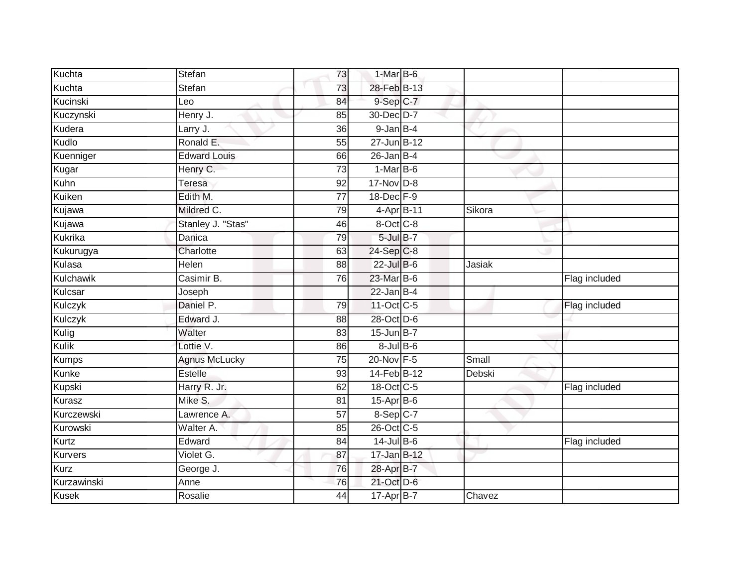| Kuchta         | Stefan               | 73              | 1-Mar B-6         |        |               |
|----------------|----------------------|-----------------|-------------------|--------|---------------|
| Kuchta         | Stefan               | 73              | 28-Feb B-13       |        |               |
| Kucinski       | Leo                  | 84              | 9-Sep C-7         |        |               |
| Kuczynski      | Henry J.             | 85              | 30-Dec D-7        |        |               |
| Kudera         | Larry J.             | $\overline{36}$ | $9$ -Jan $B-4$    |        |               |
| Kudlo          | Ronald E.            | 55              | 27-Jun B-12       |        |               |
| Kuenniger      | <b>Edward Louis</b>  | 66              | $26$ -Jan B-4     |        |               |
| Kugar          | Henry C.             | 73              | $1-MarB-6$        |        |               |
| Kuhn           | <b>Teresa</b>        | 92              | 17-Nov D-8        |        |               |
| Kuiken         | Edith M.             | $\overline{77}$ | 18-Dec F-9        |        |               |
| Kujawa         | Mildred C.           | 79              | 4-Apr B-11        | Sikora |               |
| Kujawa         | Stanley J. "Stas"    | 46              | 8-Oct C-8         |        |               |
| Kukrika        | Danica               | 79              | 5-Jul B-7         |        |               |
| Kukurugya      | Charlotte            | 63              | $24-Sep$ C-8      |        |               |
| Kulasa         | Helen                | 88              | 22-Jul B-6        | Jasiak |               |
| Kulchawik      | Casimir B.           | 76              | 23-Mar B-6        |        | Flag included |
| Kulcsar        | Joseph               |                 | $22$ -Jan B-4     |        |               |
| Kulczyk        | Daniel P.            | 79              | 11-Oct C-5        |        | Flag included |
| Kulczyk        | Edward J.            | 88              | 28-Oct D-6        |        |               |
| Kulig          | Walter               | 83              | $15$ -Jun $B-7$   |        |               |
| Kulik          | Lottie V.            | 86              | $8 -$ Jul $B - 6$ |        |               |
| <b>Kumps</b>   | <b>Agnus McLucky</b> | $\overline{75}$ | 20-Nov F-5        | Small  |               |
| Kunke          | Estelle              | 93              | 14-Feb B-12       | Debski |               |
| Kupski         | Harry R. Jr.         | 62              | 18-Oct C-5        |        | Flag included |
| Kurasz         | Mike S.              | 81              | $15$ -Apr $B$ -6  |        |               |
| Kurczewski     | Lawrence A.          | 57              | 8-Sep C-7         |        |               |
| Kurowski       | Walter A.            | 85              | 26-Oct C-5        |        |               |
| Kurtz          | Edward               | 84              | $14$ -Jul B-6     |        | Flag included |
| <b>Kurvers</b> | Violet G.            | 87              | 17-Jan B-12       |        |               |
| <b>Kurz</b>    | George J.            | 76              | 28-Apr B-7        |        |               |
| Kurzawinski    | Anne                 | $\overline{76}$ | 21-Oct D-6        |        |               |
| <b>Kusek</b>   | Rosalie              | $\overline{44}$ | 17-Apr B-7        | Chavez |               |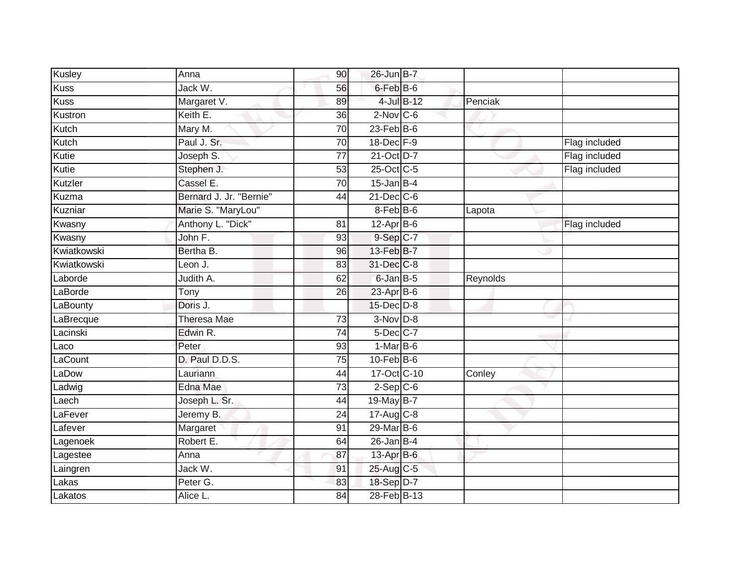| Kusley      | Anna                    | 90              | 26-Jun B-7              |          |               |
|-------------|-------------------------|-----------------|-------------------------|----------|---------------|
| <b>Kuss</b> | Jack W.                 | 56              | $6$ -Feb $B$ -6         |          |               |
| <b>Kuss</b> | Margaret V.             | 89              | 4-Jul B-12              | Penciak  |               |
| Kustron     | Keith E.                | 36              | $2$ -Nov C-6            |          |               |
| Kutch       | Mary M.                 | $\overline{70}$ | $23$ -Feb $ B-6 $       |          |               |
| Kutch       | Paul J. Sr.             | 70              | 18-Dec F-9              |          | Flag included |
| Kutie       | Joseph S.               | $\overline{77}$ | 21-Oct D-7              |          | Flag included |
| Kutie       | Stephen J.              | 53              | 25-Oct C-5              |          | Flag included |
| Kutzler     | Cassel E.               | 70              | $15$ -Jan B-4           |          |               |
| Kuzma       | Bernard J. Jr. "Bernie" | 44              | $21$ -Dec $C$ -6        |          |               |
| Kuzniar     | Marie S. "MaryLou"      |                 | $8-Feb$ B-6             | Lapota   |               |
| Kwasny      | Anthony L. "Dick"       | 81              | $12$ -Apr $B$ -6        |          | Flag included |
| Kwasny      | John F.                 | 93              | $9-Sep$ C-7             |          |               |
| Kwiatkowski | Bertha B.               | 96              | 13-Feb B-7              |          |               |
| Kwiatkowski | Leon J.                 | 83              | 31-Dec C-8              |          |               |
| Laborde     | Judith A.               | 62              | 6-Jan B-5               | Reynolds |               |
| LaBorde     | Tony                    | $\overline{26}$ | $23$ -Apr $B$ -6        |          |               |
| LaBounty    | Doris J.                |                 | $15$ -Dec $D-8$         |          |               |
| LaBrecque   | Theresa Mae             | 73              | $3-Nov$ $D-8$           |          |               |
| Lacinski    | Edwin R.                | 74              | 5-Dec C-7               |          |               |
| Laco        | Peter                   | 93              | $1-MarB-6$              |          |               |
| LaCount     | D. Paul D.D.S.          | 75              | $10$ -Feb $B$ -6        |          |               |
| LaDow       | Lauriann                | 44              | 17-Oct C-10             | Conley   |               |
| Ladwig      | Edna Mae                | 73              | $2-Sep$ C-6             |          |               |
| Laech       | Joseph L. Sr.           | 44              | 19-May B-7              |          |               |
| LaFever     | Jeremy B.               | 24              | $17-Aug$ <sub>C-8</sub> |          |               |
| Lafever     | Margaret                | 91              | $29$ -Mar $B$ -6        |          |               |
| Lagenoek    | Robert E.               | 64              | $26$ -Jan B-4           |          |               |
| Lagestee    | Anna                    | 87              | 13-Apr B-6              |          |               |
| Laingren    | Jack W.                 | 91              | 25-Aug C-5              |          |               |
| Lakas       | Peter G.                | 83              | 18-Sep D-7              |          |               |
| Lakatos     | Alice L.                | $\overline{84}$ | 28-Feb B-13             |          |               |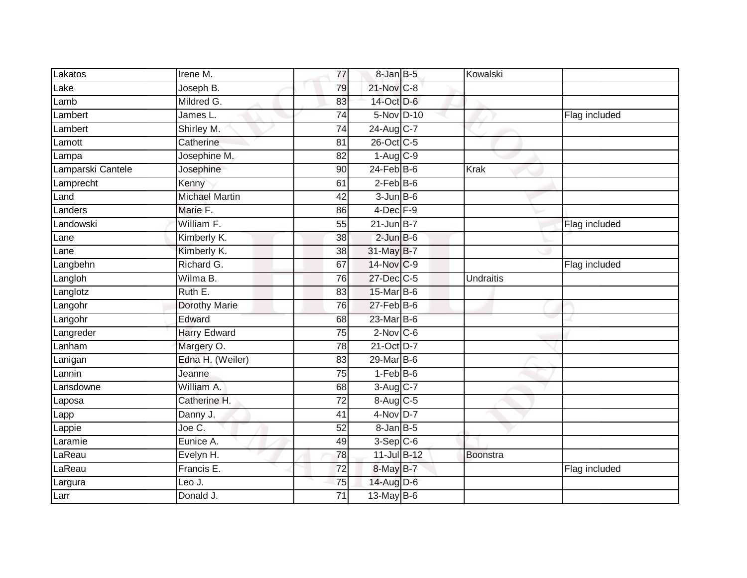| Lakatos           | Irene M.              | 77              | $8$ -Jan $B$ -5  | Kowalski         |               |
|-------------------|-----------------------|-----------------|------------------|------------------|---------------|
| Lake              | Joseph B.             | 79              | 21-Nov C-8       |                  |               |
| Lamb              | Mildred G.            | 83              | 14-Oct D-6       |                  |               |
| Lambert           | James L.              | 74              | 5-Nov D-10       |                  | Flag included |
| Lambert           | Shirley M.            | 74              | 24-Aug C-7       |                  |               |
| Lamott            | Catherine             | 81              | 26-Oct C-5       |                  |               |
| Lampa             | Josephine M.          | 82              | $1-Aug$ C-9      |                  |               |
| Lamparski Cantele | Josephine             | 90              | $24$ -Feb $B$ -6 | Krak             |               |
| Lamprecht         | Kenny                 | 61              | $2-Feb$ B-6      |                  |               |
| Land              | <b>Michael Martin</b> | 42              | $3-JunB-6$       |                  |               |
| Landers           | Marie F.              | 86              | $4$ -Dec $F-9$   |                  |               |
| Landowski         | William F.            | 55              | $21$ -Jun B-7    |                  | Flag included |
| Lane              | Kimberly K.           | 38              | $2$ -Jun $B$ -6  |                  |               |
| Lane              | Kimberly K.           | 38              | 31-May B-7       |                  |               |
| Langbehn          | Richard G.            | 67              | 14-Nov C-9       |                  | Flag included |
| Langloh           | Wilma B.              | 76              | 27-Dec C-5       | <b>Undraitis</b> |               |
| Langlotz          | Ruth E.               | 83              | 15-Mar B-6       |                  |               |
| Langohr           | Dorothy Marie         | 76              | $27 - Feb$ B-6   |                  |               |
| Langohr           | Edward                | 68              | 23-Mar B-6       |                  |               |
| Langreder         | <b>Harry Edward</b>   | $\overline{75}$ | $2$ -Nov $C$ -6  |                  |               |
| Lanham            | Margery O.            | 78              | 21-Oct D-7       |                  |               |
| Lanigan           | Edna H. (Weiler)      | 83              | $29$ -Mar $B$ -6 |                  |               |
| Lannin            | Jeanne                | $\overline{75}$ | $1-FebB-6$       |                  |               |
| Lansdowne         | William A.            | 68              | 3-Aug C-7        |                  |               |
| Laposa            | Catherine H.          | $\overline{72}$ | 8-Aug C-5        |                  |               |
| Lapp              | Danny J.              | 41              | $4-NovD-7$       |                  |               |
| Lappie            | Joe C.                | $\overline{52}$ | $8$ -Jan $B$ -5  |                  |               |
| Laramie           | Eunice A.             | 49              | $3-Sep$ C-6      |                  |               |
| LaReau            | Evelyn H.             | 78              | 11-Jul B-12      | Boonstra         |               |
| LaReau            | Francis E.            | 72              | 8-May B-7        |                  | Flag included |
| Largura           | Leo J.                | 75              | 14-Aug D-6       |                  |               |
| Larr              | Donald J.             | $\overline{71}$ | $13$ -May B-6    |                  |               |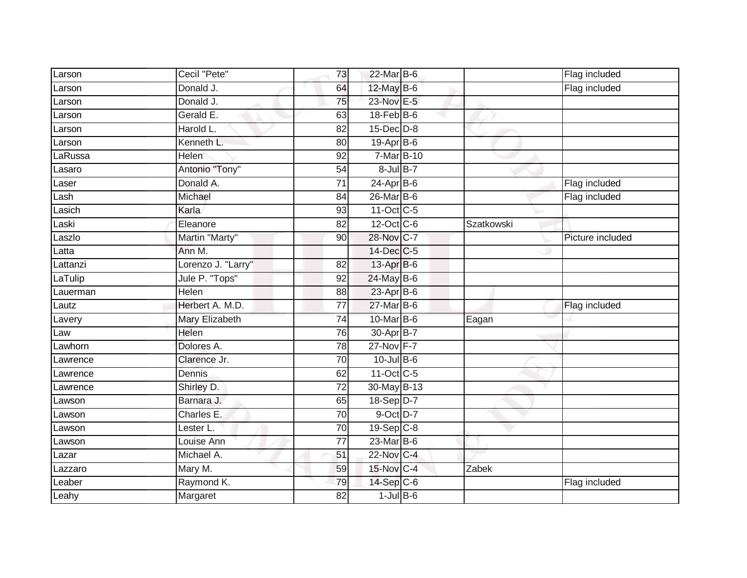| Larson          | Cecil "Pete"           | 73                    | 22-Mar B-6                 |            | Flag included    |
|-----------------|------------------------|-----------------------|----------------------------|------------|------------------|
| Larson          | Donald J.              | 64                    | 12-May B-6                 |            | Flag included    |
| Larson          | Donald J.              | 75                    | 23-Nov E-5                 |            |                  |
| Larson          | Gerald E.              | 63                    | 18-Feb B-6                 |            |                  |
| Larson          | Harold L.              | $\overline{82}$       | $15$ -Dec $D-8$            |            |                  |
| Larson          | Kenneth L.             | 80                    | 19-Apr B-6                 |            |                  |
| aRussa          | Helen                  | 92                    | 7-Mar B-10                 |            |                  |
| Lasaro          | Antonio "Tony"         | 54                    | $8$ -Jul $B-7$             |            |                  |
| Laser           | Donald A.              | 71                    | $24-Apr$ B-6               |            | Flag included    |
| Lash            | Michael                | 84                    | 26-Mar B-6                 |            | Flag included    |
| Lasich          | Karla                  | 93                    | 11-Oct C-5                 |            |                  |
| Laski           | Eleanore               | 82                    | 12-Oct C-6                 | Szatkowski |                  |
| Laszlo          | Martin "Marty"         | 90                    | 28-Nov C-7                 |            | Picture included |
| Latta           | Ann M.                 |                       | 14-Dec C-5                 |            |                  |
| Lattanzi        | Lorenzo J. "Larry"     | $\overline{82}$       | 13-Apr B-6                 |            |                  |
| LaTulip         | Jule P. "Tops"         | 92                    | 24-May B-6                 |            |                  |
| Lauerman        | <b>Helen</b>           | 88                    | $23$ -Apr $B$ -6           |            |                  |
| Lautz           | Herbert A. M.D.        | 77                    | 27-Mar B-6                 |            | Flag included    |
|                 |                        |                       |                            |            |                  |
| Lavery          | Mary Elizabeth         | 74                    | 10-Mar B-6                 | Eagan      |                  |
| Law             | Helen                  | 76                    | 30-Apr B-7                 |            |                  |
| Lawhorn         | Dolores A.             | 78                    | 27-Nov F-7                 |            |                  |
| Lawrence        | Clarence Jr.           | 70                    | $10$ -Jul $B$ -6           |            |                  |
| Lawrence        | Dennis                 | 62                    | 11-Oct C-5                 |            |                  |
| Lawrence        | Shirley D.             | $\overline{72}$       | 30-May B-13                |            |                  |
| _awson          | Barnara J.             | 65                    | $18-Sep D-7$               |            |                  |
| Lawson          | Charles E.             | 70                    | $9$ -Oct $D-7$             |            |                  |
| Lawson          | Lester L.              | 70                    | $19-Sep$ <sub>C-8</sub>    |            |                  |
| awson           | Louise Ann             | 77                    | 23-Mar B-6                 |            |                  |
| _azar           | Michael A.             | 51                    | 22-Nov C-4                 |            |                  |
| azzaro          | Mary M.                | 59                    | 15-Nov C-4                 | Zabek      |                  |
| _eaber<br>Leahy | Raymond K.<br>Margaret | 79<br>$\overline{82}$ | 14-Sep C-6<br>$1$ -Jul B-6 |            | Flag included    |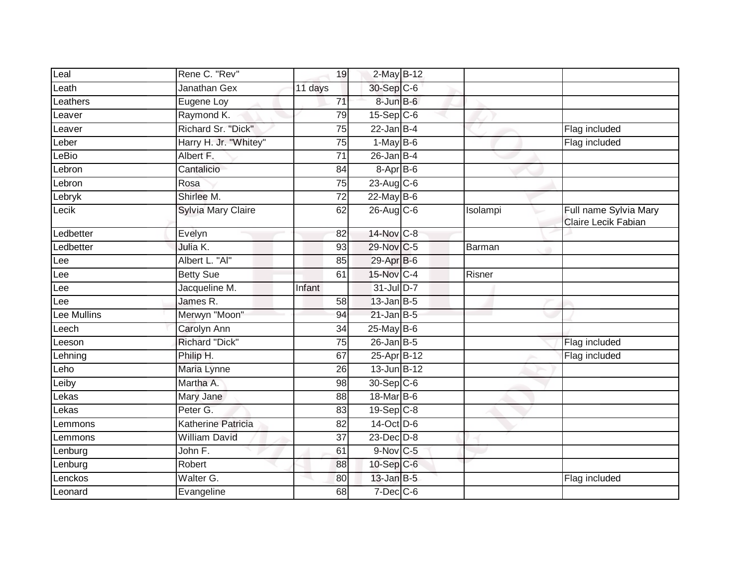| Leal            | Rene C. "Rev"             | 19              | 2-May B-12              |          |                                              |
|-----------------|---------------------------|-----------------|-------------------------|----------|----------------------------------------------|
| $L$ eath        | Janathan Gex              | 11 days         | 30-Sep C-6              |          |                                              |
| <b>Leathers</b> | Eugene Loy                | 71              | 8-Jun B-6               |          |                                              |
| _eaver          | Raymond K.                | 79              | $15-Sep$ C-6            |          |                                              |
| Leaver          | Richard Sr. "Dick"        | 75              | $22$ -Jan B-4           |          | Flag included                                |
| _eber           | Harry H. Jr. "Whitey"     | 75              | $1-May$ B-6             |          | Flag included                                |
| eBio            | Albert F.                 | 71              | $26$ -Jan $B-4$         |          |                                              |
| Lebron          | Cantalicio                | 84              | 8-Apr B-6               |          |                                              |
| ebron           | Rosa                      | 75              | $23-Aug$ <sub>C-6</sub> |          |                                              |
| Lebryk          | Shirlee M.                | $\overline{72}$ | 22-May B-6              |          |                                              |
| Lecik           | Sylvia Mary Claire        | 62              | $26$ -Aug C-6           | Isolampi | Full name Sylvia Mary<br>Claire Lecik Fabian |
| Ledbetter       | Evelyn                    | 82              | 14-Nov C-8              |          |                                              |
| _edbetter       | Julia K.                  | 93              | 29-Nov C-5              | Barman   |                                              |
| Lee             | Albert L. "Al"            | 85              | 29-Apr B-6              |          |                                              |
| Lee             | <b>Betty Sue</b>          | 61              | 15-Nov C-4              | Risner   |                                              |
| Lee             | Jacqueline M.             | Infant          | 31-Jul D-7              |          |                                              |
| Lee             | James R.                  | 58              | $13$ -Jan B-5           |          |                                              |
| Lee Mullins     | Merwyn "Moon"             | 94              | $21$ -Jan B-5           |          |                                              |
| Leech           | Carolyn Ann               | 34              | 25-May B-6              |          |                                              |
| _eeson          | <b>Richard "Dick"</b>     | 75              | $26$ -Jan B-5           |          | Flag included                                |
| _ehning         | Philip H.                 | 67              | 25-Apr B-12             |          | Flag included                                |
| Leho            | Maria Lynne               | 26              | $13$ -Jun $B-12$        |          |                                              |
| Leiby           | Martha A.                 | 98              | 30-Sep C-6              |          |                                              |
| Lekas           | Mary Jane                 | 88              | 18-Mar B-6              |          |                                              |
| _ekas           | Peter G.                  | 83              | $19-Sep$ <sub>C-8</sub> |          |                                              |
| _emmons         | <b>Katherine Patricia</b> | 82              | 14-Oct D-6              |          |                                              |
| _emmons         | <b>William David</b>      | $\overline{37}$ | $23$ -Dec $D-8$         |          |                                              |
| _enburg         | John F.                   | 61              | $9-Nov$ C-5             |          |                                              |
| Lenburg         | Robert                    | 88              | 10-Sep C-6              |          |                                              |
| <b>enckos</b>   | Walter G.                 | 80              | $13$ -Jan B-5           |          | Flag included                                |
| Leonard         | Evangeline                | 68              | $7$ -Dec $C$ -6         |          |                                              |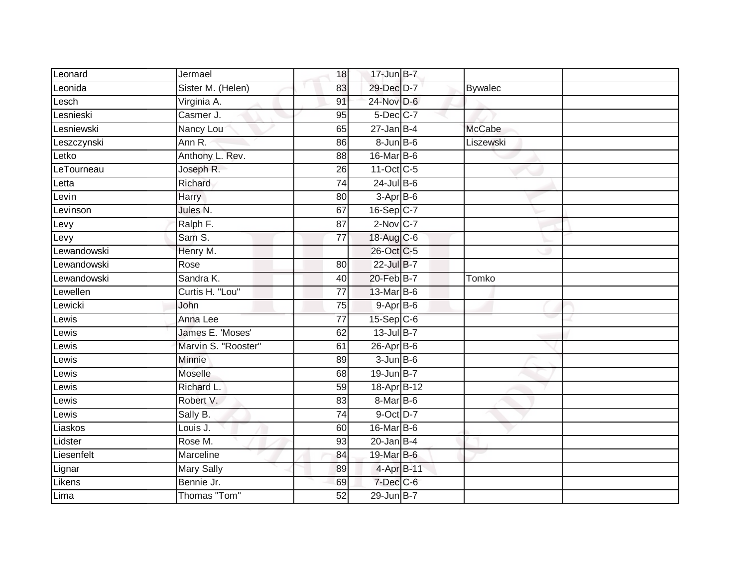| Leonard          | Jermael             | 18              | 17-Jun B-7       |                |
|------------------|---------------------|-----------------|------------------|----------------|
| Leonida          | Sister M. (Helen)   | 83              | 29-Dec D-7       | <b>Bywalec</b> |
| Lesch            | Virginia A.         | 91              | 24-Nov D-6       |                |
| <b>Lesnieski</b> | Casmer J.           | 95              | $5$ -Dec $C$ -7  |                |
| Lesniewski       | Nancy Lou           | 65              | $27 - Jan$ B-4   | <b>McCabe</b>  |
| Leszczynski      | Ann R.              | 86              | $8 - Jun$ B-6    | Liszewski      |
| Letko            | Anthony L. Rev.     | 88              | 16-Mar B-6       |                |
| LeTourneau       | Joseph R.           | 26              | 11-Oct C-5       |                |
| Letta            | Richard             | $\overline{74}$ | $24$ -Jul B-6    |                |
| Levin            | Harry               | 80              | 3-Apr B-6        |                |
| Levinson         | Jules N.            | 67              | 16-Sep C-7       |                |
| Levy             | Ralph F.            | 87              | $2-Nov$ C-7      |                |
| Levy             | Sam S.              | 77              | 18-Aug C-6       |                |
| Lewandowski      | Henry M.            |                 | 26-Oct C-5       |                |
| Lewandowski      | Rose                | $\overline{80}$ | 22-Jul B-7       |                |
| ewandowski       | Sandra K.           | 40              | 20-Feb B-7       | Tomko          |
| Lewellen         | Curtis H. "Lou"     | $\overline{77}$ | 13-Mar B-6       |                |
| Lewicki          | John                | 75              | $9-AprB-6$       |                |
| ewis             | Anna Lee            | $\overline{77}$ | $15-Sep$ $C-6$   |                |
| $L$ ewis         | James E. 'Moses'    | 62              | 13-Jul B-7       |                |
| Lewis            | Marvin S. "Rooster" | 61              | $26$ -Apr $B$ -6 |                |
| Lewis            | Minnie              | 89              | $3 - Jun$ B-6    |                |
| Lewis            | <b>Moselle</b>      | 68              | 19-Jun B-7       |                |
| _ewis            | Richard L.          | 59              | 18-Apr B-12      |                |
| ewis_            | Robert V.           | 83              | $8$ -Mar $ B$ -6 |                |
| Lewis            | Sally B.            | 74              | 9-Oct D-7        |                |
| Liaskos          | Louis J.            | 60              | 16-Mar B-6       |                |
| Lidster          | Rose M.             | 93              | $20$ -Jan B-4    |                |
| Liesenfelt       | Marceline           | 84              | 19-Mar B-6       |                |
| Lignar           | <b>Mary Sally</b>   | 89              | 4-Apr B-11       |                |
| Likens           | Bennie Jr.          | 69              | 7-Dec C-6        |                |
| Lima             | Thomas "Tom"        | $\overline{52}$ | 29-Jun B-7       |                |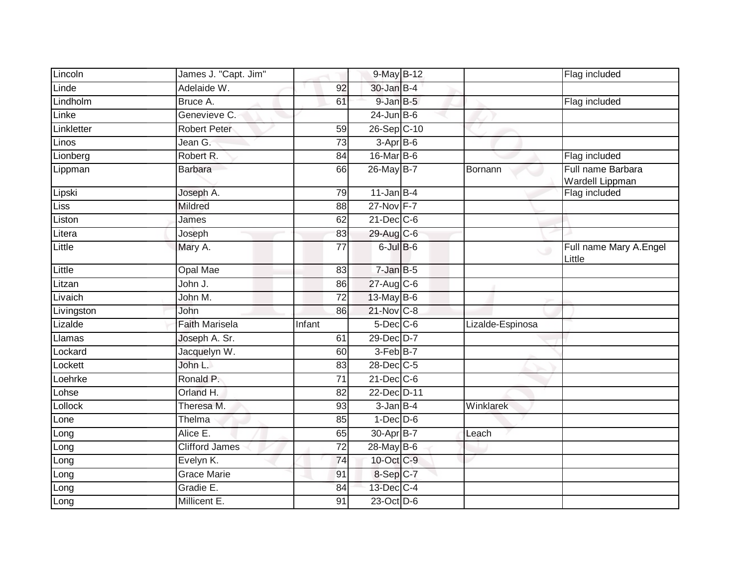| Lincoln    | James J. "Capt. Jim"  |                 | 9-May B-12       |                  | Flag included                        |
|------------|-----------------------|-----------------|------------------|------------------|--------------------------------------|
| Linde      | Adelaide W.           | 92              | 30-Jan B-4       |                  |                                      |
| Lindholm   | Bruce A.              | 61              | $9$ -Jan $B$ -5  |                  | Flag included                        |
| Linke      | Genevieve C.          |                 | $24$ -Jun B-6    |                  |                                      |
| Linkletter | <b>Robert Peter</b>   | 59              | 26-Sep C-10      |                  |                                      |
| Linos      | Jean G.               | 73              | 3-Apr B-6        |                  |                                      |
| Lionberg   | Robert R.             | 84              | 16-Mar B-6       |                  | Flag included                        |
| Lippman    | <b>Barbara</b>        | 66              | 26-May B-7       | Bornann          | Full name Barbara<br>Wardell Lippman |
| Lipski     | Joseph A.             | 79              | $11$ -Jan B-4    |                  | Flag included                        |
| Liss       | Mildred               | 88              | 27-Nov F-7       |                  |                                      |
| Liston     | James                 | 62              | $21$ -Dec $C$ -6 |                  |                                      |
| Litera     | Joseph                | 83              | 29-Aug C-6       |                  |                                      |
| Little     | Mary A.               | $\overline{77}$ | $6$ -Jul $B$ -6  | $\cup$           | Full name Mary A.Engel<br>Little     |
| Little     | Opal Mae              | 83              | $7 - JanB - 5$   |                  |                                      |
| Litzan     | John J.               | 86              | 27-Aug C-6       |                  |                                      |
| Livaich    | John M.               | $\overline{72}$ | 13-May B-6       |                  |                                      |
| Livingston | John                  | 86              | 21-Nov C-8       |                  |                                      |
| Lizalde    | <b>Faith Marisela</b> | Infant          | $5$ -Dec $C$ -6  | Lizalde-Espinosa |                                      |
| Llamas     | Joseph A. Sr.         | 61              | 29-Dec D-7       |                  |                                      |
| Lockard    | Jacquelyn W.          | 60              | 3-Feb B-7        |                  |                                      |
| Lockett    | John L.               | 83              | 28-Dec C-5       |                  |                                      |
| Loehrke    | Ronald P.             | 71              | $21$ -Dec $C$ -6 |                  |                                      |
| Lohse      | Orland H.             | 82              | 22-Dec D-11      |                  |                                      |
| Lollock    | Theresa M.            | 93              | $3$ -Jan $B-4$   | Winklarek        |                                      |
| Lone       | Thelma                | 85              | $1-Dec$ $D-6$    |                  |                                      |
| Long       | Alice E.              | 65              | 30-Apr B-7       | Leach            |                                      |
| Long       | <b>Clifford James</b> | $\overline{72}$ | 28-May B-6       |                  |                                      |
| Long       | Evelyn K.             | 74              | 10-Oct C-9       |                  |                                      |
| Long       | Grace Marie           | 91              | 8-Sep C-7        |                  |                                      |
| Long       | Gradie E.             | 84              | 13-Dec C-4       |                  |                                      |
| Long       | Millicent E.          | 91              | 23-Oct D-6       |                  |                                      |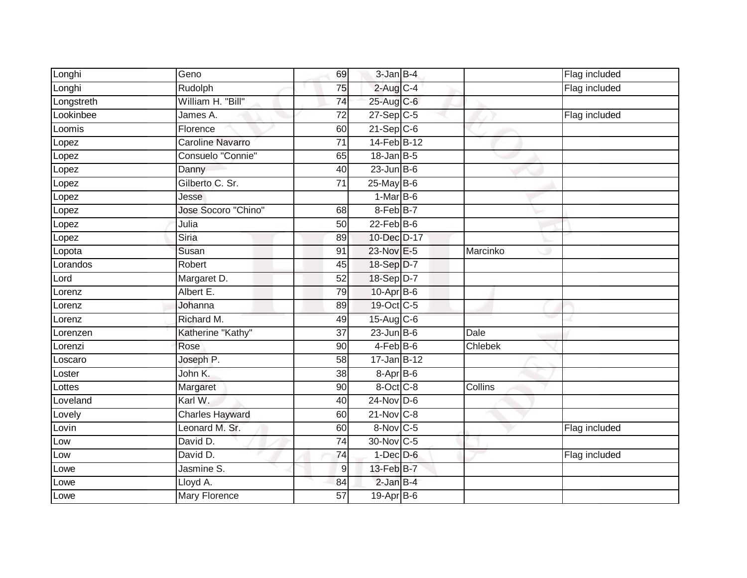| Longhi     | Geno                   | 69              | $3$ -Jan $B-4$   |             | Flag included |
|------------|------------------------|-----------------|------------------|-------------|---------------|
| Longhi     | Rudolph                | 75              | $2$ -Aug $C-4$   |             | Flag included |
| Longstreth | William H. "Bill"      | 74              | 25-Aug C-6       |             |               |
| Lookinbee  | James A.               | $\overline{72}$ | $27-Sep$ C-5     |             | Flag included |
| Loomis     | Florence               | 60              | $21-Sep C-6$     |             |               |
| Lopez      | Caroline Navarro       | $\overline{71}$ | 14-Feb B-12      |             |               |
| Lopez      | Consuelo "Connie"      | 65              | $18$ -Jan B-5    |             |               |
| Lopez      | Danny                  | 40              | $23$ -Jun $B$ -6 |             |               |
| Lopez      | Gilberto C. Sr.        | $\overline{71}$ | 25-May B-6       |             |               |
| Lopez      | Jesse                  |                 | $1-MarB-6$       |             |               |
| Lopez      | Jose Socoro "Chino"    | 68              | 8-Feb B-7        |             |               |
| Lopez      | Julia                  | 50              | $22$ -Feb $B$ -6 |             |               |
| Lopez      | Siria                  | 89              | 10-Dec D-17      |             |               |
| Lopota     | Susan                  | 91              | 23-Nov E-5       | Marcinko    |               |
| Lorandos   | Robert                 | $\overline{45}$ | 18-Sep D-7       |             |               |
| Lord       | Margaret D.            | 52              | 18-Sep D-7       |             |               |
| Lorenz     | Albert E.              | 79              | 10-Apr B-6       |             |               |
| Lorenz     | Johanna                | 89              | 19-Oct C-5       |             |               |
| Lorenz     | Richard M.             | 49              | $15$ -Aug C-6    |             |               |
| Lorenzen   | Katherine "Kathy"      | $\overline{37}$ | $23$ -Jun B-6    | <b>Dale</b> |               |
| Lorenzi    | Rose                   | 90              | $4-Feb$ B-6      | Chlebek     |               |
| Loscaro    | Joseph P.              | 58              | 17-Jan B-12      |             |               |
| Loster     | John K.                | 38              | 8-Apr B-6        |             |               |
| Lottes     | Margaret               | 90              | 8-Oct C-8        | Collins     |               |
| Loveland   | Karl W.                | 40              | $24$ -Nov D-6    |             |               |
| Lovely     | <b>Charles Hayward</b> | 60              | $21-Nov$ C-8     |             |               |
| Lovin      | Leonard M. Sr.         | 60              | 8-Nov C-5        |             | Flag included |
| Low        | David D.               | 74              | 30-Nov C-5       |             |               |
| Low        | David D.               | $\overline{74}$ | $1$ -Dec $D$ -6  |             | Flag included |
| Lowe       | Jasmine S.             | 9               | 13-Feb B-7       |             |               |
| Lowe       | Lloyd A.               | 84              | $2$ -Jan $B-4$   |             |               |
| Lowe       | Mary Florence          | 57              | 19-Apr B-6       |             |               |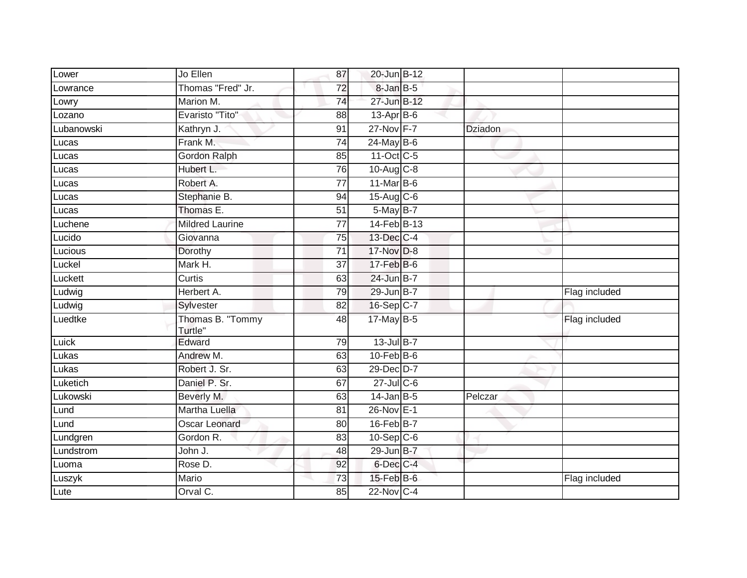| Lower      | Jo Ellen                    | 87              | 20-Jun B-12      |                |               |
|------------|-----------------------------|-----------------|------------------|----------------|---------------|
| Lowrance   | Thomas "Fred" Jr.           | 72              | 8-Jan B-5        |                |               |
| Lowry      | Marion M.                   | 74              | 27-Jun B-12      |                |               |
| Lozano     | Evaristo "Tito"             | 88              | 13-Apr B-6       |                |               |
| Lubanowski | Kathryn J.                  | $\overline{91}$ | 27-Nov F-7       | <b>Dziadon</b> |               |
| Lucas      | Frank M.                    | 74              | $24$ -May B-6    |                |               |
| Lucas      | Gordon Ralph                | 85              | 11-Oct C-5       |                |               |
| Lucas      | Hubert L.                   | 76              | $10-Aug$ $C-8$   |                |               |
| Lucas      | Robert A.                   | 77              | 11-Mar B-6       |                |               |
| Lucas      | Stephanie B.                | 94              | $15-Aug$ $C-6$   |                |               |
| Lucas      | Thomas E.                   | 51              | 5-May B-7        |                |               |
| Luchene    | <b>Mildred Laurine</b>      | 77              | 14-Feb B-13      |                |               |
| Lucido     | Giovanna                    | 75              | 13-Dec C-4       |                |               |
| Lucious    | Dorothy                     | $\overline{71}$ | 17-Nov D-8       |                |               |
| Luckel     | Mark H.                     | $\overline{37}$ | 17-Feb B-6       |                |               |
| Luckett    | Curtis                      | 63              | 24-Jun B-7       |                |               |
| Ludwig     | Herbert A.                  | 79              | 29-Jun B-7       |                | Flag included |
| Ludwig     | Sylvester                   | 82              | 16-Sep C-7       |                |               |
| Luedtke    | Thomas B. "Tommy<br>Turtle" | 48              | 17-May B-5       |                | Flag included |
| Luick      | Edward                      | 79              | 13-Jul B-7       |                |               |
| Lukas      | Andrew M.                   | 63              | $10$ -Feb $B$ -6 |                |               |
| Lukas      | Robert J. Sr.               | 63              | 29-Dec D-7       |                |               |
| Luketich   | Daniel P. Sr.               | 67              | $27$ -Jul C-6    |                |               |
| Lukowski   | Beverly M.                  | 63              | $14$ -Jan B-5    | Pelczar        |               |
| Lund       | Martha Luella               | 81              | 26-Nov E-1       |                |               |
| Lund       | <b>Oscar Leonard</b>        | 80              | 16-Feb B-7       |                |               |
| Lundgren   | Gordon R.                   | $\overline{83}$ | $10-Sep C-6$     |                |               |
| Lundstrom  | John J.                     | 48              | 29-Jun B-7       |                |               |
| Luoma      | Rose D.                     | 92              | 6-Dec C-4        |                |               |
| Luszyk     | Mario                       | 73              | 15-Feb B-6       |                | Flag included |
| Lute       | Orval C.                    | 85              | $22$ -Nov C-4    |                |               |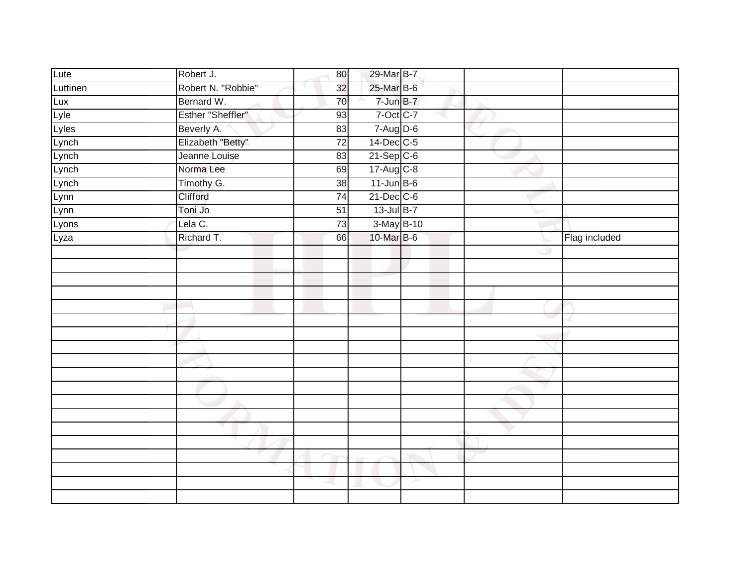| Lute     | Robert J.          | 80              | 29-Mar B-7       |   |               |
|----------|--------------------|-----------------|------------------|---|---------------|
| Luttinen | Robert N. "Robbie" | 32              | 25-Mar B-6       |   |               |
| Lux      | Bernard W.         | 70              | $7 - Jun$ B-7    |   |               |
| Lyle     | Esther "Sheffler"  | 93              | 7-Oct C-7        |   |               |
| Lyles    | Beverly A.         | 83              | $7 - Aug$ $D-6$  |   |               |
| Lynch    | Elizabeth "Betty"  | $\overline{72}$ | 14-Dec C-5       |   |               |
| Lynch    | Jeanne Louise      | 83              | $21-Sep$ C-6     |   |               |
| Lynch    | Norma Lee          | 69              | 17-Aug C-8       |   |               |
| Lynch    | Timothy G.         | 38              | $11$ -Jun $B$ -6 |   |               |
| Lynn     | Clifford           | $\overline{74}$ | $21$ -Dec $C$ -6 |   |               |
| Lynn     | Toni Jo            | 51              | 13-Jul B-7       |   |               |
| Lyons    | Lela C.            | 73              | 3-May B-10       |   |               |
| Lyza     | Richard T.         | 66              | 10-Mar B-6       |   | Flag included |
|          |                    |                 |                  |   |               |
|          |                    |                 |                  |   |               |
|          |                    |                 |                  |   |               |
|          |                    |                 |                  |   |               |
|          |                    |                 |                  |   |               |
|          |                    |                 |                  |   |               |
|          |                    |                 |                  |   |               |
|          |                    |                 |                  |   |               |
|          |                    |                 |                  |   |               |
|          |                    |                 |                  |   |               |
|          |                    |                 |                  |   |               |
|          |                    |                 |                  |   |               |
|          |                    |                 |                  |   |               |
|          |                    |                 |                  |   |               |
|          |                    |                 |                  |   |               |
|          |                    |                 |                  |   |               |
|          |                    |                 |                  |   |               |
|          |                    |                 |                  | ے |               |
|          |                    |                 |                  |   |               |
|          |                    |                 |                  |   |               |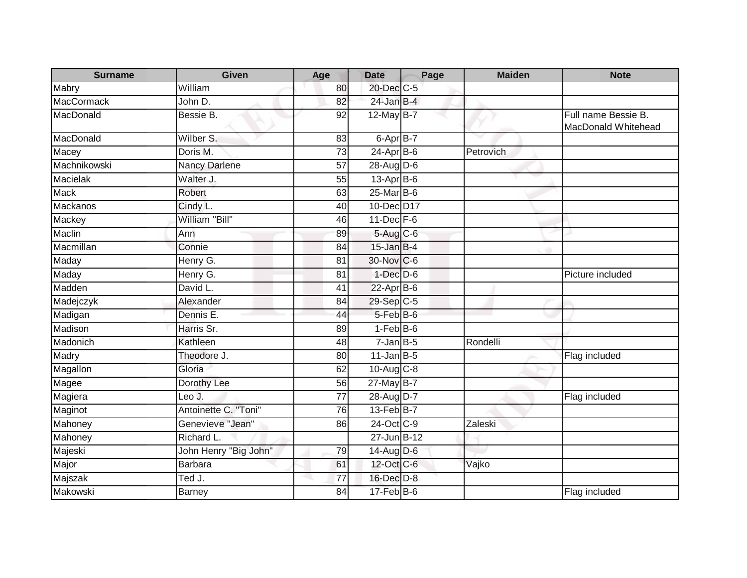| <b>Surname</b>    | <b>Given</b>          | Age             | <b>Date</b>       | Page | <b>Maiden</b> | <b>Note</b>                                |
|-------------------|-----------------------|-----------------|-------------------|------|---------------|--------------------------------------------|
| Mabry             | William               | 80              | 20-Dec C-5        |      |               |                                            |
| <b>MacCormack</b> | John D.               | 82              | $24$ -Jan B-4     |      |               |                                            |
| MacDonald         | Bessie B.             | 92              | 12-May B-7        |      |               | Full name Bessie B.<br>MacDonald Whitehead |
| MacDonald         | Wilber S.             | 83              | 6-Apr B-7         |      |               |                                            |
| Macey             | Doris M.              | $\overline{73}$ | $24-Apr$ B-6      |      | Petrovich     |                                            |
| Machnikowski      | Nancy Darlene         | 57              | 28-Aug D-6        |      |               |                                            |
| <b>Macielak</b>   | Walter J.             | $\overline{55}$ | 13-Apr B-6        |      |               |                                            |
| <b>Mack</b>       | Robert                | 63              | 25-Mar B-6        |      |               |                                            |
| Mackanos          | Cindy L.              | 40              | 10-Dec D17        |      |               |                                            |
| Mackey            | William "Bill"        | 46              | $11$ -Dec $F-6$   |      |               |                                            |
| <b>Maclin</b>     | Ann                   | 89              | 5-Aug C-6         |      |               |                                            |
| Macmillan         | Connie                | 84              | $15$ -Jan B-4     |      |               |                                            |
| Maday             | Henry G.              | 81              | 30-Nov C-6        |      |               |                                            |
| Maday             | Henry G.              | 81              | $1-Dec$ $D-6$     |      |               | Picture included                           |
| Madden            | David L.              | 41              | $22$ -Apr $B$ -6  |      |               |                                            |
| Madejczyk         | Alexander             | 84              | 29-Sep C-5        |      |               |                                            |
| Madigan           | Dennis E.             | 44              | $5 - Feb$ $B - 6$ |      |               |                                            |
| Madison           | Harris Sr.            | 89              | $1-FebB-6$        |      |               |                                            |
| Madonich          | Kathleen              | 48              | $7 - JanB - 5$    |      | Rondelli      |                                            |
| Madry             | Theodore J.           | 80              | $11$ -Jan $ B-5 $ |      |               | Flag included                              |
| Magallon          | Gloria                | 62              | 10-Aug C-8        |      |               |                                            |
| Magee             | Dorothy Lee           | 56              | $27$ -May B-7     |      |               |                                            |
| Magiera           | Leo $J.$              | 77              | 28-Aug D-7        |      |               | Flag included                              |
| Maginot           | Antoinette C. "Toni"  | 76              | 13-Feb B-7        |      |               |                                            |
| Mahoney           | Genevieve "Jean"      | 86              | 24-Oct C-9        |      | Zaleski       |                                            |
| Mahoney           | Richard L.            |                 | 27-Jun B-12       |      |               |                                            |
| Majeski           | John Henry "Big John" | 79              | 14-Aug D-6        |      |               |                                            |
| Major             | <b>Barbara</b>        | 61              | 12-Oct C-6        |      | Vajko         |                                            |
| Majszak           | Ted J.                | 77              | 16-Dec D-8        |      |               |                                            |
| Makowski          | Barney                | 84              | $17$ -Feb $B$ -6  |      |               | Flag included                              |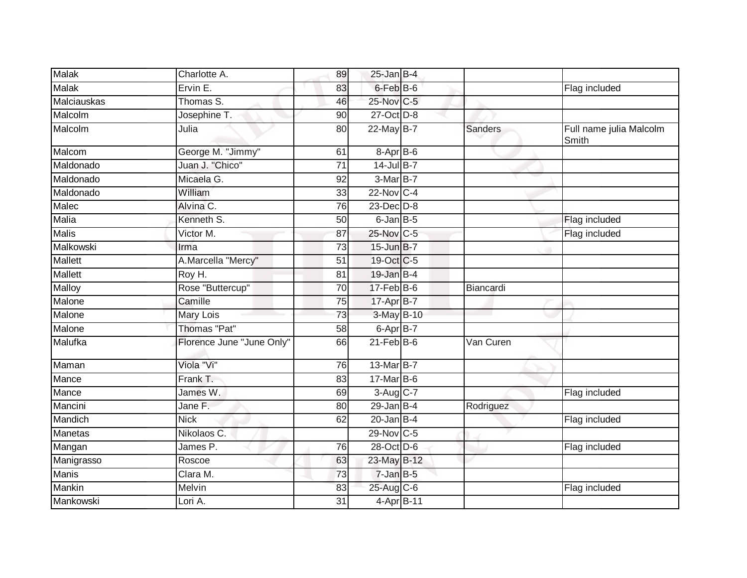| Malak              | Charlotte A.              | 89              | $25$ -Jan B-4          |                |                                  |
|--------------------|---------------------------|-----------------|------------------------|----------------|----------------------------------|
| Malak              | Ervin E.                  | 83              | 6-Feb B-6              |                | Flag included                    |
| <b>Malciauskas</b> | Thomas S.                 | 46              | 25-Nov C-5             |                |                                  |
| Malcolm            | Josephine T.              | 90              | 27-Oct D-8             |                |                                  |
| Malcolm            | Julia                     | 80              | 22-May B-7             | <b>Sanders</b> | Full name julia Malcolm<br>Smith |
| Malcom             | George M. "Jimmy"         | 61              | $8-AprB-6$             |                |                                  |
| Maldonado          | Juan J. "Chico"           | $\overline{71}$ | $14$ -Jul B-7          |                |                                  |
| Maldonado          | Micaela G.                | 92              | 3-Mar B-7              |                |                                  |
| Maldonado          | William                   | 33              | 22-Nov C-4             |                |                                  |
| Malec              | Alvina C.                 | 76              | 23-Dec D-8             |                |                                  |
| Malia              | Kenneth S.                | 50              | $6$ -Jan $B$ -5        |                | Flag included                    |
| <b>Malis</b>       | Victor M.                 | 87              | 25-Nov C-5             |                | Flag included                    |
| Malkowski          | Irma                      | 73              | 15-Jun B-7             |                |                                  |
| <b>Mallett</b>     | A.Marcella "Mercy"        | 51              | 19-Oct C-5             |                |                                  |
| <b>Mallett</b>     | Roy H.                    | 81              | 19-Jan B-4             |                |                                  |
| Malloy             | Rose "Buttercup"          | 70              | $17$ -Feb $B$ -6       | Biancardi      |                                  |
| Malone             | Camille                   | 75              | 17-Apr B-7             |                |                                  |
| Malone             | Mary Lois                 | 73              | 3-May B-10             |                |                                  |
| Malone             | <b>Thomas "Pat"</b>       | 58              | 6-Apr B-7              |                |                                  |
| Malufka            | Florence June "June Only" | 66              | $21$ -Feb $B$ -6       | Van Curen      |                                  |
| Maman              | Viola "Vi"                | 76              | 13-Mar B-7             |                |                                  |
| Mance              | Frank T.                  | 83              | $17$ -Mar B-6          |                |                                  |
| Mance              | James W.                  | 69              | $3-Aug$ <sub>C-7</sub> |                | Flag included                    |
| Mancini            | Jane F.                   | 80              | $29$ -Jan B-4          | Rodriguez      |                                  |
| Mandich            | <b>Nick</b>               | 62              | $20$ -Jan B-4          |                | Flag included                    |
| <b>Manetas</b>     | Nikolaos C.               |                 | 29-Nov C-5             |                |                                  |
| Mangan             | James P.                  | 76              | 28-Oct D-6             |                | Flag included                    |
| Manigrasso         | Roscoe                    | 63              | 23-May B-12            |                |                                  |
| Manis              | Clara M.                  | 73              | $7$ -Jan $B$ -5        |                |                                  |
| Mankin             | Melvin                    | 83              | 25-Aug C-6             |                | Flag included                    |
| Mankowski          | Lori A.                   | 31              | 4-Apr B-11             |                |                                  |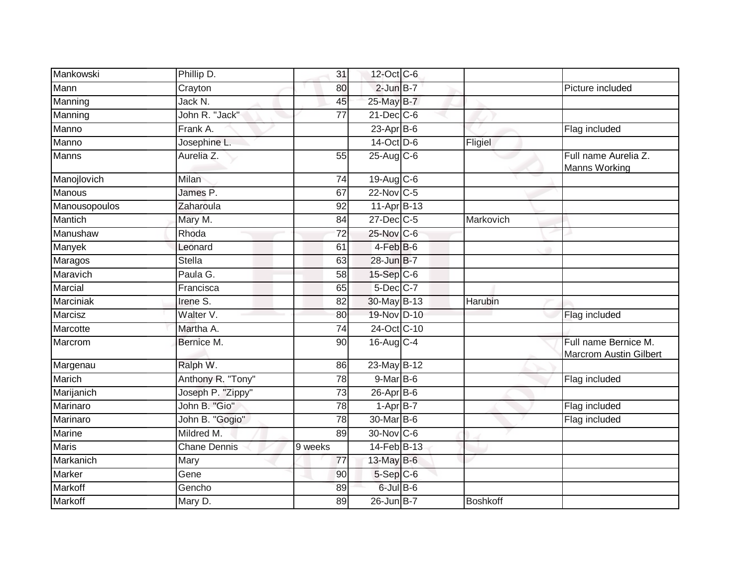| Mankowski     | Phillip D.          | 31              | 12-Oct C-6                 |                 |                                                       |
|---------------|---------------------|-----------------|----------------------------|-----------------|-------------------------------------------------------|
| Mann          | Crayton             | 80              | $2$ -Jun $B-7$             |                 | Picture included                                      |
| Manning       | Jack N.             | 45              | 25-May B-7                 |                 |                                                       |
| Manning       | John R. "Jack"      | 77              | $21$ -Dec $C$ -6           |                 |                                                       |
| Manno         | Frank A.            |                 | $23$ -Apr $B$ -6           |                 | Flag included                                         |
| Manno         | Josephine L.        |                 | 14-Oct D-6                 | Fligiel         |                                                       |
| Manns         | Aurelia Z.          | 55              | 25-Aug C-6                 |                 | Full name Aurelia Z.<br>Manns Working                 |
| Manojlovich   | Milan               | 74              | 19-Aug C-6                 |                 |                                                       |
| Manous        | James P.            | 67              | 22-Nov C-5                 |                 |                                                       |
| Manousopoulos | Zaharoula           | 92              | 11-Apr B-13                |                 |                                                       |
| Mantich       | Mary M.             | 84              | 27-Dec C-5                 | Markovich       |                                                       |
| Manushaw      | Rhoda               | 72              | 25-Nov C-6                 |                 |                                                       |
| Manyek        | Leonard             | 61              | $4$ -Feb $B$ -6            |                 |                                                       |
| Maragos       | Stella              | 63              | 28-Jun B-7                 |                 |                                                       |
| Maravich      | Paula G.            | 58              | 15-Sep C-6                 |                 |                                                       |
| Marcial       | Francisca           | 65              | $5$ -Dec $C$ -7            |                 |                                                       |
| Marciniak     | Irene S.            | 82              | 30-May B-13                | Harubin         |                                                       |
| Marcisz       | Walter V.           | 80              | 19-Nov D-10                |                 | Flag included                                         |
| Marcotte      | Martha A.           | 74              | 24-Oct C-10                |                 |                                                       |
| Marcrom       | Bernice M.          | $\overline{90}$ | 16-Aug C-4                 |                 | Full name Bernice M.<br><b>Marcrom Austin Gilbert</b> |
| Margenau      | Ralph W.            | 86              | 23-May B-12                |                 |                                                       |
| Marich        | Anthony R. "Tony"   | 78              | $9$ -Mar $\overline{B}$ -6 |                 | Flag included                                         |
| Marijanich    | Joseph P. "Zippy"   | 73              | 26-Apr B-6                 |                 |                                                       |
| Marinaro      | John B. "Gio"       | 78              | $1-AprB-7$                 |                 | Flag included                                         |
| Marinaro      | John B. "Gogio"     | $\overline{78}$ | 30-Mar B-6                 |                 | Flag included                                         |
| Marine        | Mildred M.          | 89              | 30-Nov C-6                 |                 |                                                       |
| <b>Maris</b>  | <b>Chane Dennis</b> | 9 weeks         | 14-Feb B-13                |                 |                                                       |
| Markanich     | Mary                | 77              | $13$ -May B-6              |                 |                                                       |
| Marker        | Gene                | 90              | $5-Sep C-6$                |                 |                                                       |
| Markoff       | Gencho              | 89              | 6-Jul B-6                  |                 |                                                       |
| Markoff       | Mary D.             | 89              | 26-Jun B-7                 | <b>Boshkoff</b> |                                                       |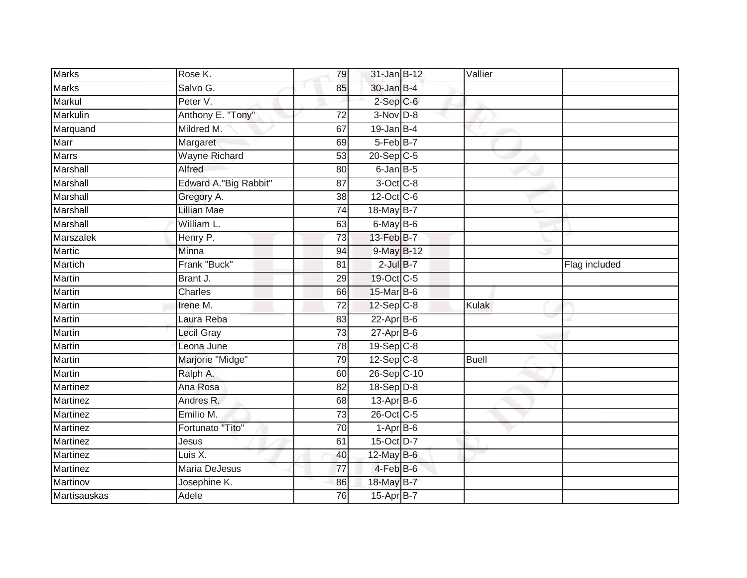| <b>Marks</b>    | Rose K.               | 79              | 31-Jan B-12             | Vallier      |               |
|-----------------|-----------------------|-----------------|-------------------------|--------------|---------------|
| <b>Marks</b>    | Salvo G.              | 85              | 30-Jan B-4              |              |               |
| Markul          | Peter V.              |                 | $2-Sep$ $C-6$           |              |               |
| Markulin        | Anthony E. "Tony"     | 72              | $3-Nov$ $D-8$           |              |               |
| Marquand        | Mildred M.            | 67              | $19$ -Jan B-4           |              |               |
| Marr            | Margaret              | 69              | 5-Feb B-7               |              |               |
| <b>Marrs</b>    | <b>Wayne Richard</b>  | 53              | $20-Sep$ C-5            |              |               |
| Marshall        | Alfred                | 80              | $6$ -Jan $B$ -5         |              |               |
| <b>Marshall</b> | Edward A."Big Rabbit" | 87              | $3$ -Oct C-8            |              |               |
| Marshall        | Gregory A.            | 38              | 12-Oct C-6              |              |               |
| Marshall        | <b>Lillian Mae</b>    | 74              | 18-May B-7              |              |               |
| Marshall        | William L.            | 63              | $6$ -May B-6            |              |               |
| Marszalek       | Henry P.              | 73              | 13-Feb B-7              |              |               |
| Martic          | Minna                 | 94              | 9-May B-12              |              |               |
| Martich         | Frank "Buck"          | 81              | $2$ -Jul $B-7$          |              | Flag included |
| Martin          | Brant J.              | 29              | 19-Oct C-5              |              |               |
| <b>Martin</b>   | <b>Charles</b>        | 66              | 15-Mar B-6              |              |               |
| Martin          | Irene M.              | $\overline{72}$ | 12-Sep C-8              | Kulak        |               |
| Martin          | Laura Reba            | 83              | $22$ -Apr $B$ -6        |              |               |
| <b>Martin</b>   | Lecil Gray            | $\overline{73}$ | $27$ -Apr $B$ -6        |              |               |
| Martin          | Leona June            | 78              | $19-Sep$ <sub>C-8</sub> |              |               |
| <b>Martin</b>   | Marjorie "Midge"      | 79              | $12-Sep$ C-8            | <b>Buell</b> |               |
| <b>Martin</b>   | Ralph A.              | 60              | 26-Sep C-10             |              |               |
| Martinez        | Ana Rosa              | 82              | $18-Sep$ D-8            |              |               |
| Martinez        | Andres R.             | 68              | $13$ -Apr $B$ -6        |              |               |
| Martinez        | Emilio M.             | 73              | 26-Oct C-5              |              |               |
| <b>Martinez</b> | Fortunato "Tito"      | $\overline{70}$ | $1-AprB-6$              |              |               |
| Martinez        | Jesus                 | 61              | 15-Oct D-7              |              |               |
| Martinez        | Luis X.               | 40              | 12-May $B-6$            |              |               |
| Martinez        | <b>Maria DeJesus</b>  | $\overline{77}$ | 4-Feb B-6               |              |               |
| Martinov        | Josephine K.          | 86              | 18-May B-7              |              |               |
| Martisauskas    | Adele                 | 76              | 15-Apr B-7              |              |               |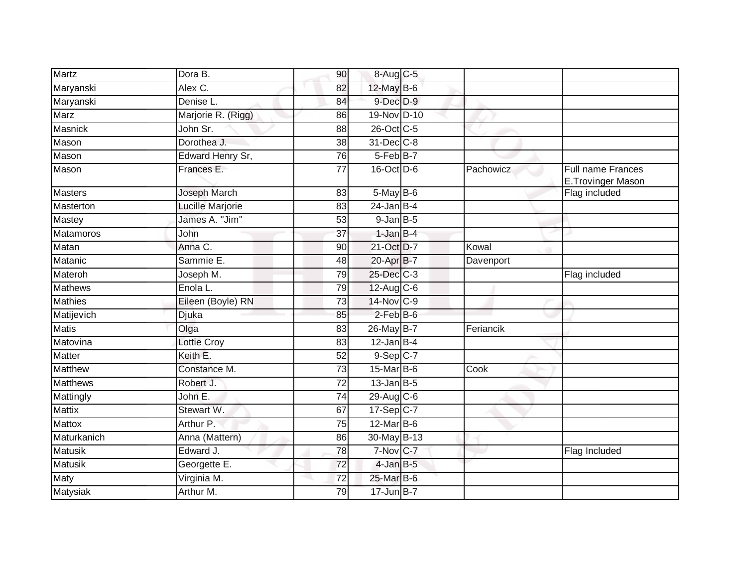| Martz           | Dora B.            | 90              | 8-Aug C-5         |           |                                               |
|-----------------|--------------------|-----------------|-------------------|-----------|-----------------------------------------------|
| Maryanski       | Alex C.            | 82              | 12-May B-6        |           |                                               |
| Maryanski       | Denise L.          | 84              | $9$ -Dec $D-9$    |           |                                               |
| Marz            | Marjorie R. (Rigg) | 86              | 19-Nov D-10       |           |                                               |
| Masnick         | John Sr.           | 88              | 26-Oct C-5        |           |                                               |
| Mason           | Dorothea J.        | 38              | 31-Dec C-8        |           |                                               |
| Mason           | Edward Henry Sr,   | 76              | 5-Feb B-7         |           |                                               |
| Mason           | Frances E.         | 77              | 16-Oct D-6        | Pachowicz | <b>Full name Frances</b><br>E.Trovinger Mason |
| <b>Masters</b>  | Joseph March       | 83              | $5$ -May $B$ -6   |           | Flag included                                 |
| Masterton       | Lucille Marjorie   | 83              | $24$ -Jan B-4     |           |                                               |
| Mastey          | James A. "Jim"     | 53              | $9$ -Jan $B$ -5   |           |                                               |
| Matamoros       | <b>John</b>        | 37              | $1$ -Jan $B-4$    |           |                                               |
| Matan           | Anna C.            | 90              | 21-Oct D-7        | Kowal     |                                               |
| Matanic         | Sammie E.          | 48              | 20-Apr B-7        | Davenport |                                               |
| Materoh         | Joseph M.          | 79              | 25-Dec C-3        |           | Flag included                                 |
| <b>Mathews</b>  | Enola L.           | 79              | $12$ -Aug C-6     |           |                                               |
| <b>Mathies</b>  | Eileen (Boyle) RN  | 73              | 14-Nov C-9        |           |                                               |
| Matijevich      | Djuka              | 85              | $2$ -Feb $B$ -6   |           |                                               |
| <b>Matis</b>    | Olga               | 83              | 26-May B-7        | Feriancik |                                               |
| Matovina        | Lottie Croy        | 83              | $12$ -Jan B-4     |           |                                               |
| <b>Matter</b>   | Keith E.           | 52              | $9-Sep$ C-7       |           |                                               |
| <b>Matthew</b>  | Constance M.       | 73              | $15$ -Mar $ B-6 $ | Cook      |                                               |
| <b>Matthews</b> | Robert J.          | $\overline{72}$ | $13$ -Jan B-5     |           |                                               |
| Mattingly       | John E.            | 74              | 29-Aug C-6        |           |                                               |
| <b>Mattix</b>   | Stewart W.         | 67              | 17-Sep C-7        |           |                                               |
| <b>Mattox</b>   | Arthur P.          | 75              | $12$ -Mar $B$ -6  |           |                                               |
| Maturkanich     | Anna (Mattern)     | 86              | 30-May B-13       |           |                                               |
| <b>Matusik</b>  | Edward J.          | $\overline{78}$ | 7-Nov C-7         |           | Flag Included                                 |
| <b>Matusik</b>  | Georgette E.       | 72              | $4$ -Jan $B$ -5   |           |                                               |
| Maty            | Virginia M.        | 72              | 25-Mar B-6        |           |                                               |
| Matysiak        | Arthur M.          | 79              | $17$ -Jun $B$ -7  |           |                                               |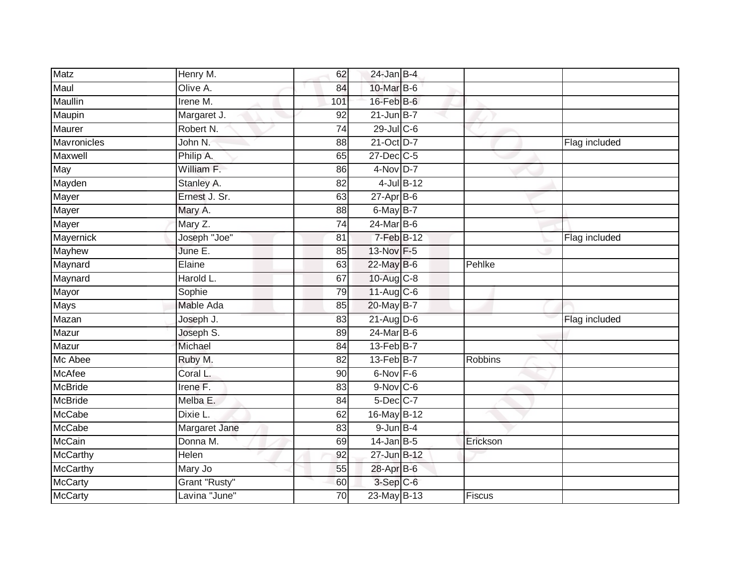| Matz           | Henry M.      | 62              | $24$ -Jan B-4           |          |               |
|----------------|---------------|-----------------|-------------------------|----------|---------------|
| Maul           | Olive A.      | 84              | 10-Mar B-6              |          |               |
| Maullin        | Irene M.      | 101             | $16$ -Feb $B$ -6        |          |               |
| Maupin         | Margaret J.   | 92              | $21$ -Jun $B-7$         |          |               |
| Maurer         | Robert N.     | $\overline{74}$ | 29-Jul C-6              |          |               |
| Mavronicles    | John N.       | 88              | 21-Oct D-7              |          | Flag included |
| Maxwell        | Philip A.     | 65              | $27$ -Dec $C$ -5        |          |               |
| May            | William F.    | 86              | $4-Nov$ D-7             |          |               |
| Mayden         | Stanley A.    | 82              | 4-Jul B-12              |          |               |
| Mayer          | Ernest J. Sr. | 63              | $27$ -Apr $B$ -6        |          |               |
| Mayer          | Mary A.       | 88              | $6$ -May $B-7$          |          |               |
| Mayer          | Mary Z.       | 74              | 24-Mar B-6              |          |               |
| Mayernick      | Joseph "Joe"  | 81              | $7-Feb$ B-12            |          | Flag included |
| Mayhew         | June E.       | 85              | 13-Nov F-5              |          |               |
| Maynard        | Elaine        | 63              | 22-May B-6              | Pehlke   |               |
| Maynard        | Harold L.     | 67              | $10-Aug$ <sub>C-8</sub> |          |               |
| Mayor          | Sophie        | 79              | $11-Aug$ $C-6$          |          |               |
| <b>Mays</b>    | Mable Ada     | 85              | 20-May B-7              |          |               |
| Mazan          | Joseph J.     | 83              | $21$ -Aug $D-6$         |          | Flag included |
| Mazur          | Joseph S.     | 89              | $24$ -Mar $B$ -6        |          |               |
| Mazur          | Michael       | 84              | 13-Feb B-7              |          |               |
| Mc Abee        | Ruby M.       | 82              | 13-Feb B-7              | Robbins  |               |
| McAfee         | Coral L.      | 90              | $6$ -Nov $F - 6$        |          |               |
| <b>McBride</b> | Irene $F$ .   | 83              | $9-Nov$ C-6             |          |               |
| McBride        | Melba E.      | 84              | $5$ -Dec $C$ -7         |          |               |
| McCabe         | Dixie L.      | 62              | 16-May B-12             |          |               |
| <b>McCabe</b>  | Margaret Jane | 83              | $9$ -Jun $B-4$          |          |               |
| <b>McCain</b>  | Donna M.      | 69              | $14$ -Jan $B-5$         | Erickson |               |
| McCarthy       | Helen         | 92              | 27-Jun B-12             |          |               |
| McCarthy       | Mary Jo       | 55              | 28-Apr B-6              |          |               |
| <b>McCarty</b> | Grant "Rusty" | 60              | 3-Sep C-6               |          |               |
| McCarty        | Lavina "June" | $\overline{70}$ | 23-May B-13             | Fiscus   |               |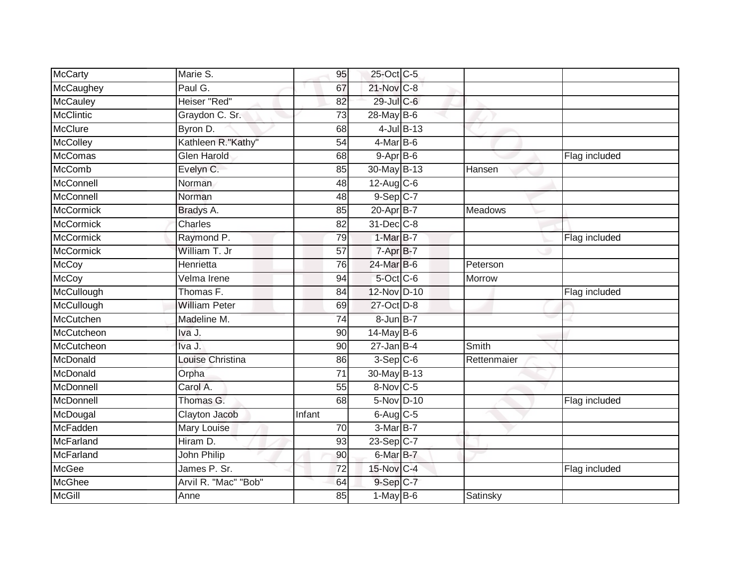| McCarty          | Marie S.                | 95              | 25-Oct C-5               |               |                |               |
|------------------|-------------------------|-----------------|--------------------------|---------------|----------------|---------------|
| McCaughey        | Paul G.                 | 67              | 21-Nov C-8               |               |                |               |
| <b>McCauley</b>  | Heiser "Red"            | 82              | 29-Jul C-6               |               |                |               |
| <b>McClintic</b> | Graydon C. Sr.          | $\overline{73}$ | 28-May B-6               |               |                |               |
| <b>McClure</b>   | Byron D.                | 68              |                          | $4$ -Jul B-13 |                |               |
| McColley         | Kathleen R."Kathy"      | 54              | $4$ -Mar B-6             |               |                |               |
| McComas          | <b>Glen Harold</b>      | 68              | $9 - Apr$ $B - 6$        |               |                | Flag included |
| McComb           | Evelyn C.               | 85              | 30-May B-13              |               | Hansen         |               |
| McConnell        | Norman                  | 48              | $12$ -Aug C-6            |               |                |               |
| McConnell        | Norman                  | 48              | $9-Sep$ $C-7$            |               |                |               |
| McCormick        | Bradys A.               | 85              | 20-Apr B-7               |               | <b>Meadows</b> |               |
| <b>McCormick</b> | Charles                 | 82              | 31-Dec C-8               |               |                |               |
| <b>McCormick</b> | Raymond P.              | 79              | 1-Mar B-7                |               |                | Flag included |
| McCormick        | William T. Jr           | 57              | $7 - \overline{Apr}$ B-7 |               |                |               |
| <b>McCoy</b>     | Henrietta               | $\overline{76}$ | 24-Mar B-6               |               | Peterson       |               |
| <b>McCoy</b>     | Velma Irene             | 94              | 5-Oct C-6                |               | Morrow         |               |
| McCullough       | Thomas F.               | $\overline{84}$ | 12-Nov D-10              |               |                | Flag included |
| McCullough       | <b>William Peter</b>    | 69              | 27-Oct D-8               |               |                |               |
| McCutchen        | Madeline M.             | 74              | 8-Jun B-7                |               |                |               |
| McCutcheon       | Iva J.                  | 90              | $14$ -May B-6            |               |                |               |
| McCutcheon       | Iva J.                  | 90              | $27$ -Jan B-4            |               | Smith          |               |
| McDonald         | <b>Louise Christina</b> | $\overline{86}$ | $3-Sep$ $C-6$            |               | Rettenmaier    |               |
| McDonald         | Orpha                   | 71              | 30-May B-13              |               |                |               |
| McDonnell        | Carol A.                | 55              | 8-Nov C-5                |               |                |               |
| McDonnell        | Thomas G.               | 68              | 5-Nov D-10               |               |                | Flag included |
| McDougal         | Clayton Jacob           | Infant          | $6$ -Aug C-5             |               |                |               |
| <b>McFadden</b>  | Mary Louise             | 70              | 3-Mar B-7                |               |                |               |
| McFarland        | Hiram D.                | 93              | $23-Sep$ C-7             |               |                |               |
| McFarland        | John Philip             | 90              | 6-Mar B-7                |               |                |               |
| McGee            | James P. Sr.            | 72              | 15-Nov C-4               |               |                | Flag included |
| McGhee           | Arvil R. "Mac" "Bob"    | 64              | $9-Sep C-7$              |               |                |               |
| McGill           | Anne                    | 85              | $1-MayB-6$               |               | Satinsky       |               |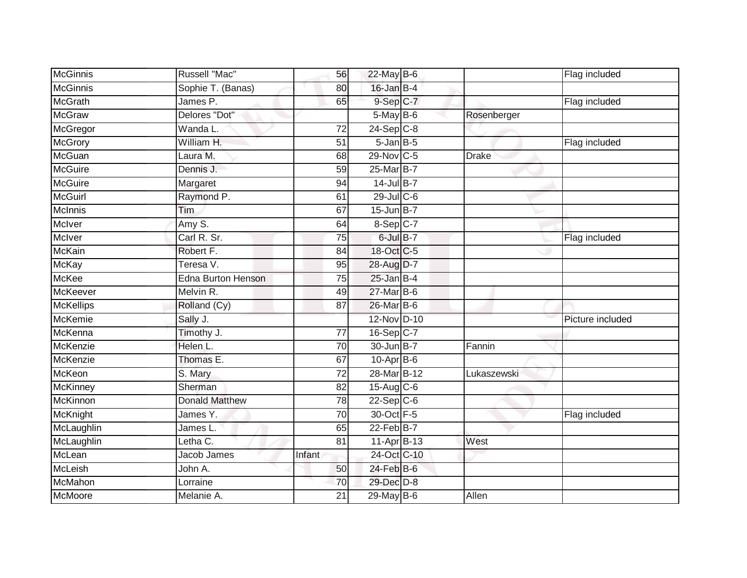| <b>McGinnis</b>  | Russell "Mac"         | 56              | 22-May B-6               |              | Flag included    |
|------------------|-----------------------|-----------------|--------------------------|--------------|------------------|
| <b>McGinnis</b>  | Sophie T. (Banas)     | 80              | 16-Jan B-4               |              |                  |
| <b>McGrath</b>   | James P.              | 65              | $9-$ Sep $C-7$           |              | Flag included    |
| <b>McGraw</b>    | Delores "Dot"         |                 | $5$ -May B-6             | Rosenberger  |                  |
| McGregor         | Wanda L.              | 72              | $24-Sep$ C-8             |              |                  |
| McGrory          | William H.            | $\overline{51}$ | $5 - Jan$ $B - 5$        |              | Flag included    |
| McGuan           | Laura M.              | 68              | 29-Nov C-5               | <b>Drake</b> |                  |
| <b>McGuire</b>   | Dennis J.             | 59              | 25-Mar B-7               |              |                  |
| <b>McGuire</b>   | Margaret              | 94              | 14-Jul B-7               |              |                  |
| <b>McGuirl</b>   | Raymond P.            | 61              | $29$ -Jul C-6            |              |                  |
| McInnis          | Tim                   | 67              | $15$ -Jun $B$ -7         |              |                  |
| McIver           | Amy S.                | 64              | 8-Sep C-7                |              |                  |
| McIver           | Carl R. Sr.           | 75              | $6$ -Jul $B-7$           |              | Flag included    |
| McKain           | Robert F.             | 84              | 18-Oct C-5               |              |                  |
| <b>McKay</b>     | Teresa V.             | $\overline{95}$ | 28-Aug D-7               |              |                  |
| McKee            | Edna Burton Henson    | $\overline{75}$ | $25$ -Jan $B-4$          |              |                  |
| McKeever         | Melvin R.             | 49              | 27-Mar B-6               |              |                  |
| <b>McKellips</b> | Rolland (Cy)          | 87              | 26-Mar B-6               |              |                  |
| <b>McKemie</b>   | Sally J.              |                 | 12-Nov D-10              |              | Picture included |
| McKenna          | Timothy J.            | $\overline{77}$ | 16-Sep C-7               |              |                  |
| McKenzie         | Helen L.              | 70              | 30-Jun B-7               | Fannin       |                  |
| McKenzie         | Thomas E.             | 67              | $10-Apr$ B-6             |              |                  |
| McKeon           | S. Mary               | 72              | 28-Mar B-12              | Lukaszewski  |                  |
| <b>McKinney</b>  | Sherman               | 82              | $15$ -Aug $C$ -6         |              |                  |
| McKinnon         | <b>Donald Matthew</b> | 78              | $22-Sep$ <sub>C</sub> -6 |              |                  |
| McKnight         | James Y.              | 70              | 30-Oct F-5               |              | Flag included    |
| McLaughlin       | James L.              | 65              | $22$ -Feb $B$ -7         |              |                  |
| McLaughlin       | Letha C.              | 81              | 11-Apr B-13              | West         |                  |
| McLean           | Jacob James           | Infant          | 24-Oct C-10              |              |                  |
| McLeish          | John A.               | 50              | 24-Feb B-6               |              |                  |
| McMahon          | Lorraine              | 70              | 29-Dec D-8               |              |                  |
| McMoore          | Melanie A.            | 21              | 29-May B-6               | Allen        |                  |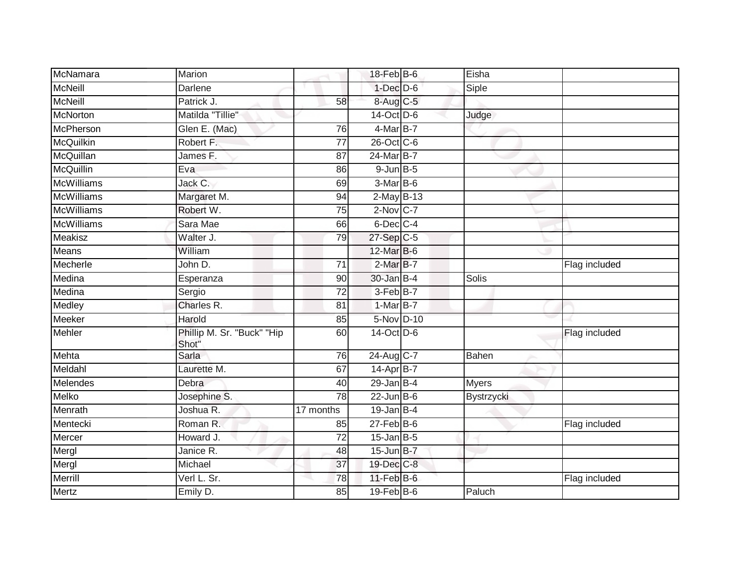| McNamara          | Marion                              |                 | $18$ -Feb $B$ -6            | Eisha        |               |
|-------------------|-------------------------------------|-----------------|-----------------------------|--------------|---------------|
| <b>McNeill</b>    | Darlene                             |                 | $1$ -Dec $D-6$              | Siple        |               |
| <b>McNeill</b>    | Patrick J.                          | 58              | 8-Aug C-5                   |              |               |
| <b>McNorton</b>   | Matilda "Tillie"                    |                 | $14$ -Oct $\overline{D}$ -6 | Judge        |               |
| <b>McPherson</b>  | Glen E. (Mac)                       | 76              | $4$ -Mar $B$ -7             |              |               |
| <b>McQuilkin</b>  | Robert F.                           | 77              | 26-Oct C-6                  |              |               |
| McQuillan         | James F.                            | 87              | 24-Mar B-7                  |              |               |
| McQuillin         | Eva                                 | 86              | $9$ -Jun $B$ -5             |              |               |
| <b>McWilliams</b> | Jack C.                             | 69              | 3-Mar B-6                   |              |               |
| <b>McWilliams</b> | Margaret M.                         | 94              | $2$ -May B-13               |              |               |
| <b>McWilliams</b> | Robert W.                           | $\overline{75}$ | $2-Nov$ C-7                 |              |               |
| <b>McWilliams</b> | Sara Mae                            | 66              | $6$ -Dec $C$ -4             |              |               |
| Meakisz           | Walter J.                           | 79              | 27-Sep C-5                  |              |               |
| Means             | William                             |                 | 12-Mar B-6                  |              |               |
| Mecherle          | John D.                             | $\overline{71}$ | $2-MarB-7$                  |              | Flag included |
| Medina            | Esperanza                           | 90              | 30-Jan B-4                  | <b>Solis</b> |               |
| Medina            | Sergio                              | $\overline{72}$ | 3-Feb B-7                   |              |               |
| Medley            | Charles R.                          | 81              | 1-Mar B-7                   |              |               |
| Meeker            | Harold                              | 85              | 5-Nov D-10                  |              |               |
| <b>Mehler</b>     | Phillip M. Sr. "Buck" "Hip<br>Shot" | 60              | 14-Oct D-6                  |              | Flag included |
| Mehta             | Sarla                               | 76              | 24-Aug C-7                  | Bahen        |               |
| Meldahl           | Laurette M.                         | 67              | $14$ -Apr $B$ -7            |              |               |
| Melendes          | Debra                               | 40              | $29$ -Jan B-4               | <b>Myers</b> |               |
| Melko             | Josephine S.                        | 78              | $22$ -Jun $B$ -6            | Bystrzycki   |               |
| Menrath           | Joshua R.                           | 17 months       | $19$ -Jan B-4               |              |               |
| Mentecki          | Roman R.                            | 85              | $27 - Feb$ B-6              |              | Flag included |
| Mercer            | Howard J.                           | 72              | $15$ -Jan B-5               |              |               |
| Mergl             | Janice R.                           | 48              | $15$ -Jun $B$ -7            |              |               |
| Mergl             | Michael                             | 37              | 19-Dec C-8                  |              |               |
| Merrill           | Verl L. Sr.                         | 78              | $11$ -Feb $B$ -6            |              | Flag included |
| Mertz             | Emily D.                            | 85              | $19$ -Feb $B$ -6            | Paluch       |               |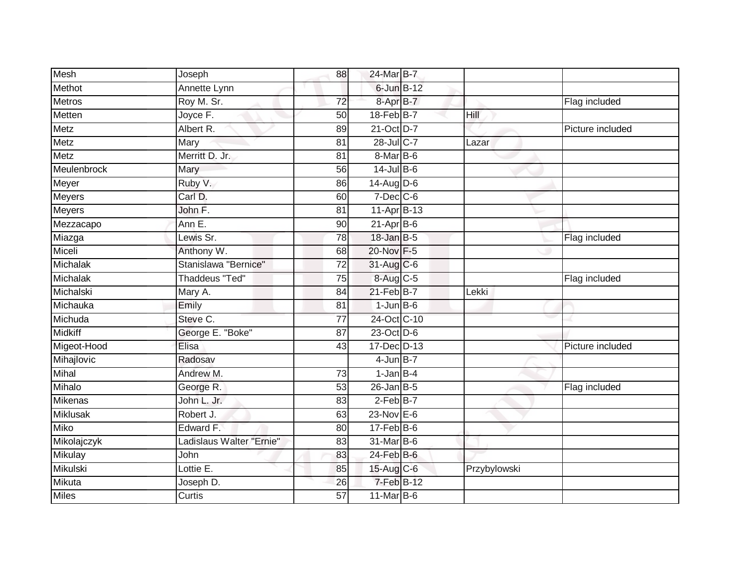| Mesh            | Joseph                   | 88              | 24-Mar B-7       |              |                  |
|-----------------|--------------------------|-----------------|------------------|--------------|------------------|
| Methot          | Annette Lynn             |                 | 6-Jun B-12       |              |                  |
| <b>Metros</b>   | Roy M. Sr.               | $\overline{72}$ | 8-Apr B-7        |              | Flag included    |
| Metten          | Joyce F.                 | 50              | $18$ -Feb $B$ -7 | Hill         |                  |
| Metz            | Albert R.                | 89              | 21-Oct D-7       |              | Picture included |
| Metz            | Mary                     | 81              | 28-Jul C-7       | Lazar        |                  |
| Metz            | Merritt D. Jr.           | 81              | $8$ -Mar $ B$ -6 |              |                  |
| Meulenbrock     | Mary                     | 56              | $14$ -Jul B-6    |              |                  |
| Meyer           | Ruby V.                  | 86              | 14-Aug D-6       |              |                  |
| <b>Meyers</b>   | Carl D.                  | 60              | $7$ -Dec $ C$ -6 |              |                  |
| <b>Meyers</b>   | John F.                  | 81              | 11-Apr B-13      |              |                  |
| Mezzacapo       | Ann E.                   | 90              | $21-Apr$ B-6     |              |                  |
| Miazga          | Lewis Sr.                | 78              | 18-Jan B-5       |              | Flag included    |
| Miceli          | Anthony W.               | 68              | 20-Nov F-5       |              |                  |
| Michalak        | Stanislawa "Bernice"     | $\overline{72}$ | 31-Aug C-6       |              |                  |
| Michalak        | <b>Thaddeus "Ted"</b>    | 75              | 8-Aug C-5        |              | Flag included    |
| Michalski       | Mary A.                  | 84              | $21$ -Feb $B-7$  | Lekki        |                  |
| Michauka        | Emily                    | 81              | $1$ -Jun $B$ -6  |              |                  |
| Michuda         | Steve C.                 | $\overline{77}$ | 24-Oct C-10      |              |                  |
| <b>Midkiff</b>  | George E. "Boke"         | 87              | 23-Oct D-6       |              |                  |
| Migeot-Hood     | Elisa                    | 43              | 17-Dec D-13      |              | Picture included |
| Mihajlovic      | Radosav                  |                 | $4$ -Jun $B-7$   |              |                  |
| Mihal           | Andrew M.                | 73              | $1-JanB-4$       |              |                  |
| Mihalo          | George R.                | 53              | $26$ -Jan B-5    |              | Flag included    |
| Mikenas         | John L. Jr.              | 83              | 2-Feb B-7        |              |                  |
| <b>Miklusak</b> | Robert J.                | 63              | $23-Nov$ E-6     |              |                  |
| <b>Miko</b>     | Edward F.                | 80              | $17 - Feb$ B-6   |              |                  |
| Mikolajczyk     | Ladislaus Walter "Ernie" | 83              | 31-Mar B-6       |              |                  |
| Mikulay         | John                     | 83              | $24$ -Feb $B$ -6 |              |                  |
| Mikulski        | Lottie E.                | 85              | 15-Aug C-6       | Przybylowski |                  |
| Mikuta          | Joseph D.                | 26              | 7-Feb B-12       |              |                  |
| <b>Miles</b>    | Curtis                   | 57              | $11$ -Mar B-6    |              |                  |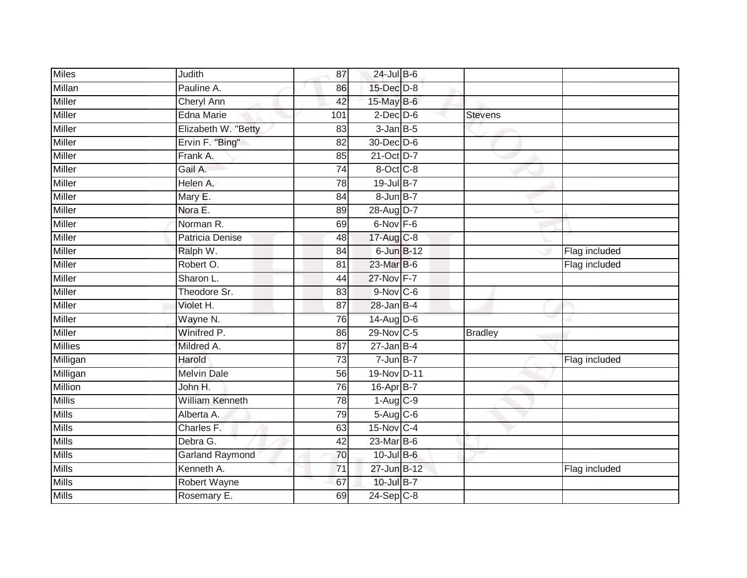| <b>Miles</b>   | Judith                 | 87              | 24-Jul B-6      |                |               |
|----------------|------------------------|-----------------|-----------------|----------------|---------------|
| Millan         | Pauline A.             | 86              | $15$ -Dec $D-8$ |                |               |
| Miller         | <b>Cheryl Ann</b>      | 42              | 15-May B-6      |                |               |
| Miller         | Edna Marie             | 101             | $2$ -Dec $D$ -6 | <b>Stevens</b> |               |
| <b>Miller</b>  | Elizabeth W. "Betty    | 83              | $3$ -Jan $B$ -5 |                |               |
| Miller         | Ervin F. "Bing"        | $\overline{82}$ | 30-Dec D-6      |                |               |
| Miller         | Frank A.               | 85              | 21-Oct D-7      |                |               |
| <b>Miller</b>  | Gail A.                | $\overline{74}$ | 8-Oct C-8       |                |               |
| <b>Miller</b>  | Helen A.               | 78              | 19-Jul B-7      |                |               |
| <b>Miller</b>  | Mary E.                | 84              | 8-Jun B-7       |                |               |
| Miller         | Nora E.                | 89              | 28-Aug D-7      |                |               |
| Miller         | Norman R.              | 69              | 6-Nov F-6       |                |               |
| Miller         | Patricia Denise        | 48              | 17-Aug C-8      |                |               |
| Miller         | Ralph W.               | 84              | 6-Jun B-12      |                | Flag included |
| Miller         | Robert O.              | $\overline{81}$ | 23-Mar B-6      |                | Flag included |
| Miller         | Sharon L.              | 44              | 27-Nov F-7      |                |               |
| <b>Miller</b>  | Theodore Sr.           | 83              | $9-Nov$ C-6     |                |               |
| Miller         | Violet H.              | 87              | 28-Jan B-4      |                |               |
| Miller         | Wayne N.               | 76              | 14-Aug D-6      |                |               |
| <b>Miller</b>  | Winifred P.            | 86              | 29-Nov C-5      | <b>Bradley</b> |               |
| <b>Millies</b> | Mildred A.             | 87              | $27 - Jan$ B-4  |                |               |
| Milligan       | Harold                 | 73              | $7 - Jun$ B-7   |                | Flag included |
| Milligan       | <b>Melvin Dale</b>     | 56              | 19-Nov D-11     |                |               |
| Million        | John H.                | 76              | 16-Apr B-7      |                |               |
| <b>Millis</b>  | <b>William Kenneth</b> | 78              | $1-Aug$ $C-9$   |                |               |
| <b>Mills</b>   | Alberta A.             | 79              | $5-Aug$ $C-6$   |                |               |
| <b>Mills</b>   | Charles F.             | 63              | 15-Nov C-4      |                |               |
| <b>Mills</b>   | Debra G.               | 42              | 23-Mar B-6      |                |               |
| <b>Mills</b>   | <b>Garland Raymond</b> | 70              | 10-Jul B-6      |                |               |
| <b>Mills</b>   | Kenneth A.             | 71              | 27-Jun B-12     |                | Flag included |
| <b>Mills</b>   | Robert Wayne           | 67              | 10-Jul B-7      |                |               |
| <b>Mills</b>   | Rosemary E.            | 69              | $24-Sep C-8$    |                |               |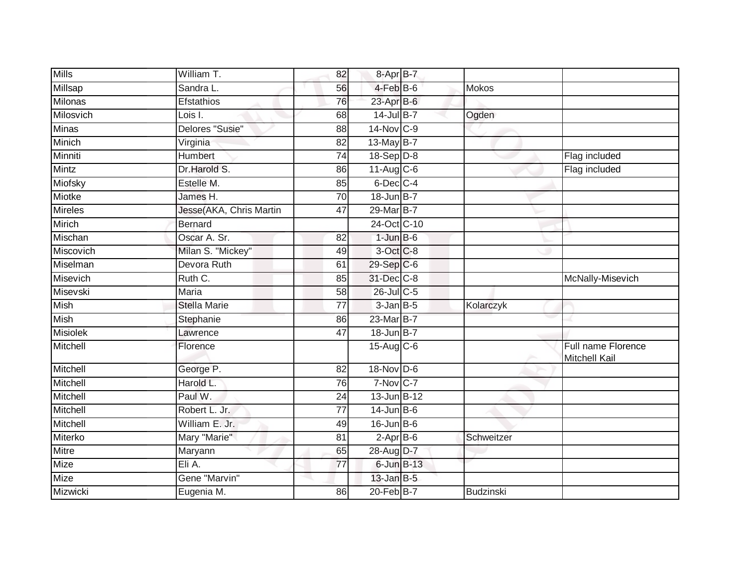| <b>Mills</b>    | William T.              | 82              | $8 - AprB - 7$         |                  |                                     |
|-----------------|-------------------------|-----------------|------------------------|------------------|-------------------------------------|
| Millsap         | Sandra L.               | 56              | 4-Feb B-6              | <b>Mokos</b>     |                                     |
| Milonas         | <b>Efstathios</b>       | 76              | 23-Apr B-6             |                  |                                     |
| Milosvich       | Lois I.                 | 68              | 14-Jul B-7             | Ogden            |                                     |
| <b>Minas</b>    | Delores "Susie"         | $\overline{88}$ | 14-Nov C-9             |                  |                                     |
| Minich          | Virginia                | 82              | 13-May B-7             |                  |                                     |
| Minniti         | Humbert                 | 74              | $18-Sep D-8$           |                  | Flag included                       |
| <b>Mintz</b>    | Dr.Harold S.            | 86              | $11$ -Aug C-6          |                  | Flag included                       |
| Miofsky         | Estelle M.              | 85              | 6-Dec C-4              |                  |                                     |
| Miotke          | James H.                | 70              | 18-Jun B-7             |                  |                                     |
| <b>Mireles</b>  | Jesse(AKA, Chris Martin | 47              | 29-Mar B-7             |                  |                                     |
| Mirich          | <b>Bernard</b>          |                 | 24-Oct C-10            |                  |                                     |
| Mischan         | Oscar A. Sr.            | 82              | $1$ -Jun $B$ -6        |                  |                                     |
| Miscovich       | Milan S. "Mickey"       | 49              | 3-Oct C-8              |                  |                                     |
| Miselman        | Devora Ruth             | 61              | 29-Sep C-6             |                  |                                     |
| Misevich        | Ruth C.                 | 85              | 31-Dec C-8             |                  | McNally-Misevich                    |
| Misevski        | <b>Maria</b>            | 58              | $26$ -Jul C-5          |                  |                                     |
| <b>Mish</b>     | <b>Stella Marie</b>     | 77              | $3$ -Jan $B$ -5        | Kolarczyk        |                                     |
| Mish            | Stephanie               | 86              | 23-Mar B-7             |                  |                                     |
| <b>Misiolek</b> | Lawrence                | 47              | 18-Jun B-7             |                  |                                     |
| Mitchell        | Florence                |                 | $15$ -Aug $C$ -6       |                  | Full name Florence<br>Mitchell Kail |
| Mitchell        | George P.               | 82              | 18-Nov D-6             |                  |                                     |
| Mitchell        | Harold L.               | 76              | $7-Nov$ <sub>C-7</sub> |                  |                                     |
| Mitchell        | Paul W.                 | 24              | 13-Jun B-12            |                  |                                     |
| Mitchell        | Robert L. Jr.           | $\overline{77}$ | $14$ -Jun B-6          |                  |                                     |
| Mitchell        | William E. Jr.          | 49              | $16$ -Jun $B$ -6       |                  |                                     |
| Miterko         | Mary "Marie"            | $\overline{81}$ | $2$ -Apr $B$ -6        | Schweitzer       |                                     |
| <b>Mitre</b>    | Maryann                 | 65              | 28-Aug D-7             |                  |                                     |
| Mize            | Eli A.                  | $\overline{77}$ | $6$ -Jun $B-13$        |                  |                                     |
| Mize            | Gene "Marvin"           |                 | $13$ -Jan B-5          |                  |                                     |
| Mizwicki        | Eugenia M.              | 86              | 20-Feb B-7             | <b>Budzinski</b> |                                     |
|                 |                         |                 |                        |                  |                                     |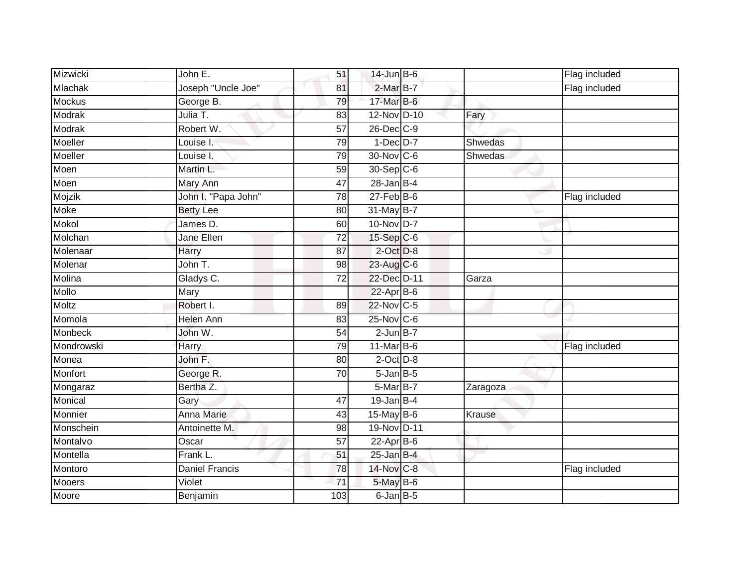| Mizwicki      | John E.             | 51              | $14$ -Jun $B$ -6 |          | Flag included |
|---------------|---------------------|-----------------|------------------|----------|---------------|
| Mlachak       | Joseph "Uncle Joe"  | 81              | 2-Mar B-7        |          | Flag included |
| <b>Mockus</b> | George B.           | 79              | 17-Mar B-6       |          |               |
| Modrak        | Julia T.            | 83              | $12-Nov$ D-10    | Fary     |               |
| Modrak        | Robert W.           | $\overline{57}$ | 26-Dec C-9       |          |               |
| Moeller       | Louise I.           | 79              | $1-Dec$ D-7      | Shwedas  |               |
| Moeller       | Louise I.           | 79              | $30$ -Nov C-6    | Shwedas  |               |
| Moen          | Martin L.           | 59              | 30-Sep C-6       |          |               |
| Moen          | Mary Ann            | 47              | $28$ -Jan B-4    |          |               |
| Mojzik        | John I. "Papa John" | $\overline{78}$ | $27 - Feb$ B-6   |          | Flag included |
| Moke          | <b>Betty Lee</b>    | 80              | 31-May B-7       |          |               |
| Mokol         | James D.            | 60              | 10-Nov D-7       |          |               |
| Molchan       | Jane Ellen          | 72              | $15-Sep$ C-6     |          |               |
| Molenaar      | Harry               | 87              | $2$ -Oct $D-8$   |          |               |
| Molenar       | John T.             | 98              | 23-Aug C-6       |          |               |
| Molina        | Gladys C.           | 72              | 22-Dec D-11      | Garza    |               |
| Mollo         | Mary                |                 | $22$ -Apr $B$ -6 |          |               |
| Moltz         | Robert I.           | 89              | 22-Nov C-5       |          |               |
| Momola        | Helen Ann           | 83              | 25-Nov C-6       |          |               |
| Monbeck       | John W.             | 54              | $2$ -Jun $B-7$   |          |               |
| Mondrowski    | Harry               | 79              | 11-Mar B-6       |          | Flag included |
| Monea         | John F.             | 80              | $2$ -Oct $D-8$   |          |               |
| Monfort       | George R.           | 70              | $5$ -Jan $B$ -5  |          |               |
| Mongaraz      | Bertha Z.           |                 | 5-Mar B-7        | Zaragoza |               |
| Monical       | Gary                | 47              | $19$ -Jan B-4    |          |               |
| Monnier       | <b>Anna Marie</b>   | 43              | 15-May B-6       | Krause   |               |
| Monschein     | Antoinette M.       | 98              | 19-Nov D-11      |          |               |
| Montalvo      | Oscar               | 57              | $22$ -Apr $B$ -6 |          |               |
| Montella      | Frank L.            | 51              | $25$ -Jan B-4    |          |               |
| Montoro       | Daniel Francis      | 78              | 14-Nov C-8       |          | Flag included |
| <b>Mooers</b> | Violet              | 71              | $5$ -May B-6     |          |               |
| Moore         | Benjamin            | 103             | $6$ -Jan $B$ -5  |          |               |
|               |                     |                 |                  |          |               |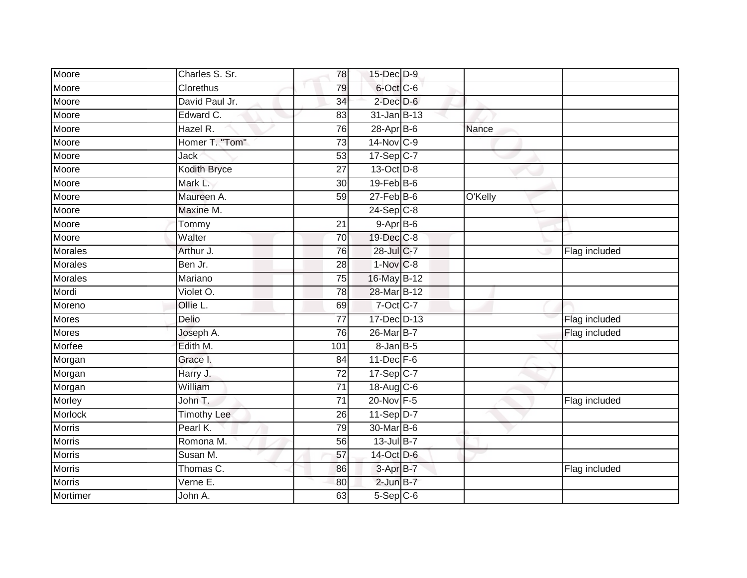| Moore          | Charles S. Sr.     | 78              | 15-Dec D-9        |         |               |
|----------------|--------------------|-----------------|-------------------|---------|---------------|
| Moore          | Clorethus          | 79              | 6-Oct C-6         |         |               |
| Moore          | David Paul Jr.     | 34              | $2$ -Dec $D-6$    |         |               |
| Moore          | Edward C.          | 83              | 31-Jan B-13       |         |               |
| Moore          | Hazel R.           | 76              | $28$ -Apr $B$ -6  | Nance   |               |
| Moore          | Homer T. "Tom"     | $\overline{73}$ | 14-Nov C-9        |         |               |
| Moore          | Jack               | $\overline{53}$ | 17-Sep C-7        |         |               |
| Moore          | Kodith Bryce       | 27              | 13-Oct D-8        |         |               |
| Moore          | Mark L.            | 30              | $19$ -Feb $B$ -6  |         |               |
| Moore          | Maureen A.         | 59              | $27$ -Feb $B$ -6  | O'Kelly |               |
| Moore          | Maxine M.          |                 | $24-Sep$ C-8      |         |               |
| Moore          | Tommy              | 21              | $9-AprB-6$        |         |               |
| Moore          | Walter             | 70              | 19-Dec C-8        |         |               |
| <b>Morales</b> | Arthur J.          | 76              | 28-Jul C-7        |         | Flag included |
| <b>Morales</b> | Ben Jr.            | $\overline{28}$ | $1-NovC-8$        |         |               |
| <b>Morales</b> | Mariano            | 75              | 16-May B-12       |         |               |
| Mordi          | Violet O.          | 78              | 28-Mar B-12       |         |               |
| Moreno         | Ollie L.           | 69              | 7-Oct C-7         |         |               |
| Mores          | Delio              | 77              | 17-Dec D-13       |         | Flag included |
| Mores          | Joseph A.          | 76              | 26-Mar B-7        |         | Flag included |
| Morfee         | Edith M.           | 101             | $8 - Jan$ $B - 5$ |         |               |
| Morgan         | Grace I.           | 84              | $11$ -Dec $F-6$   |         |               |
| Morgan         | Harry J.           | 72              | 17-Sep C-7        |         |               |
| Morgan         | William            | $\overline{71}$ | 18-Aug C-6        |         |               |
| Morley         | John T.            | 71              | 20-Nov F-5        |         | Flag included |
| Morlock        | <b>Timothy Lee</b> | 26              | $11-Sep$ D-7      |         |               |
| <b>Morris</b>  | Pearl K.           | 79              | 30-Mar B-6        |         |               |
| <b>Morris</b>  | Romona M.          | 56              | $13$ -Jul B-7     |         |               |
| <b>Morris</b>  | Susan M.           | 57              | 14-Oct D-6        |         |               |
| Morris         | Thomas C.          | 86              | 3-Apr B-7         |         | Flag included |
| <b>Morris</b>  | Verne E.           | 80              | $2$ -Jun $B-7$    |         |               |
| Mortimer       | John A.            | 63              | $5-Sep$ $C-6$     |         |               |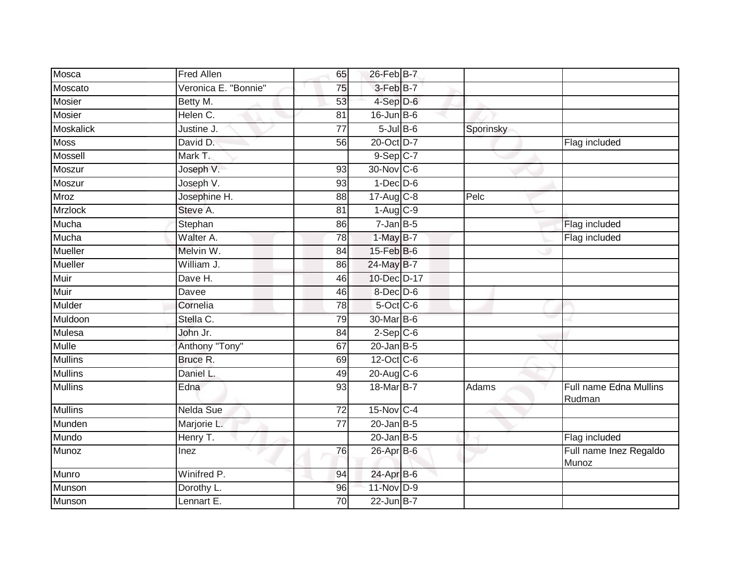| Mosca            | <b>Fred Allen</b>    | 65              | 26-Feb B-7              |           |                                  |
|------------------|----------------------|-----------------|-------------------------|-----------|----------------------------------|
| Moscato          | Veronica E. "Bonnie" | 75              | 3-Feb B-7               |           |                                  |
| <b>Mosier</b>    | Betty M.             | 53              | 4-Sep D-6               |           |                                  |
| Mosier           | Helen C.             | 81              | $16$ -Jun $B$ -6        |           |                                  |
| <b>Moskalick</b> | Justine J.           | $\overline{77}$ | $5$ -Jul $B$ -6         | Sporinsky |                                  |
| <b>Moss</b>      | David D.             | 56              | 20-Oct D-7              |           | Flag included                    |
| Mossell          | Mark T.              |                 | $9-Sep$ $C-7$           |           |                                  |
| Moszur           | Joseph V.            | 93              | 30-Nov C-6              |           |                                  |
| Moszur           | Joseph V.            | 93              | $1-Dec$ $D-6$           |           |                                  |
| <b>Mroz</b>      | Josephine H.         | 88              | $17-Aug$ <sub>C-8</sub> | Pelc      |                                  |
| <b>Mrzlock</b>   | Steve A.             | 81              | $1-Aug$ $C-9$           |           |                                  |
| Mucha            | Stephan              | 86              | $7$ -Jan B-5            |           | Flag included                    |
| Mucha            | Walter A.            | $\overline{78}$ | 1-May B-7               |           | Flag included                    |
| Mueller          | Melvin W.            | 84              | 15-Feb B-6              |           |                                  |
| Mueller          | William J.           | 86              | 24-May B-7              |           |                                  |
| Muir             | Dave H.              | 46              | 10-Dec D-17             |           |                                  |
| Muir             | Davee                | 46              | 8-Dec D-6               |           |                                  |
| Mulder           | Cornelia             | 78              | 5-Oct C-6               |           |                                  |
| Muldoon          | Stella C.            | 79              | 30-Mar B-6              |           |                                  |
| Mulesa           | John Jr.             | 84              | $2-Sep$ $C-6$           |           |                                  |
| Mulle            | Anthony "Tony"       | 67              | $20$ -Jan $ B-5 $       |           |                                  |
| <b>Mullins</b>   | Bruce R.             | 69              | 12-Oct C-6              |           |                                  |
| <b>Mullins</b>   | Daniel L.            | 49              | 20-Aug C-6              |           |                                  |
| <b>Mullins</b>   | Edna                 | 93              | 18-Mar B-7              | Adams     | Full name Edna Mullins<br>Rudman |
| <b>Mullins</b>   | Nelda Sue            | $\overline{72}$ | 15-Nov C-4              |           |                                  |
| Munden           | Marjorie L.          | $\overline{77}$ | $20$ -Jan B-5           |           |                                  |
| Mundo            | Henry T.             |                 | $20$ -Jan B-5           |           | Flag included                    |
| Munoz            | Inez                 | 76              | 26-Apr B-6              |           | Full name Inez Regaldo<br>Munoz  |
| Munro            | Winifred P.          | 94              | 24-Apr B-6              |           |                                  |
| Munson           | Dorothy L.           | 96              | 11-Nov D-9              |           |                                  |
| Munson           | Lennart E.           | 70              | $22$ -Jun $B$ -7        |           |                                  |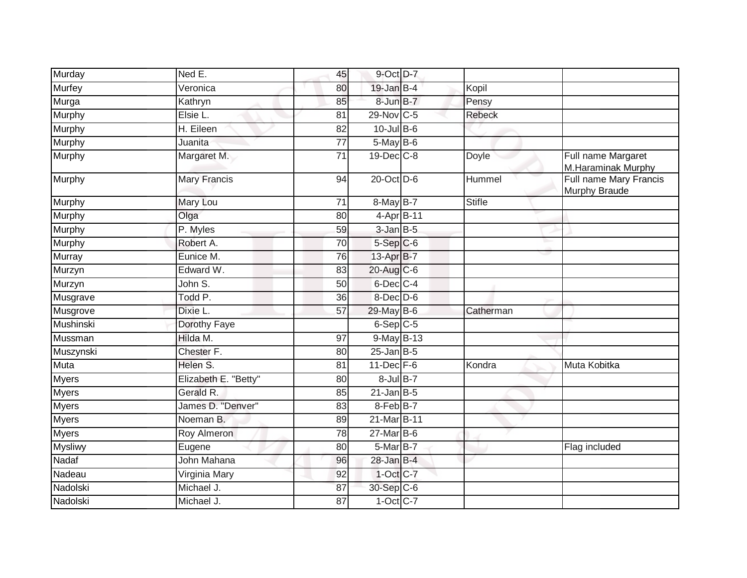| Murday         | Ned E.               | 45              | 9-Oct D-7        |               |                                          |
|----------------|----------------------|-----------------|------------------|---------------|------------------------------------------|
| <b>Murfey</b>  | Veronica             | 80              | $19$ -Jan $B-4$  | Kopil         |                                          |
| Murga          | Kathryn              | 85              | 8-Jun B-7        | Pensy         |                                          |
| Murphy         | Elsie L.             | 81              | 29-Nov C-5       | <b>Rebeck</b> |                                          |
| Murphy         | H. Eileen            | 82              | $10$ -Jul B-6    |               |                                          |
| Murphy         | Juanita              | $\overline{77}$ | $5$ -May $B$ -6  |               |                                          |
| Murphy         | Margaret M.          | 71              | 19-Dec C-8       | Doyle         | Full name Margaret<br>M.Haraminak Murphy |
| Murphy         | <b>Mary Francis</b>  | 94              | 20-Oct D-6       | Hummel        | Full name Mary Francis<br>Murphy Braude  |
| Murphy         | Mary Lou             | $\overline{71}$ | 8-May B-7        | <b>Stifle</b> |                                          |
| Murphy         | Olga                 | 80              | 4-Apr B-11       |               |                                          |
| Murphy         | P. Myles             | 59              | $3$ -Jan $B$ -5  |               |                                          |
| Murphy         | Robert A.            | 70              | $5-Sep$ $C-6$    |               |                                          |
| Murray         | Eunice M.            | 76              | 13-Apr B-7       |               |                                          |
| Murzyn         | Edward W.            | 83              | $20$ -Aug C-6    |               |                                          |
| Murzyn         | John S.              | 50              | 6-Dec C-4        |               |                                          |
| Musgrave       | Todd P.              | 36              | $8$ -Dec $D$ -6  |               |                                          |
| Musgrove       | Dixie L.             | 57              | 29-May B-6       | Catherman     |                                          |
| Mushinski      | Dorothy Faye         |                 | $6-Sep C-5$      |               |                                          |
| Mussman        | Hilda M.             | 97              | 9-May B-13       |               |                                          |
| Muszynski      | Chester F.           | 80              | $25$ -Jan B-5    |               |                                          |
| Muta           | Helen S.             | 81              | $11$ -Dec $F-6$  | Kondra        | Muta Kobitka                             |
| <b>Myers</b>   | Elizabeth E. "Betty" | 80              | $8$ -Jul $B-7$   |               |                                          |
| <b>Myers</b>   | Gerald R.            | 85              | $21$ -Jan B-5    |               |                                          |
| <b>Myers</b>   | James D. "Denver"    | 83              | $8-FebB-7$       |               |                                          |
| <b>Myers</b>   | Noeman <sub>B.</sub> | 89              | 21-Mar B-11      |               |                                          |
| <b>Myers</b>   | Roy Almeron          | 78              | $27$ -Mar $B$ -6 |               |                                          |
| <b>Mysliwy</b> | Eugene               | 80              | 5-Mar B-7        |               | Flag included                            |
| Nadaf          | John Mahana          | 96              | $28$ -Jan B-4    |               |                                          |
| Nadeau         | Virginia Mary        | 92              | 1-Oct C-7        |               |                                          |
| Nadolski       | Michael J.           | 87              | 30-Sep C-6       |               |                                          |
| Nadolski       | Michael J.           | 87              | $1-Oct$ C-7      |               |                                          |
|                |                      |                 |                  |               |                                          |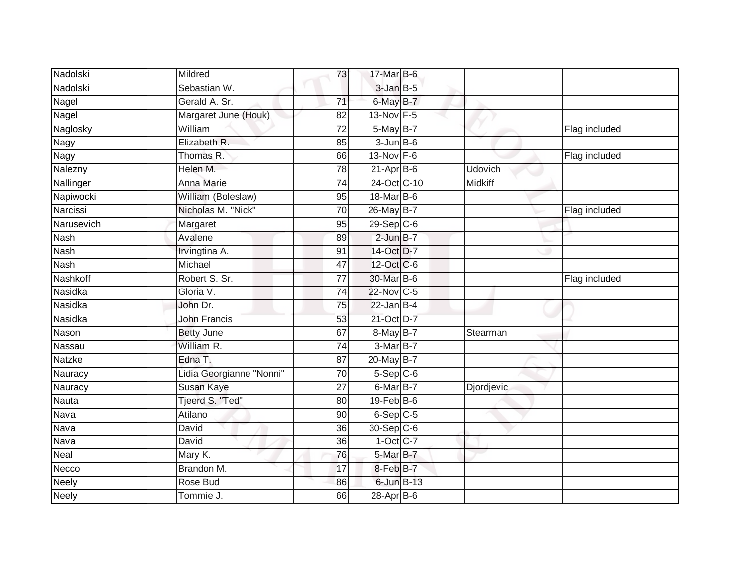| Nadolski     | Mildred                  | 73              | 17-Mar B-6              |            |               |
|--------------|--------------------------|-----------------|-------------------------|------------|---------------|
| Nadolski     | Sebastian W.             |                 | $3$ -Jan $B$ -5         |            |               |
| Nagel        | Gerald A. Sr.            | $\overline{71}$ | $6$ -May $B-7$          |            |               |
| Nagel        | Margaret June (Houk)     | 82              | 13-Nov F-5              |            |               |
| Naglosky     | William                  | $\overline{72}$ | 5-May B-7               |            | Flag included |
| Nagy         | Elizabeth R.             | 85              | $3$ -Jun $B$ -6         |            |               |
| Nagy         | Thomas R.                | 66              | $13-Nov$ F-6            |            | Flag included |
| Nalezny      | Helen M.                 | 78              | $21 - Apr$ B-6          | Udovich    |               |
| Nallinger    | Anna Marie               | 74              | 24-Oct C-10             | Midkiff    |               |
| Napiwocki    | William (Boleslaw)       | 95              | 18-Mar B-6              |            |               |
| Narcissi     | Nicholas M. "Nick"       | 70              | 26-May B-7              |            | Flag included |
| Narusevich   | Margaret                 | 95              | $29-Sep$ <sub>C-6</sub> |            |               |
| Nash         | Avalene                  | 89              | $2$ -Jun $B-7$          |            |               |
| <b>Nash</b>  | Irvingtina A.            | 91              | 14-Oct D-7              |            |               |
| <b>Nash</b>  | Michael                  | 47              | 12-Oct C-6              |            |               |
| Nashkoff     | Robert S. Sr.            | $\overline{77}$ | 30-Mar B-6              |            | Flag included |
| Nasidka      | Gloria V.                | $\overline{74}$ | 22-Nov C-5              |            |               |
| Nasidka      | John Dr.                 | $\overline{75}$ | $22$ -Jan B-4           |            |               |
| Nasidka      | <b>John Francis</b>      | 53              | 21-Oct D-7              |            |               |
| Nason        | <b>Betty June</b>        | 67              | 8-May B-7               | Stearman   |               |
| Nassau       | William R.               | 74              | 3-Mar B-7               |            |               |
| Natzke       | Edna T.                  | 87              | 20-May B-7              |            |               |
| Nauracy      | Lidia Georgianne "Nonni" | 70              | $5-Sep C-6$             |            |               |
| Nauracy      | Susan Kaye               | 27              | $6$ -Mar $B$ -7         | Djordjevic |               |
| Nauta        | Tjeerd S. "Ted"          | 80              | $19$ -Feb $B$ -6        |            |               |
| Nava         | Atilano                  | 90              | $6-Sep$ $C-5$           |            |               |
| Nava         | David                    | 36              | 30-Sep C-6              |            |               |
| Nava         | David                    | 36              | $1-Oct$ C-7             |            |               |
| Neal         | Mary K.                  | 76              | $5$ -Mar $B$ -7         |            |               |
| Necco        | Brandon M.               | 17              | 8-Feb B-7               |            |               |
| Neely        | Rose Bud                 | 86              | $6$ -Jun $B-13$         |            |               |
| <b>Neely</b> | Tommie J.                | 66              | $28$ -Apr $B$ -6        |            |               |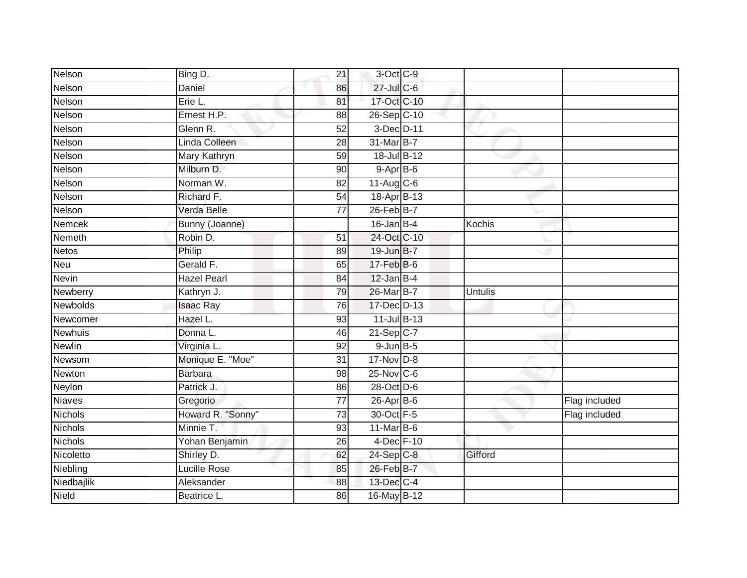| Nelson          | Bing D.            | 21              | 3-Oct C-9        |                |               |
|-----------------|--------------------|-----------------|------------------|----------------|---------------|
| Nelson          | Daniel             | 86              | $27$ -Jul C-6    |                |               |
| Nelson          | Erie L.            | 81              | 17-Oct C-10      |                |               |
| Nelson          | Ernest H.P.        | 88              | 26-Sep C-10      |                |               |
| Nelson          | Glenn R.           | $\overline{52}$ | 3-Dec D-11       |                |               |
| Nelson          | Linda Colleen      | 28              | 31-Mar B-7       |                |               |
| Nelson          | Mary Kathryn       | 59              | 18-Jul B-12      |                |               |
| Nelson          | Milburn D.         | 90              | $9-AprB-6$       |                |               |
| Nelson          | Norman W.          | 82              | $11-Aug$ $C-6$   |                |               |
| Nelson          | Richard F.         | $\overline{54}$ | 18-Apr B-13      |                |               |
| Nelson          | Verda Belle        | $\overline{77}$ | $26$ -Feb $B$ -7 |                |               |
| Nemcek          | Bunny (Joanne)     |                 | $16$ -Jan B-4    | Kochis         |               |
| Nemeth          | Robin D.           | 51              | 24-Oct C-10      |                |               |
| <b>Netos</b>    | Philip             | 89              | 19-Jun B-7       |                |               |
| Neu             | Gerald F.          | 65              | $17-FebB-6$      |                |               |
| <b>Nevin</b>    | <b>Hazel Pearl</b> | 84              | $12$ -Jan B-4    |                |               |
| Newberry        | Kathryn J.         | 79              | 26-Mar B-7       | <b>Untulis</b> |               |
| <b>Newbolds</b> | <b>Isaac Ray</b>   | 76              | 17-Dec D-13      |                |               |
| Newcomer        | Hazel L.           | 93              | 11-Jul B-13      |                |               |
| <b>Newhuis</b>  | Donna L.           | 46              | $21$ -Sep C-7    |                |               |
| <b>Newlin</b>   | Virginia L.        | 92              | $9$ -Jun $B$ -5  |                |               |
| Newsom          | Monique E. "Moe"   | $\overline{31}$ | 17-Nov D-8       |                |               |
| Newton          | <b>Barbara</b>     | 98              | $25$ -Nov $C$ -6 |                |               |
| Neylon          | Patrick J.         | 86              | 28-Oct D-6       |                |               |
| Niaves          | Gregorio           | $\overline{77}$ | 26-Apr B-6       |                | Flag included |
| Nichols         | Howard R. "Sonny"  | 73              | 30-Oct F-5       |                | Flag included |
| <b>Nichols</b>  | Minnie T.          | 93              | 11-Mar B-6       |                |               |
| <b>Nichols</b>  | Yohan Benjamin     | 26              | 4-Dec F-10       |                |               |
| Nicoletto       | Shirley D.         | 62              | $24-Sep$ C-8     | Gifford        |               |
| Niebling        | Lucille Rose       | 85              | 26-Feb B-7       |                |               |
| Niedbajlik      | Aleksander         | 88              | 13-Dec C-4       |                |               |
| Nield           | Beatrice L.        | 86              | 16-May B-12      |                |               |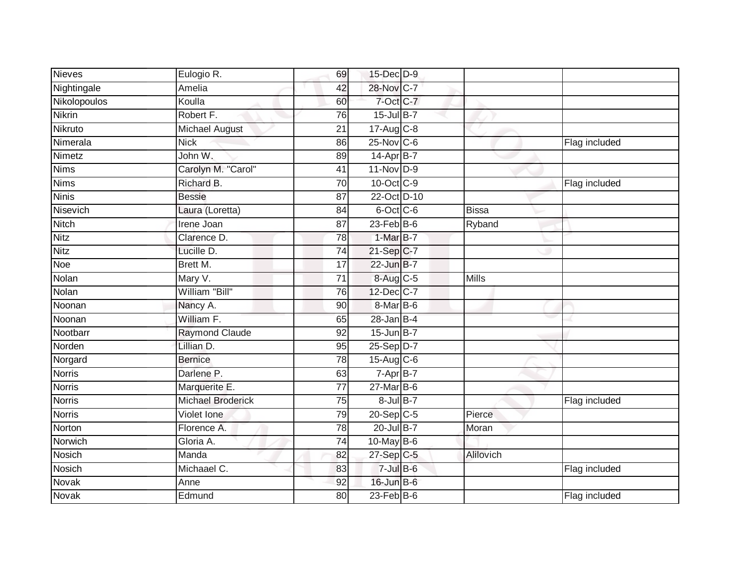| <b>Nieves</b> | Eulogio R.            | 69              | 15-Dec D-9              |              |               |
|---------------|-----------------------|-----------------|-------------------------|--------------|---------------|
| Nightingale   | Amelia                | 42              | 28-Nov C-7              |              |               |
| Nikolopoulos  | Koulla                | 60              | 7-Oct C-7               |              |               |
| <b>Nikrin</b> | Robert F.             | 76              | 15-Jul B-7              |              |               |
| Nikruto       | <b>Michael August</b> | $\overline{21}$ | $17-Aug$ <sub>C-8</sub> |              |               |
| Nimerala      | <b>Nick</b>           | 86              | $25$ -Nov $C$ -6        |              | Flag included |
| Nimetz        | John W.               | 89              | 14-Apr B-7              |              |               |
| <b>Nims</b>   | Carolyn M. "Carol"    | 41              | 11-Nov D-9              |              |               |
| <b>Nims</b>   | Richard B.            | 70              | 10-Oct C-9              |              | Flag included |
| <b>Ninis</b>  | <b>Bessie</b>         | 87              | 22-Oct D-10             |              |               |
| Nisevich      | Laura (Loretta)       | 84              | $6$ -Oct $C$ -6         | <b>Bissa</b> |               |
| <b>Nitch</b>  | <b>Irene Joan</b>     | 87              | $23$ -Feb $B$ -6        | Ryband       |               |
| <b>Nitz</b>   | Clarence D.           | 78              | $1-MarB-7$              |              |               |
| <b>Nitz</b>   | Lucille D.            | 74              | $21-SepC-7$             |              |               |
| Noe           | Brett M.              | 17              | 22-Jun B-7              |              |               |
| Nolan         | Mary V.               | 71              | 8-Aug C-5               | <b>Mills</b> |               |
| Nolan         | William "Bill"        | $\overline{76}$ | 12-Dec C-7              |              |               |
| Noonan        | Nancy A.              | 90              | 8-Mar B-6               |              |               |
| Noonan        | William F.            | 65              | $28$ -Jan B-4           |              |               |
| Nootbarr      | <b>Raymond Claude</b> | $\overline{92}$ | 15-Jun B-7              |              |               |
| Norden        | Lillian D.            | 95              | 25-Sep D-7              |              |               |
| Norgard       | <b>Bernice</b>        | $\overline{78}$ | 15-Aug C-6              |              |               |
| <b>Norris</b> | Darlene P.            | 63              | 7-Apr B-7               |              |               |
| <b>Norris</b> | Marquerite E.         | 77              | $27$ -Mar $B$ -6        |              |               |
| <b>Norris</b> | Michael Broderick     | 75              | $8$ -Jul B-7            |              | Flag included |
| <b>Norris</b> | Violet Ione           | 79              | $20-Sep$ C-5            | Pierce       |               |
| Norton        | Florence A.           | 78              | $20$ -Jul B-7           | Moran        |               |
| Norwich       | Gloria A.             | 74              | 10-May $B-6$            |              |               |
| Nosich        | Manda                 | 82              | 27-Sep C-5              | Alilovich    |               |
| <b>Nosich</b> | Michaael C.           | 83              | $7 -$ Jul $B - 6$       |              | Flag included |
| Novak         | Anne                  | 92              | 16-Jun B-6              |              |               |
| <b>Novak</b>  | Edmund                | 80              | $23$ -Feb $B$ -6        |              | Flag included |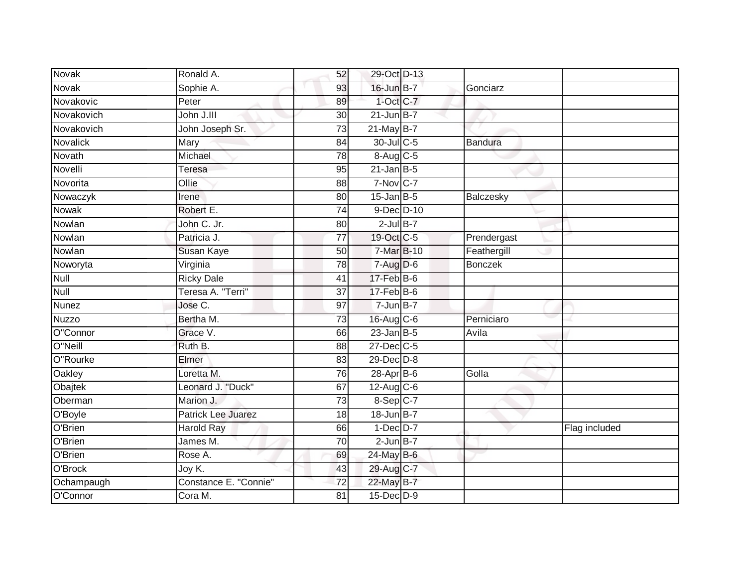| Novak      | Ronald A.             | 52              | 29-Oct D-13      |                |               |
|------------|-----------------------|-----------------|------------------|----------------|---------------|
| Novak      | Sophie A.             | 93              | $16$ -Jun $B-7$  | Gonciarz       |               |
| Novakovic  | Peter                 | 89              | $1-Oct$ $C-7$    |                |               |
| Novakovich | John J.III            | 30              | $21$ -Jun B-7    |                |               |
| Novakovich | John Joseph Sr.       | $\overline{73}$ | $21$ -May B-7    |                |               |
| Novalick   | Mary                  | 84              | 30-Jul C-5       | Bandura        |               |
| Novath     | Michael               | $\overline{78}$ | 8-Aug C-5        |                |               |
| Novelli    | Teresa                | 95              | $21$ -Jan B-5    |                |               |
| Novorita   | Ollie                 | 88              | $7-Nov$ C-7      |                |               |
| Nowaczyk   | Irene                 | 80              | $15$ -Jan B-5    | Balczesky      |               |
| Nowak      | Robert E.             | 74              | $9$ -Dec $D$ -10 |                |               |
| Nowlan     | John C. Jr.           | 80              | $2$ -Jul B-7     |                |               |
| Nowlan     | Patricia J.           | $\overline{77}$ | 19-Oct C-5       | Prendergast    |               |
| Nowlan     | Susan Kaye            | 50              | 7-Mar B-10       | Feathergill    |               |
| Noworyta   | Virginia              | $\overline{78}$ | $7-Aug$ $D-6$    | <b>Bonczek</b> |               |
| Null       | <b>Ricky Dale</b>     | 41              | 17-Feb B-6       |                |               |
| Null       | Teresa A. "Terri"     | 37              | $17$ -Feb $B$ -6 |                |               |
| Nunez      | Jose C.               | 97              | $7 - Jun$ B-7    |                |               |
| Nuzzo      | Bertha M.             | 73              | $16$ -Aug $C$ -6 | Perniciaro     |               |
| O"Connor   | Grace V.              | 66              | $23$ -Jan B-5    | Avila          |               |
| O"Neill    | Ruth B.               | 88              | 27-Dec C-5       |                |               |
| O"Rourke   | Elmer                 | $\overline{83}$ | $29$ -Dec $D-8$  |                |               |
| Oakley     | Loretta M.            | 76              | $28-Apr$ B-6     | Golla          |               |
| Obajtek    | Leonard J. "Duck"     | 67              | $12$ -Aug C-6    |                |               |
| Oberman    | Marion J.             | 73              | $8-Sep C-7$      |                |               |
| O'Boyle    | Patrick Lee Juarez    | 18              | 18-Jun B-7       |                |               |
| O'Brien    | <b>Harold Ray</b>     | 66              | $1-Dec$ $D-7$    |                | Flag included |
| O'Brien    | James M.              | 70              | $2$ -Jun $B$ -7  |                |               |
| O'Brien    | Rose A.               | 69              | 24-May B-6       |                |               |
| O'Brock    | Joy K.                | 43              | 29-Aug C-7       |                |               |
| Ochampaugh | Constance E. "Connie" | 72              | 22-May B-7       |                |               |
| O'Connor   | Cora M.               | $\overline{81}$ | 15-Dec D-9       |                |               |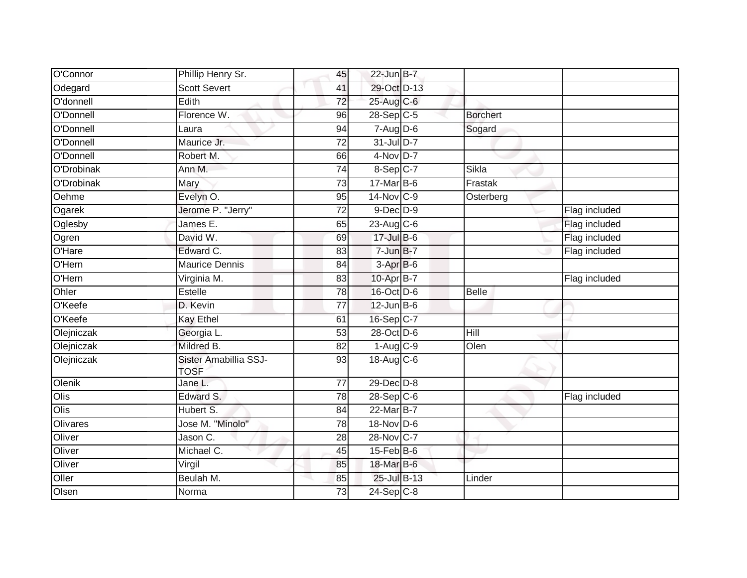| O'Connor   | Phillip Henry Sr.                    | 45              | $22$ -Jun B-7    |                 |               |
|------------|--------------------------------------|-----------------|------------------|-----------------|---------------|
| Odegard    | <b>Scott Severt</b>                  | 41              | 29-Oct D-13      |                 |               |
| O'donnell  | Edith                                | 72              | 25-Aug C-6       |                 |               |
| O'Donnell  | Florence W.                          | 96              | 28-Sep C-5       | <b>Borchert</b> |               |
| O'Donnell  | Laura                                | 94              | $7 - Aug$ $D-6$  | Sogard          |               |
| O'Donnell  | Maurice Jr.                          | 72              | $31$ -Jul D-7    |                 |               |
| O'Donnell  | Robert M.                            | 66              | $4-Nov$ D-7      |                 |               |
| O'Drobinak | Ann M.                               | 74              | 8-Sep C-7        | Sikla           |               |
| O'Drobinak | Mary                                 | 73              | $17$ -Mar $B$ -6 | Frastak         |               |
| Oehme      | Evelyn O.                            | 95              | 14-Nov C-9       | Osterberg       |               |
| Ogarek     | Jerome P. "Jerry"                    | 72              | $9$ -Dec $D$ -9  |                 | Flag included |
| Oglesby    | James E.                             | 65              | 23-Aug $C-6$     |                 | Flag included |
| Ogren      | David W.                             | 69              | 17-Jul B-6       |                 | Flag included |
| O'Hare     | Edward C.                            | 83              | $7 - Jun$ B-7    |                 | Flag included |
| O'Hern     | <b>Maurice Dennis</b>                | 84              | 3-Apr B-6        |                 |               |
| O'Hern     | Virginia M.                          | 83              | 10-Apr B-7       |                 | Flag included |
| Ohler      | Estelle                              | $\overline{78}$ | 16-Oct D-6       | Belle           |               |
| O'Keefe    | D. Kevin                             | 77              | $12$ -Jun $B$ -6 |                 |               |
| O'Keefe    | <b>Kay Ethel</b>                     | 61              | 16-Sep C-7       |                 |               |
| Olejniczak | Georgia L.                           | 53              | 28-Oct D-6       | Hill            |               |
| Olejniczak | Mildred B.                           | 82              | $1-Aug$ $C-9$    | Olen            |               |
| Olejniczak | Sister Amabillia SSJ-<br><b>TOSF</b> | $\overline{93}$ | 18-Aug C-6       |                 |               |
| Olenik     | Jane L.                              | $\overline{77}$ | $29$ -Dec $D-8$  |                 |               |
| Olis       | Edward S.                            | 78              | $28-Sep$ C-6     |                 | Flag included |
| Olis       | Hubert S.                            | 84              | 22-Mar B-7       |                 |               |
| Olivares   | Jose M. "Minolo"                     | 78              | 18-Nov D-6       |                 |               |
| Oliver     | Jason C.                             | 28              | 28-Nov C-7       |                 |               |
| Oliver     | Michael C.                           | 45              | $15$ -Feb $B$ -6 |                 |               |
| Oliver     | Virgil                               | 85              | 18-Mar B-6       |                 |               |
| Oller      | Beulah M.                            | 85              | 25-Jul B-13      | Linder          |               |
| Olsen      | Norma                                | 73              | $24-Sep$ C-8     |                 |               |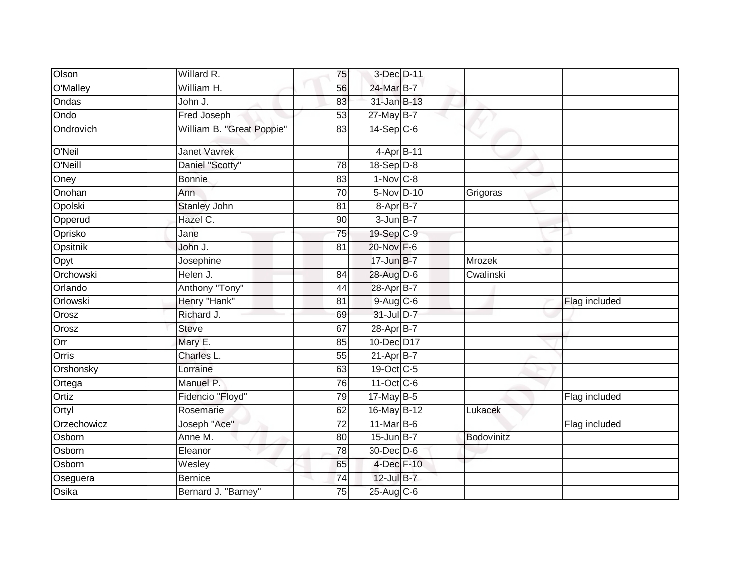| Olson       | Willard R.                | 75              | 3-Dec D-11              |            |               |
|-------------|---------------------------|-----------------|-------------------------|------------|---------------|
| O'Malley    | William H.                | 56              | 24-Mar B-7              |            |               |
| Ondas       | John J.                   | 83              | 31-Jan B-13             |            |               |
| Ondo        | Fred Joseph               | 53              | $27$ -May B-7           |            |               |
| Ondrovich   | William B. "Great Poppie" | 83              | $14-Sep C-6$            |            |               |
| O'Neil      | <b>Janet Vavrek</b>       |                 | 4-Apr B-11              |            |               |
| O'Neill     | Daniel "Scotty"           | 78              | $18 - \text{Sep}$ $D-8$ |            |               |
| Oney        | <b>Bonnie</b>             | $\overline{83}$ | $1-Nov$ C-8             |            |               |
| Onohan      | Ann                       | 70              | 5-Nov D-10              | Grigoras   |               |
| Opolski     | <b>Stanley John</b>       | 81              | 8-Apr B-7               |            |               |
| Opperud     | Hazel C.                  | 90              | $3 - Jun$ B-7           |            |               |
| Oprisko     | Jane                      | 75              | 19-Sep C-9              |            |               |
| Opsitnik    | John J.                   | 81              | 20-Nov F-6              |            |               |
| Opyt        | Josephine                 |                 | 17-Jun B-7              | Mrozek     |               |
| Orchowski   | Helen J.                  | 84              | 28-Aug D-6              | Cwalinski  |               |
| Orlando     | Anthony "Tony"            | 44              | 28-Apr B-7              |            |               |
| Orlowski    | Henry "Hank"              | 81              | $9-Aug$ $C-6$           |            | Flag included |
| Orosz       | Richard J.                | 69              | 31-Jul D-7              |            |               |
| Orosz       | <b>Steve</b>              | 67              | 28-Apr B-7              |            |               |
| Orr         | Mary E.                   | 85              | 10-Dec D17              |            |               |
| Orris       | Charles L.                | 55              | $21-AprB-7$             |            |               |
| Orshonsky   | Lorraine                  | 63              | 19-Oct C-5              |            |               |
| Ortega      | Manuel P.                 | 76              | 11-Oct C-6              |            |               |
| Ortiz       | Fidencio "Floyd"          | 79              | 17-May B-5              |            | Flag included |
| Ortyl       | Rosemarie                 | 62              | 16-May B-12             | Lukacek    |               |
| Orzechowicz | Joseph "Ace"              | 72              | 11-Mar B-6              |            | Flag included |
| Osborn      | Anne M.                   | 80              | $15$ -Jun $B$ -7        | Bodovinitz |               |
| Osborn      | Eleanor                   | 78              | 30-Dec D-6              |            |               |
| Osborn      | Wesley                    | 65              | 4-Dec F-10              |            |               |
| Oseguera    | <b>Bernice</b>            | 74              | $12$ -Jul B-7           |            |               |
| Osika       | Bernard J. "Barney"       | 75              | 25-Aug C-6              |            |               |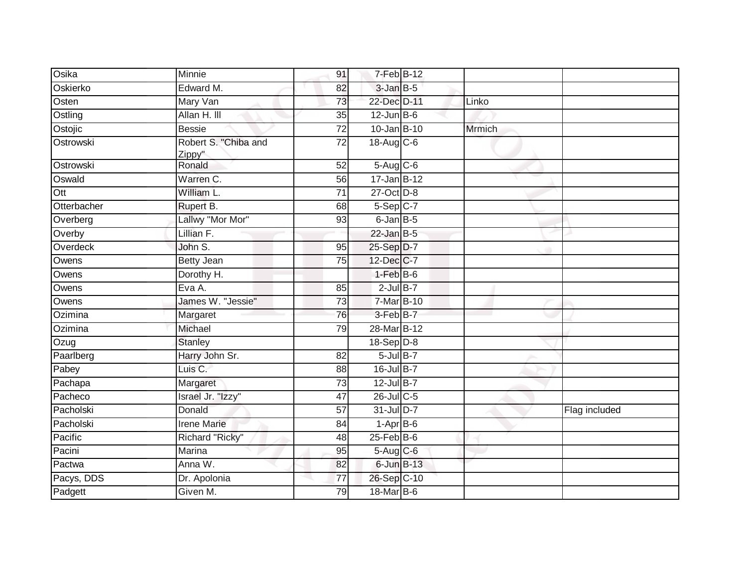| Osika       | Minnie                         | 91              | 7-Feb B-12       |               |               |
|-------------|--------------------------------|-----------------|------------------|---------------|---------------|
| Oskierko    | Edward M.                      | 82              | $3$ -Jan $B$ -5  |               |               |
| Osten       | Mary Van                       | 73              | 22-Dec D-11      | Linko         |               |
| Ostling     | Allan H. III                   | 35              | $12$ -Jun $B$ -6 |               |               |
| Ostojic     | <b>Bessie</b>                  | $\overline{72}$ | $10 - Jan$ B-10  | <b>Mrmich</b> |               |
| Ostrowski   | Robert S. "Chiba and<br>Zippy" | 72              | $18$ -Aug C-6    |               |               |
| Ostrowski   | Ronald                         | 52              | $5-Aug$ $C-6$    |               |               |
| Oswald      | Warren C.                      | 56              | $17 - Jan$ B-12  |               |               |
| Ott         | William L.                     | 71              | 27-Oct D-8       |               |               |
| Otterbacher | Rupert B.                      | 68              | $5-Sep$ $C-7$    |               |               |
| Overberg    | Lallwy "Mor Mor"               | 93              | $6$ -Jan $B$ -5  |               |               |
| Overby      | Lillian F.                     |                 | $22$ -Jan B-5    |               |               |
| Overdeck    | John S.                        | 95              | 25-Sep D-7       |               |               |
| Owens       | <b>Betty Jean</b>              | 75              | 12-Dec C-7       |               |               |
| Owens       | Dorothy H.                     |                 | $1-FebB-6$       |               |               |
| Owens       | Eva A.                         | 85              | $2$ -Jul B-7     |               |               |
| Owens       | James W. "Jessie"              | 73              | 7-Mar B-10       |               |               |
| Ozimina     | Margaret                       | 76              | 3-Feb B-7        |               |               |
| Ozimina     | Michael                        | 79              | 28-Mar B-12      |               |               |
| Ozug        | <b>Stanley</b>                 |                 | $18-Sep$ D-8     |               |               |
| Paarlberg   | Harry John Sr.                 | 82              | $5$ -Jul $B-7$   |               |               |
| Pabey       | Luis C.                        | 88              | $16$ -Jul B-7    |               |               |
| Pachapa     | Margaret                       | $\overline{73}$ | 12-Jul B-7       |               |               |
| Pacheco     | Israel Jr. "Izzy"              | 47              | 26-Jul C-5       |               |               |
| Pacholski   | Donald                         | $\overline{57}$ | $31$ -Jul D-7    |               | Flag included |
| Pacholski   | <b>Irene Marie</b>             | 84              | $1-AprB-6$       |               |               |
| Pacific     | Richard "Ricky"                | 48              | $25$ -Feb $B$ -6 |               |               |
| Pacini      | Marina                         | 95              | 5-Aug C-6        |               |               |
| Pactwa      | Anna W.                        | 82              | 6-Jun B-13       |               |               |
| Pacys, DDS  | Dr. Apolonia                   | 77              | 26-Sep C-10      |               |               |
| Padgett     | Given M.                       | 79              | 18-Mar B-6       |               |               |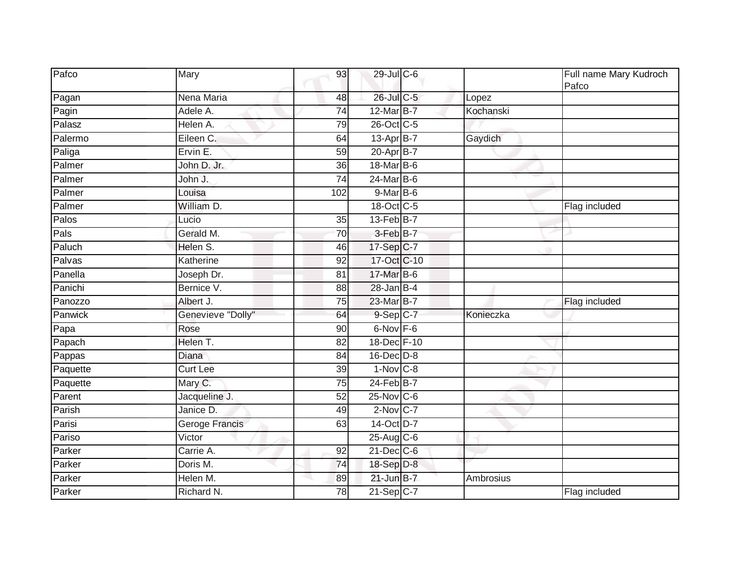| Pafco    | Mary                | 93              | 29-Jul C-6       |           | Full name Mary Kudroch<br>Pafco |
|----------|---------------------|-----------------|------------------|-----------|---------------------------------|
| Pagan    | Nena Maria          | 48              | 26-Jul C-5       | Lopez     |                                 |
| Pagin    | Adele A.            | $\overline{74}$ | 12-Mar B-7       | Kochanski |                                 |
| Palasz   | Helen A.            | 79              | 26-Oct C-5       |           |                                 |
| Palermo  | Eileen C.           | 64              | $13$ -Apr $B$ -7 | Gaydich   |                                 |
| Paliga   | Ervin <sub>E.</sub> | 59              | 20-Apr B-7       |           |                                 |
| Palmer   | John D. Jr.         | 36              | 18-Mar B-6       |           |                                 |
| Palmer   | John J.             | $\overline{74}$ | 24-Mar B-6       |           |                                 |
| Palmer   | Louisa              | 102             | $9$ -Mar $B$ -6  |           |                                 |
| Palmer   | William D.          |                 | 18-Oct C-5       |           | Flag included                   |
| Palos    | Lucio               | 35              | $13$ -Feb $B$ -7 |           |                                 |
| Pals     | Gerald M.           | $\overline{70}$ | 3-Feb B-7        |           |                                 |
| Paluch   | Helen S.            | 46              | $17-Sep C-7$     |           |                                 |
| Palvas   | Katherine           | 92              | 17-Oct C-10      |           |                                 |
| Panella  | Joseph Dr.          | 81              | 17-Mar B-6       |           |                                 |
| Panichi  | Bernice V.          | 88              | $28$ -Jan B-4    |           |                                 |
| Panozzo  | Albert J.           | 75              | 23-Mar B-7       |           | Flag included                   |
| Panwick  | Genevieve "Dolly"   | 64              | $9-Sep$ $C-7$    | Konieczka |                                 |
| Papa     | Rose                | 90              | 6-Nov F-6        |           |                                 |
| Papach   | Helen T.            | 82              | 18-Dec F-10      |           |                                 |
| Pappas   | Diana               | 84              | 16-Dec D-8       |           |                                 |
| Paquette | <b>Curt Lee</b>     | 39              | $1-Nov$ C-8      |           |                                 |
| Paquette | Mary C.             | 75              | $24$ -Feb $B$ -7 |           |                                 |
| Parent   | Jacqueline J.       | 52              | $25$ -Nov $C$ -6 |           |                                 |
| Parish   | Janice D.           | 49              | $2$ -Nov $ C-7 $ |           |                                 |
| Parisi   | Geroge Francis      | 63              | 14-Oct D-7       |           |                                 |
| Pariso   | Victor              |                 | 25-Aug C-6       |           |                                 |
| Parker   | Carrie A.           | 92              | 21-Dec C-6       |           |                                 |
| Parker   | Doris M.            | 74              | 18-Sep D-8       |           |                                 |
| Parker   | Helen M.            | 89              | $21$ -Jun $B-7$  | Ambrosius |                                 |
| Parker   | Richard N.          | 78              | $21-Sep$ C-7     |           | Flag included                   |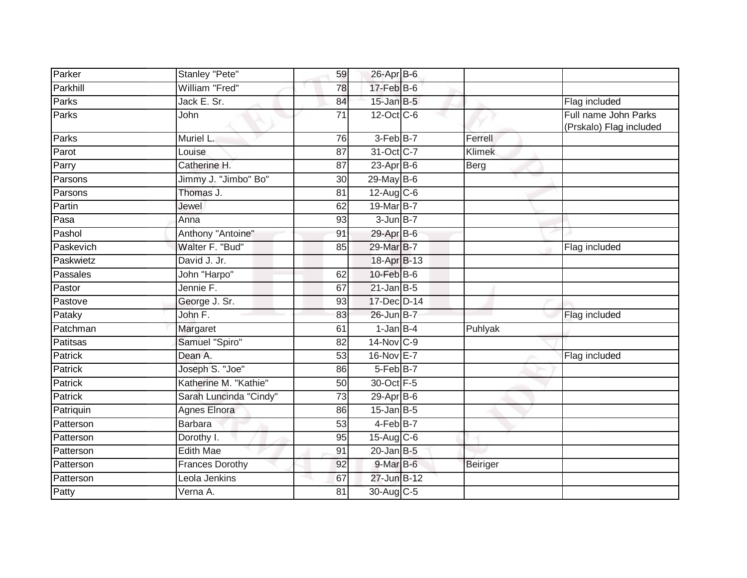| Parker    | Stanley "Pete"         | 59              | 26-Apr B-6       |               |                         |
|-----------|------------------------|-----------------|------------------|---------------|-------------------------|
| Parkhill  | William "Fred"         | 78              | 17-Feb B-6       |               |                         |
| Parks     | Jack E. Sr.            | 84              | $15$ -Jan B-5    |               | Flag included           |
| Parks     | John                   | 71              | 12-Oct C-6       |               | Full name John Parks    |
|           |                        |                 |                  |               | (Prskalo) Flag included |
| Parks     | Muriel L.              | 76              | $3-Feb B-7$      | Ferrell       |                         |
| Parot     | Louise                 | 87              | 31-Oct C-7       | <b>Klimek</b> |                         |
| Parry     | Catherine H.           | 87              | 23-Apr B-6       | Berg          |                         |
| Parsons   | Jimmy J. "Jimbo" Bo"   | 30              | $29$ -May B-6    |               |                         |
| Parsons   | Thomas J.              | 81              | 12-Aug C-6       |               |                         |
| Partin    | Jewel                  | 62              | 19-Mar B-7       |               |                         |
| $P$ asa   | Anna                   | 93              | $3$ -Jun $B - 7$ |               |                         |
| Pashol    | Anthony "Antoine"      | 91              | 29-Apr B-6       |               |                         |
| Paskevich | Walter F. "Bud"        | 85              | 29-Mar B-7       |               | Flag included           |
| Paskwietz | David J. Jr.           |                 | 18-Apr B-13      |               |                         |
| Passales  | John "Harpo"           | 62              | 10-Feb B-6       |               |                         |
| Pastor    | Jennie F.              | 67              | $21$ -Jan B-5    |               |                         |
| Pastove   | George J. Sr.          | 93              | 17-Dec D-14      |               |                         |
| Pataky    | John F.                | 83              | 26-Jun B-7       |               | Flag included           |
| Patchman  | Margaret               | 61              | $1-Jan$ B-4      | Puhlyak       |                         |
| Patitsas  | Samuel "Spiro"         | $\overline{82}$ | 14-Nov C-9       |               |                         |
| Patrick   | Dean A.                | 53              | 16-Nov E-7       |               | Flag included           |
| Patrick   | Joseph S. "Joe"        | 86              | 5-Feb B-7        |               |                         |
| Patrick   | Katherine M. "Kathie"  | 50              | 30-Oct F-5       |               |                         |
| Patrick   | Sarah Luncinda "Cindy" | 73              | $29-Apr$ B-6     |               |                         |
| Patriquin | <b>Agnes Elnora</b>    | 86              | $15$ -Jan B-5    |               |                         |
| Patterson | <b>Barbara</b>         | $\overline{53}$ | 4-Feb B-7        |               |                         |
| Patterson | Dorothy I.             | 95              | 15-Aug C-6       |               |                         |
| Patterson | <b>Edith Mae</b>       | 91              | $20$ -Jan B-5    |               |                         |
| Patterson | <b>Frances Dorothy</b> | 92              | $9$ -Mar $B$ -6  | Beiriger      |                         |
| Patterson | Leola Jenkins          | 67              | 27-Jun B-12      |               |                         |
| Patty     | Verna A.               | 81              | 30-Aug C-5       |               |                         |
|           |                        |                 |                  |               |                         |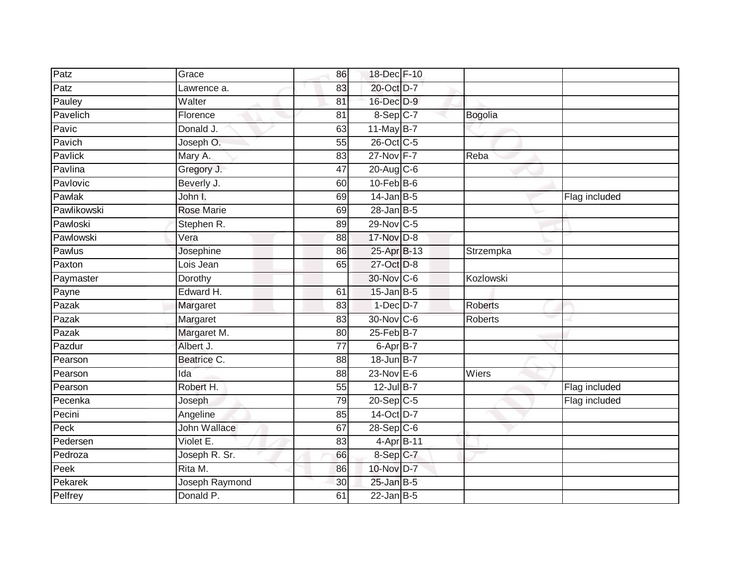| Patz        | Grace             | 86              | 18-Dec F-10      |                |               |
|-------------|-------------------|-----------------|------------------|----------------|---------------|
| Patz        | Lawrence a.       | 83              | 20-Oct D-7       |                |               |
| Pauley      | Walter            | 81              | 16-Dec D-9       |                |               |
| Pavelich    | Florence          | 81              | $8-Sep$ C-7      | <b>Bogolia</b> |               |
| Pavic       | Donald J.         | 63              | $11$ -May B-7    |                |               |
| Pavich      | Joseph O.         | 55              | 26-Oct C-5       |                |               |
| Pavlick     | Mary A.           | 83              | 27-Nov F-7       | Reba           |               |
| Pavlina     | Gregory J.        | 47              | $20$ -Aug $C$ -6 |                |               |
| Pavlovic    | Beverly J.        | 60              | $10$ -Feb $B$ -6 |                |               |
| Pawlak      | John I.           | 69              | $14$ -Jan B-5    |                | Flag included |
| Pawlikowski | <b>Rose Marie</b> | 69              | $28$ -Jan B-5    |                |               |
| Pawloski    | Stephen R.        | 89              | 29-Nov C-5       |                |               |
| Pawlowski   | Vera              | 88              | 17-Nov D-8       |                |               |
| Pawlus      | Josephine         | 86              | 25-Apr B-13      | Strzempka      |               |
| Paxton      | Lois Jean         | 65              | 27-Oct D-8       |                |               |
| Paymaster   | Dorothy           |                 | 30-Nov C-6       | Kozlowski      |               |
| Payne       | Edward H.         | 61              | $15$ -Jan B-5    |                |               |
| Pazak       | Margaret          | 83              | 1-Dec D-7        | <b>Roberts</b> |               |
| Pazak       | Margaret          | 83              | 30-Nov C-6       | <b>Roberts</b> |               |
| Pazak       | Margaret M.       | 80              | $25$ -Feb $B$ -7 |                |               |
| Pazdur      | Albert J.         | 77              | 6-Apr B-7        |                |               |
| Pearson     | Beatrice C.       | $\overline{88}$ | 18-Jun B-7       |                |               |
| Pearson     | Ida               | 88              | 23-Nov E-6       | Wiers          |               |
| Pearson     | Robert H.         | 55              | 12-Jul B-7       |                | Flag included |
| Pecenka     | Joseph            | 79              | $20-Sep$ C-5     |                | Flag included |
| Pecini      | Angeline          | 85              | 14-Oct D-7       |                |               |
| Peck        | John Wallace      | 67              | $28-Sep$ C-6     |                |               |
| Pedersen    | Violet E.         | 83              | 4-Apr B-11       |                |               |
| Pedroza     | Joseph R. Sr.     | 66              | 8-Sep C-7        |                |               |
| Peek        | Rita M.           | 86              | 10-Nov D-7       |                |               |
| Pekarek     | Joseph Raymond    | 30              | $25$ -Jan B-5    |                |               |
| Pelfrey     | Donald P.         | 61              | $22$ -Jan $B-5$  |                |               |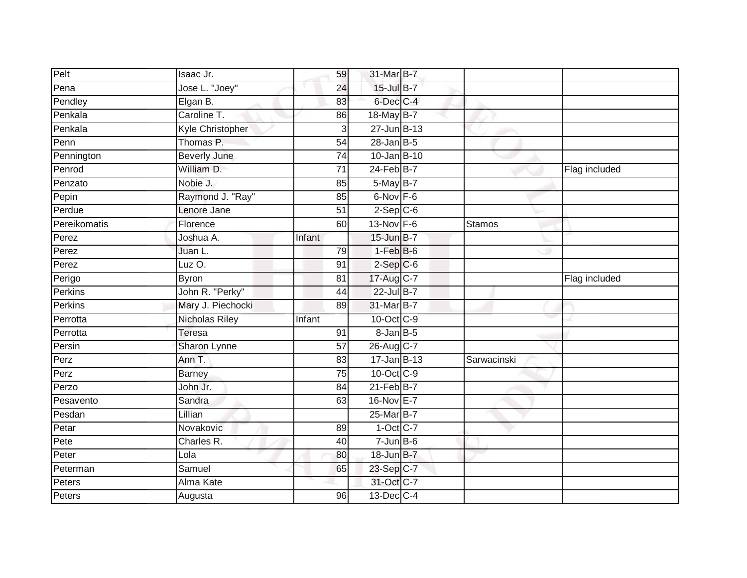| Pelt         | Isaac Jr.           | 59              | 31-Mar B-7        |               |               |
|--------------|---------------------|-----------------|-------------------|---------------|---------------|
| Pena         | Jose L. "Joey"      | 24              | $15$ -Jul B-7     |               |               |
| Pendley      | Elgan B.            | 83              | 6-Dec C-4         |               |               |
| Penkala      | Caroline T.         | 86              | 18-May B-7        |               |               |
| Penkala      | Kyle Christopher    | 3               | $27 - Jun$ B-13   |               |               |
| Penn         | Thomas P.           | 54              | $28$ -Jan B-5     |               |               |
| Pennington   | <b>Beverly June</b> | 74              | $10 - Jan$ B-10   |               |               |
| Penrod       | William D.          | 71              | $24$ -Feb $B$ -7  |               | Flag included |
| Penzato      | Nobie J.            | 85              | 5-May B-7         |               |               |
| Pepin        | Raymond J. "Ray"    | 85              | $6$ -Nov $F - 6$  |               |               |
| Perdue       | Lenore Jane         | 51              | $2-Sep$ $C-6$     |               |               |
| Pereikomatis | Florence            | 60              | 13-Nov F-6        | <b>Stamos</b> |               |
| Perez        | Joshua A.           | Infant          | 15-Jun B-7        |               |               |
| Perez        | Juan L.             | 79              | $1-FebB-6$        |               |               |
| Perez        | Luz $O$ .           | 91              | $2$ -Sep $C$ -6   |               |               |
| Perigo       | <b>Byron</b>        | 81              | 17-Aug C-7        |               | Flag included |
| Perkins      | John R. "Perky"     | 44              | 22-Jul B-7        |               |               |
| Perkins      | Mary J. Piechocki   | 89              | 31-Mar B-7        |               |               |
| Perrotta     | Nicholas Riley      | Infant          | 10-Oct C-9        |               |               |
| Perrotta     | Teresa              | 91              | $8 - Jan$ $B - 5$ |               |               |
| Persin       | Sharon Lynne        | 57              | 26-Aug C-7        |               |               |
| Perz         | Ann T.              | 83              | $17 - Jan$ B-13   | Sarwacinski   |               |
| Perz         | <b>Barney</b>       | $\overline{75}$ | 10-Oct C-9        |               |               |
| Perzo        | John Jr.            | 84              | $21$ -Feb $B$ -7  |               |               |
| Pesavento    | Sandra              | 63              | 16-Nov E-7        |               |               |
| Pesdan       | Lillian             |                 | 25-Mar B-7        |               |               |
| Petar        | Novakovic           | 89              | $1-Oct$ $C-7$     |               |               |
| Pete         | Charles R.          | 40              | $7$ -Jun $B$ -6   |               |               |
| Peter        | Lola                | 80              | 18-Jun B-7        |               |               |
| Peterman     | Samuel              | 65              | 23-Sep C-7        |               |               |
| Peters       | Alma Kate           |                 | 31-Oct C-7        |               |               |
| Peters       | Augusta             | $\overline{96}$ | 13-Dec C-4        |               |               |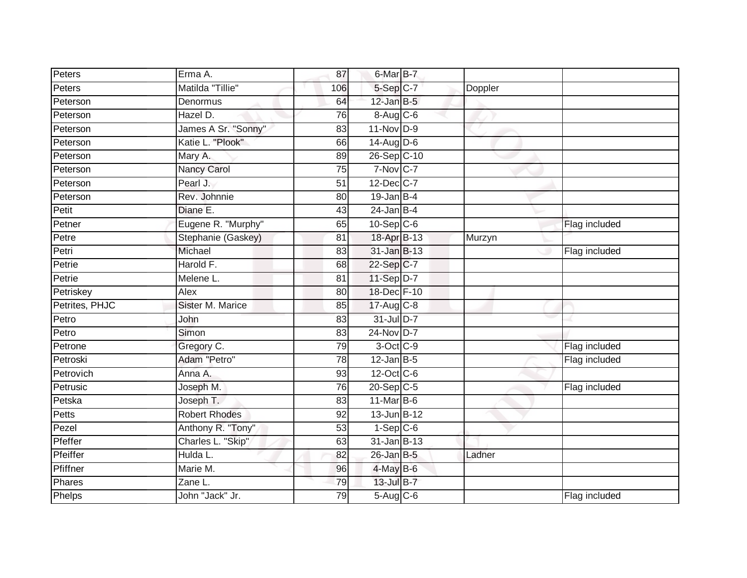| Peters         | Erma A.                 | 87              | 6-Mar B-7                       |         |               |
|----------------|-------------------------|-----------------|---------------------------------|---------|---------------|
| Peters         | Matilda "Tillie"        | 106             | 5-Sep C-7                       | Doppler |               |
| Peterson       | Denormus                | 64              | $12$ -Jan B-5                   |         |               |
| Peterson       | Hazel D.                | 76              | $8 - \text{Aug}$ <sub>C-6</sub> |         |               |
| Peterson       | James A Sr. "Sonny"     | 83              | $11-Nov$ D-9                    |         |               |
| Peterson       | Katie L. "Plook"        | 66              | $14$ -Aug $D-6$                 |         |               |
| Peterson       | Mary A.                 | 89              | 26-Sep C-10                     |         |               |
| Peterson       | <b>Nancy Carol</b>      | 75              | 7-Nov C-7                       |         |               |
| Peterson       | Pearl J.                | 51              | 12-Dec C-7                      |         |               |
| Peterson       | Rev. Johnnie            | 80              | $19$ -Jan B-4                   |         |               |
| Petit          | Diane E.                | 43              | $24$ -Jan B-4                   |         |               |
| Petner         | Eugene R. "Murphy"      | 65              | $10 - Sep$ $C-6$                |         | Flag included |
| Petre          | Stephanie (Gaskey)      | 81              | 18-Apr B-13                     | Murzyn  |               |
| Petri          | Michael                 | 83              | 31-Jan B-13                     |         | Flag included |
| Petrie         | Harold F.               | 68              | 22-Sep C-7                      |         |               |
| Petrie         | Melene L.               | 81              | 11-Sep D-7                      |         |               |
| Petriskey      | Alex                    | $\overline{80}$ | 18-Dec F-10                     |         |               |
| Petrites, PHJC | <b>Sister M. Marice</b> | 85              | $17-Aug$ <sub>C-8</sub>         |         |               |
| Petro          | John                    | 83              | 31-Jul D-7                      |         |               |
| Petro          | Simon                   | $\overline{83}$ | 24-Nov D-7                      |         |               |
| Petrone        | Gregory C.              | 79              | 3-Oct C-9                       |         | Flag included |
| Petroski       | Adam "Petro"            | $\overline{78}$ | $12$ -Jan B-5                   |         | Flag included |
| Petrovich      | Anna A.                 | 93              | 12-Oct C-6                      |         |               |
| Petrusic       | Joseph M.               | 76              | 20-Sep C-5                      |         | Flag included |
| Petska         | Joseph T.               | 83              | $11$ -Mar $ B-6$                |         |               |
| Petts          | <b>Robert Rhodes</b>    | 92              | 13-Jun B-12                     |         |               |
| Pezel          | Anthony R. "Tony"       | 53              | $1-$ Sep $C-6$                  |         |               |
| Pfeffer        | Charles L. "Skip"       | 63              | $31$ -Jan B-13                  |         |               |
| Pfeiffer       | Hulda L.                | 82              | 26-Jan B-5                      | Ladner  |               |
| Pfiffner       | Marie M.                | 96              | 4-May B-6                       |         |               |
| Phares         | Zane L.                 | 79              | 13-Jul B-7                      |         |               |
| Phelps         | John "Jack" Jr.         | 79              | $5-Aug$ $C-6$                   |         | Flag included |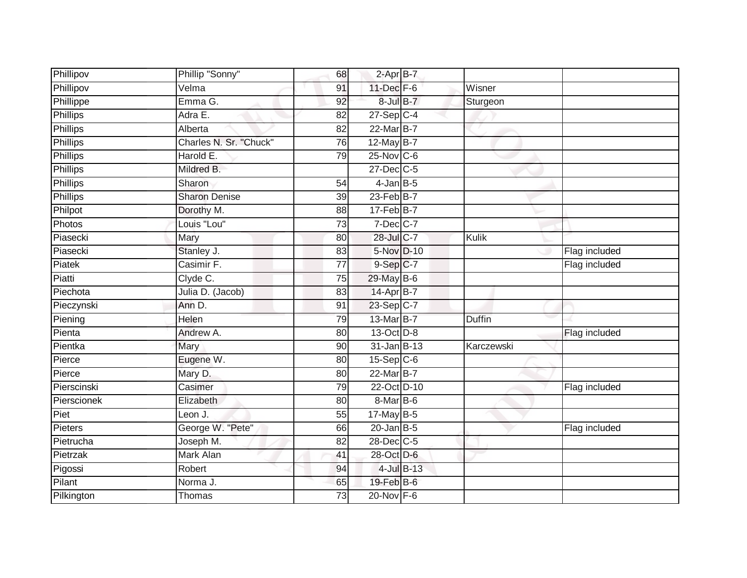| Phillipov       | Phillip "Sonny"        | 68              | 2-Apr B-7               |            |               |               |
|-----------------|------------------------|-----------------|-------------------------|------------|---------------|---------------|
| Phillipov       | Velma                  | 91              | 11-Dec F-6              |            | Wisner        |               |
| Phillippe       | Emma G.                | 92              | 8-Jul B-7               |            | Sturgeon      |               |
| <b>Phillips</b> | Adra E.                | 82              | $27-Sep$ <sub>C-4</sub> |            |               |               |
| <b>Phillips</b> | Alberta                | $\overline{82}$ | 22-Mar B-7              |            |               |               |
| <b>Phillips</b> | Charles N. Sr. "Chuck" | 76              | 12-May B-7              |            |               |               |
| Phillips        | Harold E.              | 79              | 25-Nov C-6              |            |               |               |
| <b>Phillips</b> | Mildred B.             |                 | $27$ -Dec $C-5$         |            |               |               |
| <b>Phillips</b> | Sharon                 | 54              | $4$ -Jan $B$ -5         |            |               |               |
| <b>Phillips</b> | <b>Sharon Denise</b>   | 39              | 23-Feb B-7              |            |               |               |
| Philpot         | Dorothy M.             | 88              | $17-Feb$ B-7            |            |               |               |
| Photos          | Louis "Lou"            | $\overline{73}$ | $7$ -Dec $C$ -7         |            |               |               |
| Piasecki        | Mary                   | 80              | 28-Jul C-7              |            | Kulik         |               |
| Piasecki        | Stanley J.             | 83              | 5-Nov D-10              |            |               | Flag included |
| Piatek          | Casimir F.             | $\overline{77}$ | $9-Sep$ $C-7$           |            |               | Flag included |
| Piatti          | Clyde C.               | $\overline{75}$ | 29-May B-6              |            |               |               |
| Piechota        | Julia D. (Jacob)       | 83              | 14-Apr B-7              |            |               |               |
| Pieczynski      | Ann D.                 | 91              | 23-Sep C-7              |            |               |               |
| Piening         | Helen                  | 79              | 13-Mar B-7              |            | <b>Duffin</b> |               |
| Pienta          | Andrew A.              | 80              | 13-Oct D-8              |            |               | Flag included |
| Pientka         | Mary                   | 90              | 31-Jan B-13             |            | Karczewski    |               |
| Pierce          | Eugene W.              | 80              | $15-Sep$ C-6            |            |               |               |
| Pierce          | Mary D.                | 80              | 22-Mar B-7              |            |               |               |
| Pierscinski     | Casimer                | 79              | 22-Oct D-10             |            |               | Flag included |
| Pierscionek     | Elizabeth              | 80              | 8-Mar B-6               |            |               |               |
| Piet            | Leon J.                | 55              | $17$ -May B-5           |            |               |               |
| Pieters         | George W. "Pete"       | 66              | $20$ -Jan B-5           |            |               | Flag included |
| Pietrucha       | Joseph M.              | 82              | 28-Dec C-5              |            |               |               |
| Pietrzak        | Mark Alan              | 41              | 28-Oct D-6              |            |               |               |
| Pigossi         | Robert                 | 94              |                         | 4-Jul B-13 |               |               |
| Pilant          | Norma J.               | 65              | 19-Feb B-6              |            |               |               |
| Pilkington      | Thomas                 | 73              | $20$ -Nov $F-6$         |            |               |               |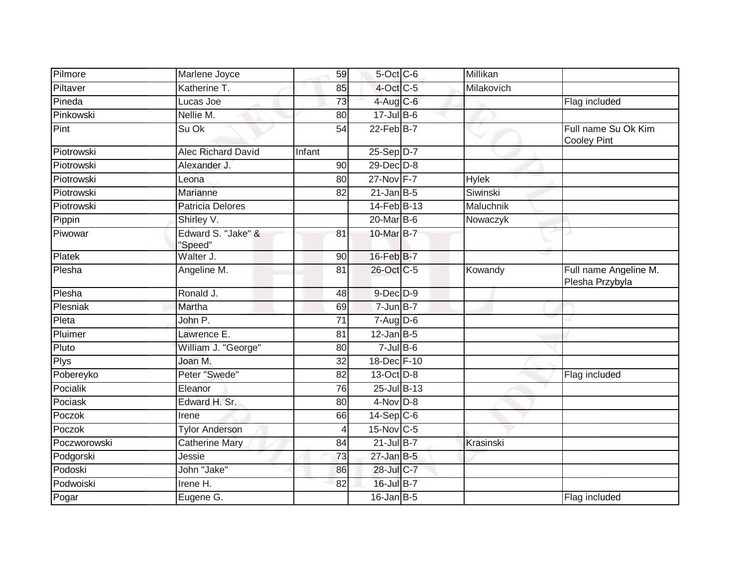| Pilmore      | Marlene Joyce                 | 59     | 5-Oct C-6        | Millikan     |                                           |
|--------------|-------------------------------|--------|------------------|--------------|-------------------------------------------|
| Piltaver     | Katherine T.                  | 85     | 4-Oct C-5        | Milakovich   |                                           |
| Pineda       | Lucas Joe                     | 73     | $4$ -Aug C-6     |              | Flag included                             |
| Pinkowski    | Nellie M.                     | 80     | $17 -$ Jul B-6   |              |                                           |
| Pint         | Su Ok                         | 54     | $22$ -Feb $B$ -7 |              | Full name Su Ok Kim<br><b>Cooley Pint</b> |
| Piotrowski   | <b>Alec Richard David</b>     | Infant | $25-Sep D-7$     |              |                                           |
| Piotrowski   | Alexander J.                  | 90     | 29-Dec D-8       |              |                                           |
| Piotrowski   | Leona                         | 80     | 27-Nov F-7       | <b>Hylek</b> |                                           |
| Piotrowski   | Marianne                      | 82     | $21$ -Jan B-5    | Siwinski     |                                           |
| Piotrowski   | <b>Patricia Delores</b>       |        | 14-Feb B-13      | Maluchnik    |                                           |
| Pippin       | Shirley V.                    |        | 20-Mar B-6       | Nowaczyk     |                                           |
| Piwowar      | Edward S. "Jake" &<br>"Speed" | 81     | 10-Mar $B-7$     |              |                                           |
| Platek       | Walter J.                     | 90     | 16-Feb B-7       |              |                                           |
| Plesha       | Angeline M.                   | 81     | 26-Oct C-5       | Kowandy      | Full name Angeline M.<br>Plesha Przybyla  |
| Plesha       | Ronald J.                     | 48     | $9$ -Dec $D$ -9  |              |                                           |
| Plesniak     | Martha                        | 69     | $7 - Jun$ B-7    |              |                                           |
| Pleta        | John P.                       | 71     | $7 - Aug$ $D-6$  |              |                                           |
| Pluimer      | Lawrence E.                   | 81     | $12$ -Jan B-5    |              |                                           |
| Pluto        | William J. "George"           | 80     | $7$ -Jul $B$ -6  |              |                                           |
| Plys         | Joan M.                       | 32     | 18-Dec F-10      |              |                                           |
| Pobereyko    | Peter "Swede"                 | 82     | 13-Oct D-8       |              | Flag included                             |
| Pocialik     | Eleanor                       | 76     | 25-Jul B-13      |              |                                           |
| Pociask      | Edward H. Sr.                 | 80     | $4-Nov$ D-8      |              |                                           |
| Poczok       | Irene                         | 66     | $14-Sep$ $C-6$   |              |                                           |
| Poczok       | <b>Tylor Anderson</b>         | 4      | 15-Nov C-5       |              |                                           |
| Poczworowski | <b>Catherine Mary</b>         | 84     | $21$ -Jul B-7    | Krasinski    |                                           |
| Podgorski    | Jessie                        | 73     | $27$ -Jan B-5    |              |                                           |
| Podoski      | John "Jake"                   | 86     | 28-Jul C-7       |              |                                           |
| Podwoiski    | Irene H.                      | 82     | 16-Jul B-7       |              |                                           |
| Pogar        | Eugene G.                     |        | $16$ -Jan B-5    |              | Flag included                             |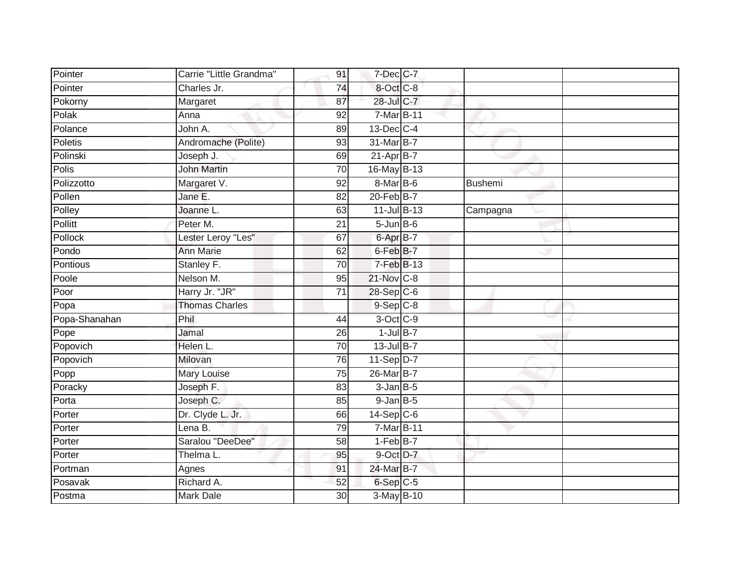| Pointer       | Carrie "Little Grandma" | 91              | $7$ -Dec $C$ -7 |          |  |
|---------------|-------------------------|-----------------|-----------------|----------|--|
| Pointer       | Charles Jr.             | 74              | 8-Oct C-8       |          |  |
| Pokorny       | Margaret                | 87              | 28-Jul C-7      |          |  |
| Polak         | Anna                    | 92              | 7-Mar B-11      |          |  |
| Polance       | John A.                 | 89              | 13-Dec C-4      |          |  |
| Poletis       | Andromache (Polite)     | 93              | 31-Mar B-7      |          |  |
| Polinski      | Joseph J.               | 69              | $21-Apr$ B-7    |          |  |
| <b>Polis</b>  | <b>John Martin</b>      | 70              | 16-May B-13     |          |  |
| Polizzotto    | Margaret V.             | 92              | 8-Mar B-6       | Bushemi  |  |
| Pollen        | Jane E.                 | 82              | 20-Feb B-7      |          |  |
| Polley        | Joanne L.               | 63              | 11-Jul B-13     | Campagna |  |
| Pollitt       | Peter M.                | 21              | $5 - Jun$ B-6   |          |  |
| Pollock       | Lester Leroy "Les"      | 67              | 6-Apr B-7       |          |  |
| Pondo         | <b>Ann Marie</b>        | 62              | 6-Feb B-7       |          |  |
| Pontious      | Stanley F.              | 70              | $7-FebB-13$     |          |  |
| Poole         | Nelson M.               | 95              | 21-Nov C-8      |          |  |
| Poor          | Harry Jr. "JR"          | $\overline{71}$ | $28-Sep$ C-6    |          |  |
| Popa          | <b>Thomas Charles</b>   |                 | $9-Sep$ $C-8$   |          |  |
| Popa-Shanahan | Phil                    | 44              | 3-Oct C-9       |          |  |
| Pope          | Jamal                   | $\overline{26}$ | $1$ -Jul $B-7$  |          |  |
| Popovich      | Helen L.                | 70              | 13-Jul B-7      |          |  |
| Popovich      | Milovan                 | 76              | 11-Sep D-7      |          |  |
| Popp          | Mary Louise             | 75              | 26-Mar B-7      |          |  |
| Poracky       | Joseph F.               | 83              | $3$ -Jan $B$ -5 |          |  |
| Porta         | Joseph C.               | 85              | $9$ -Jan $B$ -5 |          |  |
| Porter        | Dr. Clyde L. Jr.        | 66              | $14-Sep$ C-6    |          |  |
| Porter        | Lena B.                 | 79              | 7-Mar B-11      |          |  |
| Porter        | Saralou "DeeDee"        | 58              | $1-Feb$ B-7     |          |  |
| Porter        | Thelma L.               | 95              | 9-Oct D-7       |          |  |
| Portman       | Agnes                   | 91              | 24-Mar B-7      |          |  |
| Posavak       | Richard A.              | 52              | 6-Sep C-5       |          |  |
| Postma        | <b>Mark Dale</b>        | $\overline{30}$ | 3-May B-10      |          |  |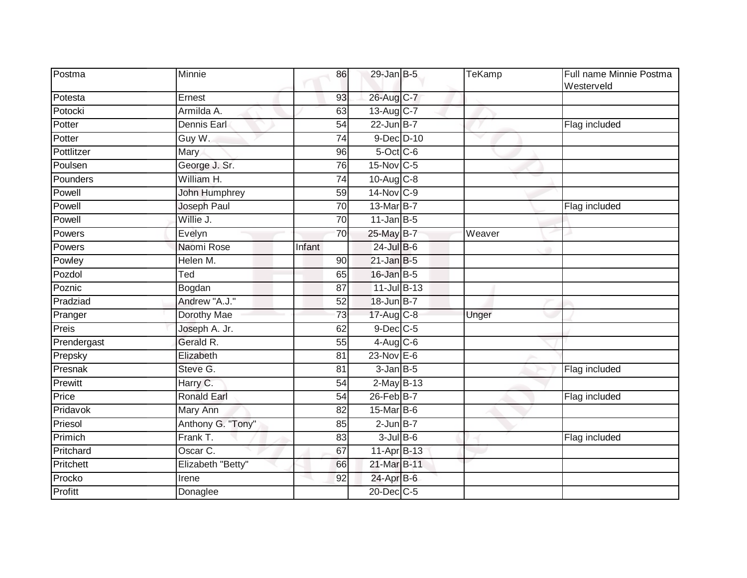| Postma      | Minnie               | 86              | $29$ -Jan B-5           | TeKamp | Full name Minnie Postma<br>Westerveld |
|-------------|----------------------|-----------------|-------------------------|--------|---------------------------------------|
| Potesta     | Ernest               | 93              | 26-Aug C-7              |        |                                       |
| Potocki     | Armilda A.           | 63              | 13-Aug C-7              |        |                                       |
| Potter      | Dennis Earl          | 54              | $22$ -Jun B-7           |        | Flag included                         |
| Potter      | Guy W.               | 74              | 9-Dec D-10              |        |                                       |
| Pottlitzer  | Mary                 | 96              | 5-Oct C-6               |        |                                       |
| Poulsen     | George J. Sr.        | 76              | 15-Nov C-5              |        |                                       |
| Pounders    | William H.           | $\overline{74}$ | 10-Aug C-8              |        |                                       |
| Powell      | <b>John Humphrey</b> | 59              | 14-Nov C-9              |        |                                       |
| Powell      | Joseph Paul          | 70              | 13-Mar B-7              |        | Flag included                         |
| Powell      | Willie J.            | 70              | $11$ -Jan B-5           |        |                                       |
| Powers      | Evelyn               | 70              | 25-May B-7              | Weaver |                                       |
| Powers      | Naomi Rose           | Infant          | $24$ -Jul B-6           |        |                                       |
| Powley      | Helen M.             | 90              | $21$ -Jan B-5           |        |                                       |
| Pozdol      | Ted                  | 65              | 16-Jan B-5              |        |                                       |
| Poznic      | Bogdan               | 87              | 11-Jul B-13             |        |                                       |
| Pradziad    | Andrew "A.J."        | 52              | 18-Jun B-7              |        |                                       |
| Pranger     | Dorothy Mae          | 73              | $17-Aug$ <sub>C-8</sub> | Unger  |                                       |
| Preis       | Joseph A. Jr.        | 62              | 9-Dec C-5               |        |                                       |
| Prendergast | Gerald R.            | 55              | $4$ -Aug C-6            |        |                                       |
| Prepsky     | Elizabeth            | 81              | 23-Nov E-6              |        |                                       |
| Presnak     | Steve G.             | 81              | $3$ -Jan $B$ -5         |        | Flag included                         |
| Prewitt     | Harry C.             | 54              | $2$ -May $B-13$         |        |                                       |
| Price       | <b>Ronald Earl</b>   | 54              | 26-Feb B-7              |        | Flag included                         |
| Pridavok    | <b>Mary Ann</b>      | $\overline{82}$ | $15$ -Mar $B$ -6        |        |                                       |
| Priesol     | Anthony G. "Tony"    | 85              | $2$ -Jun $B-7$          |        |                                       |
| Primich     | Frank T.             | 83              | $3$ -Jul B-6            |        | Flag included                         |
| Pritchard   | Oscar C.             | 67              | 11-Apr B-13             |        |                                       |
| Pritchett   | Elizabeth "Betty"    | 66              | 21-Mar B-11             |        |                                       |
| Procko      | Irene                | 92              | 24-Apr B-6              |        |                                       |
| Profitt     | Donaglee             |                 | 20-Dec C-5              |        |                                       |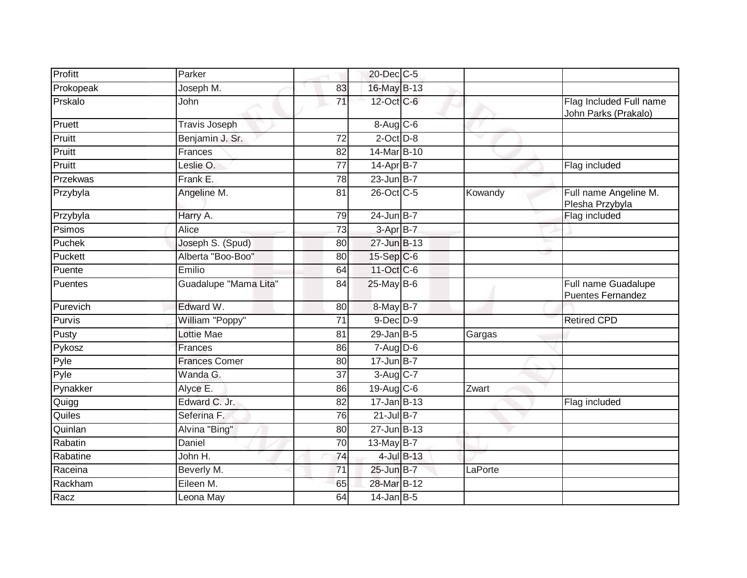| Profitt   | Parker                |                 | 20-Dec C-5      |            |         |                                                 |
|-----------|-----------------------|-----------------|-----------------|------------|---------|-------------------------------------------------|
| Prokopeak | Joseph M.             | 83              | 16-May B-13     |            |         |                                                 |
| Prskalo   | <b>John</b>           | $\overline{71}$ | 12-Oct C-6      |            |         | Flag Included Full name<br>John Parks (Prakalo) |
| Pruett    | <b>Travis Joseph</b>  |                 | $8-Aug$ $C-6$   |            |         |                                                 |
| Pruitt    | Benjamin J. Sr.       | 72              | $2$ -Oct $D-8$  |            | ◡       |                                                 |
| Pruitt    | Frances               | 82              | 14-Mar B-10     |            |         |                                                 |
| Pruitt    | Leslie O.             | $\overline{77}$ | $14$ -Apr $B-7$ |            |         | Flag included                                   |
| Przekwas  | Frank E.              | $\overline{78}$ | $23$ -Jun B-7   |            |         |                                                 |
| Przybyla  | Angeline M.           | 81              | 26-Oct C-5      |            | Kowandy | Full name Angeline M.<br>Plesha Przybyla        |
| Przybyla  | Harry A.              | 79              | $24$ -Jun B-7   |            |         | Flag included                                   |
| Psimos    | Alice                 | $\overline{73}$ | 3-Apr B-7       |            |         |                                                 |
| Puchek    | Joseph S. (Spud)      | 80              | 27-Jun B-13     |            |         |                                                 |
| Puckett   | Alberta "Boo-Boo"     | 80              | 15-Sep C-6      |            |         |                                                 |
| Puente    | Emilio                | 64              | 11-Oct C-6      |            |         |                                                 |
| Puentes   | Guadalupe "Mama Lita" | 84              | 25-May B-6      |            |         | Full name Guadalupe<br><b>Puentes Fernandez</b> |
| Purevich  | Edward W.             | 80              | 8-May B-7       |            |         |                                                 |
| Purvis    | William "Poppy"       | $\overline{71}$ | $9$ -Dec $D$ -9 |            |         | <b>Retired CPD</b>                              |
| Pusty     | Lottie Mae            | 81              | $29$ -Jan B-5   |            | Gargas  |                                                 |
| Pykosz    | Frances               | 86              | $7 - Aug$ $D-6$ |            |         |                                                 |
| Pyle      | <b>Frances Comer</b>  | 80              | $17 - Jun$ B-7  |            |         |                                                 |
| Pyle      | Wanda G.              | 37              | $3-Aug$ $C-7$   |            |         |                                                 |
| Pynakker  | Alyce E.              | 86              | 19-Aug C-6      |            | Zwart   |                                                 |
| Quigg     | Edward C. Jr.         | $\overline{82}$ | $17 - Jan$ B-13 |            |         | Flag included                                   |
| Quiles    | Seferina F.           | 76              | $21$ -Jul B-7   |            |         |                                                 |
| Quinlan   | Alvina "Bing"         | 80              | 27-Jun B-13     |            |         |                                                 |
| Rabatin   | Daniel                | 70              | $13$ -May B-7   |            |         |                                                 |
| Rabatine  | John H.               | 74              |                 | 4-Jul B-13 |         |                                                 |
| Raceina   | Beverly M.            | 71              | 25-Jun B-7      |            | LaPorte |                                                 |
| Rackham   | Eileen M.             | 65              | 28-Mar B-12     |            |         |                                                 |
| Racz      | Leona May             | 64              | $14$ -Jan B-5   |            |         |                                                 |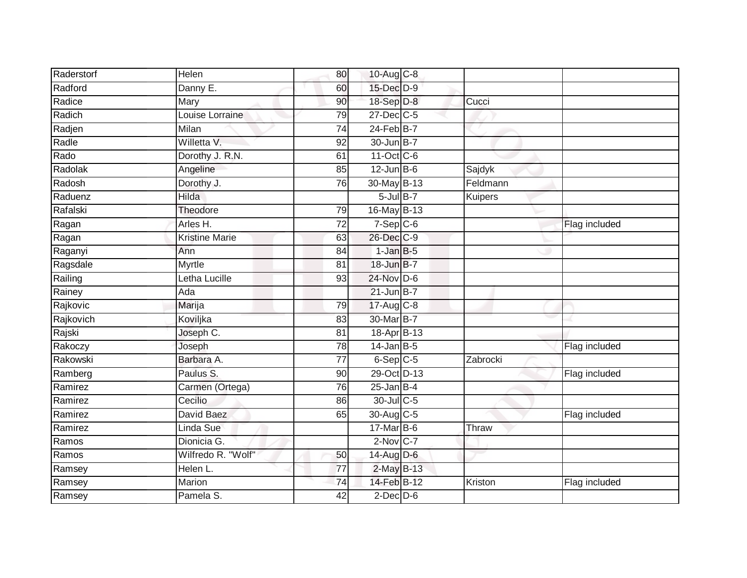| Raderstorf | Helen                 | 80              | 10-Aug C-8             |                |               |
|------------|-----------------------|-----------------|------------------------|----------------|---------------|
| Radford    | Danny E.              | 60              | 15-Dec D-9             |                |               |
| Radice     | Mary                  | 90              | 18-Sep D-8             | Cucci          |               |
| Radich     | Louise Lorraine       | 79              | $27$ -Dec $C$ -5       |                |               |
| Radjen     | Milan                 | $\overline{74}$ | $24$ -Feb $B$ -7       |                |               |
| Radle      | Willetta V.           | 92              | 30-Jun B-7             |                |               |
| Rado       | Dorothy J. R.N.       | 61              | 11-Oct C-6             |                |               |
| Radolak    | Angeline              | 85              | $12$ -Jun B-6          | Sajdyk         |               |
| Radosh     | Dorothy J.            | 76              | 30-May B-13            | Feldmann       |               |
| Raduenz    | <b>Hilda</b>          |                 | $5$ -Jul $B$ -7        | <b>Kuipers</b> |               |
| Rafalski   | Theodore              | 79              | 16-May B-13            |                |               |
| Ragan      | Arles H.              | $\overline{72}$ | $7-Sep$ $C-6$          |                | Flag included |
| Ragan      | <b>Kristine Marie</b> | 63              | 26-Dec C-9             |                |               |
| Raganyi    | Ann                   | 84              | $1$ -Jan $B-5$         |                |               |
| Ragsdale   | <b>Myrtle</b>         | 81              | 18-Jun B-7             |                |               |
| Railing    | Letha Lucille         | 93              | 24-Nov D-6             |                |               |
| Rainey     | Ada                   |                 | 21-Jun B-7             |                |               |
| Rajkovic   | Marija                | 79              | 17-Aug C-8             |                |               |
| Rajkovich  | Koviljka              | 83              | 30-Mar B-7             |                |               |
| Rajski     | Joseph C.             | 81              | 18-Apr B-13            |                |               |
| Rakoczy    | Joseph                | 78              | $14$ -Jan B-5          |                | Flag included |
| Rakowski   | Barbara A.            | $\overline{77}$ | $6-Sep$ $C-5$          | Zabrocki       |               |
| Ramberg    | Paulus S.             | 90              | 29-Oct D-13            |                | Flag included |
| Ramirez    | Carmen (Ortega)       | 76              | $25$ -Jan B-4          |                |               |
| Ramirez    | Cecilio               | 86              | 30-Jul C-5             |                |               |
| Ramirez    | David Baez            | 65              | 30-Aug C-5             |                | Flag included |
| Ramirez    | Linda Sue             |                 | $17$ -Mar $B$ -6       | Thraw          |               |
| Ramos      | Dionicia G.           |                 | $2-Nov$ <sub>C-7</sub> |                |               |
| Ramos      | Wilfredo R. "Wolf"    | 50              | 14-Aug D-6             |                |               |
| Ramsey     | Helen L.              | 77              | 2-May B-13             |                |               |
| Ramsey     | Marion                | 74              | 14-Feb B-12            | Kriston        | Flag included |
| Ramsey     | Pamela S.             | 42              | $2$ -Dec $D-6$         |                |               |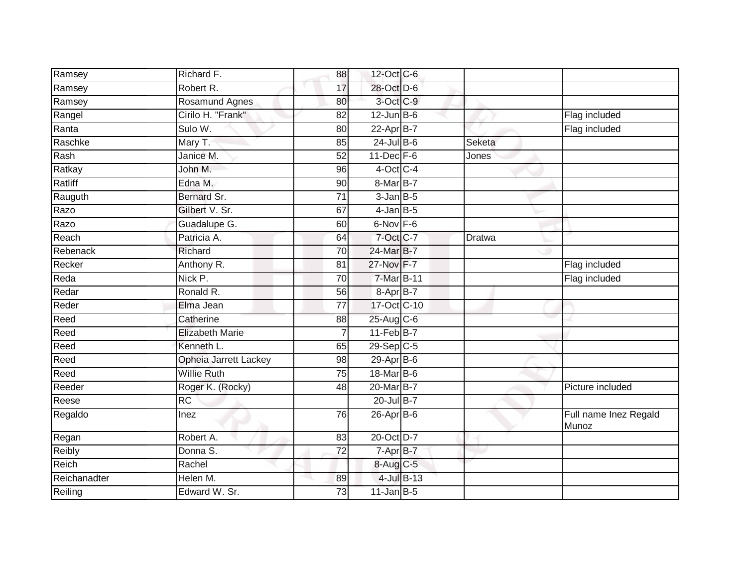| Ramsey       | Richard F.                   | 88              | 12-Oct C-6       |              |                                |
|--------------|------------------------------|-----------------|------------------|--------------|--------------------------------|
| Ramsey       | Robert R.                    | 17              | 28-Oct D-6       |              |                                |
| Ramsey       | Rosamund Agnes               | 80              | 3-Oct C-9        |              |                                |
| Rangel       | Cirilo H. "Frank"            | 82              | $12$ -Jun $B$ -6 |              | Flag included                  |
| Ranta        | Sulo W.                      | 80              | $22-Apr$ B-7     |              | Flag included                  |
| Raschke      | Mary T.                      | 85              | $24$ -Jul B-6    | Seketa       |                                |
| Rash         | Janice M.                    | 52              | $11$ -Dec $F-6$  | <b>Jones</b> |                                |
| Ratkay       | John M.                      | 96              | $4$ -Oct C-4     |              |                                |
| Ratliff      | Edna M.                      | 90              | 8-Mar B-7        |              |                                |
| Rauguth      | Bernard Sr.                  | $\overline{71}$ | $3$ -Jan $B$ -5  |              |                                |
| Razo         | Gilbert V. Sr.               | 67              | $4$ -Jan B-5     |              |                                |
| Razo         | Guadalupe G.                 | 60              | $6$ -Nov $F - 6$ |              |                                |
| Reach        | Patricia A.                  | 64              | 7-Oct C-7        | Dratwa       |                                |
| Rebenack     | Richard                      | 70              | 24-Mar B-7       |              |                                |
| Recker       | Anthony R.                   | 81              | 27-Nov F-7       |              | Flag included                  |
| Reda         | Nick P.                      | 70              | 7-Mar B-11       |              | Flag included                  |
| Redar        | Ronald R.                    | 56              | 8-Apr B-7        |              |                                |
| Reder        | Elma Jean                    | 77              | 17-Oct C-10      |              |                                |
| Reed         | Catherine                    | 88              | 25-Aug C-6       |              |                                |
| Reed         | <b>Elizabeth Marie</b>       | 7               | $11-Feb$ B-7     |              |                                |
| Reed         | Kenneth L.                   | 65              | 29-Sep C-5       |              |                                |
| Reed         | <b>Opheia Jarrett Lackey</b> | 98              | $29$ -Apr $B$ -6 |              |                                |
| Reed         | <b>Willie Ruth</b>           | 75              | 18-Mar B-6       |              |                                |
| Reeder       | Roger K. (Rocky)             | 48              | 20-Mar B-7       |              | Picture included               |
| Reese        | $\overline{RC}$              |                 | 20-Jul B-7       |              |                                |
| Regaldo      | Inez                         | 76              | 26-Apr B-6       |              | Full name Inez Regald<br>Munoz |
| Regan        | Robert A.                    | 83              | 20-Oct D-7       |              |                                |
| Reibly       | Donna S.                     | 72              | 7-Apr B-7        |              |                                |
| Reich        | Rachel                       |                 | 8-Aug C-5        |              |                                |
| Reichanadter | Helen M.                     | 89              | 4-Jul B-13       |              |                                |
| Reiling      | Edward W. Sr.                | 73              | $11$ -Jan $B-5$  |              |                                |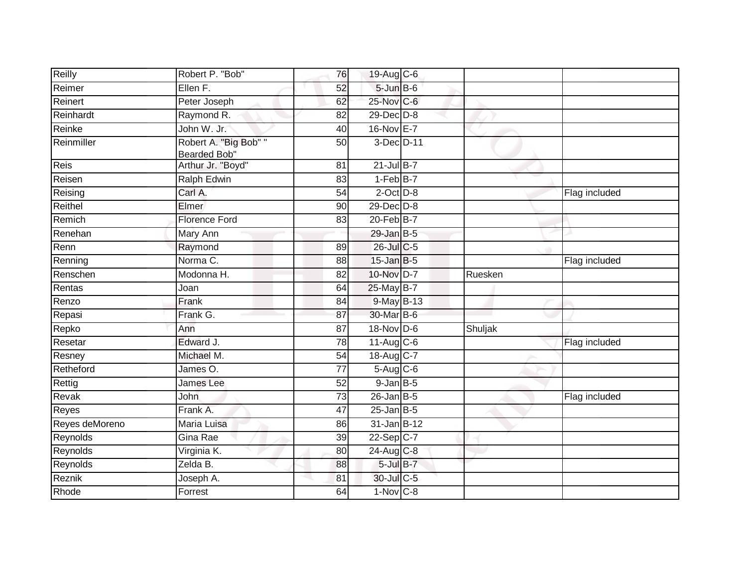| Reilly         | Robert P. "Bob"                       | 76              | 19-Aug C-6              |         |               |
|----------------|---------------------------------------|-----------------|-------------------------|---------|---------------|
| Reimer         | Ellen F.                              | 52              | 5-Jun B-6               |         |               |
| Reinert        | Peter Joseph                          | 62              | 25-Nov C-6              |         |               |
| Reinhardt      | Raymond R.                            | 82              | 29-Dec D-8              |         |               |
| Reinke         | John W. Jr.                           | 40              | 16-Nov E-7              |         |               |
| Reinmiller     | Robert A. "Big Bob" "<br>Bearded Bob" | 50              | 3-Dec D-11              |         |               |
| Reis           | Arthur Jr. "Boyd"                     | 81              | $21$ -Jul B-7           |         |               |
| Reisen         | <b>Ralph Edwin</b>                    | 83              | $1-FebB-7$              |         |               |
| Reising        | Carl A.                               | 54              | $2$ -Oct $D-8$          |         | Flag included |
| Reithel        | Elmer                                 | 90              | $29$ -Dec $D-8$         |         |               |
| Remich         | <b>Florence Ford</b>                  | 83              | 20-Feb B-7              |         |               |
| Renehan        | Mary Ann                              |                 | $29$ -Jan B-5           |         |               |
| Renn           | Raymond                               | 89              | 26-Jul C-5              |         |               |
| Renning        | Norma C.                              | 88              | $15$ -Jan B-5           |         | Flag included |
| Renschen       | Modonna H.                            | 82              | 10-Nov D-7              | Ruesken |               |
| Rentas         | Joan                                  | 64              | 25-May B-7              |         |               |
| Renzo          | Frank                                 | 84              | 9-May B-13              |         |               |
| Repasi         | Frank G.                              | 87              | 30-Mar B-6              |         |               |
| Repko          | Ann                                   | 87              | 18-Nov D-6              | Shuljak |               |
| Resetar        | Edward J.                             | $\overline{78}$ | $11-Aug$ <sub>C-6</sub> |         | Flag included |
| Resney         | Michael M.                            | 54              | 18-Aug C-7              |         |               |
| Retheford      | James O.                              | 77              | $5-Aug$ $C-6$           |         |               |
| Rettig         | James Lee                             | $\overline{52}$ | $9$ -Jan $B$ -5         |         |               |
| Revak          | <b>John</b>                           | 73              | $26$ -Jan B-5           |         | Flag included |
| Reyes          | Frank A.                              | 47              | $25$ -Jan B-5           |         |               |
| Reyes deMoreno | Maria Luisa                           | 86              | 31-Jan B-12             |         |               |
| Reynolds       | Gina Rae                              | 39              | 22-Sep C-7              |         |               |
| Reynolds       | Virginia K.                           | 80              | 24-Aug C-8              |         |               |
| Reynolds       | Zelda B.                              | 88              | $5$ -Jul $B-7$          |         |               |
| Reznik         | Joseph A.                             | 81              | 30-Jul C-5              |         |               |
| Rhode          | Forrest                               | 64              | 1-Nov C-8               |         |               |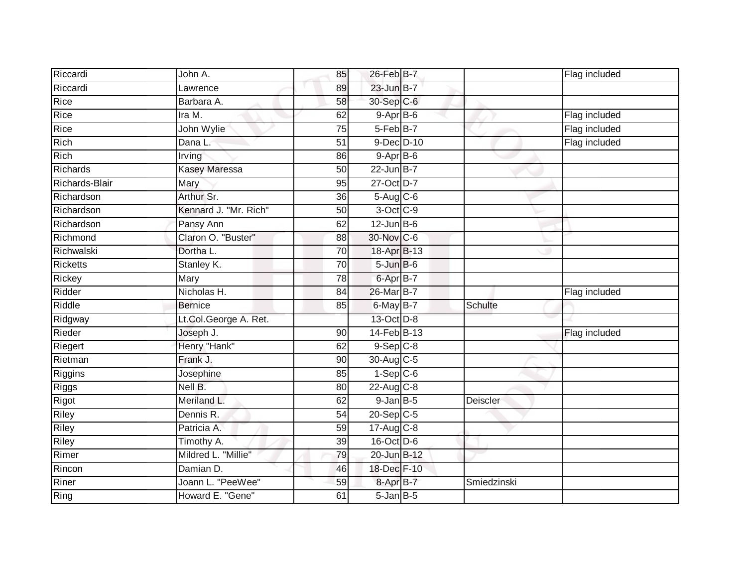| Riccardi        | John A.               | 85              | 26-Feb B-7           |             | Flag included |
|-----------------|-----------------------|-----------------|----------------------|-------------|---------------|
| Riccardi        | Lawrence              | 89              | 23-Jun B-7           |             |               |
| Rice            | Barbara A.            | 58              | 30-Sep C-6           |             |               |
| Rice            | Ira M.                | 62              | $9-AprB-6$           |             | Flag included |
| Rice            | John Wylie            | $\overline{75}$ | 5-Feb <sup>B-7</sup> |             | Flag included |
| Rich            | Dana L.               | 51              | 9-Dec D-10           |             | Flag included |
| Rich            | Irving                | 86              | $9-AprB-6$           |             |               |
| Richards        | <b>Kasey Maressa</b>  | 50              | $22$ -Jun B-7        |             |               |
| Richards-Blair  | Mary                  | 95              | 27-Oct D-7           |             |               |
| Richardson      | Arthur Sr.            | 36              | $5-Aug$ $C-6$        |             |               |
| Richardson      | Kennard J. "Mr. Rich" | 50              | 3-Oct C-9            |             |               |
| Richardson      | Pansy Ann             | 62              | $12$ -Jun B-6        |             |               |
| Richmond        | Claron O. "Buster"    | 88              | 30-Nov C-6           |             |               |
| Richwalski      | Dortha L.             | 70              | 18-Apr B-13          |             |               |
| <b>Ricketts</b> | Stanley K.            | 70              | $5 - Jun$ $B - 6$    |             |               |
| Rickey          | Mary                  | 78              | 6-Apr B-7            |             |               |
| Ridder          | Nicholas H.           | 84              | 26-Mar B-7           |             | Flag included |
| Riddle          | <b>Bernice</b>        | 85              | 6-May B-7            | Schulte     |               |
| Ridgway         | Lt.Col.George A. Ret. |                 | 13-Oct D-8           |             |               |
| Rieder          | Joseph J.             | $\overline{90}$ | 14-Feb B-13          |             | Flag included |
| Riegert         | Henry "Hank"          | 62              | $9-$ Sep $ C-8 $     |             |               |
| Rietman         | Frank J.              | 90              | 30-Aug C-5           |             |               |
| Riggins         | Josephine             | 85              | $1-Sep$ $C-6$        |             |               |
| Riggs           | Nell B.               | 80              | $22$ -Aug C-8        |             |               |
| Rigot           | Meriland L.           | 62              | $9$ -Jan $B$ -5      | Deiscler    |               |
| Riley           | Dennis R.             | 54              | $20-Sep$ C-5         |             |               |
| Riley           | Patricia A.           | 59              | $17-Aug$ $C-8$       |             |               |
| Riley           | Timothy A.            | 39              | $16$ -Oct $D-6$      |             |               |
| Rimer           | Mildred L. "Millie"   | 79              | 20-Jun B-12          |             |               |
| Rincon          | Damian D.             | 46              | 18-Dec F-10          |             |               |
| Riner           | Joann L. "PeeWee"     | 59              | 8-Apr B-7            | Smiedzinski |               |
| Ring            | Howard E. "Gene"      | 61              | $5 - Jan$ $B - 5$    |             |               |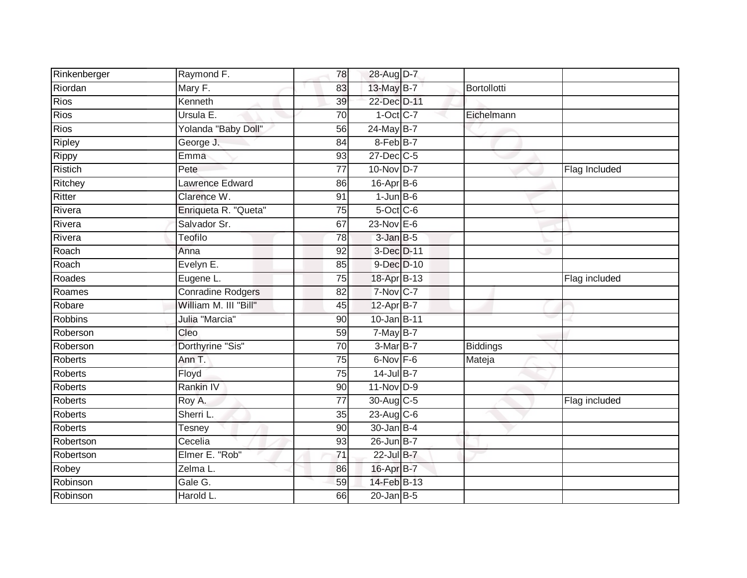| Rinkenberger   | Raymond F.               | 78              | 28-Aug D-7       |             |               |
|----------------|--------------------------|-----------------|------------------|-------------|---------------|
| Riordan        | Mary F.                  | 83              | 13-May B-7       | Bortollotti |               |
| <b>Rios</b>    | Kenneth                  | 39              | 22-Dec D-11      |             |               |
| <b>Rios</b>    | Ursula E.                | 70              | $1-Oct$ C-7      | Eichelmann  |               |
| <b>Rios</b>    | Yolanda "Baby Doll"      | $\overline{56}$ | 24-May B-7       |             |               |
| Ripley         | George J.                | 84              | 8-Feb B-7        |             |               |
| Rippy          | Emma                     | 93              | 27-Dec C-5       |             |               |
| Ristich        | Pete                     | 77              | 10-Nov D-7       |             | Flag Included |
| Ritchey        | Lawrence Edward          | 86              | $16$ -Apr $B$ -6 |             |               |
| Ritter         | Clarence W.              | 91              | $1$ -Jun $B$ -6  |             |               |
| Rivera         | Enriqueta R. "Queta"     | 75              | $5$ -Oct $C$ -6  |             |               |
| Rivera         | Salvador Sr.             | 67              | $23-Nov$ E-6     |             |               |
| Rivera         | Teofilo                  | 78              | $3$ -Jan $B-5$   |             |               |
| Roach          | Anna                     | 92              | 3-Dec D-11       |             |               |
| Roach          | Evelyn E.                | 85              | 9-Dec D-10       |             |               |
| Roades         | Eugene L.                | 75              | 18-Apr B-13      |             | Flag included |
| Roames         | <b>Conradine Rodgers</b> | 82              | $7-Nov$ C-7      |             |               |
| Robare         | William M. III "Bill"    | 45              | 12-Apr B-7       |             |               |
| <b>Robbins</b> | Julia "Marcia"           | 90              | 10-Jan B-11      |             |               |
| Roberson       | Cleo                     | 59              | $7$ -May B-7     |             |               |
| Roberson       | Dorthyrine "Sis"         | 70              | 3-Mar B-7        | Biddings    |               |
| <b>Roberts</b> | Ann T.                   | $\overline{75}$ | 6-Nov F-6        | Mateja      |               |
| <b>Roberts</b> | Floyd                    | 75              | 14-Jul B-7       |             |               |
| Roberts        | Rankin IV                | 90              | $11-Nov$ D-9     |             |               |
| <b>Roberts</b> | Roy A.                   | 77              | $30$ -Aug C-5    |             | Flag included |
| <b>Roberts</b> | Sherri L.                | 35              | $23$ -Aug C-6    |             |               |
| <b>Roberts</b> | <b>Tesney</b>            | 90              | 30-Jan B-4       |             |               |
| Robertson      | Cecelia                  | 93              | 26-Jun B-7       |             |               |
| Robertson      | Elmer E. "Rob"           | 71              | 22-Jul B-7       |             |               |
| Robey          | Zelma L.                 | 86              | 16-Apr B-7       |             |               |
| Robinson       | Gale G.                  | 59              | 14-Feb B-13      |             |               |
| Robinson       | Harold L.                | 66              | $20$ -Jan B-5    |             |               |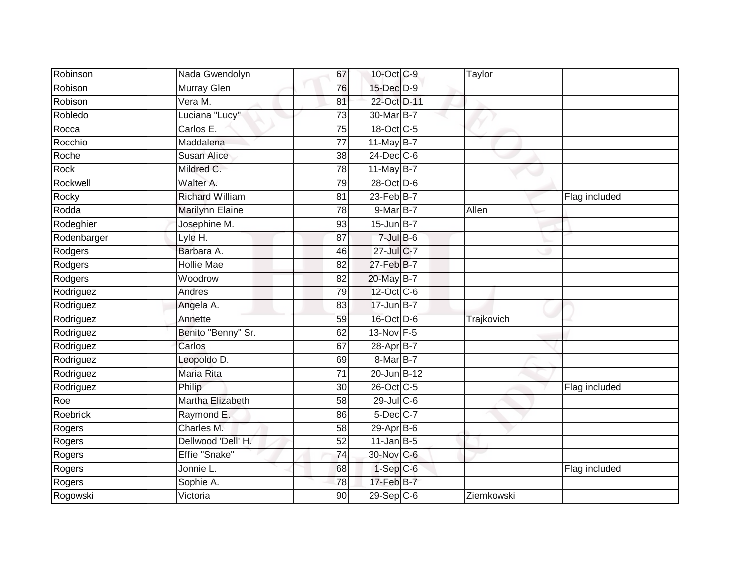| Robinson    | Nada Gwendolyn         | 67 | 10-Oct C-9                  | Taylor     |               |
|-------------|------------------------|----|-----------------------------|------------|---------------|
| Robison     | Murray Glen            | 76 | 15-Dec D-9                  |            |               |
| Robison     | Vera M.                | 81 | 22-Oct D-11                 |            |               |
| Robledo     | Luciana "Lucy"         | 73 | 30-Mar B-7                  |            |               |
| Rocca       | Carlos E.              | 75 | 18-Oct C-5                  |            |               |
| Rocchio     | Maddalena              | 77 | 11-May B-7                  |            |               |
| Roche       | <b>Susan Alice</b>     | 38 | 24-Dec C-6                  |            |               |
| Rock        | Mildred C.             | 78 | 11-May B-7                  |            |               |
| Rockwell    | Walter A.              | 79 | 28-Oct D-6                  |            |               |
| Rocky       | <b>Richard William</b> | 81 | $23$ -Feb $B-7$             |            | Flag included |
| Rodda       | Marilynn Elaine        | 78 | $9$ -Mar $B$ -7             | Allen      |               |
| Rodeghier   | Josephine M.           | 93 | $15$ -Jun $B$ -7            |            |               |
| Rodenbarger | Lyle H.                | 87 | $7$ -Jul $B$ -6             |            |               |
| Rodgers     | Barbara A.             | 46 | 27-Jul C-7                  |            |               |
| Rodgers     | <b>Hollie Mae</b>      | 82 | 27-Feb B-7                  |            |               |
| Rodgers     | Woodrow                | 82 | 20-May B-7                  |            |               |
| Rodriguez   | Andres                 | 79 | 12-Oct C-6                  |            |               |
| Rodriguez   | Angela A.              | 83 | $17$ -Jun $B - 7$           |            |               |
| Rodriguez   | Annette                | 59 | $16$ -Oct $\overline{D}$ -6 | Trajkovich |               |
| Rodriguez   | Benito "Benny" Sr.     | 62 | 13-Nov F-5                  |            |               |
| Rodriguez   | Carlos                 | 67 | 28-Apr <sub>B-7</sub>       |            |               |
| Rodriguez   | Leopoldo D.            | 69 | 8-Mar B-7                   |            |               |
| Rodriguez   | <b>Maria Rita</b>      | 71 | 20-Jun B-12                 |            |               |
| Rodriguez   | Philip                 | 30 | 26-Oct C-5                  |            | Flag included |
| Roe         | Martha Elizabeth       | 58 | $29$ -Jul C-6               |            |               |
| Roebrick    | Raymond E.             | 86 | 5-Dec C-7                   |            |               |
| Rogers      | Charles M.             | 58 | 29-Apr B-6                  |            |               |
| Rogers      | Dellwood 'Dell' H.     | 52 | $11$ -Jan $B-5$             |            |               |
| Rogers      | Effie "Snake"          | 74 | 30-Nov C-6                  |            |               |
| Rogers      | Jonnie L.              | 68 | $1-Sep$ $C-6$               |            | Flag included |
| Rogers      | Sophie A.              | 78 | 17-Feb B-7                  |            |               |
| Rogowski    | Victoria               | 90 | $29-Sep$ <sub>C-6</sub>     | Ziemkowski |               |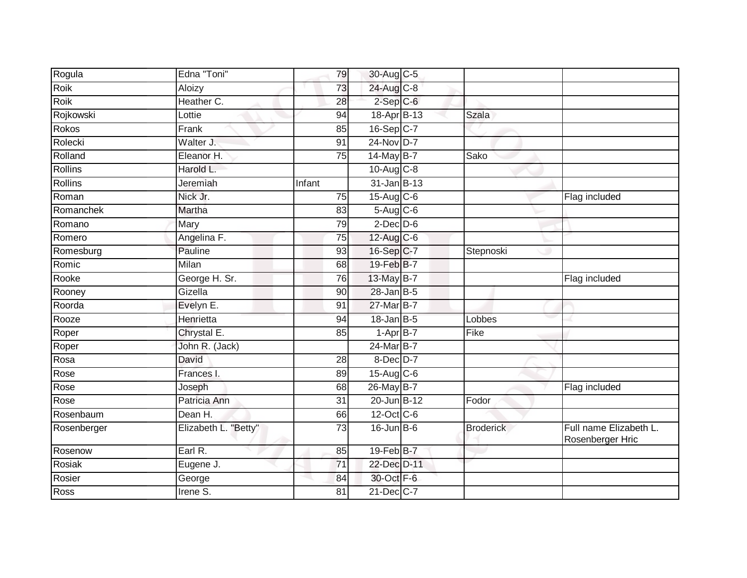| Rogula         | Edna "Toni"          | 79              | 30-Aug C-5       |                  |                                            |
|----------------|----------------------|-----------------|------------------|------------------|--------------------------------------------|
| Roik           | Aloizy               | 73              | 24-Aug C-8       |                  |                                            |
| Roik           | Heather C.           | 28              | $2$ -Sep $C$ -6  |                  |                                            |
| Rojkowski      | Lottie               | 94              | $18-Apr$ B-13    | <b>Szala</b>     |                                            |
| Rokos          | Frank                | 85              | 16-Sep C-7       |                  |                                            |
| Rolecki        | Walter J.            | 91              | $24$ -Nov D-7    |                  |                                            |
| Rolland        | Eleanor H.           | 75              | 14-May B-7       | Sako             |                                            |
| <b>Rollins</b> | Harold L.            |                 | $10-Aug$ $C-8$   |                  |                                            |
| <b>Rollins</b> | Jeremiah             | Infant          | $31$ -Jan B-13   |                  |                                            |
| Roman          | Nick Jr.             | $\overline{75}$ | $15-Aug$ $C-6$   |                  | Flag included                              |
| Romanchek      | Martha               | 83              | 5-Aug C-6        |                  |                                            |
| Romano         | Mary                 | 79              | $2$ -Dec $D-6$   |                  |                                            |
| Romero         | Angelina F.          | 75              | $12$ -Aug C-6    |                  |                                            |
| Romesburg      | Pauline              | 93              | 16-Sep C-7       | Stepnoski        |                                            |
| Romic          | Milan                | 68              | 19-Feb B-7       |                  |                                            |
| Rooke          | George H. Sr.        | 76              | 13-May B-7       |                  | Flag included                              |
| Rooney         | Gizella              | 90              | $28$ -Jan B-5    |                  |                                            |
| Roorda         | Evelyn E.            | 91              | 27-Mar B-7       |                  |                                            |
| Rooze          | Henrietta            | 94              | $18$ -Jan B-5    | Lobbes           |                                            |
| Roper          | Chrystal E.          | 85              | $1-AprB-7$       | Fike             |                                            |
| Roper          | John R. (Jack)       |                 | $24$ -Mar $B$ -7 |                  |                                            |
| Rosa           | David                | $\overline{28}$ | 8-Dec D-7        |                  |                                            |
| Rose           | Frances I.           | 89              | 15-Aug C-6       |                  |                                            |
| Rose           | Joseph               | 68              | 26-May B-7       |                  | Flag included                              |
| Rose           | Patricia Ann         | 31              | 20-Jun B-12      | Fodor            |                                            |
| Rosenbaum      | Dean H.              | 66              | 12-Oct C-6       |                  |                                            |
| Rosenberger    | Elizabeth L. "Betty" | $\overline{73}$ | $16$ -Jun $B$ -6 | <b>Broderick</b> | Full name Elizabeth L.<br>Rosenberger Hric |
| Rosenow        | Earl R.              | 85              | 19-Feb B-7       |                  |                                            |
| Rosiak         | Eugene J.            | 71              | 22-Dec D-11      |                  |                                            |
| Rosier         | George               | 84              | 30-Oct F-6       |                  |                                            |
| Ross           | Irene S.             | 81              | 21-Dec C-7       |                  |                                            |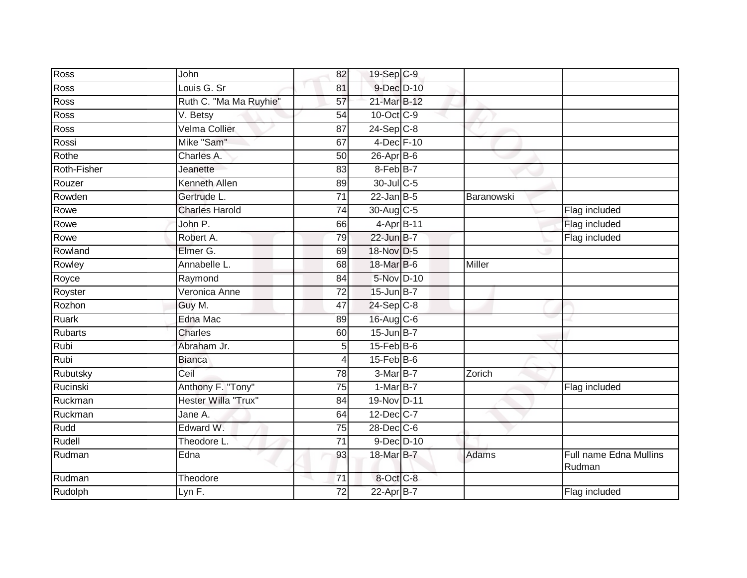| Ross           | John                   | 82              | 19-Sep C-9        |            |                                  |
|----------------|------------------------|-----------------|-------------------|------------|----------------------------------|
| Ross           | Louis G. Sr            | 81              | 9-Dec D-10        |            |                                  |
| Ross           | Ruth C. "Ma Ma Ruyhie" | 57              | 21-Mar B-12       |            |                                  |
| Ross           | V. Betsy               | 54              | 10-Oct C-9        |            |                                  |
| Ross           | Velma Collier          | $\overline{87}$ | $24-Sep$ C-8      |            |                                  |
| Rossi          | Mike "Sam"             | 67              | 4-Dec F-10        |            |                                  |
| Rothe          | Charles A.             | 50              | $26$ -Apr $B$ -6  |            |                                  |
| Roth-Fisher    | Jeanette               | 83              | 8-Feb B-7         |            |                                  |
| Rouzer         | Kenneth Allen          | 89              | 30-Jul C-5        |            |                                  |
| Rowden         | Gertrude L.            | $\overline{71}$ | $22$ -Jan B-5     | Baranowski |                                  |
| Rowe           | <b>Charles Harold</b>  | $\overline{74}$ | 30-Aug C-5        |            | Flag included                    |
| Rowe           | John P.                | 66              | 4-Apr B-11        |            | Flag included                    |
| Rowe           | Robert A.              | 79              | 22-Jun B-7        |            | Flag included                    |
| Rowland        | Elmer G.               | 69              | 18-Nov D-5        |            |                                  |
| Rowley         | Annabelle L.           | 68              | 18-Mar B-6        | Miller     |                                  |
| Royce          | Raymond                | 84              | 5-Nov D-10        |            |                                  |
| Royster        | Veronica Anne          | $\overline{72}$ | $15$ -Jun $B-7$   |            |                                  |
| Rozhon         | Guy M.                 | 47              | 24-Sep C-8        |            |                                  |
| Ruark          | Edna Mac               | 89              | 16-Aug C-6        |            |                                  |
| <b>Rubarts</b> | <b>Charles</b>         | 60              | 15-Jun B-7        |            |                                  |
| Rubi           | Abraham Jr.            | 5               | $15$ -Feb $ B$ -6 |            |                                  |
| Rubi           | <b>Bianca</b>          | 4               | $15$ -Feb $B$ -6  |            |                                  |
| Rubutsky       | Ceil                   | 78              | 3-Mar B-7         | Zorich     |                                  |
| Rucinski       | Anthony F. "Tony"      | 75              | 1-Mar B-7         |            | Flag included                    |
| Ruckman        | Hester Willa "Trux"    | 84              | 19-Nov D-11       |            |                                  |
| Ruckman        | Jane A.                | 64              | 12-Dec C-7        |            |                                  |
| Rudd           | Edward W.              | $\overline{75}$ | 28-Dec C-6        |            |                                  |
| Rudell         | Theodore L             | 71              | $9$ -Dec $D$ -10  |            |                                  |
| Rudman         | Edna                   | 93              | 18-Mar B-7        | Adams      | Full name Edna Mullins<br>Rudman |
| Rudman         | Theodore               | 71              | 8-Oct C-8         |            |                                  |
| Rudolph        | Lyn $F.$               | 72              | 22-Apr B-7        |            | Flag included                    |
|                |                        |                 |                   |            |                                  |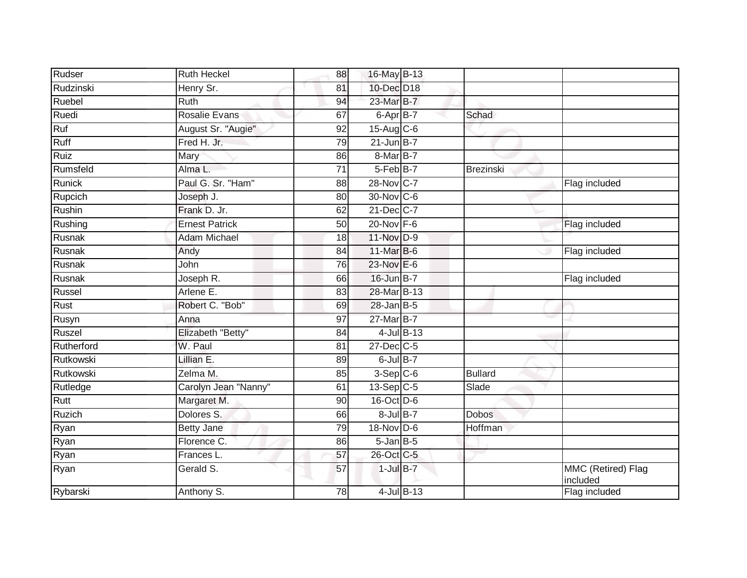| Rudser     | <b>Ruth Heckel</b>    | 88              | 16-May B-13      |                  |                |                                |
|------------|-----------------------|-----------------|------------------|------------------|----------------|--------------------------------|
| Rudzinski  | Henry Sr.             | 81              | 10-Dec D18       |                  |                |                                |
| Ruebel     | <b>Ruth</b>           | 94              | 23-Mar B-7       |                  |                |                                |
| Ruedi      | Rosalie Evans         | 67              | 6-Apr B-7        |                  | Schad          |                                |
| Ruf        | August Sr. "Augie"    | 92              | 15-Aug C-6       |                  |                |                                |
| Ruff       | Fred H. Jr.           | 79              | $21 - Jun$ B-7   |                  |                |                                |
| Ruiz       | Mary                  | 86              | 8-Mar B-7        |                  |                |                                |
| Rumsfeld   | Alma L.               | 71              | 5-Feb B-7        |                  | Brezinski      |                                |
| Runick     | Paul G. Sr. "Ham"     | 88              | 28-Nov C-7       |                  |                | Flag included                  |
| Rupcich    | Joseph J.             | $\overline{80}$ | 30-Nov C-6       |                  |                |                                |
| Rushin     | Frank D. Jr.          | 62              | 21-Dec C-7       |                  |                |                                |
| Rushing    | <b>Ernest Patrick</b> | 50              | 20-Nov F-6       |                  |                | Flag included                  |
| Rusnak     | <b>Adam Michael</b>   | 18              | 11-Nov D-9       |                  |                |                                |
| Rusnak     | Andy                  | 84              | 11-Mar B-6       |                  |                | Flag included                  |
| Rusnak     | John                  | 76              | 23-Nov E-6       |                  |                |                                |
| Rusnak     | Joseph R.             | 66              | 16-Jun B-7       |                  |                | Flag included                  |
| Russel     | Arlene E.             | 83              | 28-Mar B-13      |                  |                |                                |
| Rust       | Robert C. "Bob"       | 69              | $28$ -Jan B-5    |                  |                |                                |
| Rusyn      | Anna                  | 97              | 27-Mar B-7       |                  |                |                                |
| Ruszel     | Elizabeth "Betty"     | 84              |                  | $4$ -Jul B-13    |                |                                |
| Rutherford | W. Paul               | 81              | $27$ -Dec $C$ -5 |                  |                |                                |
| Rutkowski  | Lillian E.            | 89              | $6$ -Jul $B-7$   |                  |                |                                |
| Rutkowski  | Zelma M.              | 85              | $3-Sep$ $C-6$    |                  | <b>Bullard</b> |                                |
| Rutledge   | Carolyn Jean "Nanny"  | 61              | $13-Sep$ C-5     |                  | Slade          |                                |
| Rutt       | Margaret M.           | 90              | 16-Oct D-6       |                  |                |                                |
| Ruzich     | Dolores S.            | 66              | $8$ -Jul B-7     |                  | <b>Dobos</b>   |                                |
| Ryan       | <b>Betty Jane</b>     | 79              | 18-Nov D-6       |                  | Hoffman        |                                |
| Ryan       | Florence C.           | 86              | $5$ -Jan $B$ -5  |                  |                |                                |
| Ryan       | Frances L.            | 57              | 26-Oct C-5       |                  |                |                                |
| Ryan       | Gerald S.             | 57              | $1$ -Jul $B-7$   |                  |                | MMC (Retired) Flag<br>included |
| Rybarski   | Anthony S.            | 78              |                  | $4$ -Jul $B$ -13 |                | Flag included                  |
|            |                       |                 |                  |                  |                |                                |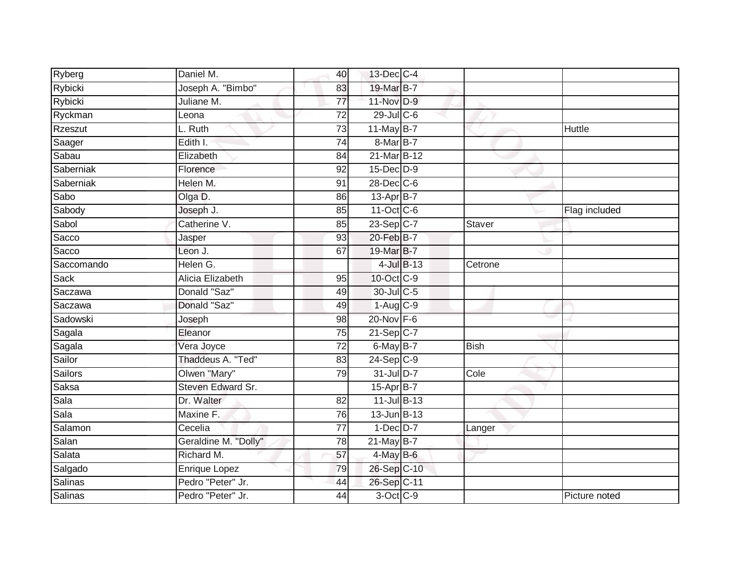| Ryberg     | Daniel M.            | 40              | 13-Dec C-4       |               |               |
|------------|----------------------|-----------------|------------------|---------------|---------------|
| Rybicki    | Joseph A. "Bimbo"    | 83              | 19-Mar B-7       |               |               |
| Rybicki    | Juliane M.           | 77              | 11-Nov D-9       |               |               |
| Ryckman    | Leona                | $\overline{72}$ | $29$ -Jul C-6    |               |               |
| Rzeszut    | L. Ruth              | $\overline{73}$ | $11$ -May B-7    |               | Huttle        |
| Saager     | Edith I.             | 74              | 8-Mar B-7        |               |               |
| Sabau      | Elizabeth            | 84              | 21-Mar B-12      |               |               |
| Saberniak  | Florence             | 92              | $15$ -Dec $D-9$  |               |               |
| Saberniak  | Helen M.             | 91              | $28$ -Dec $C$ -6 |               |               |
| Sabo       | Olga D.              | 86              | 13-Apr B-7       |               |               |
| Sabody     | Joseph J.            | 85              | 11-Oct C-6       |               | Flag included |
| Sabol      | Catherine V.         | 85              | $23-Sep C-7$     | <b>Staver</b> |               |
| Sacco      | Jasper               | 93              | 20-Feb B-7       |               |               |
| Sacco      | Leon J.              | 67              | 19-Mar B-7       |               |               |
| Saccomando | Helen G.             |                 | $4$ -Jul $B$ -13 | Cetrone       |               |
| Sack       | Alicia Elizabeth     | 95              | $10$ -Oct $C$ -9 |               |               |
| Saczawa    | Donald "Saz"         | 49              | 30-Jul C-5       |               |               |
| Saczawa    | Donald "Saz"         | 49              | $1-Aug$ C-9      |               |               |
| Sadowski   | Joseph               | 98              | 20-Nov F-6       |               |               |
| Sagala     | Eleanor              | 75              | $21-Sep$ C-7     |               |               |
| Sagala     | Vera Joyce           | 72              | 6-May B-7        | <b>Bish</b>   |               |
| Sailor     | Thaddeus A. "Ted"    | $\overline{83}$ | $24-Sep C-9$     |               |               |
| Sailors    | Olwen "Mary"         | 79              | 31-Jul D-7       | Cole          |               |
| Saksa      | Steven Edward Sr.    |                 | 15-Apr B-7       |               |               |
| Sala       | Dr. Walter           | 82              | 11-Jul B-13      |               |               |
| Sala       | Maxine F.            | 76              | 13-Jun B-13      |               |               |
| Salamon    | Cecelia              | $\overline{77}$ | $1-Dec$ $D-7$    | Langer        |               |
| Salan      | Geraldine M. "Dolly" | 78              | $21$ -May B-7    |               |               |
| Salata     | Richard M.           | 57              | 4-May B-6        |               |               |
| Salgado    | Enrique Lopez        | 79              | 26-Sep C-10      |               |               |
| Salinas    | Pedro "Peter" Jr.    | 44              | 26-Sep C-11      |               |               |
| Salinas    | Pedro "Peter" Jr.    | 44              | $3-Oct$ $C-9$    |               | Picture noted |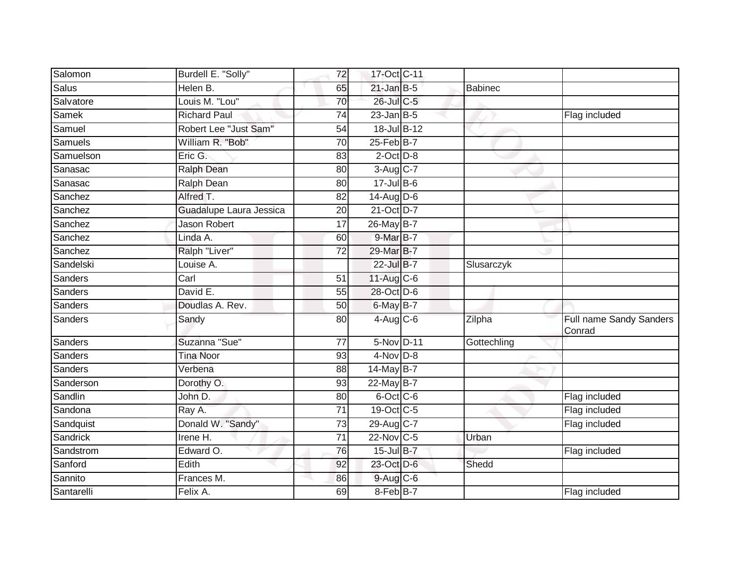| Salomon    | Burdell E. "Solly"      | 72              | 17-Oct C-11        |                |                                          |
|------------|-------------------------|-----------------|--------------------|----------------|------------------------------------------|
| Salus      | Helen B.                | 65              | $21$ -Jan B-5      | <b>Babinec</b> |                                          |
| Salvatore  | Louis M. "Lou"          | 70              | 26-Jul C-5         |                |                                          |
| Samek      | <b>Richard Paul</b>     | 74              | $23$ -Jan B-5      |                | Flag included                            |
| Samuel     | Robert Lee "Just Sam"   | 54              | 18-Jul B-12        |                |                                          |
| Samuels    | William R. "Bob"        | 70              | $25$ -Feb $B$ -7   |                |                                          |
| Samuelson  | Eric G.                 | 83              | $2$ -Oct $D-8$     |                |                                          |
| Sanasac    | <b>Ralph Dean</b>       | 80              | 3-Aug C-7          |                |                                          |
| Sanasac    | Ralph Dean              | 80              | $17 -$ Jul $B - 6$ |                |                                          |
| Sanchez    | Alfred T.               | 82              | $14$ -Aug D-6      |                |                                          |
| Sanchez    | Guadalupe Laura Jessica | 20              | 21-Oct D-7         |                |                                          |
| Sanchez    | <b>Jason Robert</b>     | 17              | 26-May B-7         |                |                                          |
| Sanchez    | Linda A.                | 60              | 9-Mar B-7          |                |                                          |
| Sanchez    | Ralph "Liver"           | 72              | 29-Mar B-7         |                |                                          |
| Sandelski  | Louise A.               |                 | 22-Jul B-7         | Slusarczyk     |                                          |
| Sanders    | Carl                    | 51              | 11-Aug C-6         |                |                                          |
| Sanders    | David E.                | 55              | 28-Oct D-6         |                |                                          |
| Sanders    | Doudlas A. Rev.         | 50              | $6$ -May $B-7$     |                |                                          |
| Sanders    | Sandy                   | 80              | $4$ -Aug C-6       | Zilpha         | <b>Full name Sandy Sanders</b><br>Conrad |
| Sanders    | Suzanna "Sue"           | 77              | 5-Nov D-11         | Gottechling    |                                          |
| Sanders    | <b>Tina Noor</b>        | 93              | $4-Nov$ D-8        |                |                                          |
| Sanders    | Verbena                 | 88              | 14-May B-7         |                |                                          |
| Sanderson  | Dorothy O.              | 93              | 22-May B-7         |                |                                          |
| Sandlin    | John D.                 | 80              | 6-Oct C-6          |                | Flag included                            |
| Sandona    | Ray A.                  | $\overline{71}$ | 19-Oct C-5         |                | Flag included                            |
| Sandquist  | Donald W. "Sandy"       | 73              | 29-Aug C-7         |                | Flag included                            |
| Sandrick   | Irene H.                | 71              | 22-Nov C-5         | Urban          |                                          |
| Sandstrom  | Edward O.               | $\overline{76}$ | 15-Jul B-7         |                | Flag included                            |
| Sanford    | Edith                   | 92              | 23-Oct D-6         | Shedd          |                                          |
| Sannito    | Frances M.              | 86              | 9-Aug C-6          |                |                                          |
| Santarelli | Felix A.                | 69              | 8-Feb B-7          |                | Flag included                            |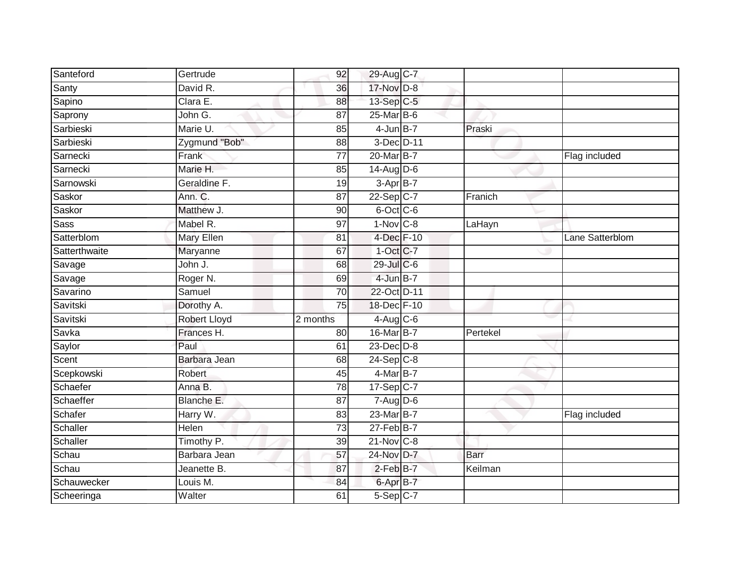| Santeford     | Gertrude      | 92              | 29-Aug C-7      |             |                 |
|---------------|---------------|-----------------|-----------------|-------------|-----------------|
| Santy         | David R.      | 36              | 17-Nov D-8      |             |                 |
| Sapino        | Clara E.      | 88              | 13-Sep C-5      |             |                 |
| Saprony       | John G.       | 87              | 25-Mar B-6      |             |                 |
| Sarbieski     | Marie U.      | 85              | $4$ -Jun $B-7$  | Praski      |                 |
| Sarbieski     | Zygmund "Bob" | 88              | 3-Dec D-11      |             |                 |
| Sarnecki      | Frank         | 77              | 20-Mar B-7      |             | Flag included   |
| Sarnecki      | Marie H.      | 85              | $14$ -Aug D-6   |             |                 |
| Sarnowski     | Geraldine F.  | 19              | $3-Apr$ B-7     |             |                 |
| Saskor        | Ann. C.       | $\overline{87}$ | $22-Sep$ C-7    | Franich     |                 |
| Saskor        | Matthew J.    | 90              | 6-Oct C-6       |             |                 |
| <b>Sass</b>   | Mabel R.      | 97              | $1-Nov$ $C-8$   | LaHayn      |                 |
| Satterblom    | Mary Ellen    | 81              | 4-Dec F-10      |             | Lane Satterblom |
| Satterthwaite | Maryanne      | 67              | 1-Oct C-7       |             |                 |
| Savage        | John J.       | 68              | 29-Jul C-6      |             |                 |
| Savage        | Roger N.      | 69              | 4-Jun B-7       |             |                 |
| Savarino      | Samuel        | $\overline{70}$ | 22-Oct D-11     |             |                 |
| Savitski      | Dorothy A.    | 75              | 18-Dec F-10     |             |                 |
| Savitski      | Robert Lloyd  | 2 months        | 4-Aug C-6       |             |                 |
| Savka         | Frances H.    | 80              | 16-Mar B-7      | Pertekel    |                 |
| Saylor        | Paul          | 61              | $23$ -Dec $D-8$ |             |                 |
| Scent         | Barbara Jean  | 68              | $24-Sep$ C-8    |             |                 |
| Scepkowski    | Robert        | 45              | 4-Mar B-7       |             |                 |
| Schaefer      | Anna B.       | 78              | 17-Sep C-7      |             |                 |
| Schaeffer     | Blanche E.    | 87              | $7 - Aug$ $D-6$ |             |                 |
| Schafer       | Harry W.      | 83              | 23-Mar B-7      |             | Flag included   |
| Schaller      | Helen         | $\overline{73}$ | 27-Feb B-7      |             |                 |
| Schaller      | Timothy P.    | 39              | 21-Nov C-8      |             |                 |
| Schau         | Barbara Jean  | 57              | 24-Nov D-7      | <b>Barr</b> |                 |
| Schau         | Jeanette B.   | 87              | 2-Feb B-7       | Keilman     |                 |
| Schauwecker   | Louis M.      | 84              | 6-Apr B-7       |             |                 |
| Scheeringa    | Walter        | 61              | $5-Sep$ C-7     |             |                 |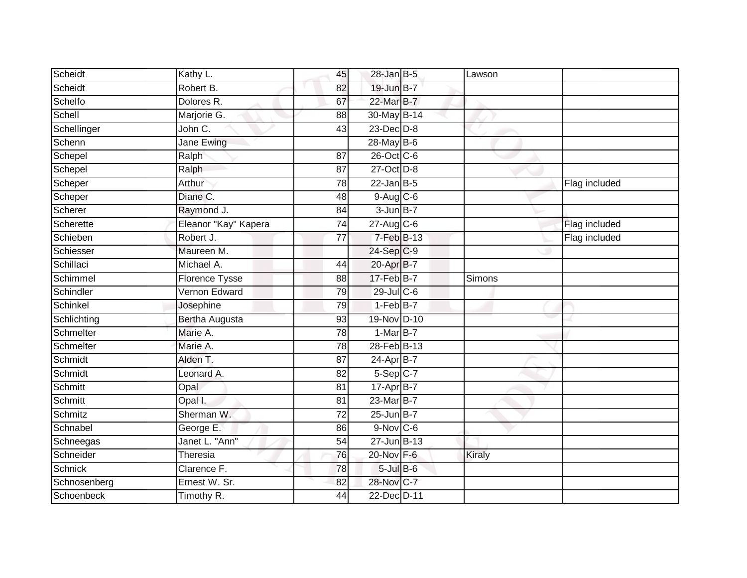| Scheidt        | Kathy L.              | 45              | $28$ -Jan B-5    | Lawson |               |
|----------------|-----------------------|-----------------|------------------|--------|---------------|
| Scheidt        | Robert B.             | 82              | 19-Jun B-7       |        |               |
| Schelfo        | Dolores R.            | 67              | 22-Mar B-7       |        |               |
| Schell         | Marjorie G.           | 88              | 30-May B-14      |        |               |
| Schellinger    | John C.               | $\overline{43}$ | $23$ -Dec $D-8$  |        |               |
| Schenn         | Jane Ewing            |                 | 28-May B-6       |        |               |
| Schepel        | Ralph                 | 87              | 26-Oct C-6       |        |               |
| Schepel        | Ralph                 | 87              | 27-Oct D-8       |        |               |
| Scheper        | Arthur                | 78              | $22$ -Jan B-5    |        | Flag included |
| Scheper        | Diane C.              | 48              | 9-Aug C-6        |        |               |
| Scherer        | Raymond J.            | 84              | $3$ -Jun $B-7$   |        |               |
| Scherette      | Eleanor "Kay" Kapera  | 74              | $27$ -Aug C-6    |        | Flag included |
| Schieben       | Robert J.             | 77              | $7-FebB-13$      |        | Flag included |
| Schiesser      | Maureen M.            |                 | 24-Sep C-9       |        |               |
| Schillaci      | Michael A.            | 44              | 20-Apr B-7       |        |               |
| Schimmel       | <b>Florence Tysse</b> | 88              | 17-Feb B-7       | Simons |               |
| Schindler      | Vernon Edward         | 79              | $29$ -Jul C-6    |        |               |
| Schinkel       | Josephine             | 79              | $1-FebB-7$       |        |               |
| Schlichting    | Bertha Augusta        | 93              | 19-Nov D-10      |        |               |
| Schmelter      | Marie A.              | $\overline{78}$ | $1-MarB-7$       |        |               |
| Schmelter      | Marie A.              | 78              | 28-Feb B-13      |        |               |
| Schmidt        | Alden T.              | 87              | 24-Apr B-7       |        |               |
| Schmidt        | Leonard A.            | 82              | 5-Sep C-7        |        |               |
| Schmitt        | Opal                  | 81              | 17-Apr B-7       |        |               |
| Schmitt        | Opal I.               | 81              | 23-Mar B-7       |        |               |
| Schmitz        | Sherman W.            | 72              | $25$ -Jun $B-7$  |        |               |
| Schnabel       | George E.             | 86              | 9-Nov C-6        |        |               |
| Schneegas      | Janet L. "Ann"        | 54              | $27$ -Jun $B-13$ |        |               |
| Schneider      | Theresia              | 76              | 20-Nov F-6       | Kiraly |               |
| <b>Schnick</b> | Clarence F.           | 78              | $5$ -Jul $B$ -6  |        |               |
| Schnosenberg   | Ernest W. Sr.         | 82              | 28-Nov C-7       |        |               |
| Schoenbeck     | Timothy R.            | $\overline{44}$ | 22-Dec D-11      |        |               |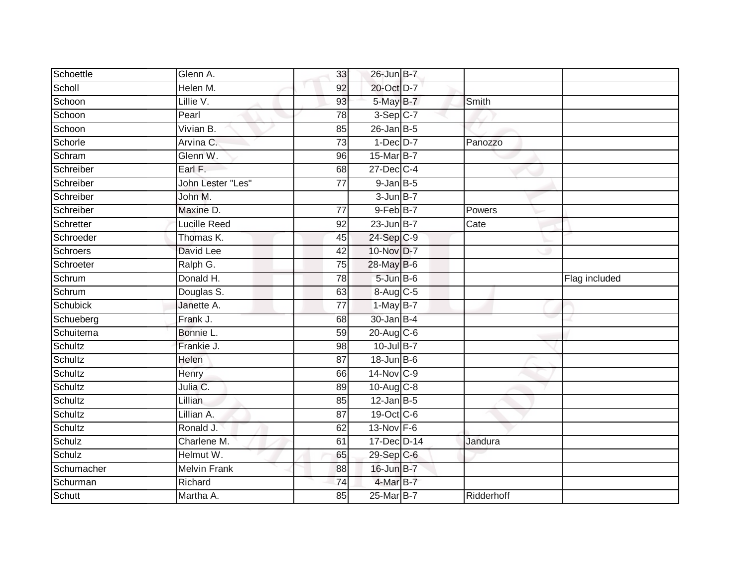| Schoettle       | Glenn A.            | 33              | 26-Jun B-7        |            |               |
|-----------------|---------------------|-----------------|-------------------|------------|---------------|
| Scholl          | Helen M.            | 92              | 20-Oct D-7        |            |               |
| Schoon          | Lillie V.           | 93              | 5-May B-7         | Smith      |               |
| Schoon          | Pearl               | 78              | $3-Sep$ C-7       |            |               |
| Schoon          | Vivian B.           | 85              | $26$ -Jan B-5     |            |               |
| Schorle         | Arvina C.           | $\overline{73}$ | $1-Dec$ $D-7$     | Panozzo    |               |
| Schram          | Glenn W.            | 96              | 15-Mar B-7        |            |               |
| Schreiber       | Earl F.             | 68              | $27$ -Dec $C-4$   |            |               |
| Schreiber       | John Lester "Les"   | 77              | $9$ -Jan $B$ -5   |            |               |
| Schreiber       | John M.             |                 | 3-Jun B-7         |            |               |
| Schreiber       | Maxine D.           | 77              | 9-Feb B-7         | Powers     |               |
| Schretter       | Lucille Reed        | 92              | $23$ -Jun $B-7$   | Cate       |               |
| Schroeder       | Thomas K.           | 45              | 24-Sep C-9        |            |               |
| Schroers        | David Lee           | $\overline{42}$ | 10-Nov D-7        |            |               |
| Schroeter       | Ralph G.            | $\overline{75}$ | 28-May B-6        |            |               |
| Schrum          | Donald H.           | 78              | $5 - Jun$ $B - 6$ |            | Flag included |
| Schrum          | Douglas S.          | 63              | 8-Aug C-5         |            |               |
| <b>Schubick</b> | Janette A.          | 77              | 1-May B-7         |            |               |
| Schueberg       | Frank J.            | 68              | 30-Jan B-4        |            |               |
| Schuitema       | Bonnie L.           | 59              | 20-Aug C-6        |            |               |
| Schultz         | Frankie J.          | 98              | 10-Jul B-7        |            |               |
| Schultz         | Helen               | $\overline{87}$ | 18-Jun B-6        |            |               |
| Schultz         | Henry               | 66              | 14-Nov C-9        |            |               |
| Schultz         | Julia C.            | 89              | $10-Aug$ $C-8$    |            |               |
| Schultz         | Lillian             | 85              | $12$ -Jan B-5     |            |               |
| Schultz         | Lillian A.          | 87              | 19-Oct C-6        |            |               |
| Schultz         | Ronald J.           | 62              | 13-Nov F-6        |            |               |
| Schulz          | Charlene M.         | 61              | 17-Dec D-14       | Jandura    |               |
| Schulz          | Helmut W.           | 65              | 29-Sep C-6        |            |               |
| Schumacher      | <b>Melvin Frank</b> | 88              | 16-Jun B-7        |            |               |
| Schurman        | Richard             | $\overline{74}$ | 4-Mar B-7         |            |               |
| <b>Schutt</b>   | Martha A.           | 85              | 25-Mar B-7        | Ridderhoff |               |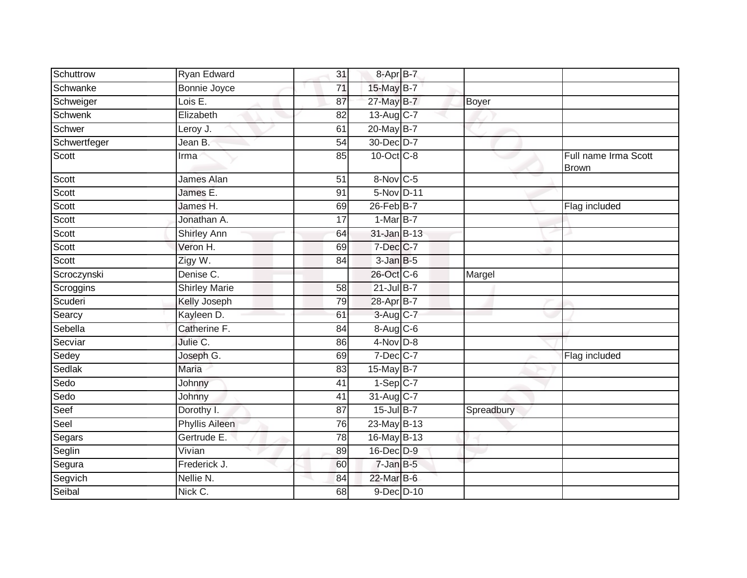| Schuttrow    | Ryan Edward           | 31              | 8-Apr B-7                       |            |                                      |
|--------------|-----------------------|-----------------|---------------------------------|------------|--------------------------------------|
| Schwanke     | <b>Bonnie Joyce</b>   | $\overline{71}$ | 15-May B-7                      |            |                                      |
| Schweiger    | Lois E.               | 87              | 27-May B-7                      | Boyer      |                                      |
| Schwenk      | Elizabeth             | 82              | 13-Aug C-7                      |            |                                      |
| Schwer       | Leroy $J.$            | 61              | 20-May B-7                      |            |                                      |
| Schwertfeger | Jean B.               | $\overline{54}$ | 30-Dec D-7                      |            |                                      |
| Scott        | Irma                  | 85              | 10-Oct C-8                      |            | Full name Irma Scott<br><b>Brown</b> |
| Scott        | James Alan            | $\overline{51}$ | 8-Nov C-5                       |            |                                      |
| Scott        | James E.              | 91              | 5-Nov D-11                      |            |                                      |
| Scott        | James H.              | 69              | 26-Feb B-7                      |            | Flag included                        |
| Scott        | Jonathan A.           | 17              | $1-MarB-7$                      |            |                                      |
| Scott        | <b>Shirley Ann</b>    | 64              | 31-Jan B-13                     |            |                                      |
| Scott        | Veron H.              | 69              | 7-Dec C-7                       |            |                                      |
| Scott        | Zigy W.               | 84              | $3 - JanB - 5$                  |            |                                      |
| Scroczynski  | Denise C.             |                 | 26-Oct C-6                      | Margel     |                                      |
| Scroggins    | <b>Shirley Marie</b>  | 58              | $21$ -Jul B-7                   |            |                                      |
| Scuderi      | Kelly Joseph          | 79              | 28-Apr B-7                      |            |                                      |
| Searcy       | Kayleen D.            | 61              | $3-Aug$ <sub>C-7</sub>          |            |                                      |
| Sebella      | Catherine F.          | 84              | $8 - \text{Aug}$ <sub>C-6</sub> |            |                                      |
| Secviar      | Julie C.              | 86              | 4-Nov D-8                       |            |                                      |
| Sedey        | Joseph G.             | 69              | $7$ -Dec $C$ -7                 |            | Flag included                        |
| Sedlak       | Maria                 | 83              | 15-May $B-7$                    |            |                                      |
| Sedo         | Johnny                | 41              | $1-Sep$ C-7                     |            |                                      |
| Sedo         | Johnny                | 41              | 31-Aug C-7                      |            |                                      |
| Seef         | Dorothy I.            | 87              | 15-Jul B-7                      | Spreadbury |                                      |
| Seel         | <b>Phyllis Aileen</b> | 76              | 23-May B-13                     |            |                                      |
| Segars       | Gertrude E.           | 78              | 16-May B-13                     |            |                                      |
| Seglin       | Vivian                | 89              | 16-Dec D-9                      |            |                                      |
| Segura       | Frederick J.          | 60              | 7-Jan B-5                       |            |                                      |
| Segvich      | Nellie N.             | 84              | 22-Mar B-6                      |            |                                      |
| Seibal       | Nick C.               | 68              | 9-Dec D-10                      |            |                                      |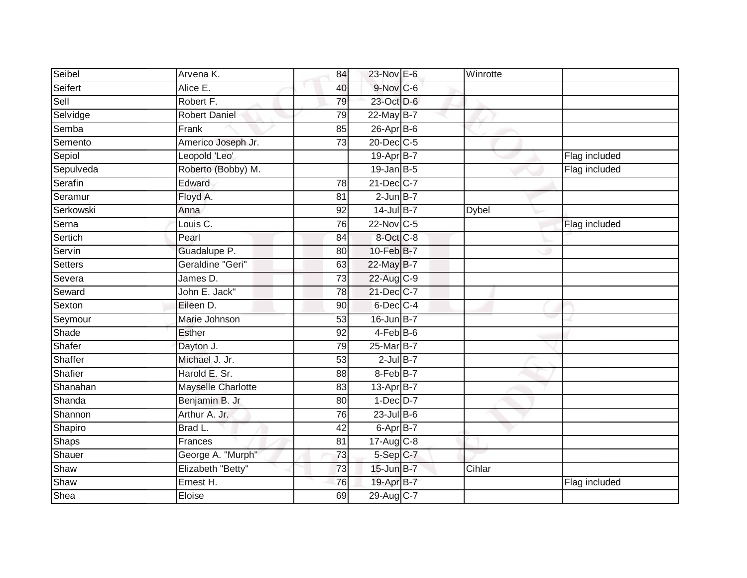| Seibel         | Arvena K.            | 84              | 23-Nov E-6      | Winrotte     |               |
|----------------|----------------------|-----------------|-----------------|--------------|---------------|
| Seifert        | Alice E.             | 40              | $9-Nov$ C-6     |              |               |
| Sell           | Robert F.            | 79              | 23-Oct D-6      |              |               |
| Selvidge       | <b>Robert Daniel</b> | 79              | 22-May B-7      |              |               |
| Semba          | Frank                | 85              | 26-Apr B-6      |              |               |
| Semento        | Americo Joseph Jr.   | 73              | 20-Dec C-5      |              |               |
| Sepiol         | Leopold 'Leo'        |                 | 19-Apr B-7      |              | Flag included |
| Sepulveda      | Roberto (Bobby) M.   |                 | $19$ -Jan B-5   |              | Flag included |
| Serafin        | Edward               | 78              | 21-Dec C-7      |              |               |
| Seramur        | Floyd A.             | $\overline{81}$ | $2$ -Jun $B-7$  |              |               |
| Serkowski      | Anna                 | 92              | 14-Jul B-7      | <b>Dybel</b> |               |
| Serna          | Louis C.             | 76              | 22-Nov C-5      |              | Flag included |
| Sertich        | Pearl                | 84              | $8-Oct$ $C-8$   |              |               |
| Servin         | Guadalupe P.         | 80              | 10-Feb B-7      |              |               |
| <b>Setters</b> | Geraldine "Geri"     | 63              | 22-May B-7      |              |               |
| Severa         | James D.             | $\overline{73}$ | 22-Aug C-9      |              |               |
| Seward         | John E. Jack"        | $\overline{78}$ | 21-Dec C-7      |              |               |
| Sexton         | Eileen D.            | 90              | $6$ -Dec $C$ -4 |              |               |
| Seymour        | Marie Johnson        | 53              | 16-Jun B-7      |              |               |
| Shade          | <b>Esther</b>        | 92              | $4-FebB-6$      |              |               |
| Shafer         | Dayton J.            | 79              | 25-Mar B-7      |              |               |
| Shaffer        | Michael J. Jr.       | 53              | $2$ -Jul $B-7$  |              |               |
| Shafier        | Harold E. Sr.        | 88              | 8-Feb B-7       |              |               |
| Shanahan       | Mayselle Charlotte   | 83              | 13-Apr B-7      |              |               |
| Shanda         | Benjamin B. Jr       | 80              | $1-Dec$ $D-7$   |              |               |
| Shannon        | Arthur A. Jr.        | 76              | $23$ -Jul $B-6$ |              |               |
| Shapiro        | Brad L.              | $\overline{42}$ | 6-Apr B-7       |              |               |
| <b>Shaps</b>   | Frances              | 81              | 17-Aug C-8      |              |               |
| Shauer         | George A. "Murph"    | 73              | 5-Sep C-7       |              |               |
| Shaw           | Elizabeth "Betty"    | 73              | 15-Jun B-7      | Cihlar       |               |
| Shaw           | Ernest H.            | 76              | 19-Apr B-7      |              | Flag included |
| Shea           | Eloise               | 69              | 29-Aug C-7      |              |               |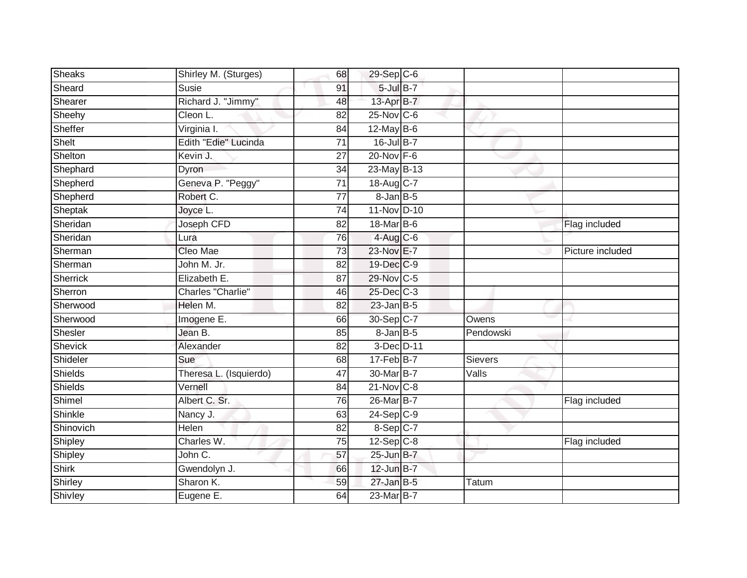| <b>Sheaks</b> | Shirley M. (Sturges)   | 68              | $29-Sep$ <sub>C-6</sub> |           |                  |
|---------------|------------------------|-----------------|-------------------------|-----------|------------------|
| Sheard        | Susie                  | 91              | $5$ -Jul $B-7$          |           |                  |
| Shearer       | Richard J. "Jimmy"     | 48              | 13-Apr B-7              |           |                  |
| Sheehy        | Cleon L.               | 82              | $25$ -Nov $ C-6 $       |           |                  |
| Sheffer       | Virginia I.            | $\overline{84}$ | $12$ -May $B-6$         |           |                  |
| Shelt         | Edith "Edie" Lucinda   | $\overline{71}$ | 16-Jul B-7              |           |                  |
| Shelton       | Kevin J.               | 27              | 20-Nov F-6              |           |                  |
| Shephard      | Dyron                  | 34              | 23-May B-13             |           |                  |
| Shepherd      | Geneva P. "Peggy"      | 71              | 18-Aug C-7              |           |                  |
| Shepherd      | Robert C.              | $\overline{77}$ | $8$ -Jan $B$ -5         |           |                  |
| Sheptak       | Joyce L.               | 74              | 11-Nov D-10             |           |                  |
| Sheridan      | Joseph CFD             | 82              | 18-Mar B-6              |           | Flag included    |
| Sheridan      | Lura                   | 76              | $4$ -Aug C-6            |           |                  |
| Sherman       | Cleo Mae               | 73              | 23-Nov E-7              |           | Picture included |
| Sherman       | John M. Jr.            | $\overline{82}$ | 19-Dec C-9              |           |                  |
| Sherrick      | Elizabeth E.           | 87              | 29-Nov C-5              |           |                  |
| Sherron       | Charles "Charlie"      | 46              | 25-Dec C-3              |           |                  |
| Sherwood      | Helen M.               | 82              | $23$ -Jan B-5           |           |                  |
| Sherwood      | Imogene E.             | 66              | 30-Sep C-7              | Owens     |                  |
| Shesler       | Jean B.                | 85              | $8 - Jan$ $B - 5$       | Pendowski |                  |
| Shevick       | Alexander              | 82              | 3-Dec D-11              |           |                  |
| Shideler      | Sue                    | 68              | $17 - Feb$ B-7          | Sievers   |                  |
| Shields       | Theresa L. (Isquierdo) | 47              | 30-Mar B-7              | Valls     |                  |
| Shields       | Vernell                | 84              | $21-Nov$ C-8            |           |                  |
| Shimel        | Albert C. Sr.          | 76              | 26-Mar <sub>B-7</sub>   |           | Flag included    |
| Shinkle       | Nancy J.               | 63              | $24-Sep$ <sub>C-9</sub> |           |                  |
| Shinovich     | Helen                  | 82              | $8-Sep$ C-7             |           |                  |
| Shipley       | Charles W.             | 75              | $12-Sep C-8$            |           | Flag included    |
| Shipley       | John C.                | 57              | 25-Jun B-7              |           |                  |
| <b>Shirk</b>  | Gwendolyn J.           | 66              | $12$ -Jun $B-7$         |           |                  |
| Shirley       | Sharon K.              | 59              | $27$ -Jan B-5           | Tatum     |                  |
| Shivley       | Eugene E.              | 64              | 23-Mar B-7              |           |                  |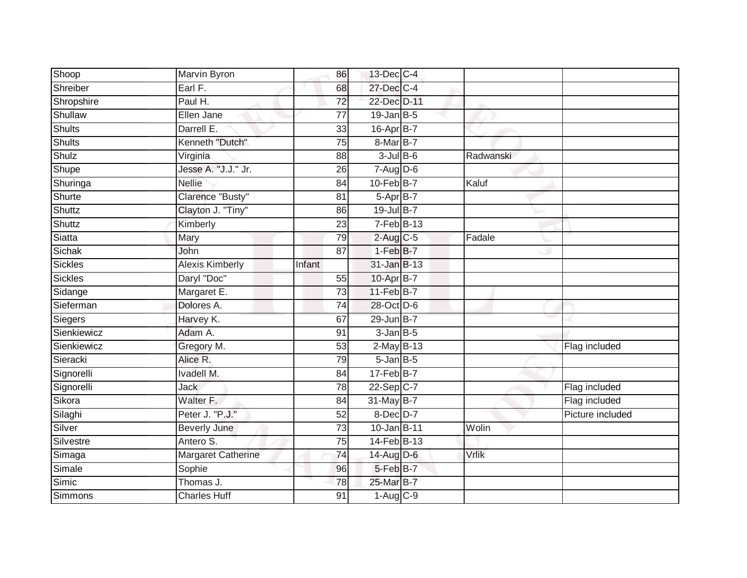| Shoop          | Marvin Byron           | 86              | 13-Dec C-4       |           |                  |
|----------------|------------------------|-----------------|------------------|-----------|------------------|
| Shreiber       | Earl F.                | 68              | 27-Dec C-4       |           |                  |
| Shropshire     | Paul H.                | $\overline{72}$ | 22-Dec D-11      |           |                  |
| Shullaw        | Ellen Jane             | 77              | $19$ -Jan B-5    |           |                  |
| <b>Shults</b>  | Darrell E.             | 33              | 16-Apr B-7       |           |                  |
| <b>Shults</b>  | Kenneth "Dutch"        | $\overline{75}$ | 8-Mar B-7        |           |                  |
| Shulz          | Virginia               | 88              | $3$ -Jul B-6     | Radwanski |                  |
| Shupe          | Jesse A. "J.J." Jr.    | 26              | $7 - Aug$ $D-6$  |           |                  |
| Shuringa       | <b>Nellie</b>          | 84              | $10$ -Feb $B$ -7 | Kaluf     |                  |
| Shurte         | Clarence "Busty"       | 81              | 5-Apr B-7        |           |                  |
| Shuttz         | Clayton J. "Tiny"      | 86              | 19-Jul B-7       |           |                  |
| Shuttz         | Kimberly               | 23              | $7-Feb$ B-13     |           |                  |
| Siatta         | Mary                   | 79              | $2$ -Aug C-5     | Fadale    |                  |
| Sichak         | John                   | 87              | $1-FebB-7$       |           |                  |
| <b>Sickles</b> | <b>Alexis Kimberly</b> | Infant          | 31-Jan B-13      |           |                  |
| Sickles        | Daryl "Doc"            | 55              | 10-Apr B-7       |           |                  |
| Sidange        | Margaret E.            | $\overline{73}$ | $11-FebB-7$      |           |                  |
| Sieferman      | Dolores A.             | 74              | 28-Oct D-6       |           |                  |
| Siegers        | Harvey K.              | 67              | 29-Jun B-7       |           |                  |
| Sienkiewicz    | Adam A.                | 91              | $3$ -Jan $B$ -5  |           |                  |
| Sienkiewicz    | Gregory M.             | 53              | $2$ -May B-13    |           | Flag included    |
| Sieracki       | Alice R.               | 79              | $5$ -Jan $B$ -5  |           |                  |
| Signorelli     | <b>Ivadell M.</b>      | 84              | $17 - Feb$ B-7   |           |                  |
| Signorelli     | <b>Jack</b>            | 78              | $22 - Sep$ C-7   |           | Flag included    |
| Sikora         | Walter F.              | 84              | 31-May B-7       |           | Flag included    |
| Silaghi        | Peter J. "P.J."        | 52              | 8-Dec D-7        |           | Picture included |
| Silver         | <b>Beverly June</b>    | 73              | 10-Jan B-11      | Wolin     |                  |
| Silvestre      | Antero S.              | 75              | 14-Feb B-13      |           |                  |
| Simaga         | Margaret Catherine     | 74              | 14-Aug D-6       | Vrlik     |                  |
| Simale         | Sophie                 | 96              | 5-Feb B-7        |           |                  |
| Simic          | Thomas J.              | 78              | 25-Mar B-7       |           |                  |
| Simmons        | <b>Charles Huff</b>    | $\overline{91}$ | $1-Aug$ $C-9$    |           |                  |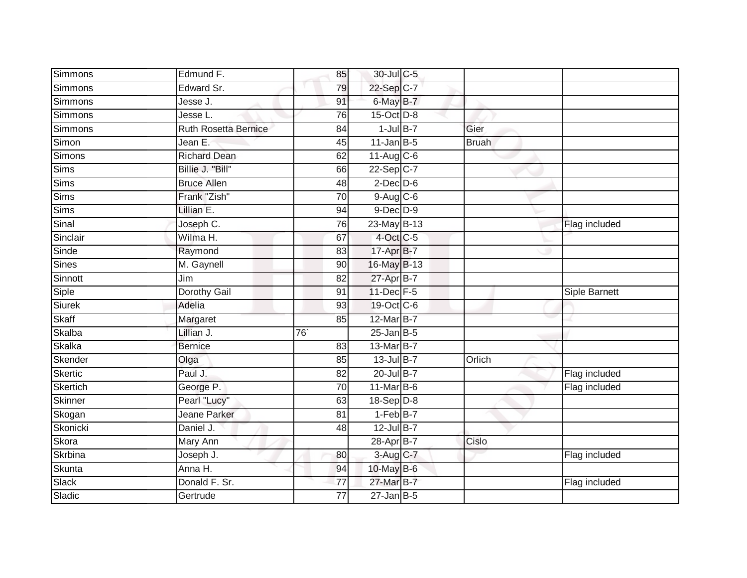| Simmons        | Edmund F.                   | 85              | 30-Jul C-5       |              |               |  |
|----------------|-----------------------------|-----------------|------------------|--------------|---------------|--|
| Simmons        | Edward Sr.                  | 79              | 22-Sep C-7       |              |               |  |
| Simmons        | Jesse J.                    | 91              | 6-May B-7        |              |               |  |
| <b>Simmons</b> | Jesse L.                    | 76              | 15-Oct D-8       |              |               |  |
| <b>Simmons</b> | <b>Ruth Rosetta Bernice</b> | 84              | $1$ -Jul B-7     | Gier         |               |  |
| Simon          | Jean E.                     | 45              | $11$ -Jan B-5    | <b>Bruah</b> |               |  |
| Simons         | <b>Richard Dean</b>         | 62              | $11-Aug$ C-6     |              |               |  |
| Sims           | Billie J. "Bill"            | 66              | 22-Sep C-7       |              |               |  |
| Sims           | <b>Bruce Allen</b>          | 48              | $2$ -Dec $D$ -6  |              |               |  |
| Sims           | Frank "Zish"                | $\overline{70}$ | 9-Aug C-6        |              |               |  |
| <b>Sims</b>    | Lillian E.                  | 94              | $9$ -Dec $D$ -9  |              |               |  |
| Sinal          | Joseph C.                   | 76              | $23$ -May B-13   |              | Flag included |  |
| Sinclair       | Wilma H.                    | 67              | 4-Oct C-5        |              |               |  |
| Sinde          | Raymond                     | 83              | 17-Apr B-7       |              |               |  |
| <b>Sines</b>   | M. Gaynell                  | $\overline{90}$ | 16-May B-13      |              |               |  |
| Sinnott        | Jim                         | 82              | 27-Apr B-7       |              |               |  |
| Siple          | <b>Dorothy Gail</b>         | 91              | 11-Dec F-5       |              | Siple Barnett |  |
| <b>Siurek</b>  | Adelia                      | 93              | 19-Oct C-6       |              |               |  |
| Skaff          | Margaret                    | 85              | 12-Mar B-7       |              |               |  |
| Skalba         | Lillian J.                  | $\overline{76}$ | $25$ -Jan B-5    |              |               |  |
| <b>Skalka</b>  | <b>Bernice</b>              | 83              | 13-Mar B-7       |              |               |  |
| Skender        | Olga                        | 85              | 13-Jul B-7       | Orlich       |               |  |
| <b>Skertic</b> | Paul J.                     | 82              | 20-Jul B-7       |              | Flag included |  |
| Skertich       | George P.                   | 70              | $11$ -Mar $B$ -6 |              | Flag included |  |
| Skinner        | Pearl "Lucy"                | 63              | 18-Sep D-8       |              |               |  |
| Skogan         | Jeane Parker                | 81              | $1-FebB-7$       |              |               |  |
| Skonicki       | Daniel J.                   | 48              | 12-Jul B-7       |              |               |  |
| Skora          | Mary Ann                    |                 | 28-Apr B-7       | Cislo        |               |  |
| Skrbina        | Joseph J.                   | 80              | 3-Aug C-7        |              | Flag included |  |
| Skunta         | Anna H.                     | 94              | 10-May B-6       |              |               |  |
| Slack          | Donald F. Sr.               | 77              | 27-Mar B-7       |              | Flag included |  |
| Sladic         | Gertrude                    | $\overline{77}$ | $27$ -Jan B-5    |              |               |  |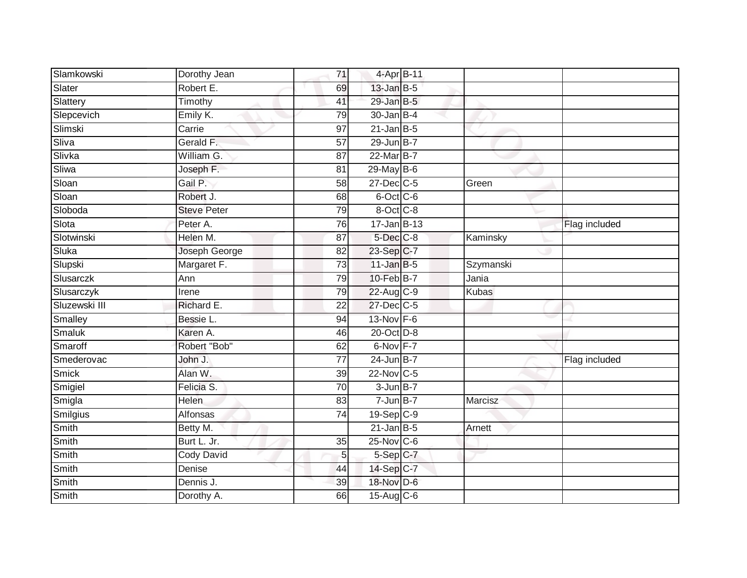| Slamkowski      | Dorothy Jean       | 71              | 4-Apr B-11       |              |               |
|-----------------|--------------------|-----------------|------------------|--------------|---------------|
| Slater          | Robert E.          | 69              | $13$ -Jan B-5    |              |               |
| Slattery        | Timothy            | 41              | 29-Jan B-5       |              |               |
| Slepcevich      | Emily K.           | 79              | $30 - Jan$ B-4   |              |               |
| Slimski         | Carrie             | $\overline{97}$ | $21$ -Jan B-5    |              |               |
| Sliva           | Gerald F.          | 57              | 29-Jun B-7       |              |               |
| Slivka          | William G.         | 87              | 22-Mar B-7       |              |               |
| Sliwa           | Joseph F.          | 81              | 29-May B-6       |              |               |
| Sloan           | Gail P.            | 58              | 27-Dec C-5       | Green        |               |
| Sloan           | Robert J.          | 68              | 6-Oct C-6        |              |               |
| Sloboda         | <b>Steve Peter</b> | 79              | 8-Oct C-8        |              |               |
| Slota           | Peter A.           | 76              | $17 - Jan$ B-13  |              | Flag included |
| Slotwinski      | Helen M.           | 87              | 5-Dec C-8        | Kaminsky     |               |
| Sluka           | Joseph George      | 82              | 23-Sep C-7       |              |               |
| Slupski         | Margaret F.        | 73              | $11$ -Jan B-5    | Szymanski    |               |
| Slusarczk       | Ann                | 79              | 10-Feb B-7       | Jania        |               |
| Slusarczyk      | Irene              | 79              | 22-Aug C-9       | <b>Kubas</b> |               |
| Sluzewski III   | Richard E.         | 22              | 27-Dec C-5       |              |               |
| Smalley         | Bessie L.          | 94              | 13-Nov F-6       |              |               |
| Smaluk          | Karen A.           | 46              | 20-Oct D-8       |              |               |
| Smaroff         | Robert "Bob"       | 62              | 6-Nov F-7        |              |               |
| Smederovac      | John J.            | $\overline{77}$ | $24$ -Jun B-7    |              | Flag included |
| <b>Smick</b>    | Alan W.            | 39              | 22-Nov C-5       |              |               |
| Smigiel         | Felicia S.         | $\overline{70}$ | $3 - Jun$ B-7    |              |               |
| Smigla          | Helen              | 83              | $7 - Jun$ B-7    | Marcisz      |               |
| <b>Smilgius</b> | Alfonsas           | $\overline{74}$ | $19-Sep$ $C-9$   |              |               |
| <b>Smith</b>    | Betty M.           |                 | $21$ -Jan B-5    | Arnett       |               |
| Smith           | Burt L. Jr.        | 35              | $25$ -Nov $C$ -6 |              |               |
| Smith           | <b>Cody David</b>  | 5 <sup>1</sup>  | 5-Sep C-7        |              |               |
| Smith           | Denise             | 44              | 14-Sep C-7       |              |               |
| Smith           | Dennis J.          | 39              | 18-Nov D-6       |              |               |
| Smith           | Dorothy A.         | 66              | 15-Aug C-6       |              |               |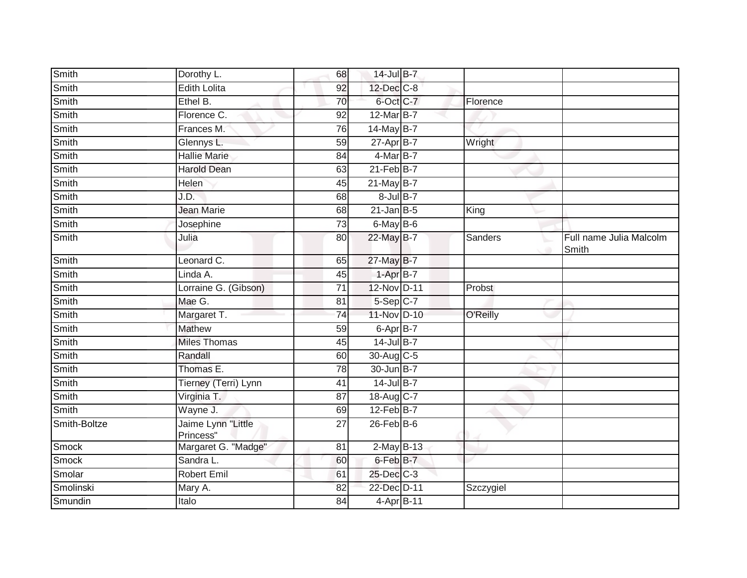| Smith        | Dorothy L.                      | 68              | 14-Jul B-7            |           |                                  |
|--------------|---------------------------------|-----------------|-----------------------|-----------|----------------------------------|
| Smith        | <b>Edith Lolita</b>             | 92              | 12-Dec C-8            |           |                                  |
| Smith        | Ethel B.                        | 70              | 6-Oct C-7             | Florence  |                                  |
| Smith        | Florence C.                     | 92              | 12-Mar B-7            |           |                                  |
| Smith        | Frances M.                      | $\overline{76}$ | 14-May B-7            |           |                                  |
| Smith        | Glennys L.                      | 59              | $27 - Apr$ B-7        | Wright    |                                  |
| Smith        | <b>Hallie Marie</b>             | 84              | 4-Mar B-7             |           |                                  |
| Smith        | <b>Harold Dean</b>              | 63              | $21$ -Feb $B$ -7      |           |                                  |
| <b>Smith</b> | <b>Helen</b>                    | 45              | $21$ -May B-7         |           |                                  |
| <b>Smith</b> | J.D.                            | 68              | $8$ -Jul $B-7$        |           |                                  |
| <b>Smith</b> | <b>Jean Marie</b>               | 68              | $21$ -Jan B-5         | King      |                                  |
| Smith        | Josephine                       | 73              | 6-May B-6             |           |                                  |
| Smith        | Julia                           | 80              | 22-May B-7            | Sanders   | Full name Julia Malcolm<br>Smith |
| Smith        | Leonard C.                      | 65              | 27-May B-7            |           |                                  |
| <b>Smith</b> | Linda A.                        | 45              | $1-AprB-7$            |           |                                  |
| Smith        | Lorraine G. (Gibson)            | 71              | 12-Nov D-11           | Probst    |                                  |
| Smith        | Mae G.                          | $\overline{81}$ | $5-Sep$ C-7           |           |                                  |
| Smith        | Margaret T.                     | 74              | 11-Nov D-10           | O'Reilly  |                                  |
| Smith        | <b>Mathew</b>                   | 59              | 6-Apr B-7             |           |                                  |
| <b>Smith</b> | <b>Miles Thomas</b>             | 45              | $14$ -Jul B-7         |           |                                  |
| Smith        | Randall                         | 60              | 30-Aug C-5            |           |                                  |
| Smith        | Thomas E.                       | 78              | 30-Jun B-7            |           |                                  |
| Smith        | Tierney (Terri) Lynn            | 41              | $14$ -Jul B-7         |           |                                  |
| Smith        | Virginia T.                     | 87              | 18-Aug C-7            |           |                                  |
| Smith        | Wayne J.                        | 69              | 12-Feb <sup>B-7</sup> |           |                                  |
| Smith-Boltze | Jaime Lynn "Little<br>Princess" | $\overline{27}$ | $26$ -Feb $B$ -6      |           |                                  |
| Smock        | Margaret G. "Madge"             | 81              | $2$ -May B-13         |           |                                  |
| <b>Smock</b> | Sandra L.                       | 60              | 6-Feb B-7             |           |                                  |
| Smolar       | <b>Robert Emil</b>              | 61              | 25-Dec C-3            |           |                                  |
| Smolinski    | Mary A.                         | 82              | 22-Dec D-11           | Szczygiel |                                  |
| Smundin      | Italo                           | 84              | 4-Apr B-11            |           |                                  |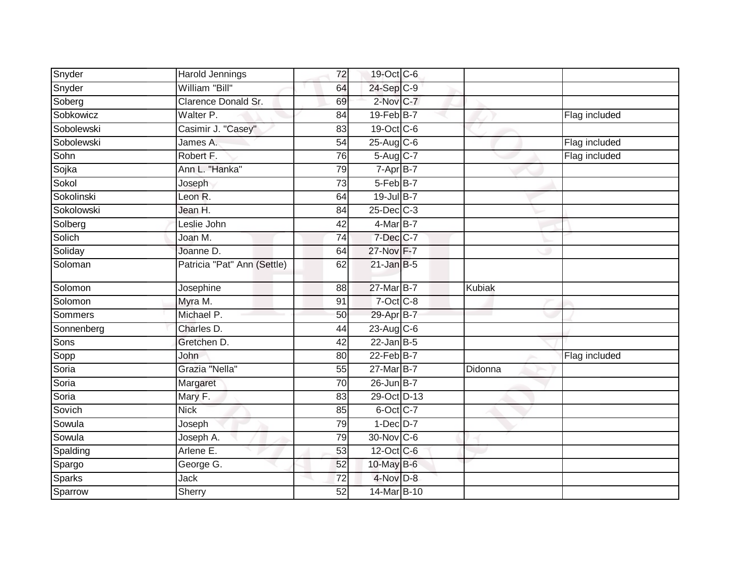| Snyder     | Harold Jennings             | 72              | 19-Oct C-6       |         |               |
|------------|-----------------------------|-----------------|------------------|---------|---------------|
| Snyder     | William "Bill"              | 64              | 24-Sep C-9       |         |               |
| Soberg     | Clarence Donald Sr.         | 69              | 2-Nov C-7        |         |               |
| Sobkowicz  | Walter P.                   | 84              | $19$ -Feb $B$ -7 |         | Flag included |
| Sobolewski | Casimir J. "Casey"          | $\overline{83}$ | 19-Oct C-6       |         |               |
| Sobolewski | James A.                    | 54              | $25-Aug$ C-6     |         | Flag included |
| Sohn       | Robert F.                   | 76              | 5-Aug C-7        |         | Flag included |
| Sojka      | Ann L. "Hanka"              | 79              | 7-Apr B-7        |         |               |
| Sokol      | Joseph                      | 73              | 5-Feb B-7        |         |               |
| Sokolinski | Leon R.                     | 64              | 19-Jul B-7       |         |               |
| Sokolowski | Jean H.                     | 84              | $25$ -Dec $C-3$  |         |               |
| Solberg    | Leslie John                 | 42              | $4$ -Mar $B$ -7  |         |               |
| Solich     | Joan M.                     | 74              | 7-Dec C-7        |         |               |
| Soliday    | Joanne D.                   | 64              | 27-Nov F-7       |         |               |
| Soloman    | Patricia "Pat" Ann (Settle) | 62              | $21$ -Jan B-5    |         |               |
| Solomon    | Josephine                   | 88              | 27-Mar B-7       | Kubiak  |               |
| Solomon    | Myra M.                     | 91              | $7$ -Oct $C$ -8  |         |               |
| Sommers    | Michael P.                  | 50              | 29-Apr B-7       |         |               |
| Sonnenberg | Charles D.                  | 44              | $23$ -Aug C-6    |         |               |
| Sons       | Gretchen D.                 | 42              | $22$ -Jan B-5    |         |               |
| Sopp       | John                        | 80              | 22-Feb B-7       |         | Flag included |
| Soria      | Grazia "Nella"              | 55              | $27$ -Mar B-7    | Didonna |               |
| Soria      | Margaret                    | 70              | 26-Jun B-7       |         |               |
| Soria      | Mary F.                     | 83              | 29-Oct D-13      |         |               |
| Sovich     | <b>Nick</b>                 | 85              | 6-Oct C-7        |         |               |
| Sowula     | Joseph                      | 79              | $1-Dec$ D-7      |         |               |
| Sowula     | Joseph A.                   | 79              | 30-Nov C-6       |         |               |
| Spalding   | Arlene E.                   | $\overline{53}$ | 12-Oct C-6       |         |               |
| Spargo     | George G.                   | 52              | 10-May B-6       |         |               |
| Sparks     | Jack                        | 72              | 4-Nov D-8        |         |               |
| Sparrow    | Sherry                      | 52              | 14-Mar B-10      |         |               |
|            |                             |                 |                  |         |               |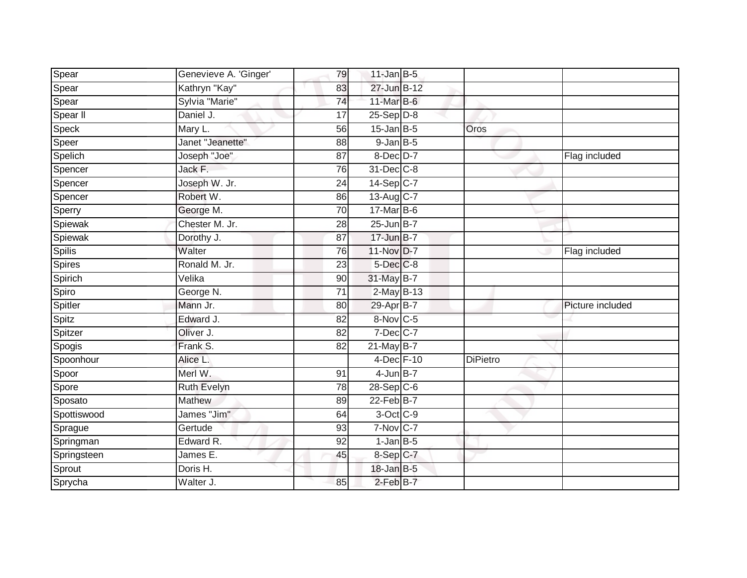| Spear         | Genevieve A. 'Ginger' | 79              | $11$ -Jan $B-5$  |                 |                  |
|---------------|-----------------------|-----------------|------------------|-----------------|------------------|
|               | Kathryn "Kay"         | 83              | 27-Jun B-12      |                 |                  |
| Spear         | Sylvia "Marie"        | 74              | 11-Mar $B-6$     |                 |                  |
| Spear         | Daniel J.             |                 |                  |                 |                  |
| Spear II      |                       | 17              | $25-Sep D-8$     |                 |                  |
| Speck         | Mary L.               | $\overline{56}$ | $15$ -Jan B-5    | Oros            |                  |
| Speer         | Janet "Jeanette"      | 88              | $9$ -Jan $B$ -5  |                 |                  |
| Spelich       | Joseph "Joe"          | 87              | 8-Dec D-7        |                 | Flag included    |
| Spencer       | Jack F.               | 76              | 31-Dec C-8       |                 |                  |
| Spencer       | Joseph W. Jr.         | 24              | 14-Sep C-7       |                 |                  |
| Spencer       | Robert W.             | 86              | 13-Aug C-7       |                 |                  |
| Sperry        | George M.             | 70              | 17-Mar B-6       |                 |                  |
| Spiewak       | Chester M. Jr.        | 28              | $25$ -Jun $B-7$  |                 |                  |
| Spiewak       | Dorothy J.            | 87              | $17$ -Jun $B-7$  |                 |                  |
| <b>Spilis</b> | Walter                | 76              | 11-Nov D-7       |                 | Flag included    |
| Spires        | Ronald M. Jr.         | 23              | 5-Dec C-8        |                 |                  |
| Spirich       | Velika                | 90              | 31-May B-7       |                 |                  |
| Spiro         | George N.             | $\overline{71}$ | 2-May B-13       |                 |                  |
| Spitler       | Mann Jr.              | 80              | 29-Apr B-7       |                 | Picture included |
| Spitz         | Edward J.             | 82              | 8-Nov C-5        |                 |                  |
| Spitzer       | Oliver J.             | 82              | $7$ -Dec $C$ -7  |                 |                  |
| Spogis        | Frank S.              | 82              | $21$ -May B-7    |                 |                  |
| Spoonhour     | Alice L.              |                 | 4-Dec F-10       | <b>DiPietro</b> |                  |
| Spoor         | Merl W.               | 91              | $4$ -Jun $B-7$   |                 |                  |
| Spore         | Ruth Evelyn           | 78              | 28-Sep C-6       |                 |                  |
| Sposato       | Mathew                | 89              | $22$ -Feb $B$ -7 |                 |                  |
| Spottiswood   | James "Jim"           | 64              | 3-Oct C-9        |                 |                  |
| Sprague       | Gertude               | 93              | 7-Nov C-7        |                 |                  |
| Springman     | Edward R.             | 92              | $1$ -Jan $B$ -5  |                 |                  |
| Springsteen   | James E.              | 45              | 8-Sep C-7        |                 |                  |
| Sprout        | Doris H.              |                 | $18$ -Jan B-5    |                 |                  |
| Sprycha       | Walter J.             | 85              | 2-Feb B-7        |                 |                  |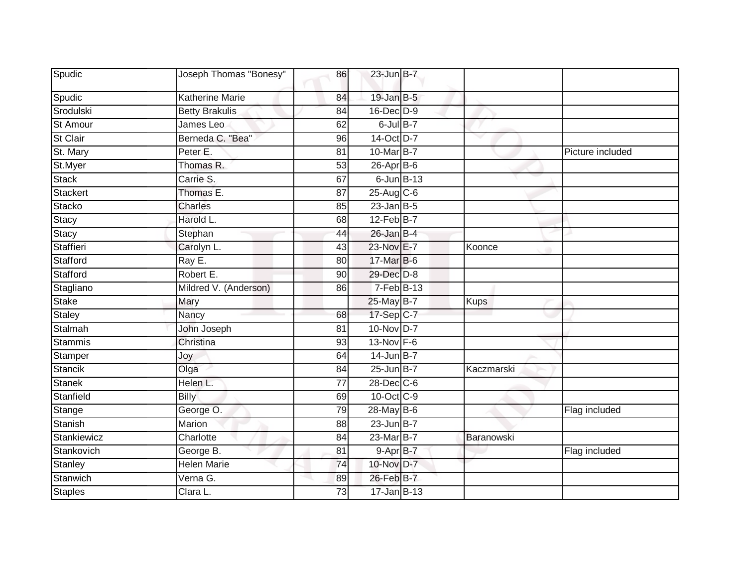| Spudic          | Joseph Thomas "Bonesy" | 86              | $23$ -Jun $B-7$   |             |                  |
|-----------------|------------------------|-----------------|-------------------|-------------|------------------|
| Spudic          | <b>Katherine Marie</b> | 84              | $19$ -Jan B-5     |             |                  |
| Srodulski       | <b>Betty Brakulis</b>  | 84              | 16-Dec D-9        |             |                  |
| <b>St Amour</b> | James Leo              | 62              | $6$ -Jul $B$ -7   |             |                  |
| St Clair        | Berneda C. "Bea"       | 96              | 14-Oct D-7        |             |                  |
| St. Mary        | Peter <sub>E.</sub>    | 81              | 10-Mar B-7        |             | Picture included |
| St.Myer         | Thomas R.              | 53              | $26$ -Apr $B$ -6  |             |                  |
| <b>Stack</b>    | Carrie S.              | 67              | $6$ -Jun $B-13$   |             |                  |
| <b>Stackert</b> | Thomas E.              | 87              | 25-Aug C-6        |             |                  |
| Stacko          | <b>Charles</b>         | 85              | $23$ -Jan B-5     |             |                  |
| Stacy           | Harold L.              | 68              | $12$ -Feb $B$ -7  |             |                  |
| Stacy           | Stephan                | 44              | $26$ -Jan B-4     |             |                  |
| Staffieri       | Carolyn L.             | 43              | 23-Nov E-7        | Koonce      |                  |
| Stafford        | Ray E.                 | 80              | 17-Mar B-6        |             |                  |
| Stafford        | Robert E.              | 90              | 29-Dec D-8        |             |                  |
| Stagliano       | Mildred V. (Anderson)  | 86              | $7-Feb$ B-13      |             |                  |
| <b>Stake</b>    | Mary                   |                 | 25-May B-7        | <b>Kups</b> |                  |
| <b>Staley</b>   | Nancy                  | 68              | 17-Sep C-7        |             |                  |
| Stalmah         | John Joseph            | 81              | 10-Nov D-7        |             |                  |
| <b>Stammis</b>  | Christina              | $\overline{93}$ | 13-Nov F-6        |             |                  |
| Stamper         | Joy                    | 64              | $14$ -Jun B-7     |             |                  |
| <b>Stancik</b>  | Olga                   | 84              | $25$ -Jun $B-7$   | Kaczmarski  |                  |
| <b>Stanek</b>   | Helen L.               | 77              | 28-Dec C-6        |             |                  |
| Stanfield       | <b>Billy</b>           | 69              | 10-Oct C-9        |             |                  |
| Stange          | George O.              | 79              | $28$ -May B-6     |             | Flag included    |
| Stanish         | Marion                 | 88              | $23$ -Jun $B-7$   |             |                  |
| Stankiewicz     | Charlotte              | 84              | 23-Mar B-7        | Baranowski  |                  |
| Stankovich      | George B.              | 81              | $9 - Apr$ $B - 7$ |             | Flag included    |
| Stanley         | <b>Helen Marie</b>     | 74              | 10-Nov D-7        |             |                  |
| Stanwich        | Verna G.               | 89              | 26-Feb B-7        |             |                  |
| <b>Staples</b>  | Clara L.               | 73              | $17 - Jan$ B-13   |             |                  |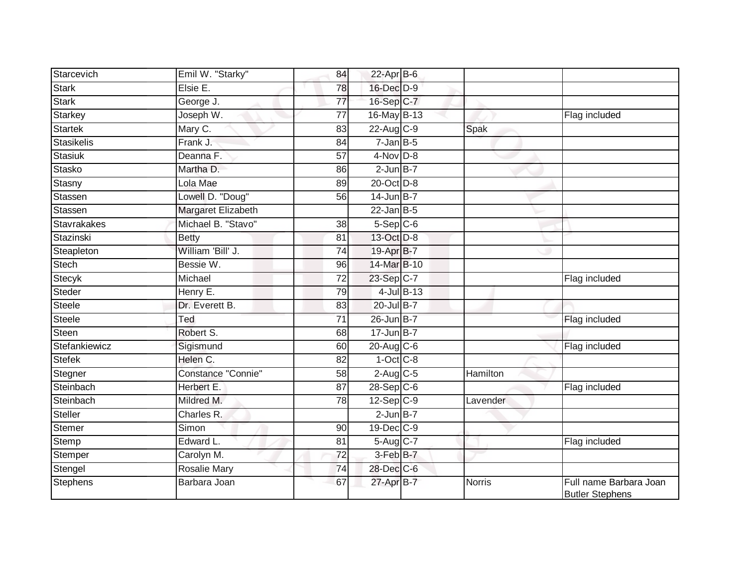| Starcevich     | Emil W. "Starky"    | 84              | $22$ -Apr $B$ -6       |          |                                                  |
|----------------|---------------------|-----------------|------------------------|----------|--------------------------------------------------|
| Stark          | Elsie E.            | 78              | 16-Dec D-9             |          |                                                  |
| <b>Stark</b>   | George J.           | 77              | 16-Sep C-7             |          |                                                  |
| Starkey        | Joseph W.           | 77              | 16-May B-13            |          | Flag included                                    |
| <b>Startek</b> | Mary C.             | $\overline{83}$ | 22-Aug C-9             | Spak     |                                                  |
| Stasikelis     | Frank J.            | 84              | $7$ -Jan B-5           |          |                                                  |
| Stasiuk        | Deanna F.           | 57              | $4$ -Nov $D-8$         |          |                                                  |
| Stasko         | Martha D.           | 86              | $2$ -Jun $B-7$         |          |                                                  |
| Stasny         | Lola Mae            | 89              | 20-Oct D-8             |          |                                                  |
| Stassen        | Lowell D. "Doug"    | 56              | 14-Jun B-7             |          |                                                  |
| Stassen        | Margaret Elizabeth  |                 | $22$ -Jan B-5          |          |                                                  |
| Stavrakakes    | Michael B. "Stavo"  | 38              | $5-Sep C-6$            |          |                                                  |
| Stazinski      | <b>Betty</b>        | 81              | 13-Oct D-8             |          |                                                  |
| Steapleton     | William 'Bill' J.   | 74              | 19-Apr B-7             |          |                                                  |
| <b>Stech</b>   | Bessie W.           | 96              | 14-Mar B-10            |          |                                                  |
| Stecyk         | Michael             | 72              | 23-Sep C-7             |          | Flag included                                    |
| Steder         | Henry E.            | 79              | $4$ -Jul $B-13$        |          |                                                  |
| Steele         | Dr. Everett B.      | 83              | 20-Jul B-7             |          |                                                  |
| <b>Steele</b>  | Ted                 | 71              | 26-Jun B-7             |          | Flag included                                    |
| Steen          | Robert S.           | 68              | $17 - Jun$ B-7         |          |                                                  |
| Stefankiewicz  | Sigismund           | 60              | $20$ -Aug C-6          |          | Flag included                                    |
| Stefek         | Helen C.            | 82              | $1-Oct$ $C-8$          |          |                                                  |
| Stegner        | Constance "Connie"  | 58              | $2-Aug$ <sub>C-5</sub> | Hamilton |                                                  |
| Steinbach      | Herbert E.          | $\overline{87}$ | $28-Sep$ C-6           |          | Flag included                                    |
| Steinbach      | Mildred M.          | 78              | $12-Sep$ $C-9$         | Lavender |                                                  |
| Steller        | Charles R.          |                 | $2$ -Jun $B-7$         |          |                                                  |
| Stemer         | Simon               | 90              | 19-Dec C-9             |          |                                                  |
| Stemp          | Edward L.           | 81              | 5-Aug C-7              |          | Flag included                                    |
| Stemper        | Carolyn M.          | $\overline{72}$ | 3-Feb B-7              |          |                                                  |
| Stengel        | <b>Rosalie Mary</b> | 74              | 28-Dec C-6             |          |                                                  |
| Stephens       | Barbara Joan        | 67              | 27-Apr B-7             | Norris   | Full name Barbara Joan<br><b>Butler Stephens</b> |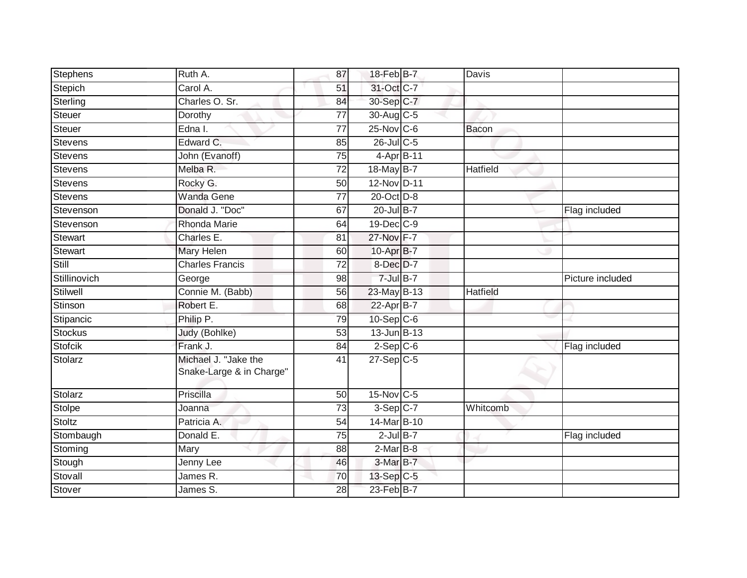| Stephens       | Ruth A.                                          | 87              | 18-Feb B-7        | Davis           |                  |
|----------------|--------------------------------------------------|-----------------|-------------------|-----------------|------------------|
| Stepich        | Carol A.                                         | 51              | 31-Oct C-7        |                 |                  |
| Sterling       | Charles O. Sr.                                   | 84              | 30-Sep C-7        |                 |                  |
| Steuer         | Dorothy                                          | 77              | $30$ -Aug C-5     |                 |                  |
| Steuer         | $E$ dna I.                                       | $\overline{77}$ | $25$ -Nov $ C-6 $ | <b>Bacon</b>    |                  |
| Stevens        | Edward C.                                        | 85              | $26$ -Jul C-5     |                 |                  |
| Stevens        | John (Evanoff)                                   | 75              | 4-Apr B-11        |                 |                  |
| Stevens        | Melba R.                                         | 72              | 18-May B-7        | Hatfield        |                  |
| <b>Stevens</b> | Rocky G.                                         | 50              | 12-Nov D-11       |                 |                  |
| <b>Stevens</b> | <b>Wanda Gene</b>                                | $\overline{77}$ | 20-Oct D-8        |                 |                  |
| Stevenson      | Donald J. "Doc"                                  | 67              | $20$ -Jul B-7     |                 | Flag included    |
| Stevenson      | Rhonda Marie                                     | 64              | $19$ -Dec $C$ -9  |                 |                  |
| Stewart        | Charles E.                                       | 81              | 27-Nov F-7        |                 |                  |
| <b>Stewart</b> | <b>Mary Helen</b>                                | 60              | 10-Apr B-7        |                 |                  |
| Still          | <b>Charles Francis</b>                           | $\overline{72}$ | 8-Dec D-7         |                 |                  |
| Stillinovich   | George                                           | 98              | $7$ -Jul $B-7$    |                 | Picture included |
| Stilwell       | Connie M. (Babb)                                 | 56              | 23-May B-13       | <b>Hatfield</b> |                  |
| Stinson        | Robert E.                                        | 68              | 22-Apr B-7        |                 |                  |
| Stipancic      | Philip P.                                        | 79              | $10-Sep$ $C-6$    |                 |                  |
| Stockus        | Judy (Bohlke)                                    | 53              | 13-Jun B-13       |                 |                  |
| <b>Stofcik</b> | Frank J.                                         | 84              | $2-Sep$ C-6       |                 | Flag included    |
| Stolarz        | Michael J. "Jake the<br>Snake-Large & in Charge" | 41              | $27-Sep$ C-5      |                 |                  |
| Stolarz        | Priscilla                                        | $\overline{50}$ | 15-Nov C-5        |                 |                  |
| Stolpe         | Joanna                                           | $\overline{73}$ | $3-Sep C-7$       | Whitcomb        |                  |
| Stoltz         | Patricia A.                                      | 54              | 14-Mar B-10       |                 |                  |
| Stombaugh      | Donald E.                                        | 75              | $2$ -Jul $B-7$    |                 | Flag included    |
| Stoming        | Mary                                             | 88              | $2$ -Mar $B$ -8   |                 |                  |
| Stough         | Jenny Lee                                        | 46              | $3-MarB-7$        |                 |                  |
| Stovall        | James R.                                         | 70              | 13-Sep C-5        |                 |                  |
| Stover         | James S.                                         | 28              | $23$ -Feb $B$ -7  |                 |                  |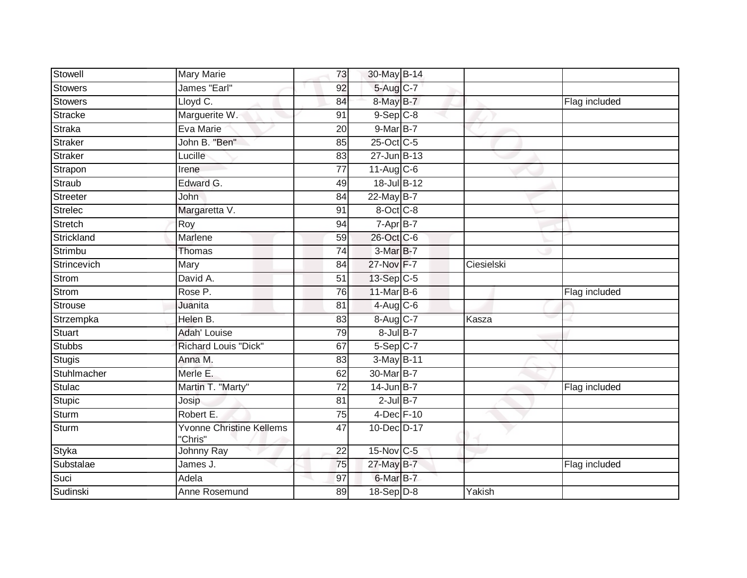| Stowell         | <b>Mary Marie</b>                          | 73              | 30-May B-14     |            |               |
|-----------------|--------------------------------------------|-----------------|-----------------|------------|---------------|
| <b>Stowers</b>  | James "Earl"                               | 92              | 5-Aug C-7       |            |               |
| Stowers         | Lloyd C.                                   | 84              | 8-May B-7       |            | Flag included |
| Stracke         | Marguerite W.                              | 91              | $9-$ Sep $C-8$  |            |               |
| <b>Straka</b>   | Eva Marie                                  | $\overline{20}$ | $9$ -Mar $B$ -7 |            |               |
| Straker         | John B. "Ben"                              | 85              | 25-Oct C-5      |            |               |
| <b>Straker</b>  | Lucille                                    | 83              | $27 - Jun$ B-13 |            |               |
| Strapon         | Irene                                      | 77              | $11-Aug$ $C-6$  |            |               |
| Straub          | Edward G.                                  | 49              | 18-Jul B-12     |            |               |
| <b>Streeter</b> | John                                       | 84              | 22-May B-7      |            |               |
| Strelec         | Margaretta V.                              | 91              | 8-Oct C-8       |            |               |
| Stretch         | Roy                                        | 94              | 7-Apr B-7       |            |               |
| Strickland      | Marlene                                    | 59              | 26-Oct C-6      |            |               |
| Strimbu         | Thomas                                     | 74              | 3-Mar B-7       |            |               |
| Strincevich     | Mary                                       | 84              | 27-Nov F-7      | Ciesielski |               |
| Strom           | David A.                                   | 51              | 13-Sep C-5      |            |               |
| Strom           | Rose P.                                    | 76              | 11-Mar B-6      |            | Flag included |
| Strouse         | Juanita                                    | 81              | $4$ -Aug C-6    |            |               |
| Strzempka       | Helen B.                                   | 83              | 8-Aug C-7       | Kasza      |               |
| Stuart          | <b>Adah' Louise</b>                        | 79              | $8$ -Jul $B-7$  |            |               |
| Stubbs          | <b>Richard Louis "Dick"</b>                | 67              | $5-Sep$ C-7     |            |               |
| <b>Stugis</b>   | Anna M.                                    | 83              | 3-May B-11      |            |               |
| Stuhlmacher     | Merle E.                                   | 62              | 30-Mar B-7      |            |               |
| <b>Stulac</b>   | Martin T. "Marty"                          | $\overline{72}$ | 14-Jun B-7      |            | Flag included |
| <b>Stupic</b>   | Josip                                      | 81              | $2$ -Jul $B-7$  |            |               |
| Sturm           | Robert E.                                  | 75              | 4-Dec F-10      |            |               |
| <b>Sturm</b>    | <b>Yvonne Christine Kellems</b><br>"Chris" | 47              | 10-Dec D-17     |            |               |
| Styka           | Johnny Ray                                 | 22              | 15-Nov C-5      |            |               |
| Substalae       | James J.                                   | 75              | 27-May B-7      |            | Flag included |
| Suci            | Adela                                      | 97              | $6$ -Mar $B$ -7 |            |               |
| Sudinski        | Anne Rosemund                              | 89              | $18-Sep D-8$    | Yakish     |               |
|                 |                                            |                 |                 |            |               |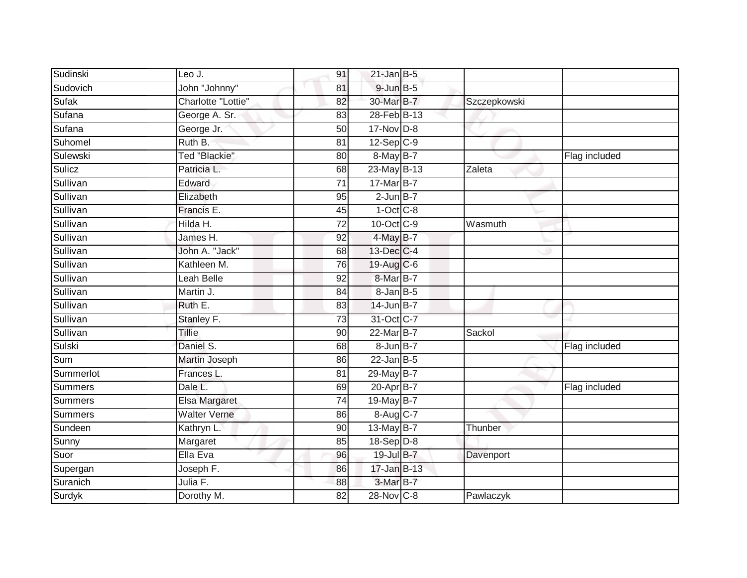| Sudinski       | Leo J.               | 91              | $21$ -Jan B-5   |              |               |
|----------------|----------------------|-----------------|-----------------|--------------|---------------|
| Sudovich       | John "Johnny"        | 81              | 9-Jun B-5       |              |               |
| Sufak          | Charlotte "Lottie"   | 82              | 30-Mar B-7      | Szczepkowski |               |
| Sufana         | George A. Sr.        | 83              | 28-Feb B-13     |              |               |
| Sufana         | George Jr.           | $\overline{50}$ | 17-Nov D-8      |              |               |
| Suhomel        | Ruth B.              | 81              | $12$ -Sep $C-9$ |              |               |
| Sulewski       | Ted "Blackie"        | 80              | 8-May B-7       |              | Flag included |
| Sulicz         | Patricia L.          | 68              | 23-May B-13     | Zaleta       |               |
| Sullivan       | Edward               | $\overline{71}$ | 17-Mar B-7      |              |               |
| Sullivan       | Elizabeth            | 95              | $2$ -Jun $B-7$  |              |               |
| Sullivan       | Francis E.           | 45              | $1-Oct$ $C-8$   |              |               |
| Sullivan       | Hilda H.             | 72              | 10-Oct C-9      | Wasmuth      |               |
| Sullivan       | James H.             | 92              | 4-May B-7       |              |               |
| Sullivan       | John A. "Jack"       | 68              | 13-Dec C-4      |              |               |
| Sullivan       | Kathleen M.          | $\overline{76}$ | 19-Aug C-6      |              |               |
| Sullivan       | Leah Belle           | 92              | 8-Mar B-7       |              |               |
| Sullivan       | Martin J.            | 84              | $8 - JanB - 5$  |              |               |
| Sullivan       | Ruth E.              | 83              | 14-Jun B-7      |              |               |
| Sullivan       | Stanley F.           | 73              | 31-Oct C-7      |              |               |
| Sullivan       | <b>Tillie</b>        | 90              | 22-Mar B-7      | Sackol       |               |
| Sulski         | Daniel S.            | 68              | $8$ -Jun $B$ -7 |              | Flag included |
| Sum            | <b>Martin Joseph</b> | 86              | $22$ -Jan B-5   |              |               |
| Summerlot      | Frances L.           | 81              | 29-May B-7      |              |               |
| <b>Summers</b> | Dale L.              | 69              | 20-Apr B-7      |              | Flag included |
| Summers        | Elsa Margaret        | 74              | 19-May B-7      |              |               |
| Summers        | <b>Walter Verne</b>  | 86              | $8-Aug$ $C-7$   |              |               |
| Sundeen        | Kathryn L.           | 90              | 13-May B-7      | Thunber      |               |
| Sunny          | Margaret             | 85              | $18-Sep$ D-8    |              |               |
| Suor           | Ella Eva             | 96              | 19-Jul B-7      | Davenport    |               |
| Supergan       | Joseph F.            | 86              | 17-Jan B-13     |              |               |
| Suranich       | Julia F.             | 88              | 3-Mar B-7       |              |               |
| Surdyk         | Dorothy M.           | 82              | 28-Nov C-8      | Pawlaczyk    |               |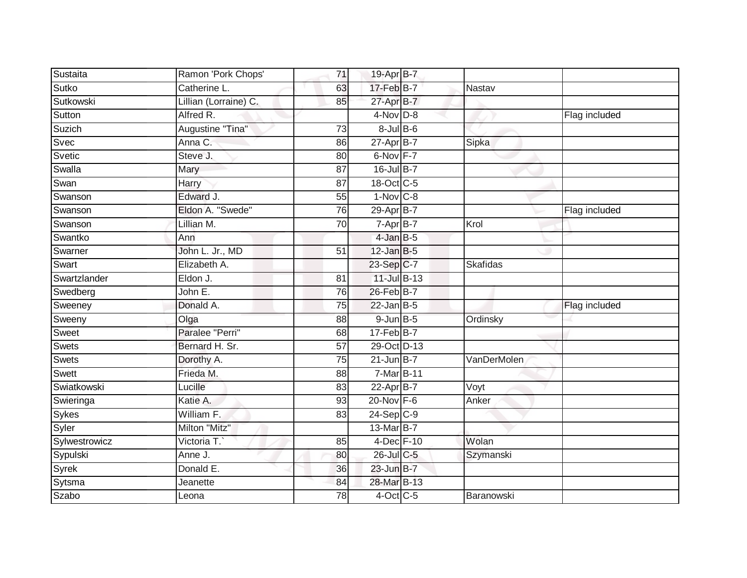| Sustaita      | Ramon 'Pork Chops'    | 71 | 19-Apr B-7      |                 |               |
|---------------|-----------------------|----|-----------------|-----------------|---------------|
| Sutko         | Catherine L.          | 63 | 17-Feb B-7      | <b>Nastav</b>   |               |
| Sutkowski     | Lillian (Lorraine) C. | 85 | 27-Apr B-7      |                 |               |
| Sutton        | Alfred R.             |    | $4-Nov$ D-8     |                 | Flag included |
| Suzich        | Augustine "Tina"      | 73 | $8$ -Jul $B$ -6 |                 |               |
| Svec          | Anna C.               | 86 | 27-Apr B-7      | Sipka           |               |
| Svetic        | Steve J.              | 80 | $6$ -Nov $F-7$  |                 |               |
| Swalla        | Mary                  | 87 | 16-Jul B-7      |                 |               |
| Swan          | Harry                 | 87 | 18-Oct C-5      |                 |               |
| Swanson       | Edward J.             | 55 | $1-Nov$ C-8     |                 |               |
| Swanson       | Eldon A. "Swede"      | 76 | 29-Apr B-7      |                 | Flag included |
| Swanson       | Lillian M.            | 70 | 7-Apr B-7       | Krol            |               |
| Swantko       | Ann                   |    | 4-Jan B-5       |                 |               |
| Swarner       | John L. Jr., MD       | 51 | $12$ -Jan B-5   |                 |               |
| Swart         | Elizabeth A.          |    | 23-Sep C-7      | <b>Skafidas</b> |               |
| Swartzlander  | Eldon J.              | 81 | 11-Jul B-13     |                 |               |
| Swedberg      | John E.               | 76 | 26-Feb B-7      |                 |               |
| Sweeney       | Donald A.             | 75 | $22$ -Jan B-5   |                 | Flag included |
| Sweeny        | Olga                  | 88 | $9$ -Jun $B$ -5 | Ordinsky        |               |
| Sweet         | Paralee "Perri"       | 68 | $17 - Feb$ B-7  |                 |               |
| <b>Swets</b>  | Bernard H. Sr.        | 57 | 29-Oct D-13     |                 |               |
| Swets         | Dorothy A.            | 75 | $21$ -Jun B-7   | VanDerMolen     |               |
| Swett         | Frieda M.             | 88 | 7-Mar B-11      |                 |               |
| Swiatkowski   | Lucille               | 83 | $22-Apr$ B-7    | Voyt            |               |
| Swieringa     | Katie A.              | 93 | $20$ -Nov $F-6$ | Anker           |               |
| Sykes         | William F.            | 83 | $24-Sep C-9$    |                 |               |
| Syler         | Milton "Mitz"         |    | 13-Mar B-7      |                 |               |
| Sylwestrowicz | Victoria T.           | 85 | 4-Dec F-10      | Wolan           |               |
| Sypulski      | Anne J.               | 80 | 26-Jul C-5      | Szymanski       |               |
| Syrek         | Donald E.             | 36 | 23-Jun B-7      |                 |               |
| Sytsma        | Jeanette              | 84 | 28-Mar B-13     |                 |               |
| Szabo         | Leona                 | 78 | $4$ -Oct C-5    | Baranowski      |               |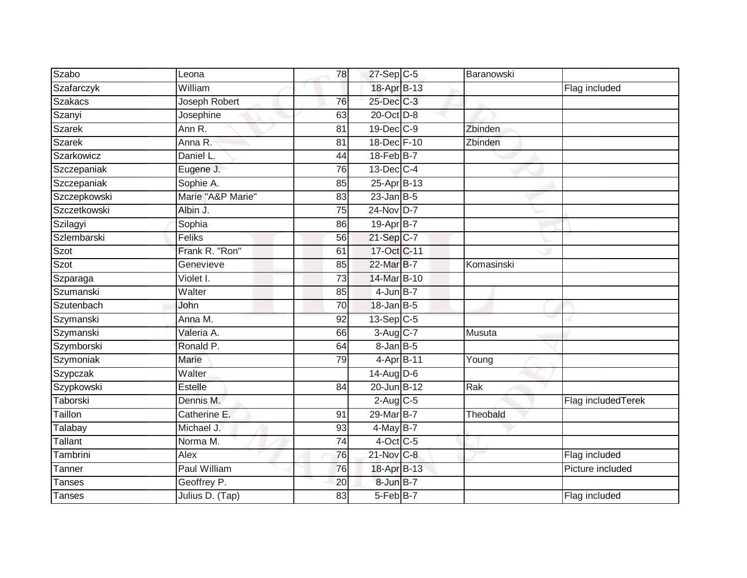| Szabo          | Leona             | 78              | $27-SepC-5$            | Baranowski |                    |
|----------------|-------------------|-----------------|------------------------|------------|--------------------|
| Szafarczyk     | William           |                 | 18-Apr B-13            |            | Flag included      |
| <b>Szakacs</b> | Joseph Robert     | 76              | 25-Dec C-3             |            |                    |
| Szanyi         | Josephine         | 63              | 20-Oct D-8             |            |                    |
| <b>Szarek</b>  | Ann R.            | $\overline{81}$ | $19$ -Dec $C-9$        | Zbinden    |                    |
| Szarek         | Anna R.           | 81              | 18-Dec F-10            | Zbinden    |                    |
| Szarkowicz     | Daniel L.         | 44              | 18-Feb B-7             |            |                    |
| Szczepaniak    | Eugene J.         | 76              | $13$ -Dec $C-4$        |            |                    |
| Szczepaniak    | Sophie A.         | 85              | 25-Apr B-13            |            |                    |
| Szczepkowski   | Marie "A&P Marie" | 83              | $23$ -Jan B-5          |            |                    |
| Szczetkowski   | Albin J.          | 75              | 24-Nov D-7             |            |                    |
| Szilagyi       | Sophia            | 86              | $19-Apr$ B-7           |            |                    |
| Szlembarski    | Feliks            | 56              | 21-Sep C-7             |            |                    |
| Szot           | Frank R. "Ron"    | 61              | 17-Oct C-11            |            |                    |
| Szot           | Genevieve         | 85              | 22-Mar B-7             | Komasinski |                    |
| Szparaga       | Violet I.         | 73              | 14-Mar B-10            |            |                    |
| Szumanski      | Walter            | 85              | $4$ -Jun $B-7$         |            |                    |
| Szutenbach     | John              | 70              | 18-Jan B-5             |            |                    |
| Szymanski      | Anna M.           | 92              | 13-Sep C-5             |            |                    |
| Szymanski      | Valeria A.        | 66              | $3-Aug$ <sub>C-7</sub> | Musuta     |                    |
| Szymborski     | Ronald P.         | 64              | $8 - Jan$ $B - 5$      |            |                    |
| Szymoniak      | Marie             | 79              | 4-Apr B-11             | Young      |                    |
| Szypczak       | Walter            |                 | $14$ -AugD-6           |            |                    |
| Szypkowski     | <b>Estelle</b>    | 84              | 20-Jun B-12            | Rak        |                    |
| Taborski       | Dennis M.         |                 | $2$ -Aug C-5           |            | Flag includedTerek |
| Taillon        | Catherine E.      | 91              | 29-Mar B-7             | Theobald   |                    |
| Talabay        | Michael J.        | 93              | $4$ -May B-7           |            |                    |
| Tallant        | Norma M.          | $\overline{74}$ | $4$ -Oct C-5           |            |                    |
| Tambrini       | Alex              | 76              | $21$ -Nov $C-8$        |            | Flag included      |
| Tanner         | Paul William      | 76              | 18-Apr B-13            |            | Picture included   |
| <b>Tanses</b>  | Geoffrey P.       | 20              | 8-Jun B-7              |            |                    |
| Tanses         | Julius D. (Tap)   | 83              | 5-Feb B-7              |            | Flag included      |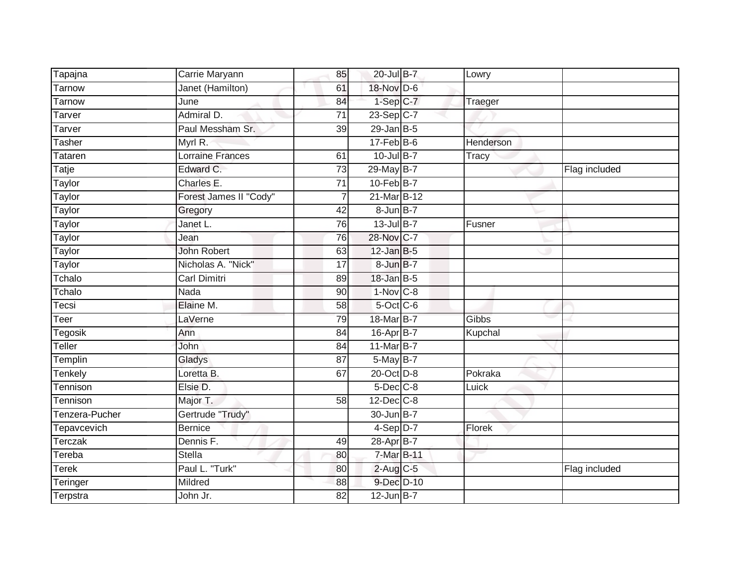| Tapajna        | Carrie Maryann          | 85              | 20-Jul B-7       | Lowry        |               |
|----------------|-------------------------|-----------------|------------------|--------------|---------------|
| Tarnow         | Janet (Hamilton)        | 61              | 18-Nov D-6       |              |               |
| <b>Tarnow</b>  | June                    | 84              | $1-Sep$ $C-7$    | Traeger      |               |
| Tarver         | Admiral D.              | 71              | 23-Sep C-7       |              |               |
| Tarver         | Paul Messham Sr.        | $\overline{39}$ | $29$ -Jan B-5    |              |               |
| <b>Tasher</b>  | Myrl R.                 |                 | $17$ -Feb $B$ -6 | Henderson    |               |
| Tataren        | <b>Lorraine Frances</b> | 61              | $10$ -Jul B-7    | <b>Tracy</b> |               |
| <b>Tatje</b>   | Edward C.               | 73              | 29-May B-7       |              | Flag included |
| Taylor         | Charles E.              | 71              | $10$ -Feb $B$ -7 |              |               |
| <b>Taylor</b>  | Forest James II "Cody"  |                 | 21-Mar B-12      |              |               |
| Taylor         | Gregory                 | 42              | 8-Jun B-7        |              |               |
| Taylor         | Janet L.                | 76              | $13$ -Jul $B-7$  | Fusner       |               |
| Taylor         | Jean                    | 76              | 28-Nov C-7       |              |               |
| Taylor         | <b>John Robert</b>      | 63              | $12$ -Jan B-5    |              |               |
| Taylor         | Nicholas A. "Nick"      | $\overline{17}$ | 8-Jun B-7        |              |               |
| Tchalo         | <b>Carl Dimitri</b>     | 89              | $18$ -Jan B-5    |              |               |
| Tchalo         | Nada                    | 90              | $1-Nov$ C-8      |              |               |
| Tecsi          | Elaine M.               | 58              | 5-Oct C-6        |              |               |
| Teer           | LaVerne                 | 79              | 18-Mar B-7       | <b>Gibbs</b> |               |
| <b>Tegosik</b> | Ann                     | 84              | 16-Apr B-7       | Kupchal      |               |
| Teller         | John                    | 84              | 11-Mar B-7       |              |               |
| Templin        | Gladys                  | $\overline{87}$ | 5-May B-7        |              |               |
| Tenkely        | Loretta B.              | 67              | 20-Oct D-8       | Pokraka      |               |
| Tennison       | Elsie D.                |                 | $5$ -Dec $C$ -8  | Luick        |               |
| Tennison       | Major T.                | 58              | $12$ -Dec $C$ -8 |              |               |
| Tenzera-Pucher | Gertrude "Trudy"        |                 | 30-Jun B-7       |              |               |
| Tepavcevich    | <b>Bernice</b>          |                 | $4-Sep$ D-7      | Florek       |               |
| Terczak        | Dennis F.               | 49              | 28-Apr B-7       |              |               |
| Tereba         | <b>Stella</b>           | 80              | 7-Mar B-11       |              |               |
| <b>Terek</b>   | Paul L. "Turk"          | 80              | $2$ -Aug C-5     |              | Flag included |
| Teringer       | Mildred                 | 88              | 9-Dec D-10       |              |               |
| Terpstra       | John Jr.                | $\overline{82}$ | $12$ -Jun B-7    |              |               |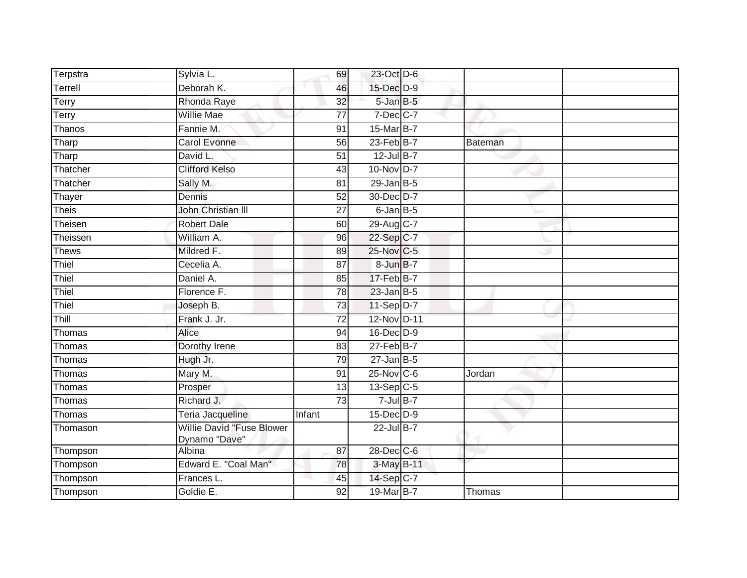| Terpstra     | Sylvia L.                                         | 69              | 23-Oct D-6          |         |  |
|--------------|---------------------------------------------------|-----------------|---------------------|---------|--|
| Terrell      | Deborah K.                                        | 46              | 15-Dec D-9          |         |  |
| Terry        | Rhonda Raye                                       | 32              | 5-Jan B-5           |         |  |
| Terry        | Willie Mae                                        | 77              | $7$ -Dec $C$ -7     |         |  |
| Thanos       | Fannie M.                                         | 91              | 15-Mar B-7          |         |  |
| Tharp        | Carol Evonne                                      | 56              | $23$ -Feb $B-7$     | Bateman |  |
| Tharp        | David L.                                          | 51              | $12$ -Jul B-7       |         |  |
| Thatcher     | <b>Clifford Kelso</b>                             | 43              | 10-Nov D-7          |         |  |
| Thatcher     | Sally M.                                          | 81              | $29$ -Jan B-5       |         |  |
| Thayer       | Dennis                                            | 52              | 30-Dec D-7          |         |  |
| <b>Theis</b> | John Christian III                                | 27              | $6$ -Jan $B$ -5     |         |  |
| Theisen      | <b>Robert Dale</b>                                | 60              | 29-Aug C-7          |         |  |
| Theissen     | William A.                                        | 96              | 22-Sep C-7          |         |  |
| Thews        | Mildred F.                                        | 89              | 25-Nov C-5          |         |  |
| Thiel        | Cecelia A.                                        | 87              | 8-Jun B-7           |         |  |
| Thiel        | Daniel A.                                         | 85              | 17-Feb B-7          |         |  |
| Thiel        | Florence F.                                       | $\overline{78}$ | $23$ -Jan B-5       |         |  |
| Thiel        | Joseph B.                                         | 73              | $11-Sep D-7$        |         |  |
| Thill        | Frank J. Jr.                                      | 72              | 12-Nov D-11         |         |  |
| Thomas       | Alice                                             | 94              | 16-Dec D-9          |         |  |
| Thomas       | Dorothy Irene                                     | 83              | $27$ -Feb $B$ -7    |         |  |
| Thomas       | Hugh Jr.                                          | 79              | $27$ -Jan B-5       |         |  |
| Thomas       | Mary M.                                           | 91              | 25-Nov C-6          | Jordan  |  |
| Thomas       | Prosper                                           | 13              | $13-\text{Sep}$ C-5 |         |  |
| Thomas       | Richard J.                                        | $\overline{73}$ | $7$ -Jul B-7        |         |  |
| Thomas       | Teria Jacqueline                                  | Infant          | 15-Dec D-9          |         |  |
| Thomason     | <b>Willie David "Fuse Blower</b><br>Dynamo "Dave" |                 | 22-Jul B-7          |         |  |
| Thompson     | Albina                                            | 87              | 28-Dec C-6          |         |  |
| Thompson     | Edward E. "Coal Man"                              | 78              | 3-May B-11          |         |  |
| Thompson     | Frances L.                                        | 45              | 14-Sep C-7          |         |  |
| Thompson     | Goldie E.                                         | 92              | 19-Mar B-7          | Thomas  |  |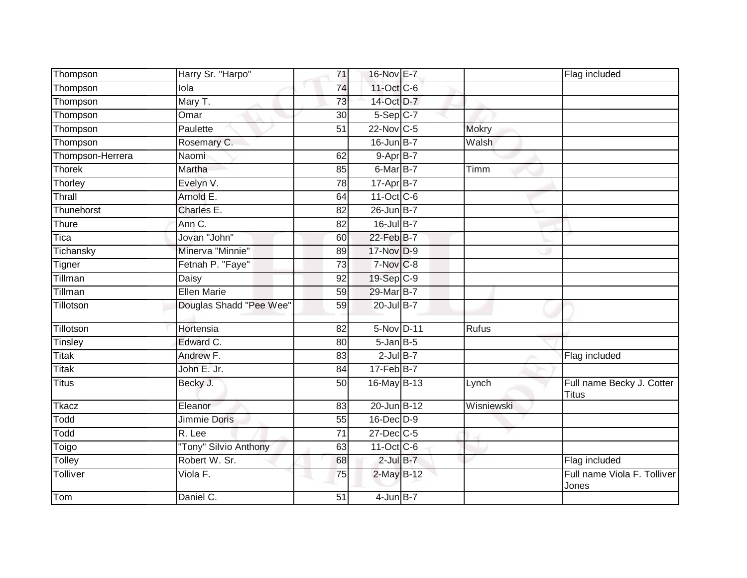| Thompson         | Harry Sr. "Harpo"       | 71              | 16-Nov E-7             |              | Flag included                        |
|------------------|-------------------------|-----------------|------------------------|--------------|--------------------------------------|
| Thompson         | lola                    | 74              | 11-Oct C-6             |              |                                      |
| Thompson         | Mary T.                 | 73              | 14-Oct D-7             |              |                                      |
| Thompson         | Omar                    | 30              | $5-Sep$ C-7            |              |                                      |
| Thompson         | Paulette                | $\overline{51}$ | $22$ -Nov C-5          | <b>Mokry</b> |                                      |
| Thompson         | Rosemary C.             |                 | 16-Jun B-7             | Walsh        |                                      |
| Thompson-Herrera | Naomi                   | 62              | $9-AprB-7$             |              |                                      |
| Thorek           | Martha                  | 85              | $6$ -Mar $B$ -7        | Timm         |                                      |
| Thorley          | Evelyn V.               | 78              | 17-Apr B-7             |              |                                      |
| Thrall           | Arnold E.               | 64              | 11-Oct C-6             |              |                                      |
| Thunehorst       | Charles E.              | 82              | $26$ -Jun $B-7$        |              |                                      |
| Thure            | Ann C.                  | 82              | 16-Jul B-7             |              |                                      |
| Tica             | Jovan "John"            | 60              | 22-Feb B-7             |              |                                      |
| Tichansky        | Minerva "Minnie"        | 89              | 17-Nov D-9             |              |                                      |
| Tigner           | Fetnah P. "Faye"        | $\overline{73}$ | $7-Nov$ <sub>C-8</sub> |              |                                      |
| Tillman          | Daisy                   | 92              | 19-Sep C-9             |              |                                      |
| Tillman          | <b>Ellen Marie</b>      | 59              | 29-Mar B-7             |              |                                      |
| Tillotson        | Douglas Shadd "Pee Wee" | 59              | 20-Jul B-7             |              |                                      |
| Tillotson        | Hortensia               | 82              | 5-Nov D-11             | <b>Rufus</b> |                                      |
| Tinsley          | Edward C.               | 80              | $5 - Jan$ $B - 5$      |              |                                      |
| Titak            | Andrew F.               | 83              | $2$ -Jul $B-7$         |              | Flag included                        |
| Titak            | John E. Jr.             | 84              | $17 - Feb$ B-7         |              |                                      |
| <b>Titus</b>     | Becky J.                | 50              | 16-May B-13            | Lynch        | Full name Becky J. Cotter<br>Titus   |
| Tkacz            | Eleanor                 | 83              | 20-Jun B-12            | Wisniewski   |                                      |
| Todd             | Jimmie Doris            | 55              | 16-Dec D-9             |              |                                      |
| Todd             | R. Lee                  | $\overline{71}$ | 27-Dec C-5             |              |                                      |
| Toigo            | "Tony" Silvio Anthony   | 63              | 11-Oct C-6             |              |                                      |
| Tolley           | Robert W. Sr.           | 68              | $2$ -Jul $B-7$         |              | Flag included                        |
| Tolliver         | Viola F.                | 75              | 2-May B-12             |              | Full name Viola F. Tolliver<br>Jones |
| Tom              | Daniel C.               | $\overline{51}$ | $4$ -Jun $B-7$         |              |                                      |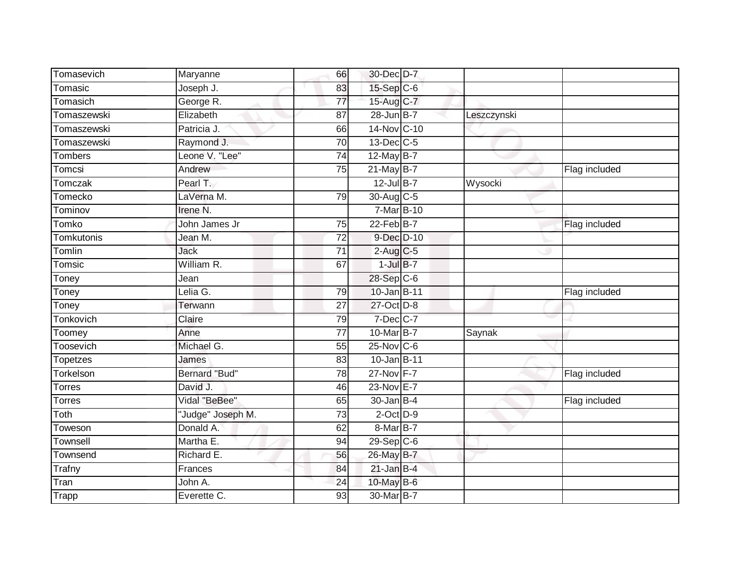| Tomasevich      | Maryanne          | 66              | 30-Dec D-7               |             |               |
|-----------------|-------------------|-----------------|--------------------------|-------------|---------------|
| Tomasic         | Joseph J.         | 83              | 15-Sep C-6               |             |               |
| Tomasich        | George R.         | $\overline{77}$ | 15-Aug C-7               |             |               |
| Tomaszewski     | Elizabeth         | 87              | 28-Jun B-7               | Leszczynski |               |
| Tomaszewski     | Patricia J.       | 66              | 14-Nov C-10              |             |               |
| Tomaszewski     | Raymond J.        | 70              | $13$ -Dec $C-5$          |             |               |
| <b>Tombers</b>  | Leone V. "Lee"    | 74              | 12-May B-7               |             |               |
| Tomcsi          | Andrew            | 75              | $21$ -May B-7            |             | Flag included |
| Tomczak         | Pearl T.          |                 | $12$ -Jul B-7            | Wysocki     |               |
| Tomecko         | LaVerna M.        | 79              | 30-Aug C-5               |             |               |
| Tominov         | Irene N.          |                 | 7-Mar B-10               |             |               |
| Tomko           | John James Jr     | 75              | $22$ -Feb $B$ -7         |             | Flag included |
| Tomkutonis      | Jean M.           | 72              | 9-Dec D-10               |             |               |
| Tomlin          | <b>Jack</b>       | $\overline{71}$ | $2$ -Aug C-5             |             |               |
| Tomsic          | William R.        | 67              | $1$ -Jul $B-7$           |             |               |
| Toney           | Jean              |                 | 28-Sep C-6               |             |               |
| Toney           | Lelia G.          | 79              | 10-Jan B-11              |             | Flag included |
| Toney           | Terwann           | 27              | 27-Oct D-8               |             |               |
| Tonkovich       | Claire            | 79              | $7$ -Dec $C$ -7          |             |               |
| Toomey          | Anne              | $\overline{77}$ | 10-Mar B-7               | Saynak      |               |
| Toosevich       | Michael G.        | 55              | 25-Nov C-6               |             |               |
| <b>Topetzes</b> | James             | 83              | 10-Jan B-11              |             |               |
| Torkelson       | Bernard "Bud"     | 78              | 27-Nov F-7               |             | Flag included |
| <b>Torres</b>   | David J.          | 46              | 23-Nov E-7               |             |               |
| Torres          | Vidal "BeBee"     | 65              | $30 - Jan$ B-4           |             | Flag included |
| Toth            | "Judge" Joseph M. | 73              | $2$ -Oct $D-9$           |             |               |
| Toweson         | Donald A.         | 62              | 8-Mar B-7                |             |               |
| Townsell        | Martha E.         | 94              | $29-Sep$ <sub>C</sub> -6 |             |               |
| Townsend        | Richard E.        | 56              | 26-May B-7               |             |               |
| Trafny          | Frances           | 84              | $21$ -Jan B-4            |             |               |
| Tran            | John A.           | 24              | 10-May B-6               |             |               |
| Trapp           | Everette C.       | 93              | 30-Mar B-7               |             |               |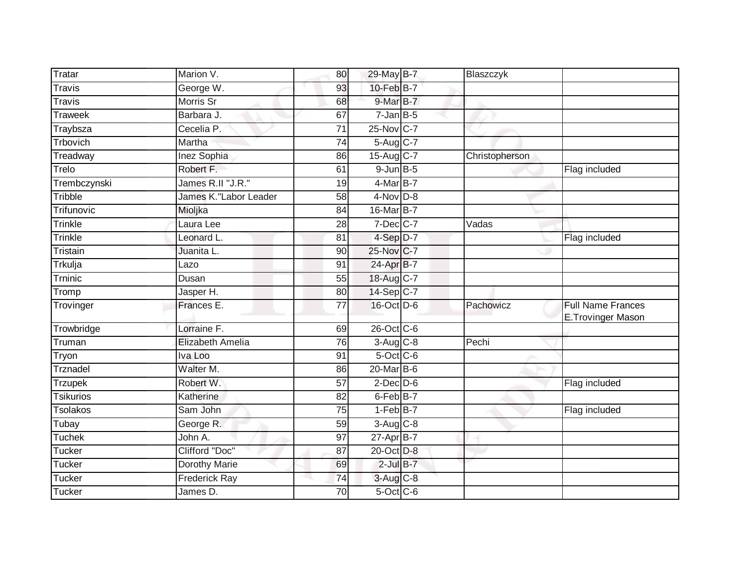| Tratar           | Marion V.              | 80              | 29-May B-7              | Blaszczyk                  |                                               |
|------------------|------------------------|-----------------|-------------------------|----------------------------|-----------------------------------------------|
| <b>Travis</b>    | George W.              | 93              | 10-Feb B-7              |                            |                                               |
| <b>Travis</b>    | Morris Sr              | 68              | 9-Mar B-7               |                            |                                               |
| <b>Traweek</b>   | Barbara J.             | 67              | $7$ -Jan $B$ -5         |                            |                                               |
| Traybsza         | Cecelia P.             | 71              | 25-Nov C-7              |                            |                                               |
| Trbovich         | Martha                 | 74              | 5-Aug C-7               |                            |                                               |
| Treadway         | Inez Sophia            | 86              | $15-Auq$ <sub>C-7</sub> | Christopherson             |                                               |
| Trelo            | Robert F.              | 61              | $9$ -Jun $B$ -5         |                            | Flag included                                 |
| Trembczynski     | James R.II "J.R."      | 19              | 4-Mar B-7               |                            |                                               |
| Tribble          | James K."Labor Leader  | $\overline{58}$ | $4-Nov$ D-8             |                            |                                               |
| Trifunovic       | Mioljka                | 84              | 16-Mar B-7              |                            |                                               |
| Trinkle          | Laura Lee              | 28              | $7$ -Dec $ C-7 $        | $\overline{\text{V}}$ adas |                                               |
| Trinkle          | Leonard L.             | 81              | 4-Sep D-7               |                            | Flag included                                 |
| Tristain         | Juanita L.             | 90              | 25-Nov C-7              |                            |                                               |
| Trkulja          | Lazo                   | 91              | 24-Apr B-7              |                            |                                               |
| Trninic          | Dusan                  | 55              | 18-Aug C-7              |                            |                                               |
| Tromp            | Jasper H.              | $\overline{80}$ | 14-Sep C-7              |                            |                                               |
| Trovinger        | Frances E.             | 77              | 16-Oct D-6              | Pachowicz                  | <b>Full Name Frances</b><br>E.Trovinger Mason |
| Trowbridge       | Lorraine <sub>F.</sub> | 69              | 26-Oct C-6              |                            |                                               |
| Truman           | Elizabeth Amelia       | 76              | $3-Aug$ $C-8$           | Pechi                      |                                               |
| Tryon            | Iva Loo                | 91              | $5$ -Oct C-6            |                            |                                               |
| Trznadel         | Walter M.              | 86              | 20-Mar B-6              |                            |                                               |
| <b>Trzupek</b>   | Robert W.              | 57              | $2$ -Dec $D-6$          |                            | Flag included                                 |
| <b>Tsikurios</b> | Katherine              | 82              | $6$ -Feb $B$ -7         |                            |                                               |
| <b>Tsolakos</b>  | Sam John               | $\overline{75}$ | $1-FebB-7$              |                            | Flag included                                 |
| Tubay            | George R.              | 59              | $3-Aug$ $C-8$           |                            |                                               |
| <b>Tuchek</b>    | John A.                | 97              | 27-Apr B-7              |                            |                                               |
| <b>Tucker</b>    | Clifford "Doc"         | 87              | 20-Oct D-8              |                            |                                               |
| Tucker           | Dorothy Marie          | 69              | $2$ -Jul $B-7$          |                            |                                               |
| <b>Tucker</b>    | <b>Frederick Ray</b>   | 74              | 3-Aug C-8               |                            |                                               |
| Tucker           | James D.               | 70              | $5$ -Oct C-6            |                            |                                               |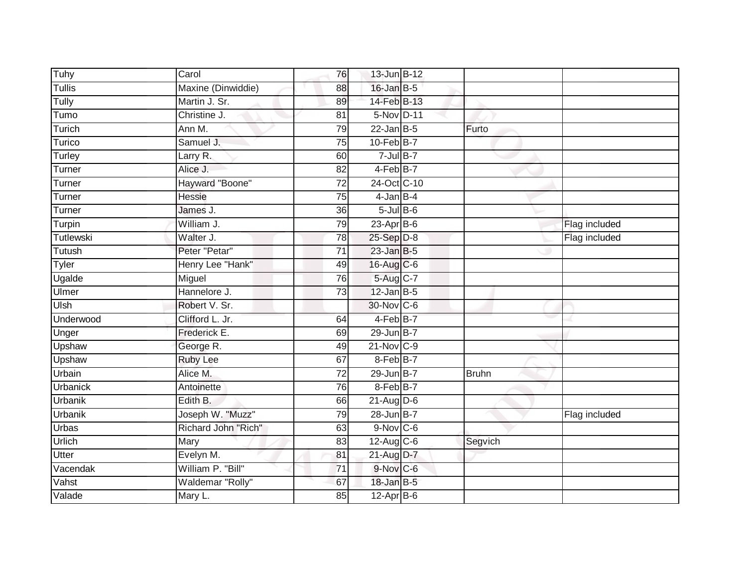| Tuhy            | Carol               | 76              | 13-Jun B-12          |              |               |
|-----------------|---------------------|-----------------|----------------------|--------------|---------------|
| Tullis          | Maxine (Dinwiddie)  | 88              | $16$ -Jan B-5        |              |               |
| Tully           | Martin J. Sr.       | 89              | 14-Feb B-13          |              |               |
| Tumo            | Christine J.        | 81              | 5-Nov D-11           |              |               |
| Turich          | Ann M.              | 79              | $22$ -Jan B-5        | Furto        |               |
| Turico          | Samuel J.           | 75              | $10$ -Feb $B$ -7     |              |               |
| Turley          | Larry R.            | 60              | $7$ -Jul B-7         |              |               |
| Turner          | Alice J.            | 82              | 4-Feb <sup>B-7</sup> |              |               |
| Turner          | Hayward "Boone"     | 72              | 24-Oct C-10          |              |               |
| Turner          | Hessie              | $\overline{75}$ | $4$ -Jan $B-4$       |              |               |
| Turner          | James J.            | 36              | $5$ -Jul $B$ -6      |              |               |
| Turpin          | William J.          | 79              | $23$ -Apr $B$ -6     |              | Flag included |
| Tutlewski       | Walter J.           | 78              | 25-Sep D-8           |              | Flag included |
| Tutush          | Peter "Petar"       | 71              | $23$ -Jan B-5        |              |               |
| Tyler           | Henry Lee "Hank"    | 49              | 16-Aug C-6           |              |               |
| Ugalde          | Miguel              | 76              | 5-Aug C-7            |              |               |
| Ulmer           | Hannelore J.        | $\overline{73}$ | $12$ -Jan B-5        |              |               |
| Ulsh            | Robert V. Sr.       |                 | 30-Nov C-6           |              |               |
| Underwood       | Clifford L. Jr.     | 64              | 4-Feb B-7            |              |               |
| Unger           | Frederick E.        | 69              | 29-Jun B-7           |              |               |
| Upshaw          | George R.           | 49              | $21$ -Nov $ C-9 $    |              |               |
| Upshaw          | <b>Ruby Lee</b>     | 67              | 8-Feb B-7            |              |               |
| Urbain          | Alice M.            | $\overline{72}$ | $29$ -Jun $B-7$      | <b>Bruhn</b> |               |
| <b>Urbanick</b> | Antoinette          | 76              | 8-Feb B-7            |              |               |
| <b>Urbanik</b>  | Edith B.            | 66              | $21$ -Aug $D-6$      |              |               |
| <b>Urbanik</b>  | Joseph W. "Muzz"    | 79              | 28-Jun B-7           |              | Flag included |
| <b>Urbas</b>    | Richard John "Rich" | 63              | 9-Nov C-6            |              |               |
| Urlich          | Mary                | 83              | $12$ -Aug $C$ -6     | Segvich      |               |
| <b>Utter</b>    | Evelyn M.           | 81              | 21-Aug D-7           |              |               |
| Vacendak        | William P. "Bill"   | $\overline{71}$ | 9-Nov C-6            |              |               |
| Vahst           | Waldemar "Rolly"    | 67              | 18-Jan B-5           |              |               |
| Valade          | Mary L.             | 85              | $12-Apr$ B-6         |              |               |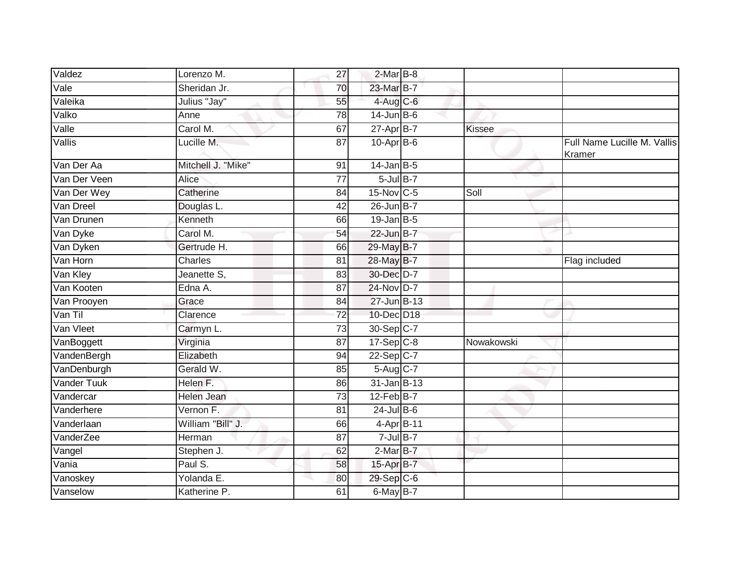| Valdez                   | Lorenzo M.         | 27              | $2-MarB-8$       |               |                                       |
|--------------------------|--------------------|-----------------|------------------|---------------|---------------------------------------|
| $\overline{\text{Vale}}$ | Sheridan Jr.       | 70              | 23-Mar B-7       |               |                                       |
| Valeika                  | Julius "Jay"       | 55              | 4-Aug C-6        |               |                                       |
| Valko                    | Anne               | 78              | $14$ -Jun $B$ -6 |               |                                       |
| Valle                    | Carol M.           | 67              | $27$ -Apr $B$ -7 | <b>Kissee</b> |                                       |
| Vallis                   | Lucille M.         | $\overline{87}$ | $10-Apr$ B-6     |               | Full Name Lucille M. Vallis<br>Kramer |
| Van Der Aa               | Mitchell J. "Mike" | 91              | $14$ -Jan B-5    |               |                                       |
| Van Der Veen             | <b>Alice</b>       | $\overline{77}$ | $5$ -Jul B-7     |               |                                       |
| Van Der Wey              | Catherine          | 84              | 15-Nov C-5       | Soll          |                                       |
| Van Dreel                | Douglas L.         | 42              | 26-Jun B-7       |               |                                       |
| Van Drunen               | Kenneth            | 66              | $19$ -Jan B-5    |               |                                       |
| Van Dyke                 | Carol M.           | 54              | 22-Jun B-7       |               |                                       |
| Van Dyken                | Gertrude H.        | 66              | 29-May B-7       |               |                                       |
| Van Horn                 | Charles            | 81              | 28-May B-7       |               | Flag included                         |
| Van Kley                 | Jeanette S,        | 83              | 30-Dec D-7       |               |                                       |
| Van Kooten               | Edna A.            | 87              | 24-Nov D-7       |               |                                       |
| Van Prooyen              | Grace              | 84              | 27-Jun B-13      |               |                                       |
| Van Til                  | Clarence           | 72              | 10-Dec D18       |               |                                       |
| Van Vleet                | Carmyn L.          | 73              | 30-Sep C-7       |               |                                       |
| VanBoggett               | Virginia           | 87              | $17-Sep$ $C-8$   | Nowakowski    |                                       |
| VandenBergh              | Elizabeth          | 94              | $22-Sep$ C-7     |               |                                       |
| VanDenburgh              | Gerald W.          | 85              | 5-Aug C-7        |               |                                       |
| Vander Tuuk              | Helen F.           | 86              | 31-Jan B-13      |               |                                       |
| Vandercar                | Helen Jean         | 73              | $12$ -Feb $B$ -7 |               |                                       |
| Vanderhere               | Vernon F.          | 81              | $24$ -Jul B-6    |               |                                       |
| Vanderlaan               | William "Bill" J.  | 66              | 4-Apr B-11       |               |                                       |
| VanderZee                | Herman             | 87              | $7$ -Jul $B-7$   |               |                                       |
| Vangel                   | Stephen J.         | 62              | $2-Mar$ B-7      |               |                                       |
| Vania                    | Paul S.            | 58              | 15-Apr B-7       |               |                                       |
| Vanoskey                 | Yolanda E.         | 80              | 29-Sep C-6       |               |                                       |
| Vanselow                 | Katherine P.       | 61              | $6$ -May $B$ -7  |               |                                       |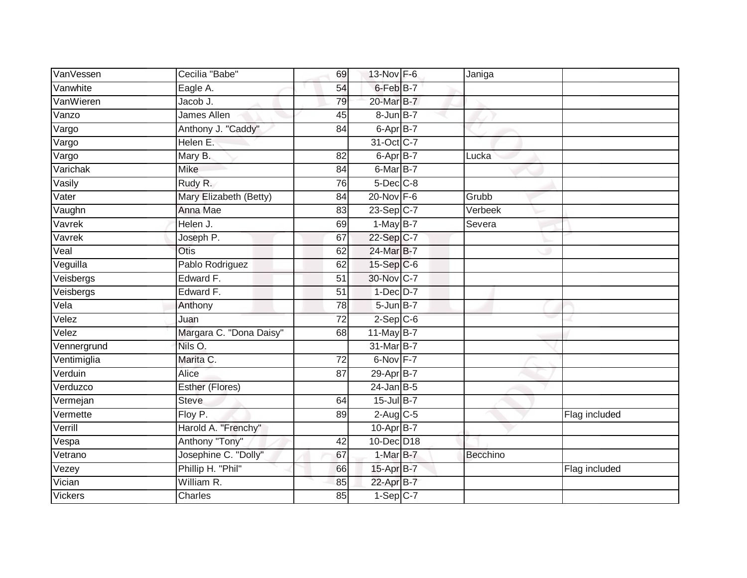| VanVessen      | Cecilia "Babe"          | 69              | 13-Nov F-6           | Janiga   |               |
|----------------|-------------------------|-----------------|----------------------|----------|---------------|
| Vanwhite       | Eagle A.                | 54              | 6-Feb <sup>B-7</sup> |          |               |
| VanWieren      | Jacob J.                | 79              | 20-Mar B-7           |          |               |
| Vanzo          | <b>James Allen</b>      | 45              | 8-Jun B-7            |          |               |
| Vargo          | Anthony J. "Caddy"      | 84              | 6-Apr B-7            |          |               |
| Vargo          | Helen E.                |                 | 31-Oct C-7           |          |               |
| Vargo          | Mary B.                 | 82              | $6-AprB-7$           | Lucka    |               |
| Varichak       | <b>Mike</b>             | 84              | $6$ -Mar $B$ -7      |          |               |
| Vasily         | Rudy R.                 | 76              | 5-Dec C-8            |          |               |
| Vater          | Mary Elizabeth (Betty)  | 84              | $20$ -Nov $F-6$      | Grubb    |               |
| Vaughn         | Anna Mae                | 83              | 23-Sep C-7           | Verbeek  |               |
| Vavrek         | Helen J.                | 69              | $1-MayB-7$           | Severa   |               |
| Vavrek         | Joseph P.               | 67              | 22-Sep C-7           |          |               |
| Veal           | Otis                    | 62              | 24-Mar B-7           |          |               |
| Veguilla       | Pablo Rodriguez         | 62              | $15-Sep$ C-6         |          |               |
| Veisbergs      | Edward F.               | 51              | 30-Nov C-7           |          |               |
| Veisbergs      | Edward F.               | $\overline{51}$ | $1$ -Dec $D-7$       |          |               |
| Vela           | Anthony                 | 78              | $5$ -Jun $B$ -7      |          |               |
| Velez          | Juan                    | $\overline{72}$ | $2-Sep$ $C-6$        |          |               |
| Velez          | Margara C. "Dona Daisy" | 68              | 11-May B-7           |          |               |
| Vennergrund    | Nils O.                 |                 | 31-Mar B-7           |          |               |
| Ventimiglia    | Marita C.               | $\overline{72}$ | 6-Nov F-7            |          |               |
| Verduin        | Alice                   | 87              | 29-Apr B-7           |          |               |
| Verduzco       | Esther (Flores)         |                 | $24$ -Jan B-5        |          |               |
| Vermejan       | <b>Steve</b>            | 64              | $15$ -Jul $B-7$      |          |               |
| Vermette       | Floy P.                 | 89              | $2-Aug$ $C-5$        |          | Flag included |
| Verrill        | Harold A. "Frenchy"     |                 | $10-AprB-7$          |          |               |
| Vespa          | Anthony "Tony"          | 42              | 10-Dec D18           |          |               |
| Vetrano        | Josephine C. "Dolly"    | 67              | $1-MarB-7$           | Becchino |               |
| Vezey          | Phillip H. "Phil"       | 66              | 15-Apr B-7           |          | Flag included |
| Vician         | William R.              | 85              | 22-Apr B-7           |          |               |
| <b>Vickers</b> | Charles                 | 85              | $1-Sep$ C-7          |          |               |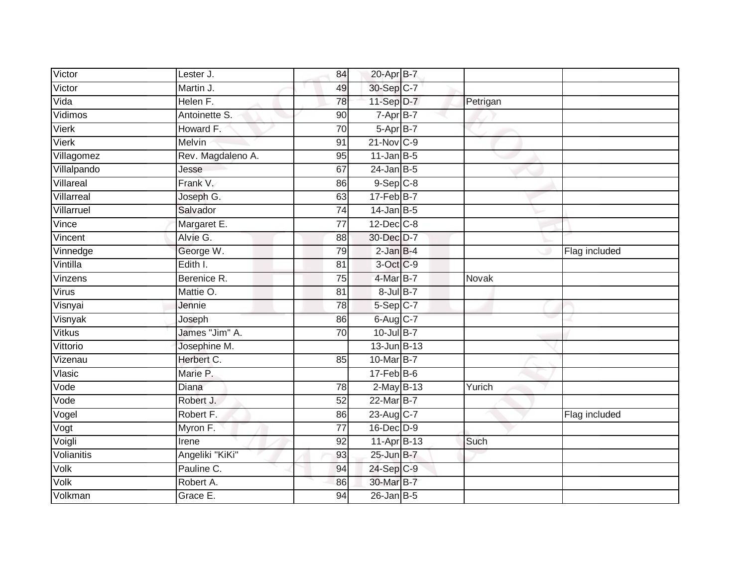| Victor       | Lester J.         | 84              | 20-Apr B-7             |          |               |
|--------------|-------------------|-----------------|------------------------|----------|---------------|
| Victor       | Martin J.         | 49              | 30-Sep C-7             |          |               |
| Vida         | Helen F.          | 78              | 11-Sep D-7             | Petrigan |               |
| Vidimos      | Antoinette S.     | 90              | $7 - Apr$ B-7          |          |               |
| <b>Vierk</b> | Howard F.         | $\overline{70}$ | $5-AprB-7$             |          |               |
| Vierk        | Melvin            | 91              | $21$ -Nov $C-9$        |          |               |
| Villagomez   | Rev. Magdaleno A. | 95              | $11$ -Jan B-5          |          |               |
| Villalpando  | Jesse             | 67              | $24$ -Jan B-5          |          |               |
| Villareal    | Frank V.          | 86              | $9-Sep$ $C-8$          |          |               |
| Villarreal   | Joseph G.         | 63              | 17-Feb B-7             |          |               |
| Villarruel   | Salvador          | 74              | $14$ -Jan B-5          |          |               |
| Vince        | Margaret E.       | 77              | $12$ -Dec $C-8$        |          |               |
| Vincent      | Alvie G.          | 88              | 30-Dec D-7             |          |               |
| Vinnedge     | George W.         | 79              | $2$ -Jan $B-4$         |          | Flag included |
| Vintilla     | Edith I.          | 81              | 3-Oct C-9              |          |               |
| Vinzens      | Berenice R.       | 75              | 4-Mar B-7              | Novak    |               |
| Virus        | Mattie O.         | $\overline{81}$ | $8$ -Jul $B-7$         |          |               |
| Visnyai      | Jennie            | 78              | $5-Sep$ <sub>C-7</sub> |          |               |
| Visnyak      | Joseph            | 86              | 6-Aug C-7              |          |               |
| Vitkus       | James "Jim" A.    | $\overline{70}$ | $10$ -Jul B-7          |          |               |
| Vittorio     | Josephine M.      |                 | 13-Jun B-13            |          |               |
| Vizenau      | Herbert C.        | 85              | 10-Mar B-7             |          |               |
| Vlasic       | Marie P.          |                 | $17$ -Feb $B$ -6       |          |               |
| Vode         | Diana             | 78              | $2$ -May B-13          | Yurich   |               |
| Vode         | Robert J.         | 52              | 22-Mar B-7             |          |               |
| Vogel        | Robert F.         | 86              | 23-Aug C-7             |          | Flag included |
| Vogt         | Myron F.          | $\overline{77}$ | 16-Dec D-9             |          |               |
| Voigli       | Irene             | 92              | 11-Apr B-13            | Such     |               |
| Volianitis   | Angeliki "KiKi"   | 93              | 25-Jun B-7             |          |               |
| Volk         | Pauline C.        | 94              | 24-Sep C-9             |          |               |
| Volk         | Robert A.         | 86              | 30-Mar B-7             |          |               |
| Volkman      | Grace E.          | 94              | $26$ -Jan B-5          |          |               |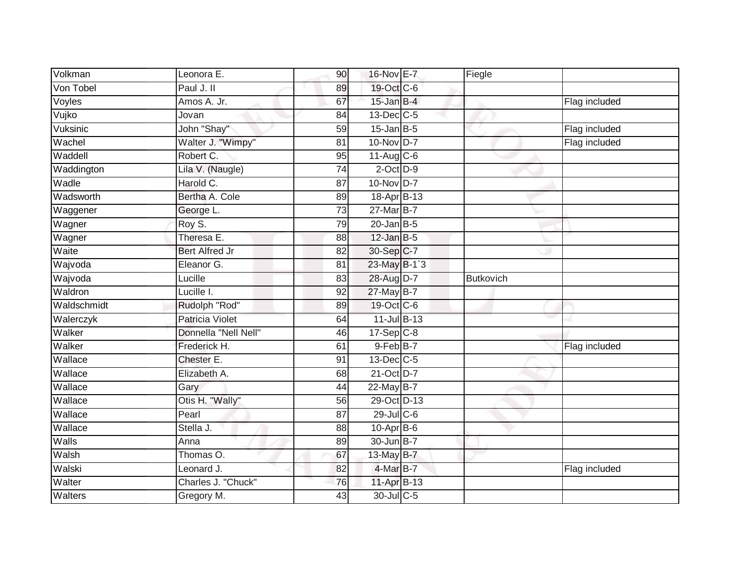| Volkman      | Leonora E.            | 90 | 16-Nov E-7              | Fiegle           |               |
|--------------|-----------------------|----|-------------------------|------------------|---------------|
| Von Tobel    | Paul J. II            | 89 | 19-Oct C-6              |                  |               |
| Voyles       | Amos A. Jr.           | 67 | $15$ -Jan B-4           |                  | Flag included |
| Vujko        | Jovan                 | 84 | $13$ -Dec $ C-5 $       |                  |               |
| Vuksinic     | John "Shay"           | 59 | $15$ -Jan B-5           |                  | Flag included |
| Wachel       | Walter J. "Wimpy"     | 81 | 10-Nov D-7              |                  | Flag included |
| Waddell      | Robert C.             | 95 | $11-Aug$ <sub>C-6</sub> |                  |               |
| Waddington   | Lila V. (Naugle)      | 74 | $2$ -Oct $D-9$          |                  |               |
| Wadle        | Harold C.             | 87 | 10-Nov D-7              |                  |               |
| Wadsworth    | Bertha A. Cole        | 89 | 18-Apr B-13             |                  |               |
| Waggener     | George L.             | 73 | 27-Mar B-7              |                  |               |
| Wagner       | Roy S.                | 79 | $20$ -Jan B-5           |                  |               |
| Wagner       | Theresa E.            | 88 | $12$ -Jan B-5           |                  |               |
| Waite        | <b>Bert Alfred Jr</b> | 82 | 30-Sep C-7              |                  |               |
| Wajvoda      | Eleanor G.            | 81 | 23-May B-1`3            |                  |               |
| Wajvoda      | Lucille               | 83 | 28-Aug D-7              | <b>Butkovich</b> |               |
| Waldron      | Lucille I.            | 92 | 27-May B-7              |                  |               |
| Waldschmidt  | Rudolph "Rod"         | 89 | 19-Oct C-6              |                  |               |
| Walerczyk    | Patricia Violet       | 64 | $11$ -Jul B-13          |                  |               |
| Walker       | Donnella "Nell Nell"  | 46 | $17-Sep$ $C-8$          |                  |               |
| Walker       | Frederick H.          | 61 | 9-Feb B-7               |                  | Flag included |
| Wallace      | Chester E.            | 91 | 13-Dec C-5              |                  |               |
| Wallace      | Elizabeth A.          | 68 | 21-Oct D-7              |                  |               |
| Wallace      | Gary                  | 44 | 22-May B-7              |                  |               |
| Wallace      | Otis H. "Wally"       | 56 | 29-Oct D-13             |                  |               |
| Wallace      | Pearl                 | 87 | $29$ -Jul C-6           |                  |               |
| Wallace      | Stella J.             | 88 | $10-Apr$ B-6            |                  |               |
| <b>Walls</b> | Anna                  | 89 | 30-Jun B-7              |                  |               |
| Walsh        | Thomas O.             | 67 | 13-May B-7              |                  |               |
| Walski       | Leonard J.            | 82 | 4-Mar B-7               |                  | Flag included |
| Walter       | Charles J. "Chuck"    | 76 | 11-Apr B-13             |                  |               |
| Walters      | Gregory M.            | 43 | 30-Jul C-5              |                  |               |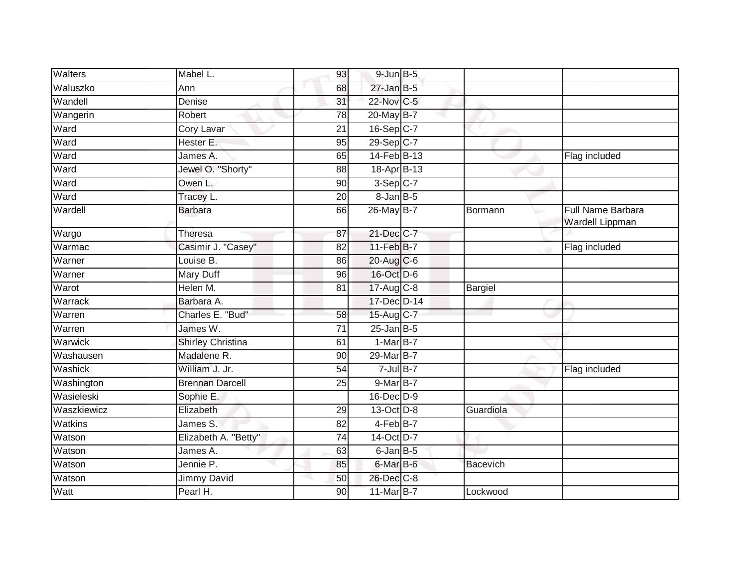| <b>Walters</b> | Mabel L.                 | 93              | $9$ -Jun $B$ -5   |                 |                                                    |
|----------------|--------------------------|-----------------|-------------------|-----------------|----------------------------------------------------|
| Waluszko       | Ann                      | 68              | $27$ -Jan B-5     |                 |                                                    |
| Wandell        | Denise                   | 31              | 22-Nov C-5        |                 |                                                    |
| Wangerin       | Robert                   | 78              | 20-May B-7        |                 |                                                    |
| Ward           | Cory Lavar               | $\overline{21}$ | 16-Sep C-7        |                 |                                                    |
| Ward           | Hester E.                | 95              | 29-Sep C-7        |                 |                                                    |
| Ward           | James A.                 | 65              | 14-Feb B-13       |                 | Flag included                                      |
| Ward           | Jewel O. "Shorty"        | 88              | 18-Apr B-13       |                 |                                                    |
| Ward           | Owen L.                  | 90              | $3-Sep C-7$       |                 |                                                    |
| Ward           | Tracey L.                | 20              | $8 - Jan$ $B - 5$ |                 |                                                    |
| Wardell        | <b>Barbara</b>           | 66              | 26-May B-7        | Bormann         | <b>Full Name Barbara</b><br><b>Wardell Lippman</b> |
| Wargo          | <b>Theresa</b>           | 87              | 21-Dec C-7        |                 |                                                    |
| Warmac         | Casimir J. "Casey"       | $\overline{82}$ | 11-Feb B-7        |                 | Flag included                                      |
| Warner         | Louise B.                | 86              | 20-Aug C-6        |                 |                                                    |
| Warner         | Mary Duff                | 96              | 16-Oct D-6        |                 |                                                    |
| Warot          | Helen M.                 | 81              | 17-Aug C-8        | Bargiel         |                                                    |
| Warrack        | Barbara A.               |                 | 17-Dec D-14       |                 |                                                    |
| Warren         | Charles E. "Bud"         | $\overline{58}$ | 15-Aug C-7        |                 |                                                    |
| Warren         | James W.                 | 71              | $25$ -Jan B-5     |                 |                                                    |
| Warwick        | <b>Shirley Christina</b> | 61              | $1-MarB-7$        |                 |                                                    |
| Washausen      | Madalene R.              | 90              | 29-Mar B-7        |                 |                                                    |
| Washick        | William J. Jr.           | 54              | $7$ -Jul $B-7$    |                 | Flag included                                      |
| Washington     | <b>Brennan Darcell</b>   | 25              | 9-Mar B-7         |                 |                                                    |
| Wasieleski     | Sophie E.                |                 | 16-Dec D-9        |                 |                                                    |
| Waszkiewicz    | Elizabeth                | 29              | 13-Oct D-8        | Guardiola       |                                                    |
| Watkins        | James S.                 | 82              | 4-Feb B-7         |                 |                                                    |
| Watson         | Elizabeth A. "Betty"     | $\overline{74}$ | 14-Oct D-7        |                 |                                                    |
| Watson         | James A.                 | 63              | $6$ -Jan $B$ -5   |                 |                                                    |
| Watson         | Jennie P.                | 85              | 6-Mar B-6         | <b>Bacevich</b> |                                                    |
| Watson         | Jimmy David              | 50              | 26-Dec C-8        |                 |                                                    |
| Watt           | Pearl H.                 | 90              | 11-Mar B-7        | Lockwood        |                                                    |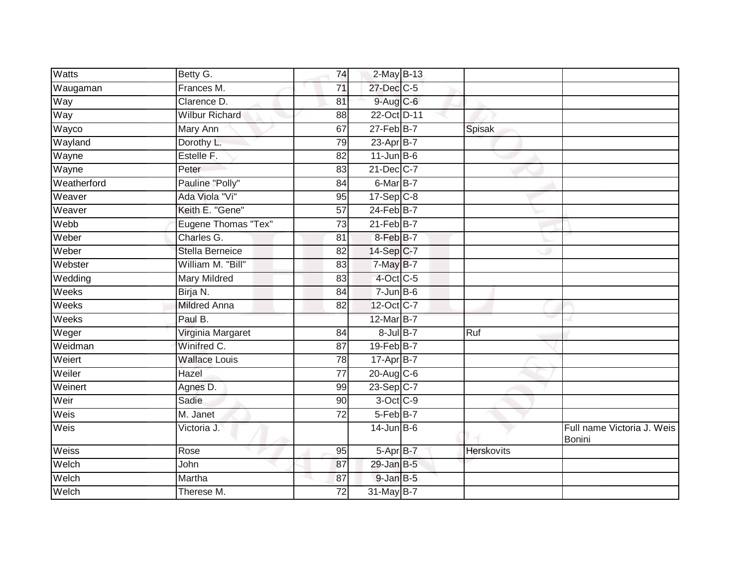| Watts       | Betty G.               | 74              | 2-May B-13       |                   |                                      |
|-------------|------------------------|-----------------|------------------|-------------------|--------------------------------------|
| Waugaman    | Frances M.             | $\overline{71}$ | 27-Dec C-5       |                   |                                      |
| Way         | Clarence D.            | 81              | $9$ -Aug C-6     |                   |                                      |
| Way         | <b>Wilbur Richard</b>  | 88              | 22-Oct D-11      |                   |                                      |
| Wayco       | <b>Mary Ann</b>        | 67              | $27$ -Feb $B$ -7 | Spisak            |                                      |
| Wayland     | Dorothy L.             | 79              | 23-Apr B-7       |                   |                                      |
| Wayne       | Estelle F.             | 82              | $11$ -Jun $B$ -6 |                   |                                      |
| Wayne       | Peter                  | 83              | 21-Dec C-7       |                   |                                      |
| Weatherford | Pauline "Polly"        | 84              | 6-Mar B-7        |                   |                                      |
| Weaver      | Ada Viola "Vi"         | 95              | $17-Sep C-8$     |                   |                                      |
| Weaver      | Keith E. "Gene"        | 57              | $24$ -Feb $B$ -7 |                   |                                      |
| Webb        | Eugene Thomas "Tex"    | 73              | $21$ -Feb $B$ -7 |                   |                                      |
| Weber       | Charles G.             | 81              | 8-Feb B-7        |                   |                                      |
| Weber       | <b>Stella Berneice</b> | 82              | 14-Sep C-7       |                   |                                      |
| Webster     | William M. "Bill"      | 83              | 7-May B-7        |                   |                                      |
| Wedding     | Mary Mildred           | 83              | $4$ -Oct C-5     |                   |                                      |
| Weeks       | Birja N.               | 84              | $7 - Jun$ B-6    |                   |                                      |
| Weeks       | <b>Mildred Anna</b>    | 82              | 12-Oct C-7       |                   |                                      |
| Weeks       | Paul B.                |                 | 12-Mar B-7       |                   |                                      |
| Weger       | Virginia Margaret      | 84              | $8$ -Jul $B-7$   | Ruf               |                                      |
| Weidman     | Winifred C.            | 87              | $19$ -Feb $B$ -7 |                   |                                      |
| Weiert      | <b>Wallace Louis</b>   | $\overline{78}$ | 17-Apr B-7       |                   |                                      |
| Weiler      | Hazel                  | 77              | $20$ -Aug C-6    |                   |                                      |
| Weinert     | Agnes D.               | 99              | 23-Sep C-7       |                   |                                      |
| Weir        | Sadie                  | 90              | 3-Oct C-9        |                   |                                      |
| Weis        | M. Janet               | 72              | 5-Feb B-7        |                   |                                      |
| Weis        | Victoria J.            |                 | $14$ -Jun B-6    |                   | Full name Victoria J. Weis<br>Bonini |
| Weiss       | Rose                   | 95              | 5-Apr B-7        | <b>Herskovits</b> |                                      |
| Welch       | John                   | 87              | $29$ -Jan B-5    |                   |                                      |
| Welch       | Martha                 | 87              | $9$ -Jan $B$ -5  |                   |                                      |
| Welch       | Therese M.             | 72              | 31-May B-7       |                   |                                      |
|             |                        |                 |                  |                   |                                      |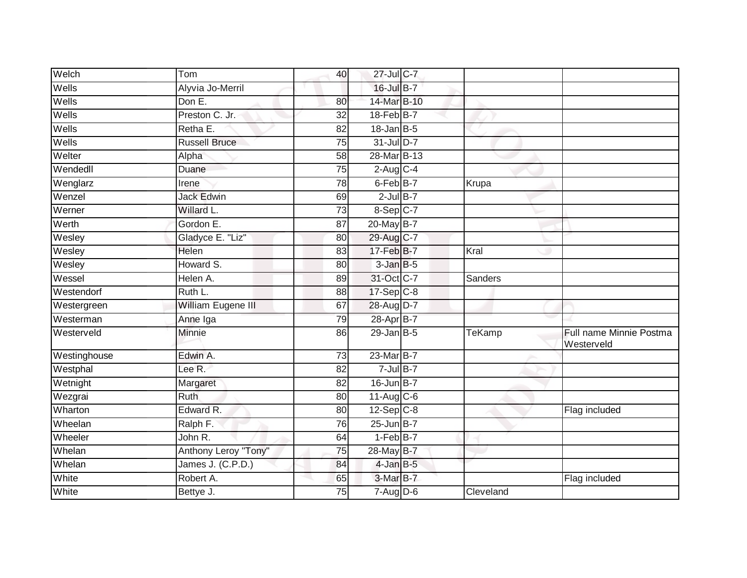| Welch        | Tom                  | 40              | 27-Jul C-7                           |                |                                       |
|--------------|----------------------|-----------------|--------------------------------------|----------------|---------------------------------------|
| Wells        | Alyvia Jo-Merril     |                 | $16$ -Jul B-7                        |                |                                       |
| Wells        | Dom E.               | 80              | 14-Mar B-10                          |                |                                       |
| Wells        | Preston C. Jr.       | 32              | 18-Feb B-7                           |                |                                       |
| Wells        | Retha E.             | $\overline{82}$ | $18$ -Jan B-5                        |                |                                       |
| Wells        | <b>Russell Bruce</b> | 75              | $31$ -Jul D-7                        |                |                                       |
| Welter       | Alpha                | 58              | 28-Mar B-13                          |                |                                       |
| Wendedll     | Duane                | 75              | $2-Aug$ <sub>C-4</sub>               |                |                                       |
| Wenglarz     | Irene                | 78              | 6-Feb B-7                            | Krupa          |                                       |
| Wenzel       | <b>Jack Edwin</b>    | 69              | $2$ -Jul $B-7$                       |                |                                       |
| Werner       | Willard L.           | 73              | 8-Sep C-7                            |                |                                       |
| Werth        | Gordon E.            | 87              | 20-May B-7                           |                |                                       |
| Wesley       | Gladyce E. "Liz"     | 80              | 29-Aug C-7                           |                |                                       |
| Wesley       | <b>Helen</b>         | 83              | 17-Feb <sup>B-7</sup>                | Kral           |                                       |
| Wesley       | Howard S.            | 80              | 3-Jan B-5                            |                |                                       |
| Wessel       | Helen A.             | 89              | 31-Oct C-7                           | <b>Sanders</b> |                                       |
| Westendorf   | Ruth L.              | 88              | $17-Sep C-8$                         |                |                                       |
| Westergreen  | William Eugene III   | 67              | 28-Aug D-7                           |                |                                       |
| Westerman    | Anne Iga             | 79              | 28-Apr B-7                           |                |                                       |
| Westerveld   | <b>Minnie</b>        | 86              | $29$ -Jan B-5                        | <b>TeKamp</b>  | Full name Minnie Postma<br>Westerveld |
| Westinghouse | Edwin A.             | 73              | 23-Mar B-7                           |                |                                       |
| Westphal     | Lee R.               | 82              | $7$ -Jul $B-7$                       |                |                                       |
| Wetnight     | Margaret             | 82              | 16-Jun B-7                           |                |                                       |
| Wezgrai      | <b>Ruth</b>          | 80              | $11-Aug$ C-6                         |                |                                       |
| Wharton      | Edward R.            | 80              | $12-Sep$ <sub><math>C-8</math></sub> |                | Flag included                         |
| Wheelan      | Ralph F.             | 76              | $25$ -Jun $B-7$                      |                |                                       |
| Wheeler      | John R.              | 64              | $1-FebB-7$                           |                |                                       |
| Whelan       | Anthony Leroy "Tony" | 75              | 28-May B-7                           |                |                                       |
| Whelan       | James J. (C.P.D.)    | 84              | $4$ -Jan $B$ -5                      |                |                                       |
| White        | Robert A.            | 65              | $3-MarB-7$                           |                | Flag included                         |
| White        | Bettye J.            | 75              | 7-Aug D-6                            | Cleveland      |                                       |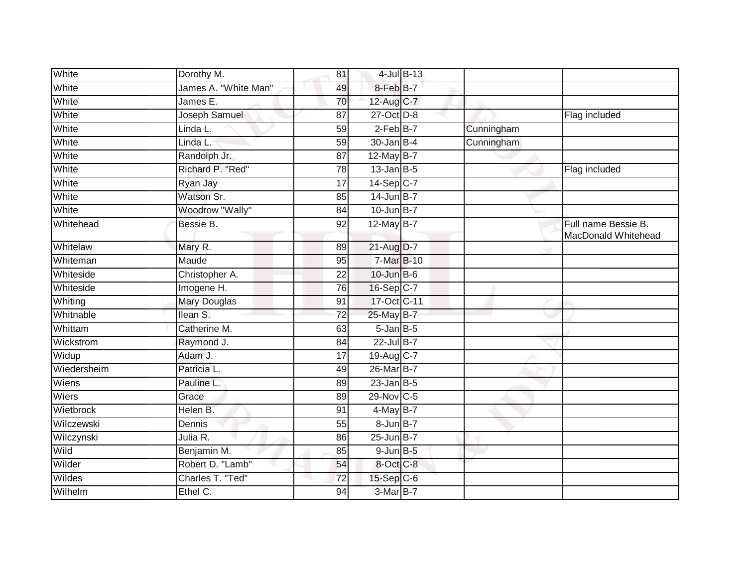| White       | Dorothy M.             | 81              |                 | $4$ -Jul $B$ -13 |            |                                            |
|-------------|------------------------|-----------------|-----------------|------------------|------------|--------------------------------------------|
| White       | James A. "White Man"   | 49              | 8-Feb B-7       |                  |            |                                            |
| White       | James E.               | 70              | 12-Aug C-7      |                  |            |                                            |
| White       | Joseph Samuel          | 87              | 27-Oct D-8      |                  |            | Flag included                              |
| White       | Linda L.               | $\overline{59}$ | $2-FebB-7$      |                  | Cunningham |                                            |
| White       | Linda L.               | 59              | $30$ -Jan B-4   |                  | Cunningham |                                            |
| White       | Randolph Jr.           | 87              | 12-May $B-7$    |                  |            |                                            |
| White       | Richard P. "Red"       | $\overline{78}$ | $13$ -Jan B-5   |                  |            | Flag included                              |
| White       | Ryan Jay               | 17              | 14-Sep C-7      |                  |            |                                            |
| White       | Watson Sr.             | 85              | $14$ -Jun B-7   |                  |            |                                            |
| White       | <b>Woodrow "Wally"</b> | 84              | $10$ -Jun B-7   |                  |            |                                            |
| Whitehead   | Bessie B.              | 92              | 12-May $B-7$    |                  |            | Full name Bessie B.<br>MacDonald Whitehead |
| Whitelaw    | Mary R.                | 89              | 21-Aug D-7      |                  |            |                                            |
| Whiteman    | Maude                  | 95              | 7-Mar B-10      |                  |            |                                            |
| Whiteside   | Christopher A.         | 22              | 10-Jun B-6      |                  |            |                                            |
| Whiteside   | Imogene H.             | 76              | 16-Sep C-7      |                  |            |                                            |
| Whiting     | Mary Douglas           | 91              | 17-Oct C-11     |                  |            |                                            |
| Whitnable   | Ilean S.               | 72              | 25-May B-7      |                  |            |                                            |
| Whittam     | Catherine M.           | 63              | $5$ -Jan $B$ -5 |                  |            |                                            |
| Wickstrom   | Raymond J.             | 84              | $22$ -Jul B-7   |                  |            |                                            |
| Widup       | Adam J.                | 17              | 19-Aug C-7      |                  |            |                                            |
| Wiedersheim | Patricia L.            | 49              | 26-Mar B-7      |                  |            |                                            |
| Wiens       | Pauline L.             | 89              | $23$ -Jan B-5   |                  |            |                                            |
| Wiers       | Grace                  | 89              | 29-Nov C-5      |                  |            |                                            |
| Wietbrock   | Helen B.               | 91              | $4$ -May B-7    |                  |            |                                            |
| Wilczewski  | Dennis                 | 55              | 8-Jun B-7       |                  |            |                                            |
| Wilczynski  | Julia R.               | 86              | $25$ -Jun B-7   |                  |            |                                            |
| Wild        | Benjamin M.            | 85              | $9$ -Jun $B$ -5 |                  |            |                                            |
| Wilder      | Robert D. "Lamb"       | 54              | 8-Oct C-8       |                  |            |                                            |
| Wildes      | Charles T. "Ted"       | 72              | $15-SepC-6$     |                  |            |                                            |
| Wilhelm     | Ethel C.               | 94              | 3-Mar B-7       |                  |            |                                            |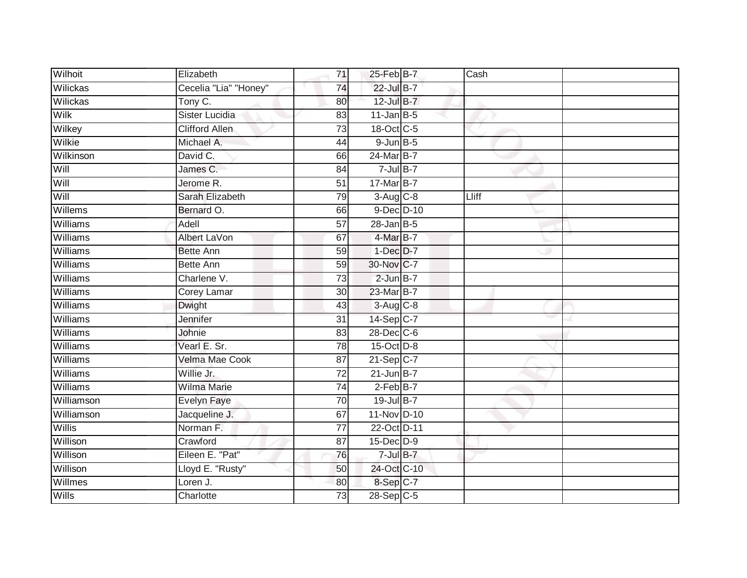| Wilhoit         | Elizabeth             | 71              | $25$ -Feb $B$ -7  | Cash  |  |
|-----------------|-----------------------|-----------------|-------------------|-------|--|
| Wilickas        | Cecelia "Lia" "Honey" | 74              | $22$ -Jul B-7     |       |  |
| Wilickas        | Tony C.               | 80              | 12-Jul B-7        |       |  |
| Wilk            | Sister Lucidia        | 83              | $11$ -Jan B-5     |       |  |
| Wilkey          | <b>Clifford Allen</b> | $\overline{73}$ | 18-Oct C-5        |       |  |
| Wilkie          | Michael A.            | 44              | $9$ -Jun $B$ -5   |       |  |
| Wilkinson       | David C.              | 66              | 24-Mar B-7        |       |  |
| Will            | James C.              | 84              | $7 -$ Jul B-7     |       |  |
| Will            | Jerome <sub>R.</sub>  | 51              | 17-Mar B-7        |       |  |
| Will            | Sarah Elizabeth       | 79              | $3-Aug$ $C-8$     | Lliff |  |
| Willems         | Bernard O.            | 66              | 9-Dec D-10        |       |  |
| Williams        | Adell                 | 57              | $28$ -Jan B-5     |       |  |
| Williams        | Albert LaVon          | 67              | $4$ -Mar $B$ -7   |       |  |
| Williams        | <b>Bette Ann</b>      | 59              | $1-Dec$ $D-7$     |       |  |
| Williams        | <b>Bette Ann</b>      | 59              | 30-Nov C-7        |       |  |
| Williams        | Charlene V.           | 73              | $2$ -Jun $B-7$    |       |  |
| Williams        | <b>Corey Lamar</b>    | $\overline{30}$ | 23-Mar B-7        |       |  |
| Williams        | <b>Dwight</b>         | 43              | $3-Aug$ $C-8$     |       |  |
| <b>Williams</b> | Jennifer              | 31              | 14-Sep C-7        |       |  |
| Williams        | Johnie                | $\overline{83}$ | 28-Dec C-6        |       |  |
| Williams        | Vearl E. Sr.          | 78              | 15-Oct D-8        |       |  |
| Williams        | Velma Mae Cook        | 87              | 21-Sep C-7        |       |  |
| Williams        | Willie Jr.            | 72              | $21$ -Jun $B-7$   |       |  |
| Williams        | <b>Wilma Marie</b>    | 74              | $2-FebB-7$        |       |  |
| Williamson      | Evelyn Faye           | 70              | 19-Jul B-7        |       |  |
| Williamson      | Jacqueline J.         | 67              | 11-Nov D-10       |       |  |
| Willis          | Norman F.             | $\overline{77}$ | 22-Oct D-11       |       |  |
| Willison        | Crawford              | 87              | $15$ -Dec $D-9$   |       |  |
| Willison        | Eileen E. "Pat"       | 76              | $7 -$ Jul $B - 7$ |       |  |
| Willison        | Lloyd E. "Rusty"      | 50              | 24-Oct C-10       |       |  |
| Willmes         | Loren J.              | 80              | 8-Sep C-7         |       |  |
| Wills           | Charlotte             | $\overline{73}$ | 28-Sep C-5        |       |  |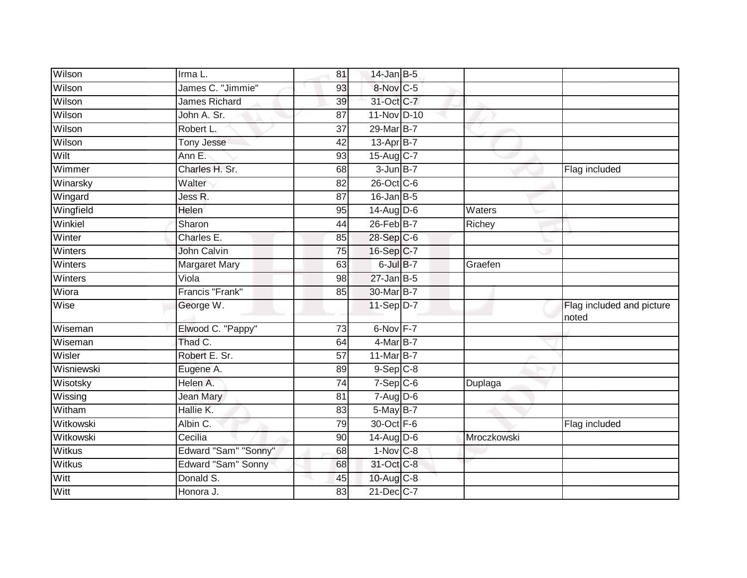| Wilson        | Irma L.              | 81              | $14$ -Jan B-5          |                      |                                    |
|---------------|----------------------|-----------------|------------------------|----------------------|------------------------------------|
| Wilson        | James C. "Jimmie"    | 93              | 8-Nov C-5              |                      |                                    |
| Wilson        | James Richard        | 39              | 31-Oct C-7             |                      |                                    |
| Wilson        | John A. Sr.          | 87              | 11-Nov D-10            |                      |                                    |
| Wilson        | Robert L.            | $\overline{37}$ | 29-Mar B-7             |                      |                                    |
| Wilson        | <b>Tony Jesse</b>    | 42              | 13-Apr B-7             |                      |                                    |
| Wilt          | Ann E.               | 93              | 15-Aug C-7             |                      |                                    |
| Wimmer        | Charles H. Sr.       | 68              | $3 - Jun$ B-7          |                      | Flag included                      |
| Winarsky      | Walter               | 82              | 26-Oct C-6             |                      |                                    |
| Wingard       | Jess R.              | $\overline{87}$ | $16$ -Jan B-5          |                      |                                    |
| Wingfield     | <b>Helen</b>         | 95              | $14$ -Aug D-6          | $\overline{W}$ aters |                                    |
| Winkiel       | Sharon               | 44              | 26-Feb B-7             | Richey               |                                    |
| Winter        | Charles E.           | 85              | 28-Sep C-6             |                      |                                    |
| Winters       | John Calvin          | 75              | 16-Sep C-7             |                      |                                    |
| Winters       | <b>Margaret Mary</b> | 63              | 6-Jul B-7              | Graefen              |                                    |
| Winters       | Viola                | 98              | $27$ -Jan B-5          |                      |                                    |
| Wiora         | Francis "Frank"      | 85              | 30-Mar B-7             |                      |                                    |
| Wise          | George W.            |                 | 11-Sep D-7             |                      | Flag included and picture<br>noted |
| Wiseman       | Elwood C. "Pappy"    | 73              | 6-Nov F-7              |                      |                                    |
| Wiseman       | Thad C.              | 64              | 4-Mar B-7              |                      |                                    |
| Wisler        | Robert E. Sr.        | 57              | 11-Mar B-7             |                      |                                    |
| Wisniewski    | Eugene A.            | 89              | $9-Sep C-8$            |                      |                                    |
| Wisotsky      | Helen A.             | 74              | $7-Sep$ $C-6$          | Duplaga              |                                    |
| Wissing       | Jean Mary            | 81              | $7-Aug$ $D-6$          |                      |                                    |
| Witham        | Hallie K.            | $\overline{83}$ | 5-May B-7              |                      |                                    |
| Witkowski     | Albin C.             | 79              | 30-Oct F-6             |                      | Flag included                      |
| Witkowski     | Cecilia              | 90              | 14-Aug D-6             | Mroczkowski          |                                    |
| Witkus        | Edward "Sam" "Sonny" | 68              | $1-Nov$ <sub>C-8</sub> |                      |                                    |
| <b>Witkus</b> | Edward "Sam" Sonny   | 68              | 31-Oct C-8             |                      |                                    |
| Witt          | Donald S.            | 45              | 10-Aug C-8             |                      |                                    |
| Witt          | Honora J.            | 83              | $21$ -Dec $C-7$        |                      |                                    |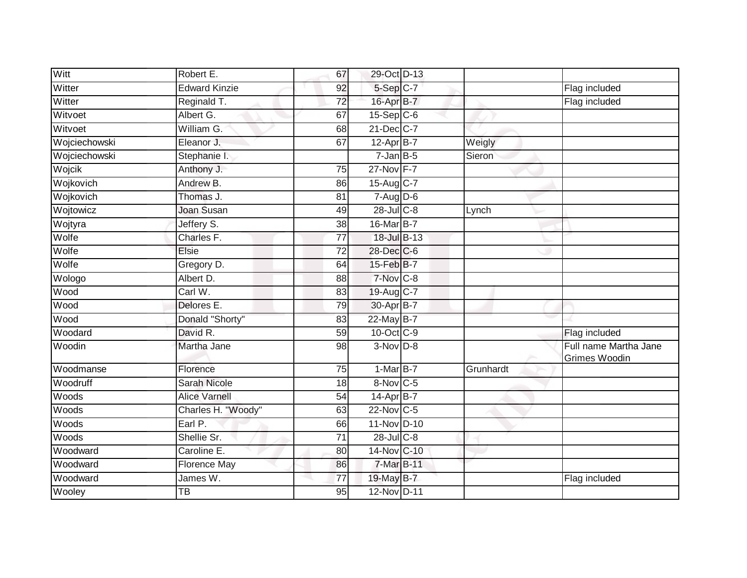| Witt          | Robert E.            | 67              | 29-Oct D-13            |           |                                        |
|---------------|----------------------|-----------------|------------------------|-----------|----------------------------------------|
| Witter        | <b>Edward Kinzie</b> | 92              | 5-Sep C-7              |           | Flag included                          |
| Witter        | Reginald T.          | 72              | 16-Apr B-7             |           | Flag included                          |
| Witvoet       | Albert G.            | 67              | $15-Sep$ C-6           |           |                                        |
| Witvoet       | William G.           | 68              | 21-Dec C-7             |           |                                        |
| Wojciechowski | Eleanor J.           | 67              | 12-Apr B-7             | Weigly    |                                        |
| Wojciechowski | Stephanie I.         |                 | $7$ -Jan $B$ -5        | Sieron    |                                        |
| Wojcik        | Anthony J.           | $\overline{75}$ | 27-Nov F-7             |           |                                        |
| Wojkovich     | Andrew B.            | 86              | 15-Aug $C-7$           |           |                                        |
| Wojkovich     | Thomas J.            | 81              | $7 - Aug$ $D-6$        |           |                                        |
| Wojtowicz     | <b>Joan Susan</b>    | 49              | $28$ -Jul $C-8$        | Lynch     |                                        |
| Wojtyra       | Jeffery S.           | 38              | 16-Mar B-7             |           |                                        |
| Wolfe         | Charles F.           | 77              | 18-Jul B-13            |           |                                        |
| Wolfe         | Elsie                | 72              | 28-Dec C-6             |           |                                        |
| Wolfe         | Gregory D.           | 64              | 15-Feb B-7             |           |                                        |
| Wologo        | Albert D.            | 88              | 7-Nov C-8              |           |                                        |
| Wood          | Carl W.              | 83              | 19-Aug C-7             |           |                                        |
| Wood          | Delores E.           | 79              | 30-Apr B-7             |           |                                        |
| Wood          | Donald "Shorty"      | 83              | 22-May B-7             |           |                                        |
| Woodard       | David R.             | 59              | 10-Oct C-9             |           | Flag included                          |
| Woodin        | Martha Jane          | 98              | $3-Nov$ D-8            |           | Full name Martha Jane<br>Grimes Woodin |
| Woodmanse     | Florence             | 75              | $1-MarB-7$             | Grunhardt |                                        |
| Woodruff      | <b>Sarah Nicole</b>  | 18              | $8-Nov$ <sub>C-5</sub> |           |                                        |
| Woods         | <b>Alice Varnell</b> | 54              | 14-Apr B-7             |           |                                        |
| Woods         | Charles H. "Woody"   | 63              | 22-Nov C-5             |           |                                        |
| Woods         | Earl P.              | 66              | 11-Nov D-10            |           |                                        |
| Woods         | Shellie Sr.          | 71              | $28$ -Jul $C-8$        |           |                                        |
| Woodward      | Caroline E.          | 80              | 14-Nov C-10            |           |                                        |
| Woodward      | <b>Florence May</b>  | 86              | 7-Mar B-11             |           |                                        |
| Woodward      | James W.             | 77              | 19-May B-7             |           | Flag included                          |
| Wooley        | ТB                   | 95              | $12-Nov$ D-11          |           |                                        |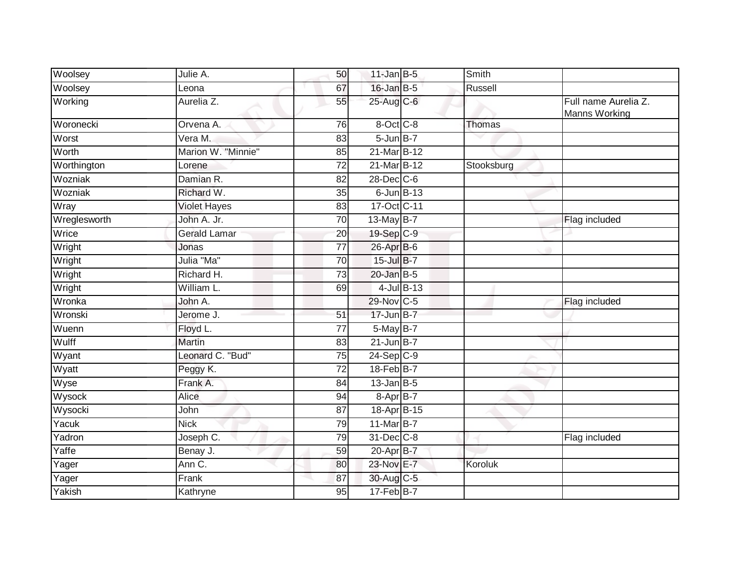| Woolsey      | Julie A.            | 50              | $11$ -Jan B-5         |               | Smith      |                                       |
|--------------|---------------------|-----------------|-----------------------|---------------|------------|---------------------------------------|
| Woolsey      | Leona               | 67              | 16-Jan B-5            |               | Russell    |                                       |
| Working      | Aurelia Z.          | 55              | 25-Aug C-6            |               |            | Full name Aurelia Z.<br>Manns Working |
| Woronecki    | Orvena A.           | 76              | 8-Oct C-8             |               | Thomas     |                                       |
| Worst        | Vera M.             | 83              | $5$ -Jun $B$ -7       |               |            |                                       |
| Worth        | Marion W. "Minnie"  | 85              | 21-Mar B-12           |               |            |                                       |
| Worthington  | Lorene              | 72              | 21-Mar B-12           |               | Stooksburg |                                       |
| Wozniak      | Damian R.           | 82              | 28-Dec C-6            |               |            |                                       |
| Wozniak      | Richard W.          | 35              | $6$ -Jun $B-13$       |               |            |                                       |
| Wray         | <b>Violet Hayes</b> | 83              | 17-Oct C-11           |               |            |                                       |
| Wreglesworth | John A. Jr.         | 70              | 13-May B-7            |               |            | Flag included                         |
| Wrice        | Gerald Lamar        | 20              | 19-Sep C-9            |               |            |                                       |
| Wright       | Jonas               | $\overline{77}$ | 26-Apr B-6            |               |            |                                       |
| Wright       | Julia "Ma"          | 70              | 15-Jul B-7            |               |            |                                       |
| Wright       | Richard H.          | 73              | 20-Jan B-5            |               |            |                                       |
| Wright       | William L.          | 69              |                       | $4$ -Jul B-13 |            |                                       |
| Wronka       | John A.             |                 | 29-Nov C-5            |               |            | Flag included                         |
| Wronski      | Jerome J.           | 51              | 17-Jun B-7            |               |            |                                       |
| Wuenn        | Floyd L.            | 77              | $5$ -May B-7          |               |            |                                       |
| Wulff        | <b>Martin</b>       | 83              | $21$ -Jun B-7         |               |            |                                       |
| Wyant        | Leonard C. "Bud"    | 75              | $24-Sep$ C-9          |               |            |                                       |
| Wyatt        | Peggy K.            | $\overline{72}$ | 18-Feb B-7            |               |            |                                       |
| Wyse         | Frank A.            | 84              | $13$ -Jan B-5         |               |            |                                       |
| Wysock       | Alice               | 94              | $8-Apr\overline{B-7}$ |               |            |                                       |
| Wysocki      | John                | 87              | 18-Apr B-15           |               |            |                                       |
| Yacuk        | <b>Nick</b>         | 79              | 11-Mar B-7            |               |            |                                       |
| Yadron       | Joseph C.           | 79              | 31-Dec C-8            |               |            | Flag included                         |
| Yaffe        | Benay J.            | 59              | 20-Apr B-7            |               |            |                                       |
| Yager        | Ann C.              | 80              | 23-Nov E-7            |               | Koroluk    |                                       |
| Yager        | Frank               | 87              | 30-Aug C-5            |               |            |                                       |
| Yakish       | Kathryne            | 95              | $17-Feb$ B-7          |               |            |                                       |
|              |                     |                 |                       |               |            |                                       |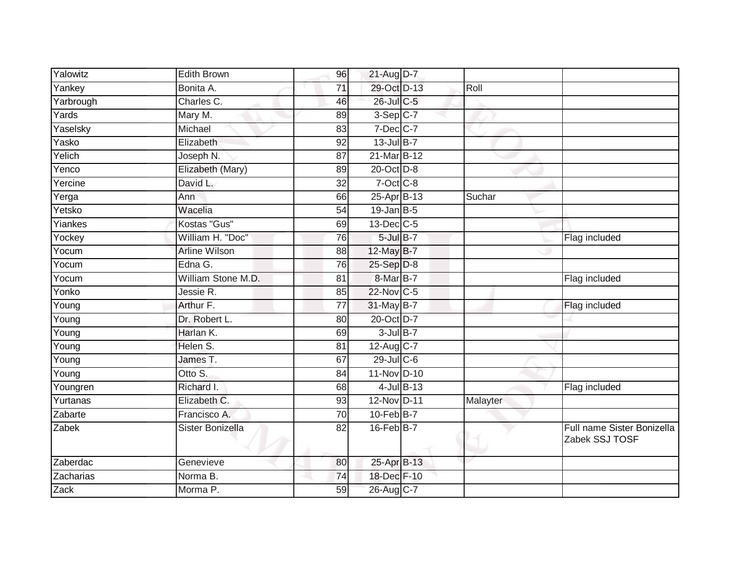| Yalowitz            | <b>Edith Brown</b> | 96              | $21$ -Aug D-7     |                 |          |                                              |
|---------------------|--------------------|-----------------|-------------------|-----------------|----------|----------------------------------------------|
| Yankey              | Bonita A.          | 71              | 29-Oct D-13       |                 | Roll     |                                              |
| Yarbrough           | Charles C.         | 46              | 26-Jul C-5        |                 |          |                                              |
| Yards               | Mary M.            | 89              | $3-Sep C-7$       |                 |          |                                              |
| Yaselsky            | Michael            | 83              | $7$ -Dec $ C-7 $  |                 |          |                                              |
| Yasko               | Elizabeth          | 92              | $13$ -Jul B-7     |                 |          |                                              |
| Yelich              | Joseph N.          | 87              | 21-Mar B-12       |                 |          |                                              |
| Yenco               | Elizabeth (Mary)   | 89              | 20-Oct D-8        |                 |          |                                              |
| Yercine             | David L.           | 32              | 7-Oct C-8         |                 |          |                                              |
| Yerga               | Ann                | 66              | $25-Apr$ B-13     |                 | Suchar   |                                              |
| Yetsko              | Wacelia            | 54              | $19$ -Jan B-5     |                 |          |                                              |
| Yiankes             | Kostas "Gus"       | 69              | $13$ -Dec $C$ -5  |                 |          |                                              |
| Yockey              | William H. "Doc"   | 76              | $5$ -Jul $B-7$    |                 |          | Flag included                                |
| Yocum               | Arline Wilson      | 88              | 12-May B-7        |                 |          |                                              |
| Yocum               | Edna G.            | $\overline{76}$ | 25-Sep D-8        |                 |          |                                              |
| Yocum               | William Stone M.D. | 81              | 8-Mar B-7         |                 |          | Flag included                                |
| Yonko               | Jessie R.          | 85              | 22-Nov C-5        |                 |          |                                              |
| Young               | Arthur F.          | 77              | $31$ -May B-7     |                 |          | Flag included                                |
| Young               | Dr. Robert L.      | 80              | 20-Oct D-7        |                 |          |                                              |
| Young               | Harlan K.          | 69              | $3$ -Jul B-7      |                 |          |                                              |
| Young               | Helen S.           | 81              | $12$ -Aug C-7     |                 |          |                                              |
| $\overline{Y}$ oung | James T.           | 67              | $29$ -Jul C-6     |                 |          |                                              |
| Young               | Otto S.            | 84              | 11-Nov D-10       |                 |          |                                              |
| Youngren            | Richard I.         | 68              |                   | $4$ -Jul $B-13$ |          | Flag included                                |
| Yurtanas            | Elizabeth C.       | 93              | 12-Nov D-11       |                 | Malayter |                                              |
| Zabarte             | Francisco A.       | 70              | $10$ -Feb $ B-7 $ |                 |          |                                              |
| Zabek               | Sister Bonizella   | 82              | $16$ -Feb $B$ -7  |                 |          | Full name Sister Bonizella<br>Zabek SSJ TOSF |
| Zaberdac            | Genevieve          | 80              | 25-Apr B-13       |                 |          |                                              |
| Zacharias           | Norma B.           | 74              | 18-Dec F-10       |                 |          |                                              |
| Zack                | Morma P.           | 59              | 26-Aug C-7        |                 |          |                                              |
|                     |                    |                 |                   |                 |          |                                              |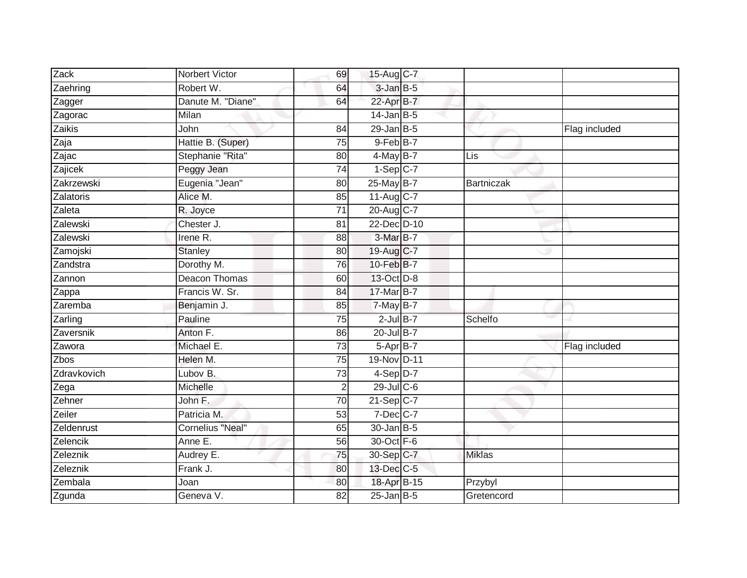| Zack                  | Norbert Victor          |                 |                  |               |               |
|-----------------------|-------------------------|-----------------|------------------|---------------|---------------|
|                       |                         | 69              | 15-Aug C-7       |               |               |
| Zaehring              | Robert W.               | 64              | $3$ -Jan $B$ -5  |               |               |
| Zagger                | Danute M. "Diane"       | 64              | 22-Apr B-7       |               |               |
| Zagorac               | Milan                   |                 | $14$ -Jan B-5    |               |               |
| Zaikis                | John                    | $\overline{84}$ | $29$ -Jan B-5    |               | Flag included |
| Zaja                  | Hattie B. (Super)       | 75              | 9-Feb B-7        |               |               |
| Zajac                 | Stephanie "Rita"        | 80              | $4$ -May B-7     | Lis           |               |
| Zajicek               | Peggy Jean              | 74              | $1-Sep$ C-7      |               |               |
| Zakrzewski            | Eugenia "Jean"          | 80              | 25-May B-7       | Bartniczak    |               |
| Zalatoris             | Alice M.                | $\overline{85}$ | 11-Aug C-7       |               |               |
| Zaleta                | R. Joyce                | 71              | 20-Aug C-7       |               |               |
| Zalewski              | Chester J.              | 81              | 22-Dec D-10      |               |               |
| Zalewski              | Irene R.                | 88              | $3-MarB-7$       |               |               |
| Zamojski              | <b>Stanley</b>          | 80              | 19-Aug C-7       |               |               |
| Zandstra              | Dorothy M.              | 76              | 10-Feb B-7       |               |               |
| Zannon                | Deacon Thomas           | 60              | 13-Oct D-8       |               |               |
| Zappa                 | Francis W. Sr.          | $\overline{84}$ | 17-Mar B-7       |               |               |
| Zaremba               | Benjamin J.             | 85              | $7$ -May B-7     |               |               |
| $\overline{z}$ arling | Pauline                 | 75              | $2$ -Jul $B-7$   | Schelfo       |               |
| Zaversnik             | Anton F.                | 86              | $20$ -Jul B-7    |               |               |
| Zawora                | Michael E.              | 73              | 5-Apr B-7        |               | Flag included |
| Zbos                  | Helen M.                | $\overline{75}$ | 19-Nov D-11      |               |               |
| Zdravkovich           | Lubov B.                | 73              | $4-Sep$ D-7      |               |               |
| Zega                  | Michelle                | $\overline{2}$  | $29$ -Jul $C$ -6 |               |               |
| Zehner                | John F.                 | $\overline{70}$ | $21-Sep$ C-7     |               |               |
| Zeiler                | Patricia M.             | 53              | $7$ -Dec $C$ -7  |               |               |
| Zeldenrust            | <b>Cornelius "Neal"</b> | 65              | $30 - Jan$ $B-5$ |               |               |
| Zelencik              | Anne E.                 | 56              | 30-Oct F-6       |               |               |
| Zeleznik              | Audrey E.               | 75              | 30-Sep C-7       | <b>Miklas</b> |               |
| Zeleznik              | Frank J.                | 80              | 13-Dec C-5       |               |               |
| Zembala               | Joan                    | 80              | 18-Apr B-15      | Przybyl       |               |
| Zgunda                | Geneva V.               | $\overline{82}$ | $25$ -Jan B-5    | Gretencord    |               |
|                       |                         |                 |                  |               |               |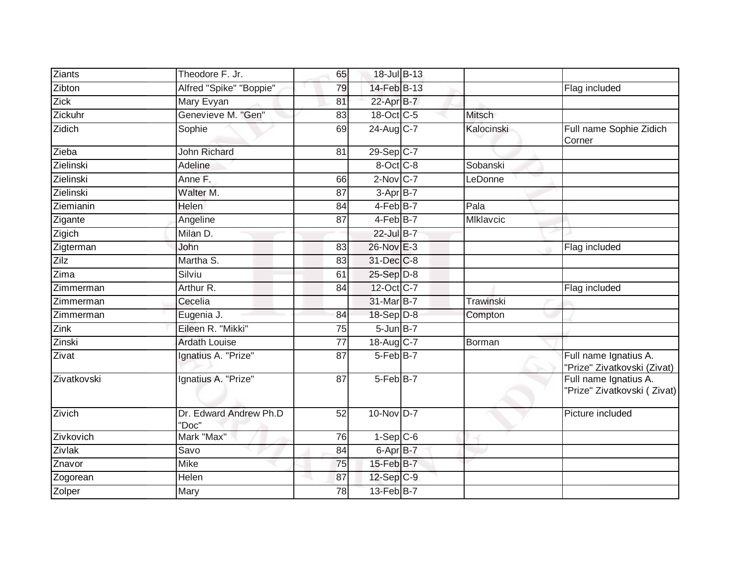| <b>Ziants</b> | Theodore F. Jr.                 | 65              | 18-Jul B-13     |               |                                                      |
|---------------|---------------------------------|-----------------|-----------------|---------------|------------------------------------------------------|
| Zibton        | Alfred "Spike" "Boppie"         | 79              | 14-Feb B-13     |               | Flag included                                        |
| Zick          | Mary Evyan                      | 81              | 22-Apr B-7      |               |                                                      |
| Zickuhr       | Genevieve M. "Gen"              | 83              | 18-Oct C-5      | <b>Mitsch</b> |                                                      |
| Zidich        | Sophie                          | 69              | 24-Aug C-7      | Kalocinski    | Full name Sophie Zidich<br>Corner                    |
| Zieba         | <b>John Richard</b>             | 81              | 29-Sep C-7      |               |                                                      |
| Zielinski     | Adeline                         |                 | 8-Oct C-8       | Sobanski      |                                                      |
| Zielinski     | Anne F.                         | 66              | $2$ -Nov $C-7$  | LeDonne       |                                                      |
| Zielinski     | Walter M.                       | 87              | 3-Apr B-7       |               |                                                      |
| Ziemianin     | Helen                           | 84              | 4-Feb B-7       | Pala          |                                                      |
| Zigante       | Angeline                        | 87              | 4-Feb B-7       | MIklavcic     |                                                      |
| Zigich        | Milan D.                        |                 | 22-Jul B-7      |               |                                                      |
| Zigterman     | John                            | 83              | 26-Nov E-3      |               | Flag included                                        |
| Zilz          | Martha S.                       | 83              | 31-Dec C-8      |               |                                                      |
| Zima          | Silviu                          | 61              | 25-Sep D-8      |               |                                                      |
| Zimmerman     | Arthur R.                       | 84              | 12-Oct C-7      |               | Flag included                                        |
| Zimmerman     | Cecelia                         |                 | 31-Mar B-7      | Trawinski     |                                                      |
| Zimmerman     | Eugenia J.                      | 84              | 18-Sep D-8      | Compton       |                                                      |
| Zink          | Eileen R. "Mikki"               | 75              | $5$ -Jun $B$ -7 |               |                                                      |
| Zinski        | <b>Ardath Louise</b>            | $\overline{77}$ | 18-Aug C-7      | Borman        |                                                      |
| Zivat         | Ignatius A. "Prize"             | 87              | 5-Feb B-7       |               | Full name Ignatius A.<br>"Prize" Zivatkovski (Zivat) |
| Zivatkovski   | Ignatius A. "Prize"             | 87              | 5-Feb B-7       |               | Full name Ignatius A.<br>"Prize" Zivatkovski (Zivat) |
| Zivich        | Dr. Edward Andrew Ph.D<br>"Doc" | 52              | $10-NovD-7$     |               | Picture included                                     |
| Zivkovich     | Mark "Max"                      | 76              | $1-Sep$ $C-6$   |               |                                                      |
| Zivlak        | Savo                            | 84              | 6-Apr B-7       |               |                                                      |
| Znavor        | <b>Mike</b>                     | 75              | 15-Feb B-7      |               |                                                      |
| Zogorean      | Helen                           | 87              | $12-Sep$ C-9    |               |                                                      |
| Zolper        | Mary                            | 78              | 13-Feb B-7      |               |                                                      |